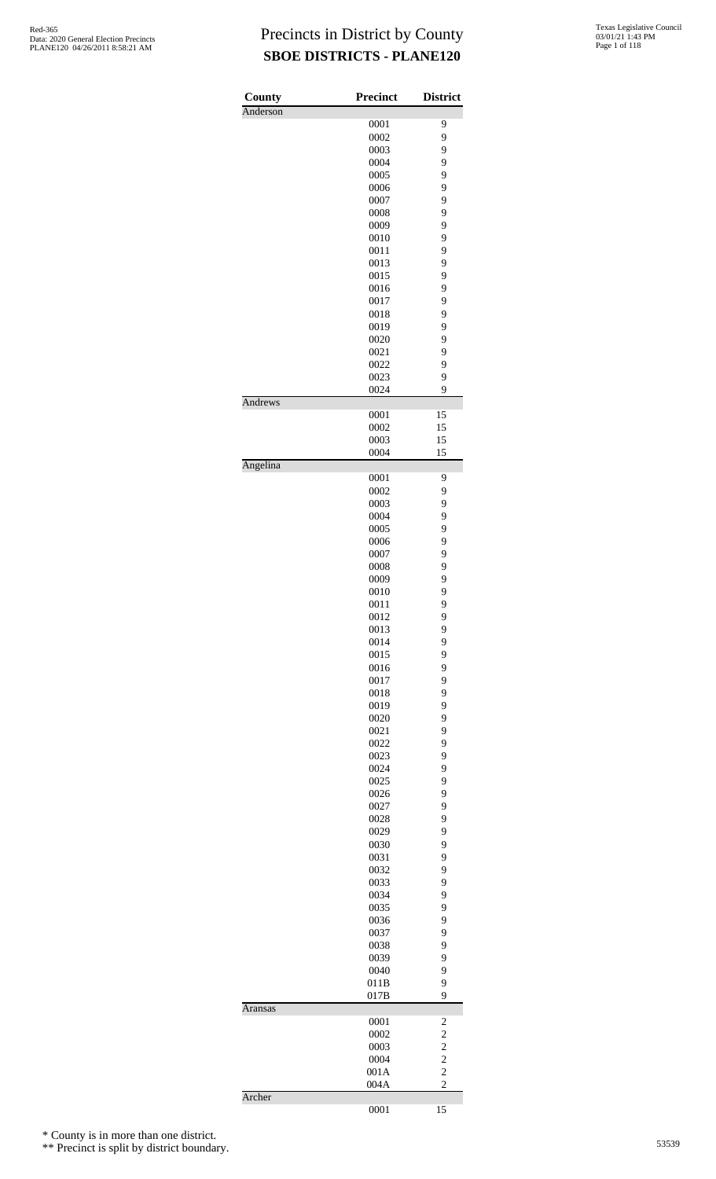| County         | Precinct     | <b>District</b>                  |
|----------------|--------------|----------------------------------|
| Anderson       | 0001         | 9                                |
|                | 0002         | 9                                |
|                | 0003         | 9                                |
|                | 0004         | 9                                |
|                | 0005         | 9                                |
|                | 0006         | 9                                |
|                | 0007         | 9                                |
|                | 0008         | 9                                |
|                | 0009         | 9                                |
|                | 0010         | 9                                |
|                | 0011         | 9                                |
|                | 0013<br>0015 | 9<br>9                           |
|                | 0016         | 9                                |
|                | 0017         | 9                                |
|                | 0018         | 9                                |
|                | 0019         | 9                                |
|                | 0020         | 9                                |
|                | 0021         | 9                                |
|                | 0022         | 9                                |
|                | 0023         | 9                                |
|                | 0024         | 9                                |
| Andrews        | 0001         | 15                               |
|                | 0002         | 15                               |
|                | 0003         | 15                               |
|                | 0004         | 15                               |
| Angelina       | 0001         | 9                                |
|                | 0002         | 9                                |
|                | 0003         | 9                                |
|                | 0004         | 9                                |
|                | 0005         | 9                                |
|                | 0006         | 9                                |
|                | 0007         | 9                                |
|                | 0008         | 9                                |
|                | 0009         | 9                                |
|                | 0010         | 9                                |
|                | 0011         | 9                                |
|                | 0012         | 9                                |
|                | 0013<br>0014 | 9<br>9                           |
|                | 0015         | 9                                |
|                | 0016         | 9                                |
|                | 0017         | 9                                |
|                | 0018         | 9                                |
|                | 0019         | 9                                |
|                | 0020         | 9                                |
|                | 0021         | 9                                |
|                | 0022         | 9                                |
|                | 0023         | 9                                |
|                | 0024         | 9                                |
|                | 0025         | 9                                |
|                | 0026         | 9                                |
|                | 0027<br>0028 | 9<br>9                           |
|                | 0029         | 9                                |
|                | 0030         | 9                                |
|                | 0031         | 9                                |
|                | 0032         | 9                                |
|                | 0033         | 9                                |
|                | 0034         | 9                                |
|                | 0035         | 9                                |
|                | 0036         | 9                                |
|                | 0037         | 9                                |
|                | 0038         | 9                                |
|                | 0039         | 9                                |
|                | 0040         | 9<br>9                           |
|                | 011B<br>017B | 9                                |
| <b>Aransas</b> |              |                                  |
|                | 0001         | $\overline{\mathbf{c}}$          |
|                | 0002         | $\overline{c}$                   |
|                | 0003         | $\overline{c}$                   |
|                | 0004<br>001A | $\overline{c}$<br>$\overline{c}$ |
|                | 004A         | $\overline{c}$                   |
| Archer         |              |                                  |
|                | 0001         | 15                               |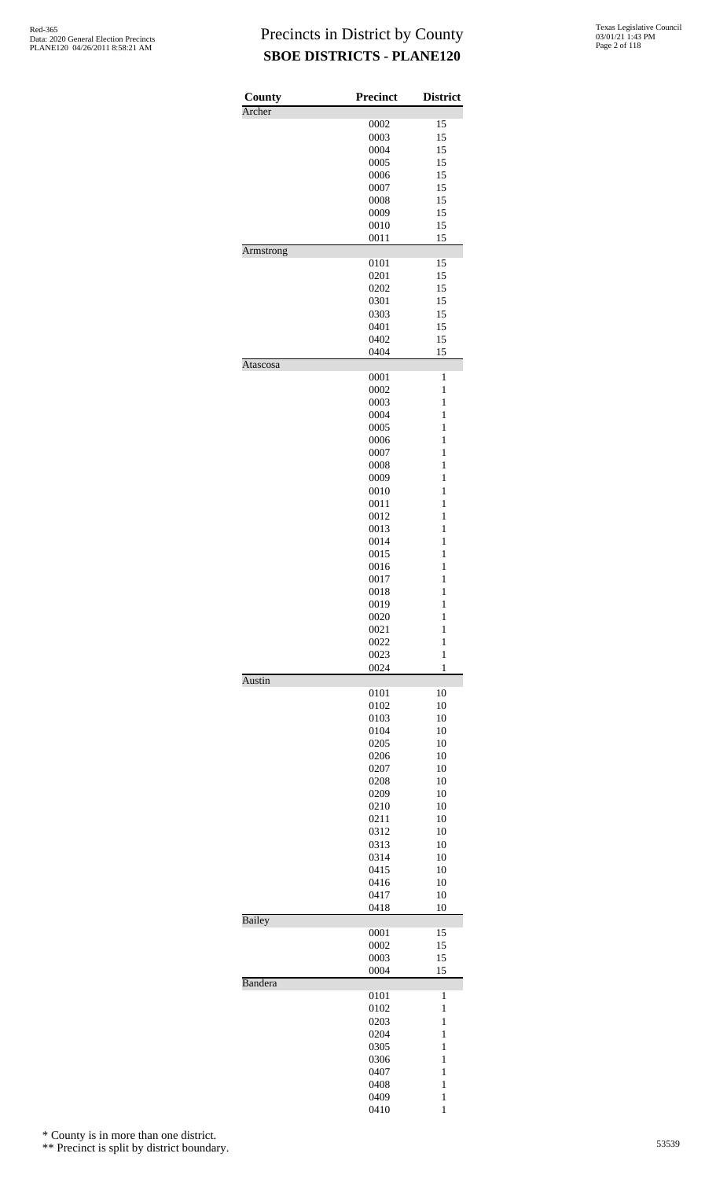| County           | <b>Precinct</b> | <b>District</b> |
|------------------|-----------------|-----------------|
| Archer           | 0002            | 15              |
|                  | 0003            | 15              |
|                  | 0004            | 15              |
|                  | 0005            | 15              |
|                  | 0006            | 15              |
|                  | 0007            | 15              |
|                  | 0008            | 15              |
|                  | 0009            | 15              |
|                  | 0010            | 15              |
|                  | 0011            | 15              |
| <b>Armstrong</b> |                 |                 |
|                  | 0101            | 15              |
|                  | 0201            | 15              |
|                  | 0202<br>0301    | 15<br>15        |
|                  | 0303            | 15              |
|                  |                 | 15              |
|                  | 0401<br>0402    | 15              |
|                  | 0404            | 15              |
| Atascosa         |                 |                 |
|                  | 0001            | 1               |
|                  | 0002            | $\mathbf{1}$    |
|                  | 0003            | $\mathbf{1}$    |
|                  | 0004            | 1               |
|                  | 0005            | $\mathbf{1}$    |
|                  | 0006            | $\mathbf{1}$    |
|                  | 0007            | $\mathbf{1}$    |
|                  | 0008            | $\mathbf{1}$    |
|                  | 0009            | 1               |
|                  | 0010            | $\mathbf{1}$    |
|                  | 0011            | $\mathbf{1}$    |
|                  | 0012            | 1               |
|                  | 0013            | $\mathbf{1}$    |
|                  | 0014            | 1               |
|                  | 0015            | $\mathbf{1}$    |
|                  | 0016            | $\mathbf{1}$    |
|                  | 0017            | $\mathbf{1}$    |
|                  | 0018            | $\mathbf{1}$    |
|                  | 0019            | 1               |
|                  | 0020            | $\mathbf{1}$    |
|                  | 0021            | 1               |
|                  | 0022            | $\mathbf{1}$    |
|                  | 0023            | $\mathbf{1}$    |
| Austin           | 0024            | 1               |
|                  | 0101            | 10              |
|                  | 0102            | 10              |
|                  | 0103            | 10              |
|                  | 0104            | 10              |
|                  | 0205            | 10              |
|                  | 0206            | 10              |
|                  | 0207            | 10              |
|                  | 0208            | 10              |
|                  | 0209            | 10              |
|                  | 0210            | 10              |
|                  | 0211            | 10              |
|                  | 0312            | 10              |
|                  | 0313            | 10              |
|                  | 0314            | 10              |
|                  | 0415            | 10              |
|                  | 0416            | 10              |
|                  | 0417            | 10              |
| <b>Bailey</b>    | 0418            | 10              |
|                  | 0001            | 15              |
|                  | 0002            | 15              |
|                  | 0003            | 15              |
| Bandera          | 0004            | 15              |
|                  | 0101            | 1               |
|                  | 0102            | 1               |
|                  | 0203            | $\mathbf{1}$    |
|                  | 0204            | 1               |
|                  | 0305            | 1               |
|                  | 0306            | $\mathbf{1}$    |
|                  | 0407            | $\mathbf{1}$    |
|                  | 0408            | 1               |
|                  | 0409            | $\mathbf{1}$    |
|                  | 0410            | 1               |

\* County is in more than one district.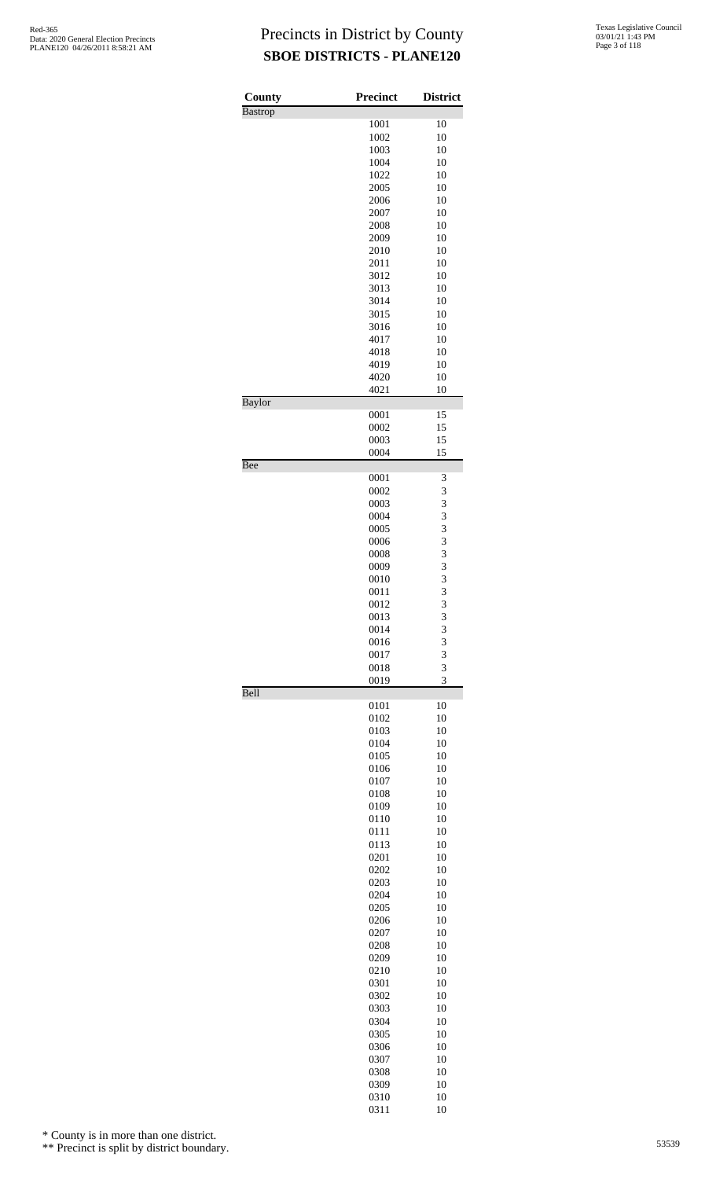| County         | <b>Precinct</b> | <b>District</b>     |
|----------------|-----------------|---------------------|
| <b>Bastrop</b> | 1001            | 10                  |
|                | 1002            | 10                  |
|                | 1003            | 10                  |
|                | 1004            | 10                  |
|                | 1022<br>2005    | 10<br>10            |
|                | 2006            | 10                  |
|                | 2007            | 10                  |
|                | 2008            | 10                  |
|                | 2009            | 10                  |
|                | 2010<br>2011    | 10<br>10            |
|                | 3012            | 10                  |
|                | 3013            | 10                  |
|                | 3014            | 10                  |
|                | 3015            | 10                  |
|                | 3016<br>4017    | 10<br>10            |
|                | 4018            | 10                  |
|                | 4019            | 10                  |
|                | 4020            | 10                  |
|                | 4021            | 10                  |
| Baylor         | 0001            | 15                  |
|                | 0002            | 15                  |
|                | 0003            | 15                  |
|                | 0004            | 15                  |
| Bee            | 0001            | 3                   |
|                | 0002            | 3                   |
|                | 0003            | 3                   |
|                | 0004            | 3                   |
|                | 0005            | 3                   |
|                | 0006<br>0008    | $\overline{3}$<br>3 |
|                | 0009            | $\overline{3}$      |
|                | 0010            |                     |
|                | 0011            | $\frac{3}{3}$       |
|                | 0012            | 3                   |
|                | 0013            | 3                   |
|                | 0014<br>0016    | 3<br>3              |
|                | 0017            | 3                   |
|                | 0018            | 3                   |
| Bell           | 0019            | $\overline{3}$      |
|                | 0101            | 10                  |
|                | 0102            | 10                  |
|                | 0103            | 10                  |
|                | 0104            | 10                  |
|                | 0105<br>0106    | 10<br>10            |
|                | 0107            | 10                  |
|                | 0108            | 10                  |
|                | 0109            | 10                  |
|                | 0110            | 10                  |
|                | 0111<br>0113    | 10<br>10            |
|                | 0201            | 10                  |
|                | 0202            | 10                  |
|                | 0203            | 10                  |
|                | 0204            | 10                  |
|                | 0205            | 10                  |
|                | 0206<br>0207    | 10<br>10            |
|                | 0208            | 10                  |
|                | 0209            | 10                  |
|                | 0210            | 10                  |
|                | 0301            | 10                  |
|                | 0302            | 10<br>10            |
|                | 0303<br>0304    | 10                  |
|                | 0305            | 10                  |
|                | 0306            | 10                  |
|                | 0307            | 10                  |
|                | 0308            | 10                  |
|                | 0309            | 10<br>10            |
|                | 0310<br>0311    | 10                  |

\* County is in more than one district.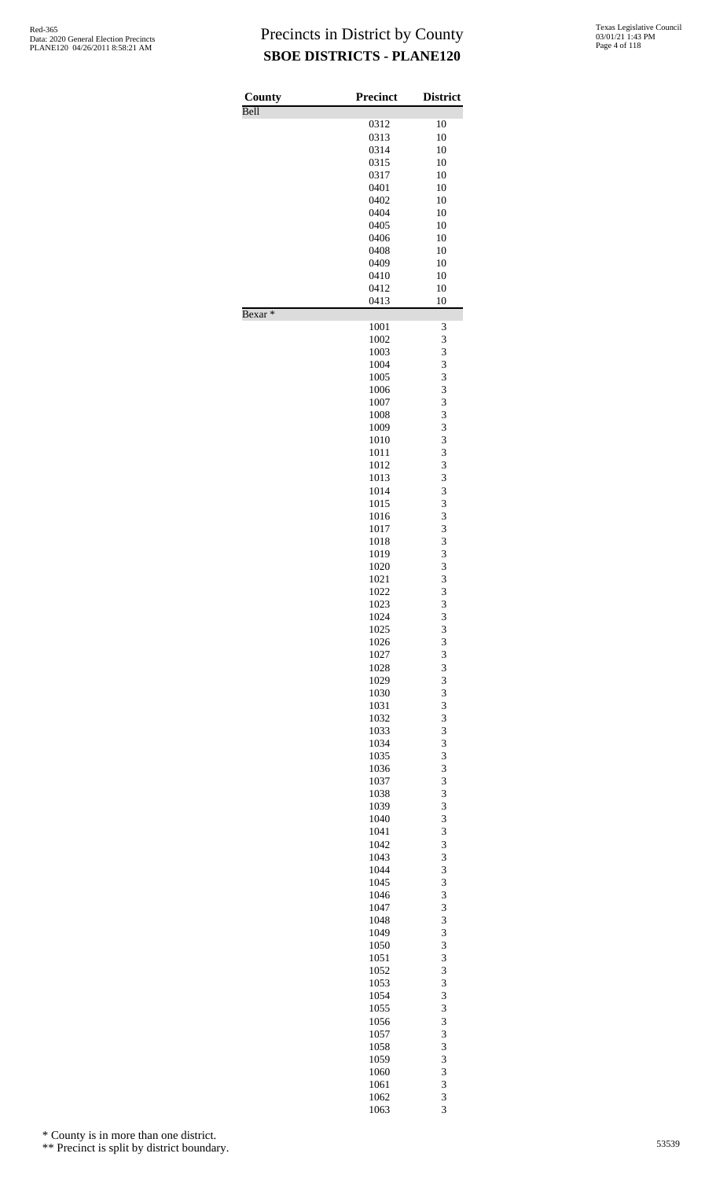| County             | <b>Precinct</b> | <b>District</b> |
|--------------------|-----------------|-----------------|
| Bell               | 0312            | 10              |
|                    | 0313            | 10              |
|                    | 0314            | 10              |
|                    | 0315            | 10              |
|                    | 0317            | 10              |
|                    |                 |                 |
|                    | 0401            | 10<br>10        |
|                    | 0402<br>0404    | 10              |
|                    | 0405            | 10              |
|                    | 0406            | 10              |
|                    | 0408            | 10              |
|                    | 0409            | 10              |
|                    | 0410            | 10              |
|                    | 0412            | 10              |
|                    | 0413            | 10              |
| Bexar <sup>*</sup> |                 |                 |
|                    | 1001            | 3               |
|                    | 1002            | 3               |
|                    | 1003            | 3               |
|                    | 1004            | 3               |
|                    | 1005            | 3               |
|                    | 1006            | 3               |
|                    | 1007            | 3               |
|                    | 1008            | 3               |
|                    | 1009            | 3               |
|                    | 1010            | 3               |
|                    | 1011            | 3               |
|                    | 1012            | 3               |
|                    | 1013            | 3               |
|                    | 1014            | 3               |
|                    | 1015            | 3               |
|                    | 1016            | 3               |
|                    | 1017            | 3               |
|                    | 1018            | 3               |
|                    | 1019            | 3               |
|                    | 1020            | 3               |
|                    | 1021            | 3               |
|                    | 1022            | 3               |
|                    | 1023            | 3               |
|                    | 1024            | 3               |
|                    | 1025            | 3               |
|                    | 1026            | 3               |
|                    | 1027            | 3               |
|                    | 1028            | 3               |
|                    | 1029            | 3               |
|                    | 1030            | 3               |
|                    | 1031            | 3               |
|                    | 1032            | 3               |
|                    | 1033            | 3               |
|                    | 1034            | 3               |
|                    | 1035            | 3               |
|                    | 1036            | 3               |
|                    | 1037            | 3               |
|                    | 1038            | 3               |
|                    | 1039            | 3               |
|                    | 1040            | 3               |
|                    | 1041            | 3               |
|                    | 1042            | 3               |
|                    | 1043            | 3               |
|                    | 1044            | 3               |
|                    | 1045            | 3               |
|                    | 1046            | 3               |
|                    | 1047            | 3               |
|                    | 1048            | 3               |
|                    | 1049            | 3               |
|                    | 1050            | 3               |
|                    | 1051            | 3               |
|                    | 1052            | 3               |
|                    | 1053            | 3               |
|                    | 1054            | 3               |
|                    | 1055            | 3               |
|                    | 1056            | 3               |
|                    | 1057            | 3               |
|                    | 1058            | 3               |
|                    | 1059            | 3               |
|                    | 1060            | 3               |
|                    | 1061            | 3               |
|                    | 1062<br>1063    | 3<br>3          |
|                    |                 |                 |

\* County is in more than one district.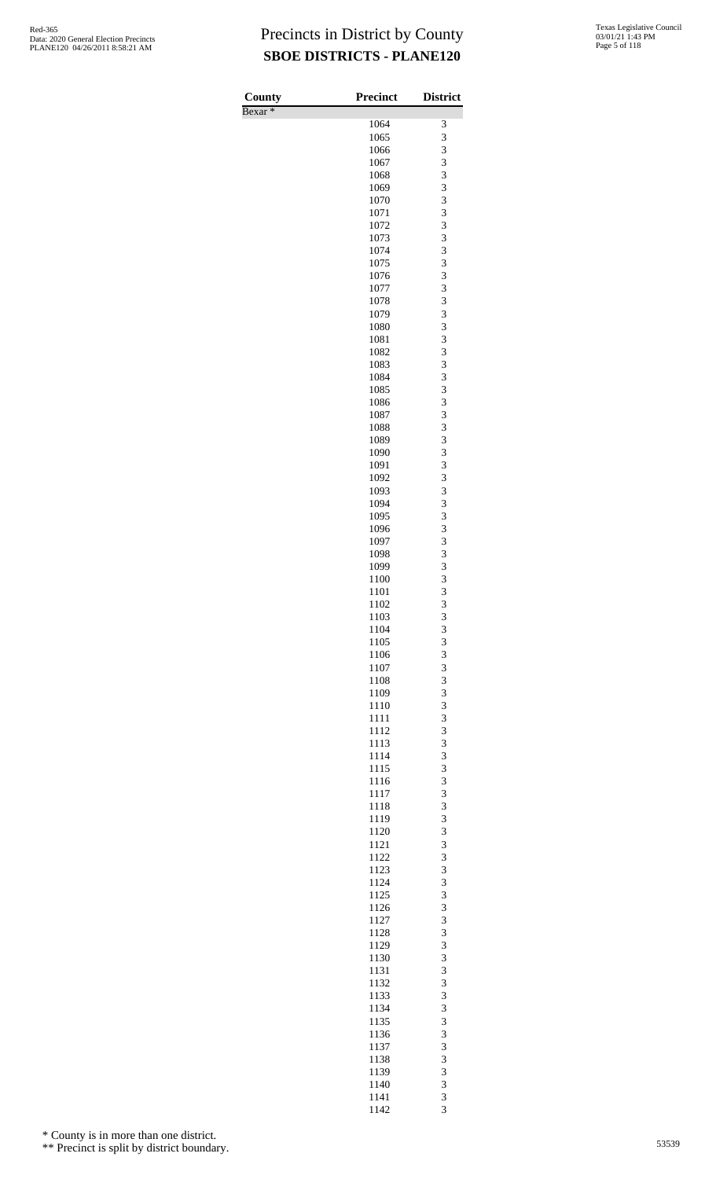| County             | <b>Precinct</b> | <b>District</b> |
|--------------------|-----------------|-----------------|
| Bexar <sup>*</sup> |                 |                 |
|                    | 1064            | 3               |
|                    | 1065            | 3<br>3          |
|                    | 1066<br>1067    | 3               |
|                    | 1068            | 3               |
|                    | 1069            | 3               |
|                    | 1070            | 3               |
|                    | 1071            | 3               |
|                    | 1072<br>1073    | 3<br>3          |
|                    | 1074            | 3               |
|                    | 1075            | 3               |
|                    | 1076            | 3               |
|                    | 1077            | 3               |
|                    | 1078            | 3               |
|                    | 1079<br>1080    | 3<br>3          |
|                    | 1081            | 3               |
|                    | 1082            | 3               |
|                    | 1083            | 3               |
|                    | 1084            | 3               |
|                    | 1085            | 3<br>3          |
|                    | 1086<br>1087    | 3               |
|                    | 1088            | 3               |
|                    | 1089            | 3               |
|                    | 1090            | 3               |
|                    | 1091            | 3               |
|                    | 1092<br>1093    | 3<br>3          |
|                    | 1094            | 3               |
|                    | 1095            | 3               |
|                    | 1096            | 3               |
|                    | 1097            | 3               |
|                    | 1098            | 3               |
|                    | 1099<br>1100    | 3<br>3          |
|                    | 1101            | 3               |
|                    | 1102            | 3               |
|                    | 1103            | 3               |
|                    | 1104            | 3               |
|                    | 1105<br>1106    | 3               |
|                    | 1107            | $\frac{3}{3}$   |
|                    | 1108            | 3               |
|                    | 1109            | 3               |
|                    | 1110            | 3               |
|                    | 1111<br>1112    | $\frac{3}{3}$   |
|                    | 1113            | 3               |
|                    | 1114            | 3               |
|                    | 1115            | 3               |
|                    | 1116            | $\frac{3}{3}$   |
|                    | 1117<br>1118    | 3               |
|                    | 1119            | 3               |
|                    | 1120            | 3               |
|                    | 1121            | $\frac{3}{3}$   |
|                    | 1122            |                 |
|                    | 1123<br>1124    | 3<br>3          |
|                    | 1125            | 3               |
|                    | 1126            |                 |
|                    | 1127            | $\frac{3}{3}$   |
|                    | 1128            | 3               |
|                    | 1129<br>1130    | 3<br>3          |
|                    | 1131            |                 |
|                    | 1132            | $\frac{3}{3}$   |
|                    | 1133            | 3               |
|                    | 1134            | 3               |
|                    | 1135            | 3               |
|                    | 1136<br>1137    | 3<br>3          |
|                    | 1138            | 3               |
|                    | 1139            | 3               |
|                    | 1140            | 3               |
|                    | 1141            | 3<br>3          |
|                    | 1142            |                 |

\* County is in more than one district.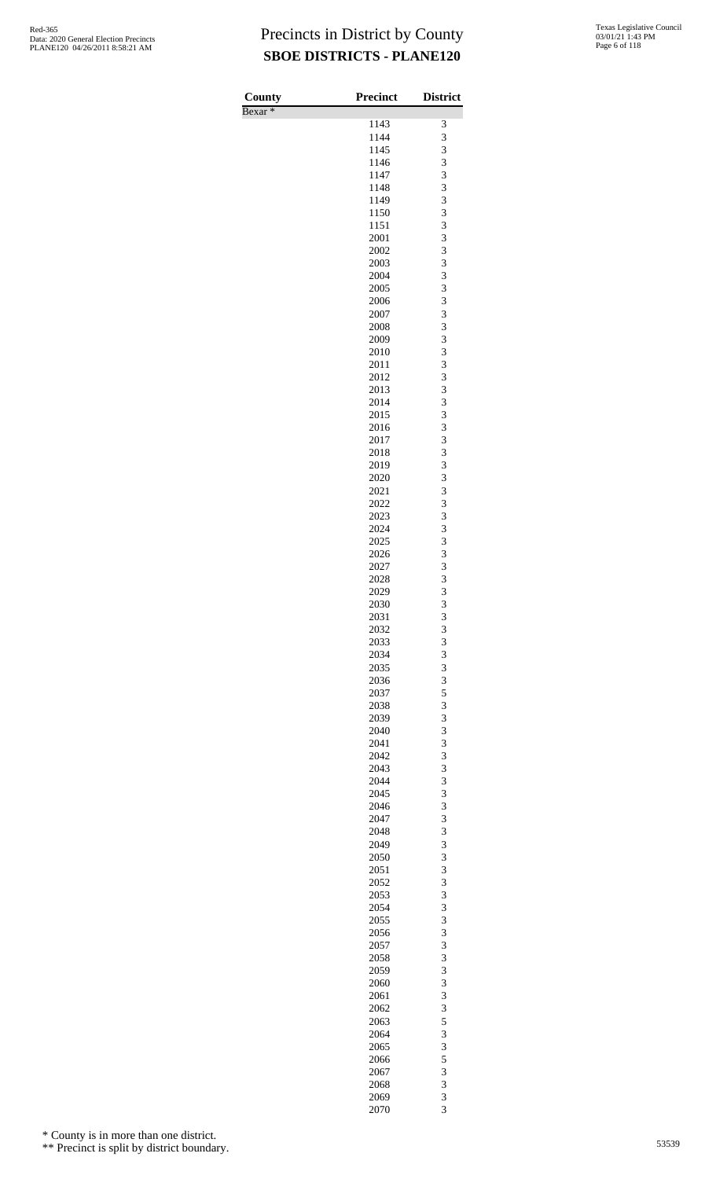| County             | <b>Precinct</b> | <b>District</b> |
|--------------------|-----------------|-----------------|
| Bexar <sup>*</sup> | 1143            | 3               |
|                    | 1144            | 3               |
|                    | 1145            | 3               |
|                    | 1146            | 3               |
|                    | 1147            | 3               |
|                    | 1148            | 3               |
|                    | 1149            | 3               |
|                    | 1150<br>1151    | 3<br>3          |
|                    | 2001            | 3               |
|                    | 2002            | 3               |
|                    | 2003            | 3               |
|                    | 2004            | 3               |
|                    | 2005            | 3               |
|                    | 2006            | 3               |
|                    | 2007<br>2008    | 3<br>3          |
|                    | 2009            | 3               |
|                    | 2010            | 3               |
|                    | 2011            | 3               |
|                    | 2012            | 3               |
|                    | 2013            | 3               |
|                    | 2014            | 3               |
|                    | 2015            | 3<br>3          |
|                    | 2016<br>2017    | 3               |
|                    | 2018            | 3               |
|                    | 2019            | 3               |
|                    | 2020            | 3               |
|                    | 2021            | 3               |
|                    | 2022            | 3               |
|                    | 2023            | 3               |
|                    | 2024<br>2025    | 3<br>3          |
|                    | 2026            | 3               |
|                    | 2027            | 3               |
|                    | 2028            | 3               |
|                    | 2029            | 3               |
|                    | 2030            | 3               |
|                    | 2031            | 3               |
|                    | 2032<br>2033    | 3<br>3          |
|                    | 2034            | 3               |
|                    | 2035            | 3               |
|                    | 2036            | 3               |
|                    | 2037            | 5               |
|                    | 2038            | 3               |
|                    | 2039            | 3               |
|                    | 2040<br>2041    | 3<br>3          |
|                    | 2042            | 3               |
|                    | 2043            | 3               |
|                    | 2044            | 3               |
|                    | 2045            | 3               |
|                    | 2046            | 3               |
|                    | 2047            | 3               |
|                    | 2048<br>2049    | 3<br>3          |
|                    | 2050            | 3               |
|                    | 2051            | 3               |
|                    | 2052            | 3               |
|                    | 2053            | 3               |
|                    | 2054            | 3               |
|                    | 2055            | 3               |
|                    | 2056<br>2057    | 3<br>3          |
|                    | 2058            | 3               |
|                    | 2059            | 3               |
|                    | 2060            | 3               |
|                    | 2061            | 3               |
|                    | 2062            | 3               |
|                    | 2063            | 5               |
|                    | 2064            | 3               |
|                    | 2065<br>2066    | 3<br>5          |
|                    | 2067            | 3               |
|                    | 2068            | 3               |
|                    | 2069            | 3               |
|                    | 2070            | 3               |

\* County is in more than one district.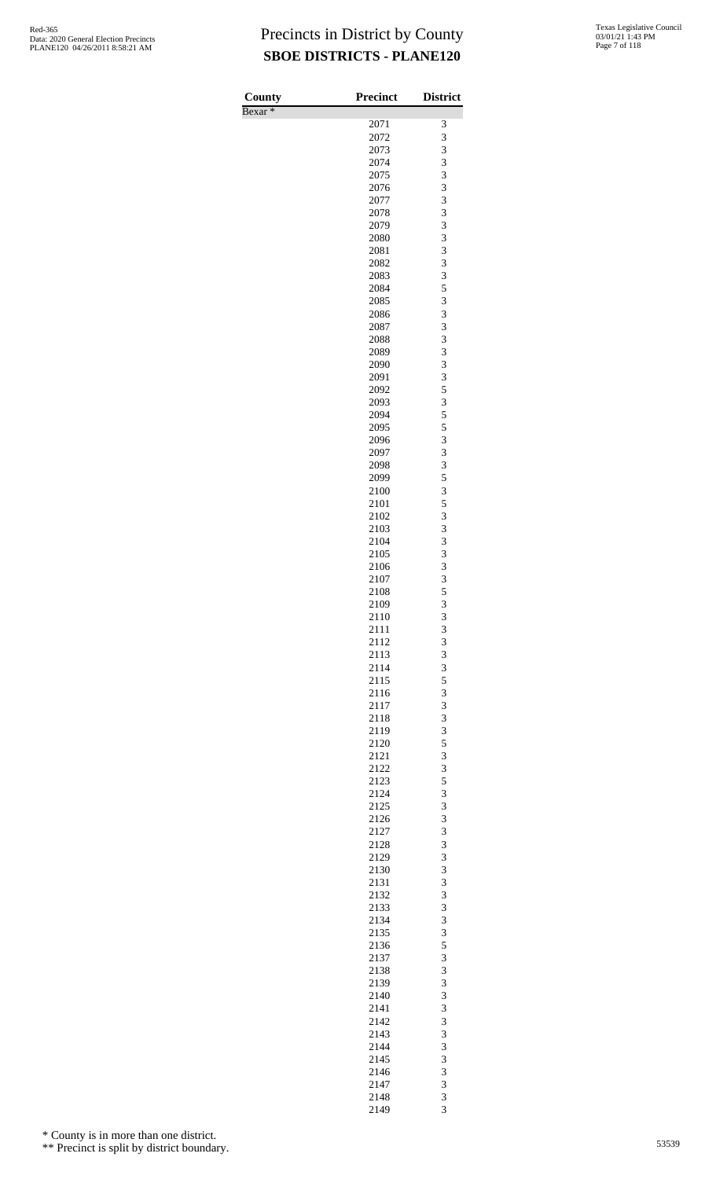| County             | <b>Precinct</b> | <b>District</b> |
|--------------------|-----------------|-----------------|
| Bexar <sup>*</sup> | 2071            | 3               |
|                    | 2072            | 3               |
|                    | 2073            | 3               |
|                    | 2074            | 3               |
|                    | 2075            | 3<br>3          |
|                    | 2076<br>2077    | 3               |
|                    | 2078            | 3               |
|                    | 2079            | 3               |
|                    | 2080            | 3               |
|                    | 2081            | 3               |
|                    | 2082<br>2083    | 3<br>3          |
|                    | 2084            | 5               |
|                    | 2085            | 3               |
|                    | 2086            | 3               |
|                    | 2087<br>2088    | 3<br>3          |
|                    | 2089            | 3               |
|                    | 2090            | 3               |
|                    | 2091            | 3               |
|                    | 2092            | 5               |
|                    | 2093<br>2094    | 3<br>5          |
|                    | 2095            | 5               |
|                    | 2096            | 3               |
|                    | 2097            | 3               |
|                    | 2098            | 3               |
|                    | 2099<br>2100    | 5<br>3          |
|                    | 2101            | 5               |
|                    | 2102            | 3               |
|                    | 2103            | 3               |
|                    | 2104            | 3               |
|                    | 2105<br>2106    | 3<br>3          |
|                    | 2107            | 3               |
|                    | 2108            | 5               |
|                    | 2109            | 3               |
|                    | 2110            | 3               |
|                    | 2111<br>2112    | 3<br>3          |
|                    | 2113            | 3               |
|                    | 2114            | 3               |
|                    | 2115            | 5               |
|                    | 2116            | 3               |
|                    | 2117<br>2118    | 3<br>3          |
|                    | 2119            | 3               |
|                    | 2120            | 5               |
|                    | 2121            | 3               |
|                    | 2122            | 3               |
|                    | 2123<br>2124    | 5<br>3          |
|                    | 2125            | 3               |
|                    | 2126            | 3               |
|                    | 2127            | 3               |
|                    | 2128            | 3               |
|                    | 2129<br>2130    | 3<br>3          |
|                    | 2131            | 3               |
|                    | 2132            | 3               |
|                    | 2133            | 3               |
|                    | 2134            | 3               |
|                    | 2135<br>2136    | 3<br>5          |
|                    | 2137            | 3               |
|                    | 2138            | 3               |
|                    | 2139            | 3               |
|                    | 2140<br>2141    | 3<br>3          |
|                    | 2142            | 3               |
|                    | 2143            | 3               |
|                    | 2144            | 3               |
|                    | 2145            | 3               |
|                    | 2146            | 3               |
|                    | 2147<br>2148    | 3<br>3          |
|                    | 2149            | 3               |

\* County is in more than one district.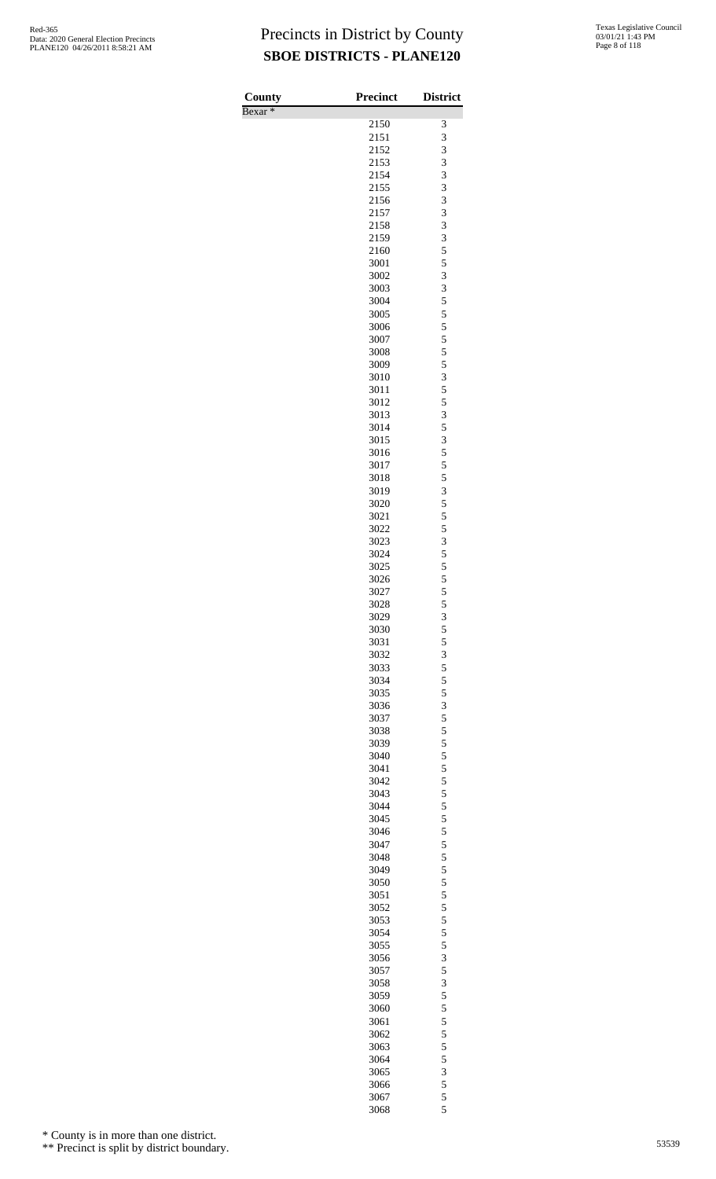| Texas Legislative Council |
|---------------------------|
| 03/01/21 1:43 PM          |
| Page 8 of 118             |

| County             | Precinct     | <b>District</b>                                 |
|--------------------|--------------|-------------------------------------------------|
| Bexar <sup>*</sup> | 2150         | 3                                               |
|                    | 2151         | 3                                               |
|                    | 2152         | 3                                               |
|                    | 2153         | $\overline{3}$                                  |
|                    | 2154         | 3                                               |
|                    | 2155         | 3                                               |
|                    | 2156         | 3                                               |
|                    | 2157         | 3<br>$\overline{\mathbf{3}}$                    |
|                    | 2158<br>2159 |                                                 |
|                    | 2160         | $\frac{3}{5}$                                   |
|                    | 3001         | 5                                               |
|                    | 3002         |                                                 |
|                    | 3003         | $3355$<br>555                                   |
|                    | 3004         |                                                 |
|                    | 3005         |                                                 |
|                    | 3006         |                                                 |
|                    | 3007<br>3008 | $\frac{5}{5}$                                   |
|                    | 3009         |                                                 |
|                    | 3010         | $\frac{5}{3}$                                   |
|                    | 3011         | 5                                               |
|                    | 3012         |                                                 |
|                    | 3013         | $\begin{array}{c} 5 \\ 3 \\ 5 \\ 3 \end{array}$ |
|                    | 3014         |                                                 |
|                    | 3015         |                                                 |
|                    | 3016         | 5                                               |
|                    | 3017<br>3018 | 5<br>5                                          |
|                    | 3019         |                                                 |
|                    | 3020         | $rac{3}{5}$                                     |
|                    | 3021         | 5                                               |
|                    | 3022         |                                                 |
|                    | 3023         |                                                 |
|                    | 3024         |                                                 |
|                    | 3025         | 5 3 5 5 5 5                                     |
|                    | 3026<br>3027 | 5                                               |
|                    | 3028         | 5                                               |
|                    | 3029         | 3                                               |
|                    | 3030         |                                                 |
|                    | 3031         | $\frac{5}{5}$<br>$\frac{3}{5}$                  |
|                    | 3032         |                                                 |
|                    | 3033         |                                                 |
|                    | 3034         |                                                 |
|                    | 3035<br>3036 |                                                 |
|                    | 3037         |                                                 |
|                    | 3038         |                                                 |
|                    | 3039         |                                                 |
|                    | 3040         | 5535555555                                      |
|                    | 3041         |                                                 |
|                    | 3042         |                                                 |
|                    | 3043         |                                                 |
|                    | 3044<br>3045 |                                                 |
|                    | 3046         | 555555555                                       |
|                    | 3047         |                                                 |
|                    | 3048         |                                                 |
|                    | 3049         |                                                 |
|                    | 3050         |                                                 |
|                    | 3051         |                                                 |
|                    | 3052         |                                                 |
|                    | 3053         |                                                 |
|                    | 3054<br>3055 | 5535555555                                      |
|                    | 3056         |                                                 |
|                    | 3057         |                                                 |
|                    | 3058         |                                                 |
|                    | 3059         |                                                 |
|                    | 3060         |                                                 |
|                    | 3061         |                                                 |
|                    | 3062         |                                                 |
|                    | 3063         |                                                 |
|                    | 3064<br>3065 |                                                 |
|                    | 3066         |                                                 |
|                    | 3067         | 5 3 5 5 5 5                                     |
|                    | 3068         |                                                 |

\* County is in more than one district.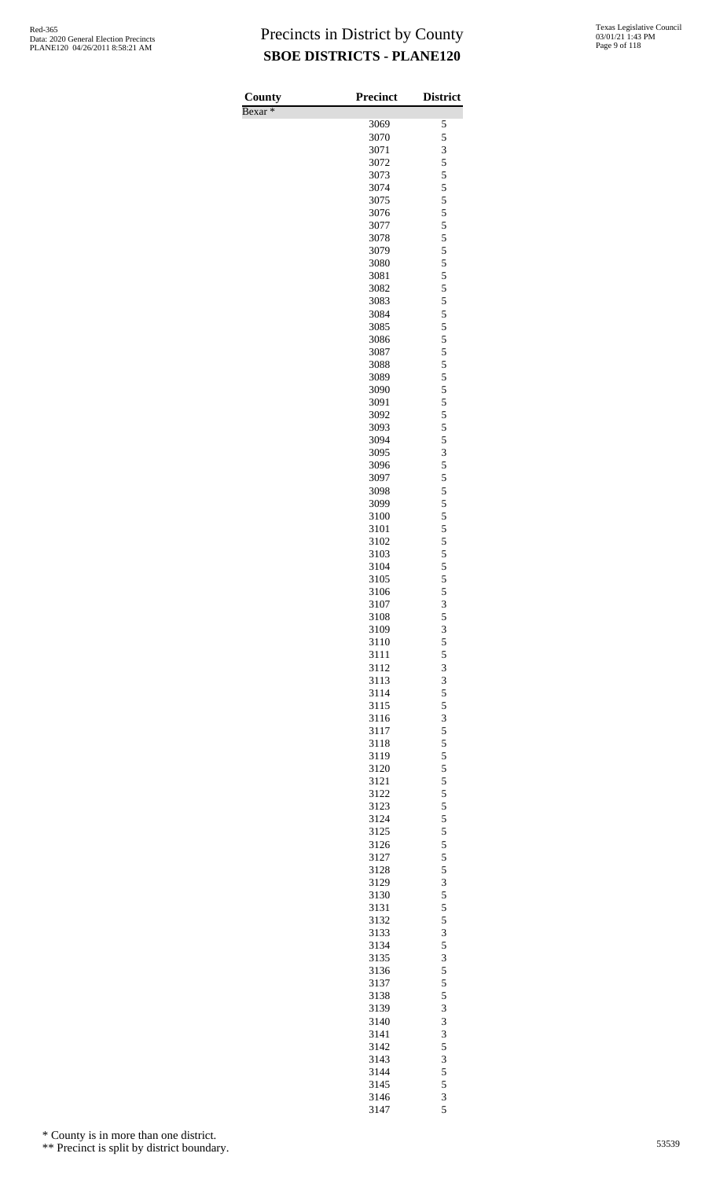| County             | <b>Precinct</b> | <b>District</b> |
|--------------------|-----------------|-----------------|
| Bexar <sup>*</sup> |                 |                 |
|                    | 3069            | 5               |
|                    | 3070            | 5               |
|                    | 3071<br>3072    | 3<br>5          |
|                    | 3073            | 5               |
|                    | 3074            | 5               |
|                    | 3075            | 5               |
|                    | 3076            | 5               |
|                    | 3077            | 5               |
|                    | 3078            | 5               |
|                    | 3079            | 5               |
|                    | 3080<br>3081    | 5<br>5          |
|                    | 3082            | 5               |
|                    | 3083            | 5               |
|                    | 3084            | 5               |
|                    | 3085            | 5               |
|                    | 3086            | 5               |
|                    | 3087            | 5               |
|                    | 3088            | 5               |
|                    | 3089<br>3090    | 5<br>5          |
|                    | 3091            | 5               |
|                    | 3092            | 5               |
|                    | 3093            | 5               |
|                    | 3094            | 5               |
|                    | 3095            | 3               |
|                    | 3096            | 5               |
|                    | 3097            | 5               |
|                    | 3098<br>3099    | 5<br>5          |
|                    | 3100            | 5               |
|                    | 3101            | 5               |
|                    | 3102            | 5               |
|                    | 3103            | 5               |
|                    | 3104            | 5               |
|                    | 3105            | 5               |
|                    | 3106            | 5               |
|                    | 3107            | 3               |
|                    | 3108<br>3109    | $\frac{5}{3}$   |
|                    | 3110            | $\overline{5}$  |
|                    | 3111            |                 |
|                    | 3112            | $\frac{5}{3}$   |
|                    | 3113            | 3               |
|                    | 3114            | 5               |
|                    | 3115            | 5               |
|                    | 3116            | $\frac{3}{5}$   |
|                    | 3117<br>3118    | 5               |
|                    | 3119            | 5               |
|                    | 3120            | 5               |
|                    | 3121            |                 |
|                    | 3122            | $\frac{5}{5}$   |
|                    | 3123            | 5               |
|                    | 3124            | 5               |
|                    | 3125            | 5               |
|                    | 3126<br>3127    | $\frac{5}{5}$   |
|                    | 3128            |                 |
|                    | 3129            | $\frac{5}{3}$   |
|                    | 3130            | $\overline{5}$  |
|                    | 3131            |                 |
|                    | 3132            | $\frac{5}{5}$   |
|                    | 3133            | 3               |
|                    | 3134            | 5               |
|                    | 3135            | 3               |
|                    | 3136<br>3137    | $\frac{5}{5}$   |
|                    | 3138            | 5               |
|                    | 3139            | 3               |
|                    | 3140            | 3               |
|                    | 3141            | 3               |
|                    | 3142            | 5               |
|                    | 3143            | 3               |
|                    | 3144            | 5               |
|                    | 3145<br>3146    | 5               |
|                    | 3147            | $rac{3}{5}$     |
|                    |                 |                 |

\* County is in more than one district.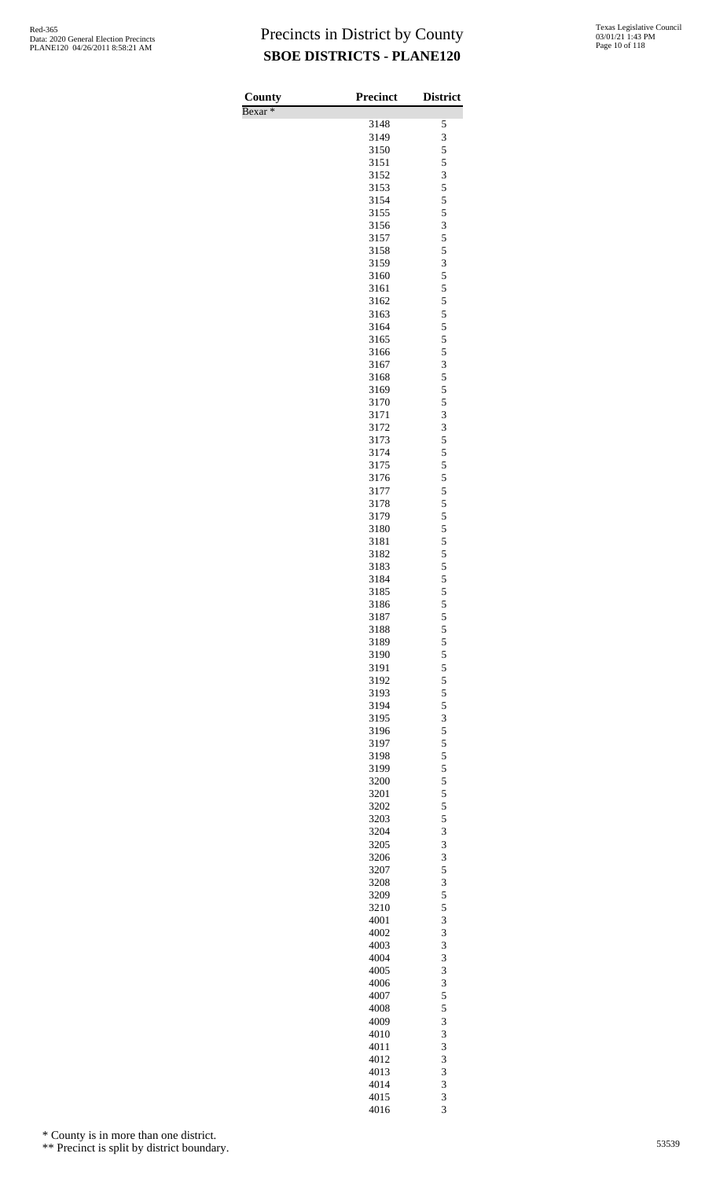| <b>County</b>      | <b>Precinct</b> | <b>District</b> |
|--------------------|-----------------|-----------------|
| Bexar <sup>*</sup> | 3148            | 5               |
|                    | 3149            | 3               |
|                    | 3150            | 5               |
|                    | 3151<br>3152    | 5<br>3          |
|                    | 3153            | 5               |
|                    | 3154            | 5               |
|                    | 3155<br>3156    | 5<br>3          |
|                    | 3157            | 5               |
|                    | 3158            | 5               |
|                    | 3159            | 3               |
|                    | 3160<br>3161    | 5<br>5          |
|                    | 3162            | 5               |
|                    | 3163            | 5               |
|                    | 3164<br>3165    | 5<br>5          |
|                    | 3166            | 5               |
|                    | 3167            | 3               |
|                    | 3168            | 5               |
|                    | 3169<br>3170    | 5<br>5          |
|                    | 3171            | 3               |
|                    | 3172            | 3               |
|                    | 3173<br>3174    | 5<br>5          |
|                    | 3175            | 5               |
|                    | 3176            | 5               |
|                    | 3177            | 5<br>5          |
|                    | 3178<br>3179    | 5               |
|                    | 3180            | 5               |
|                    | 3181            | 5               |
|                    | 3182<br>3183    | 5<br>5          |
|                    | 3184            | 5               |
|                    | 3185            | 5               |
|                    | 3186<br>3187    | 5<br>5          |
|                    | 3188            | 5               |
|                    | 3189            | 5               |
|                    | 3190            | 5<br>5          |
|                    | 3191<br>3192    | 5               |
|                    | 3193            | 5               |
|                    | 3194            | 5               |
|                    | 3195<br>3196    | 3<br>5          |
|                    | 3197            | 5               |
|                    | 3198            | 5               |
|                    | 3199<br>3200    | 5<br>5          |
|                    | 3201            | 5               |
|                    | 3202            | 5               |
|                    | 3203<br>3204    | 5<br>3          |
|                    | 3205            | 3               |
|                    | 3206            | 3               |
|                    | 3207            | 5               |
|                    | 3208<br>3209    | 3<br>5          |
|                    | 3210            | 5               |
|                    | 4001            | 3               |
|                    | 4002<br>4003    | 3<br>3          |
|                    | 4004            | 3               |
|                    | 4005            | 3               |
|                    | 4006            | 3<br>5          |
|                    | 4007<br>4008    | 5               |
|                    | 4009            | 3               |
|                    | 4010            | 3               |
|                    | 4011<br>4012    | 3<br>3          |
|                    | 4013            | 3               |
|                    | 4014            | 3               |
|                    | 4015<br>4016    | 3<br>3          |
|                    |                 |                 |

\* County is in more than one district.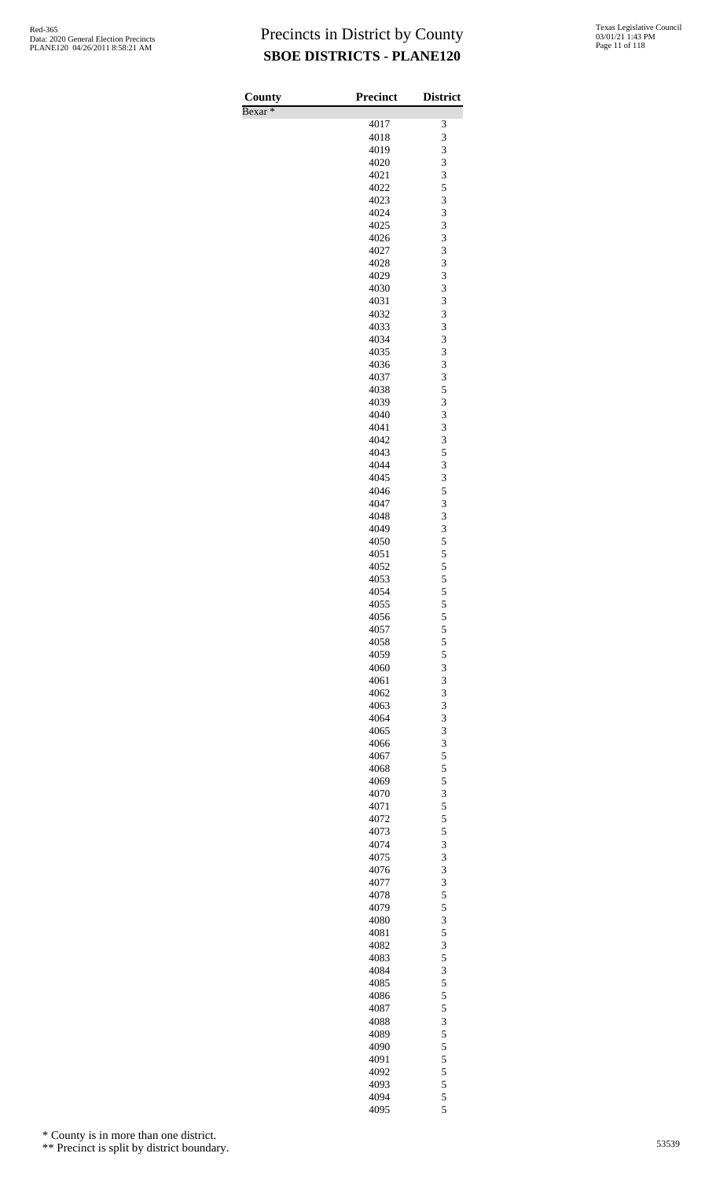| County             | <b>Precinct</b> | <b>District</b> |
|--------------------|-----------------|-----------------|
| Bexar <sup>*</sup> |                 |                 |
|                    | 4017<br>4018    | 3<br>3          |
|                    | 4019            | 3               |
|                    | 4020            | 3               |
|                    | 4021            | 3               |
|                    | 4022<br>4023    | 5<br>3          |
|                    | 4024            | 3               |
|                    | 4025            | 3               |
|                    | 4026            | 3               |
|                    | 4027<br>4028    | 3<br>3          |
|                    | 4029            | 3               |
|                    | 4030            | 3               |
|                    | 4031            | 3               |
|                    | 4032<br>4033    | 3<br>3          |
|                    | 4034            | 3               |
|                    | 4035            | 3               |
|                    | 4036            | 3               |
|                    | 4037            | 3               |
|                    | 4038<br>4039    | 5<br>3          |
|                    | 4040            | 3               |
|                    | 4041            | 3               |
|                    | 4042            | 3               |
|                    | 4043<br>4044    | 5<br>3          |
|                    | 4045            | 3               |
|                    | 4046            | 5               |
|                    | 4047            | 3               |
|                    | 4048<br>4049    | 3<br>3          |
|                    | 4050            | 5               |
|                    | 4051            | 5               |
|                    | 4052            | 5               |
|                    | 4053<br>4054    | 5<br>5          |
|                    | 4055            | 5               |
|                    | 4056            | 5               |
|                    | 4057            | 5               |
|                    | 4058            | 5               |
|                    | 4059<br>4060    | 5<br>3          |
|                    | 4061            | 3               |
|                    | 4062            | 3               |
|                    | 4063            | 3               |
|                    | 4064<br>4065    | 3<br>3          |
|                    | 4066            | 3               |
|                    | 4067            | 5               |
|                    | 4068            | 5               |
|                    | 4069            | 5<br>3          |
|                    | 4070<br>4071    | 5               |
|                    | 4072            | 5               |
|                    | 4073            | 5               |
|                    | 4074            | 3               |
|                    | 4075<br>4076    | 3<br>3          |
|                    | 4077            | 3               |
|                    | 4078            | 5               |
|                    | 4079            | 5               |
|                    | 4080<br>4081    | 3<br>5          |
|                    | 4082            | 3               |
|                    | 4083            | 5               |
|                    | 4084            | 3               |
|                    | 4085<br>4086    | 5<br>5          |
|                    | 4087            | 5               |
|                    | 4088            | 3               |
|                    | 4089            | 5               |
|                    | 4090            | 5               |
|                    | 4091<br>4092    | 5<br>5          |
|                    | 4093            | 5               |
|                    | 4094            | 5               |
|                    | 4095            | 5               |

\* County is in more than one district.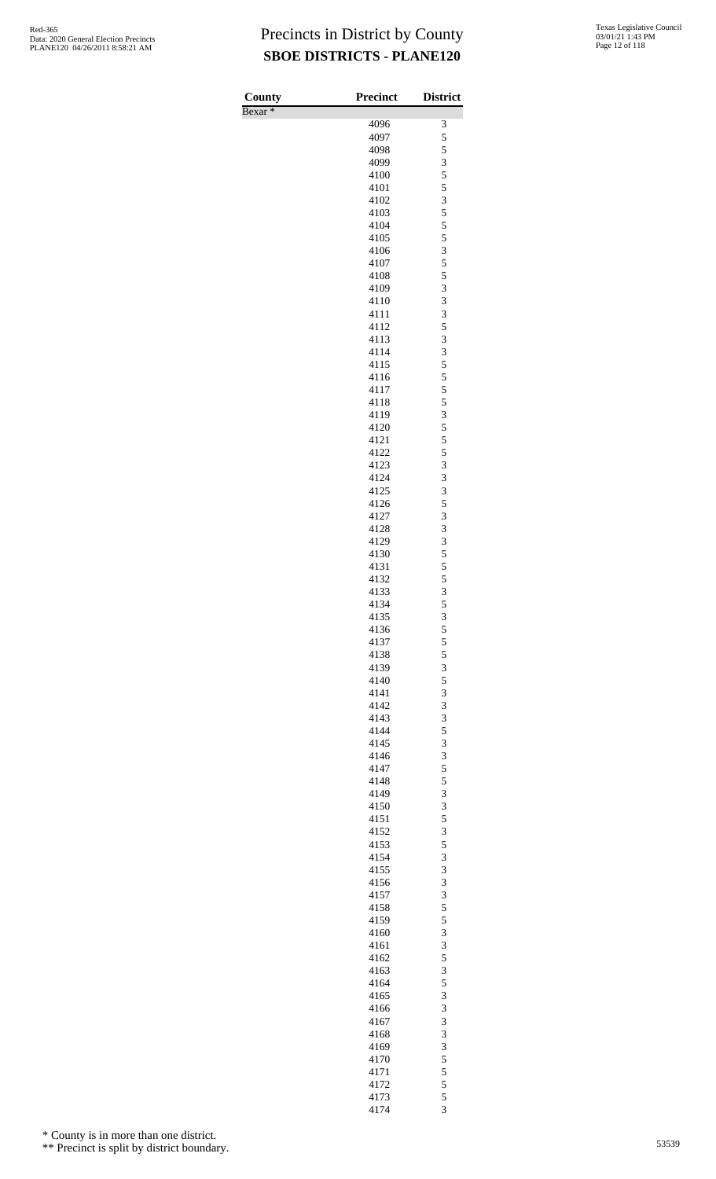| County             | <b>Precinct</b> | <b>District</b>         |
|--------------------|-----------------|-------------------------|
| Bexar <sup>*</sup> |                 |                         |
|                    | 4096            | 3                       |
|                    | 4097<br>4098    | 5                       |
|                    | 4099            | $\frac{5}{3}$           |
|                    | 4100            | 5                       |
|                    | 4101            | 5                       |
|                    | 4102            | $\overline{\mathbf{3}}$ |
|                    | 4103            | $\frac{5}{5}$           |
|                    | 4104            |                         |
|                    | 4105            | 5                       |
|                    | 4106            | 3<br>$\overline{5}$     |
|                    | 4107<br>4108    |                         |
|                    | 4109            | $\frac{5}{3}$           |
|                    | 4110            | 3                       |
|                    | 4111            | 3                       |
|                    | 4112            | 5                       |
|                    | 4113            | 3                       |
|                    | 4114            | 3                       |
|                    | 4115            | 5                       |
|                    | 4116            | 5<br>5                  |
|                    | 4117<br>4118    |                         |
|                    | 4119            | $\frac{5}{3}$           |
|                    | 4120            | 5                       |
|                    | 4121            | 5                       |
|                    | 4122            | 5                       |
|                    | 4123            | 3                       |
|                    | 4124            | 3                       |
|                    | 4125            | 3<br>5                  |
|                    | 4126<br>4127    | 3                       |
|                    | 4128            | 3                       |
|                    | 4129            | 3                       |
|                    | 4130            | 5                       |
|                    | 4131            | $\frac{5}{5}$           |
|                    | 4132            |                         |
|                    | 4133            | 3                       |
|                    | 4134            | 5                       |
|                    | 4135<br>4136    | 3<br>5                  |
|                    | 4137            | 5                       |
|                    | 4138            |                         |
|                    | 4139            | $\frac{5}{3}$           |
|                    | 4140            | 5                       |
|                    | 4141            | 3                       |
|                    | 4142            | 3                       |
|                    | 4143            | 3                       |
|                    | 4144<br>4145    | 5<br>3                  |
|                    | 4146            | 3                       |
|                    | 4147            | 5                       |
|                    | 4148            | 5                       |
|                    | 4149            | 3                       |
|                    | 4150            | 3                       |
|                    | 4151            | 5                       |
|                    | 4152            | 3                       |
|                    | 4153            | $\frac{5}{3}$           |
|                    | 4154<br>4155    | 3                       |
|                    | 4156            | 3                       |
|                    | 4157            | 3                       |
|                    | 4158            | 5                       |
|                    | 4159            | 5                       |
|                    | 4160            | 3                       |
|                    | 4161            | 3                       |
|                    | 4162            | 5                       |
|                    | 4163<br>4164    | 3<br>5                  |
|                    | 4165            | 3                       |
|                    | 4166            | 3                       |
|                    | 4167            | 3                       |
|                    | 4168            | 3                       |
|                    | 4169            | 3                       |
|                    | 4170            | 5                       |
|                    | 4171            | 5                       |
|                    | 4172            | $\overline{5}$          |
|                    | 4173<br>4174    | 5<br>3                  |

\* County is in more than one district.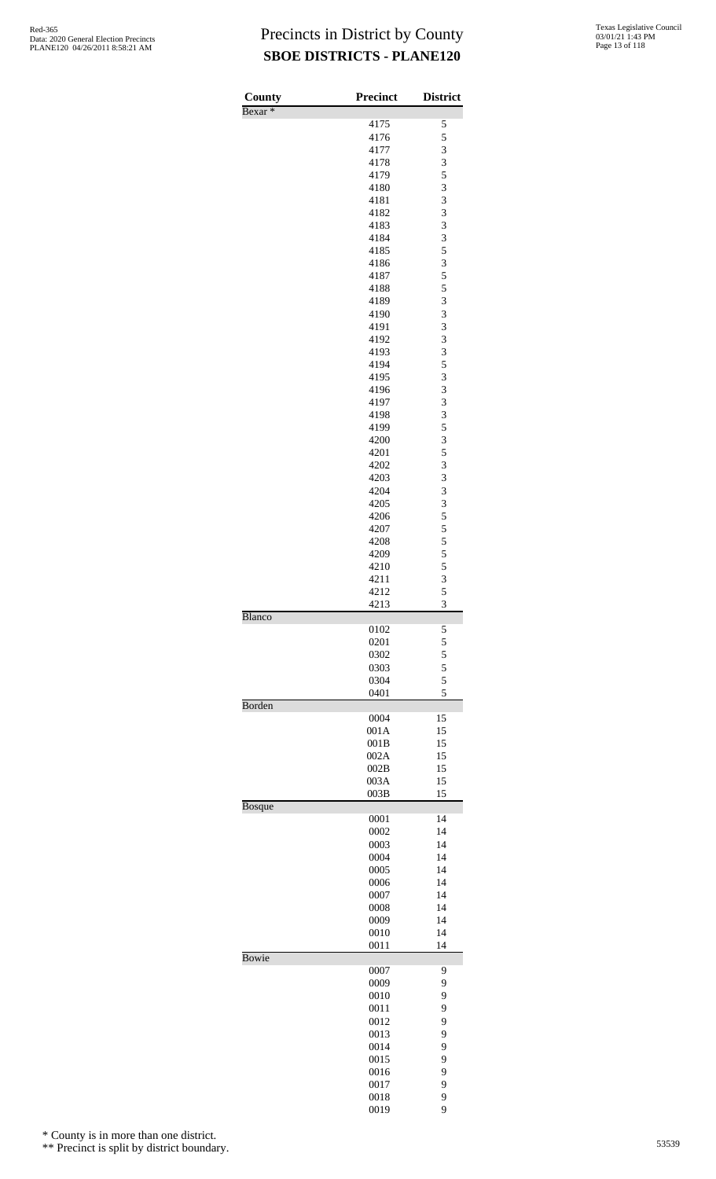| County<br>Bexar <sup>*</sup> | <b>Precinct</b> | <b>District</b> |
|------------------------------|-----------------|-----------------|
|                              | 4175            | 5               |
|                              | 4176            | 5               |
|                              | 4177            | 3               |
|                              | 4178            | 3               |
|                              | 4179            | 5               |
|                              | 4180            | 3               |
|                              | 4181            | 3               |
|                              | 4182<br>4183    | 3<br>3          |
|                              | 4184            | 3               |
|                              | 4185            | 5               |
|                              | 4186            | 3               |
|                              | 4187            | 5               |
|                              | 4188            | 5               |
|                              | 4189            | 3               |
|                              | 4190<br>4191    | 3<br>3          |
|                              | 4192            | 3               |
|                              | 4193            | 3               |
|                              | 4194            | 5               |
|                              | 4195            | 3               |
|                              | 4196            | 3               |
|                              | 4197            | 3               |
|                              | 4198            | 3               |
|                              | 4199<br>4200    | 5<br>3          |
|                              | 4201            | 5               |
|                              | 4202            | 3               |
|                              | 4203            | 3               |
|                              | 4204            | 3               |
|                              | 4205            | 3               |
|                              | 4206            | 5               |
|                              | 4207            | 5<br>5          |
|                              | 4208<br>4209    | 5               |
|                              | 4210            |                 |
|                              | 4211            | $\frac{5}{3}$   |
|                              | 4212            | 5               |
|                              | 4213            | 3               |
| Blanco                       | 0102            | 5               |
|                              | 0201            | 5               |
|                              | 0302            | 5               |
|                              | 0303            | 5               |
|                              | 0304<br>0401    | 5<br>5          |
| Borden                       |                 |                 |
|                              | 0004            | 15              |
|                              | 001A            | 15<br>15        |
|                              | 001B<br>002A    | 15              |
|                              | 002B            | 15              |
|                              | 003A            | 15              |
|                              | 003B            | 15              |
| <b>Bosque</b>                | 0001            | 14              |
|                              | 0002            | 14              |
|                              | 0003            | 14              |
|                              | 0004            | 14              |
|                              | 0005            | 14              |
|                              | 0006            | 14              |
|                              | 0007            | 14<br>14        |
|                              | 0008<br>0009    | 14              |
|                              | 0010            | 14              |
|                              | 0011            | 14              |
| Bowie                        | 0007            | 9               |
|                              | 0009            | 9               |
|                              | 0010            | 9               |
|                              | 0011            | 9               |
|                              | 0012            | 9               |
|                              | 0013            | 9               |
|                              | 0014            | 9               |
|                              | 0015<br>0016    | 9<br>9          |
|                              | 0017            | 9               |
|                              | 0018            | 9               |

9

\* County is in more than one district.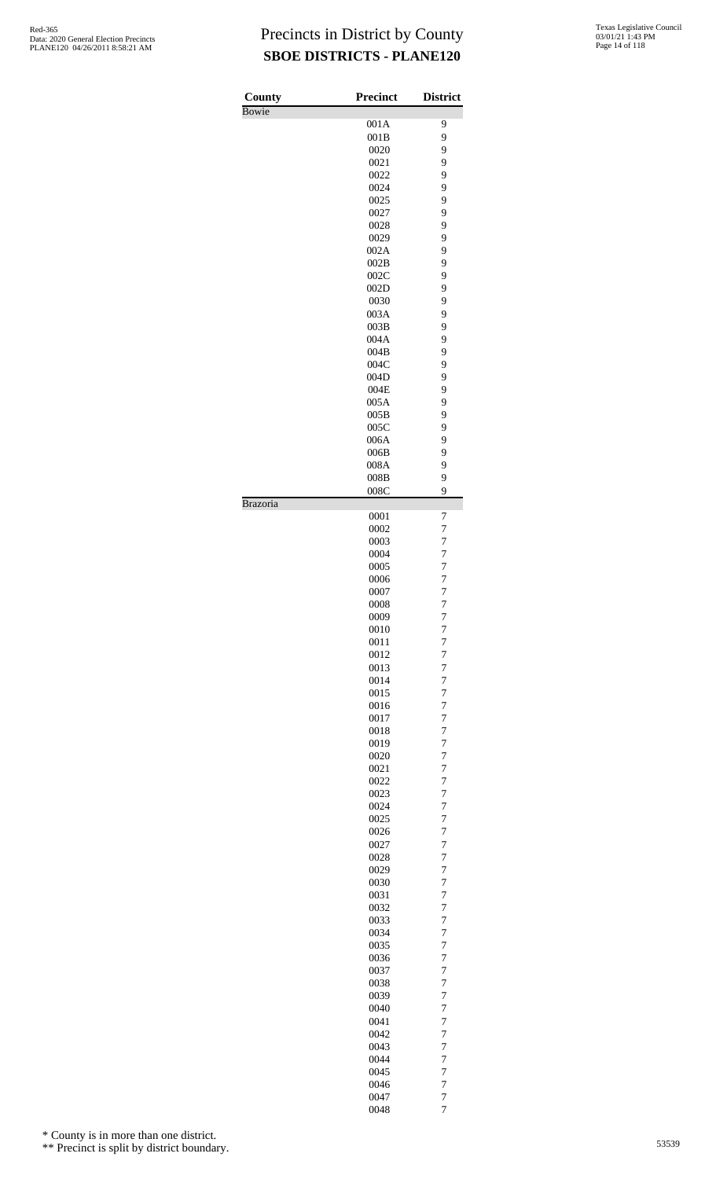| County          | <b>Precinct</b> | <b>District</b>                  |
|-----------------|-----------------|----------------------------------|
| <b>Bowie</b>    |                 |                                  |
|                 | 001A            | 9                                |
|                 | 001B            | 9                                |
|                 | 0020            | 9                                |
|                 | 0021            | 9                                |
|                 | 0022            | 9                                |
|                 | 0024            | 9                                |
|                 | 0025            | 9                                |
|                 | 0027            | 9                                |
|                 | 0028            | 9                                |
|                 | 0029            | 9                                |
|                 | 002A            | 9                                |
|                 | 002B            | 9                                |
|                 | 002C<br>002D    | 9<br>9                           |
|                 | 0030            | 9                                |
|                 | 003A            | 9                                |
|                 | 003B            | 9                                |
|                 | 004A            | 9                                |
|                 | 004B            | 9                                |
|                 | 004C            | 9                                |
|                 | 004D            | 9                                |
|                 | 004E            | 9                                |
|                 | 005A            | 9                                |
|                 | 005B            | 9                                |
|                 | 005C            | 9                                |
|                 | 006A            | 9                                |
|                 | 006B            | 9                                |
|                 | 008A            | 9                                |
|                 | 008B            | 9                                |
|                 | 008C            | 9                                |
| <b>Brazoria</b> |                 |                                  |
|                 | 0001<br>0002    | 7<br>$\overline{7}$              |
|                 | 0003            | $\overline{7}$                   |
|                 | 0004            | 7                                |
|                 | 0005            | $\overline{7}$                   |
|                 | 0006            | $\overline{7}$                   |
|                 | 0007            | $\overline{7}$                   |
|                 | 0008            | $\overline{7}$                   |
|                 | 0009            | $\overline{7}$                   |
|                 | 0010            | $\overline{7}$                   |
|                 | 0011            | $\overline{7}$                   |
|                 | 0012<br>0013    | $\overline{7}$<br>$\overline{7}$ |
|                 | 0014            | 7                                |
|                 | 0015            | $\overline{7}$                   |
|                 | 0016            | 7                                |
|                 | 0017            | $\overline{7}$                   |
|                 | 0018            | 7                                |
|                 | 0019            | 7                                |
|                 | 0020            | $\overline{7}$                   |
|                 | 0021            | 7                                |
|                 | 0022            | $\overline{7}$                   |
|                 | 0023<br>0024    | 7<br>7                           |
|                 | 0025            | $\overline{7}$                   |
|                 | 0026            | 7                                |
|                 | 0027            | $\overline{7}$                   |
|                 | 0028            | 7                                |
|                 | 0029            | 7                                |
|                 | 0030            | $\overline{7}$                   |
|                 | 0031            | $\overline{7}$                   |
|                 | 0032            | $\overline{7}$                   |
|                 | 0033            | 7                                |
|                 | 0034            | 7                                |
|                 | 0035<br>0036    | $\overline{7}$<br>7              |
|                 | 0037            | $\overline{7}$                   |
|                 | 0038            | 7                                |
|                 | 0039            | 7                                |
|                 | 0040            | $\overline{7}$                   |
|                 | 0041            | 7                                |
|                 | 0042            | $\overline{7}$                   |
|                 | 0043            | 7                                |
|                 | 0044<br>0045    | 7<br>$\overline{7}$              |
|                 | 0046            | $\overline{7}$                   |
|                 | 0047            | $\overline{7}$                   |
|                 | 0048            | $\overline{7}$                   |

\* County is in more than one district.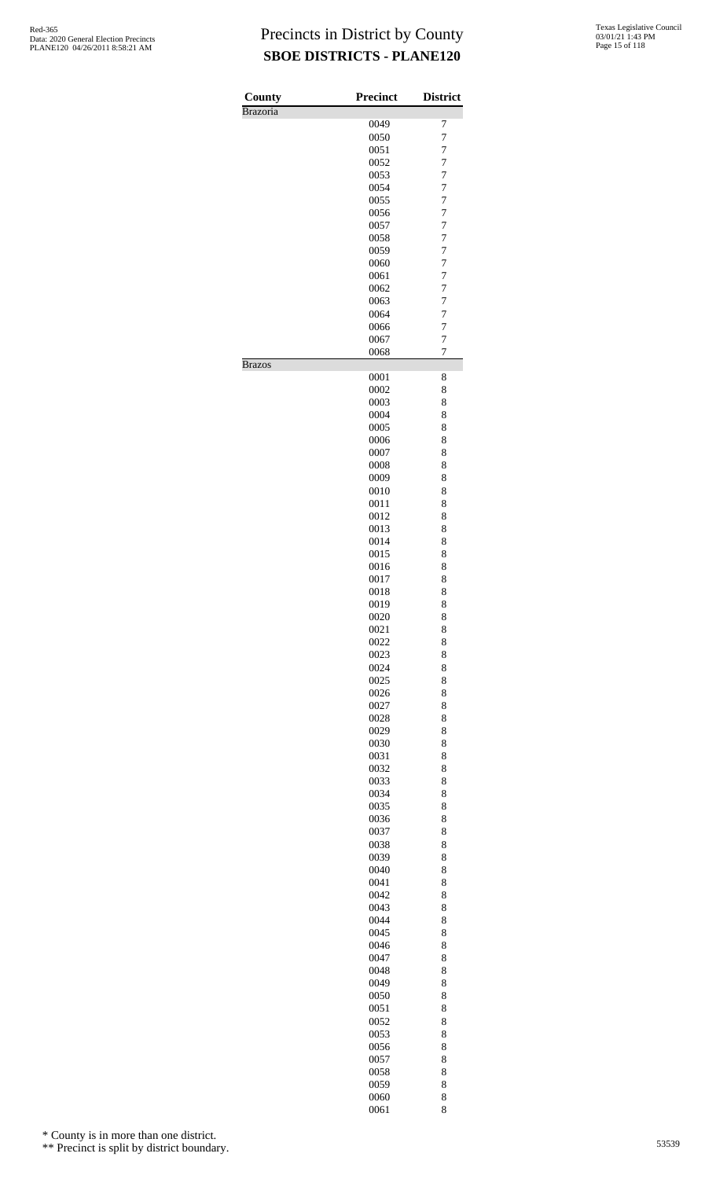| County          | <b>Precinct</b> | <b>District</b>                  |
|-----------------|-----------------|----------------------------------|
| <b>Brazoria</b> |                 |                                  |
|                 | 0049            | 7                                |
|                 | 0050            | $\overline{7}$                   |
|                 | 0051            | $\overline{7}$                   |
|                 | 0052            | $\overline{7}$                   |
|                 | 0053            | $\overline{7}$                   |
|                 | 0054            | $\overline{7}$                   |
|                 | 0055            | $\overline{7}$                   |
|                 | 0056<br>0057    | $\overline{7}$<br>$\overline{7}$ |
|                 | 0058            | $\overline{7}$                   |
|                 | 0059            | $\overline{7}$                   |
|                 | 0060            | $\overline{7}$                   |
|                 | 0061            | 7                                |
|                 | 0062            | $\overline{7}$                   |
|                 | 0063            | $\overline{7}$                   |
|                 | 0064            | $\overline{7}$                   |
|                 | 0066            | $\overline{7}$                   |
|                 | 0067            | 7                                |
|                 | 0068            | $\overline{7}$                   |
| <b>Brazos</b>   |                 |                                  |
|                 | 0001            | 8                                |
|                 | 0002            | 8                                |
|                 | 0003            | 8                                |
|                 | 0004            | 8                                |
|                 | 0005            | 8                                |
|                 | 0006<br>0007    | 8<br>8                           |
|                 | 0008            | 8                                |
|                 | 0009            | 8                                |
|                 | 0010            | 8                                |
|                 | 0011            | 8                                |
|                 | 0012            | 8                                |
|                 | 0013            | 8                                |
|                 | 0014            | 8                                |
|                 | 0015            | 8                                |
|                 | 0016            | 8                                |
|                 | 0017            | 8                                |
|                 | 0018            | 8                                |
|                 | 0019            | 8                                |
|                 | 0020            | 8                                |
|                 | 0021            | 8                                |
|                 | 0022            | 8                                |
|                 | 0023<br>0024    | 8<br>8                           |
|                 | 0025            | 8                                |
|                 | 0026            | 8                                |
|                 | 0027            | 8                                |
|                 | 0028            | 8                                |
|                 | 0029            | 8                                |
|                 | 0030            | 8                                |
|                 | 0031            | 8                                |
|                 | 0032            | 8                                |
|                 | 0033            | 8                                |
|                 | 0034            | 8                                |
|                 | 0035            | 8                                |
|                 | 0036            | 8                                |
|                 | 0037            | 8                                |
|                 | 0038            | 8                                |
|                 | 0039            | 8                                |
|                 | 0040<br>0041    | 8<br>8                           |
|                 | 0042            | 8                                |
|                 | 0043            | 8                                |
|                 | 0044            | 8                                |
|                 | 0045            | 8                                |
|                 | 0046            | 8                                |
|                 | 0047            | 8                                |
|                 | 0048            | 8                                |
|                 | 0049            | 8                                |
|                 | 0050            | 8                                |
|                 | 0051            | 8                                |
|                 | 0052            | 8                                |
|                 | 0053            | 8                                |
|                 | 0056<br>0057    | 8<br>8                           |
|                 | 0058            | 8                                |
|                 | 0059            | 8                                |
|                 | 0060            | 8                                |
|                 | 0061            | 8                                |

\* County is in more than one district.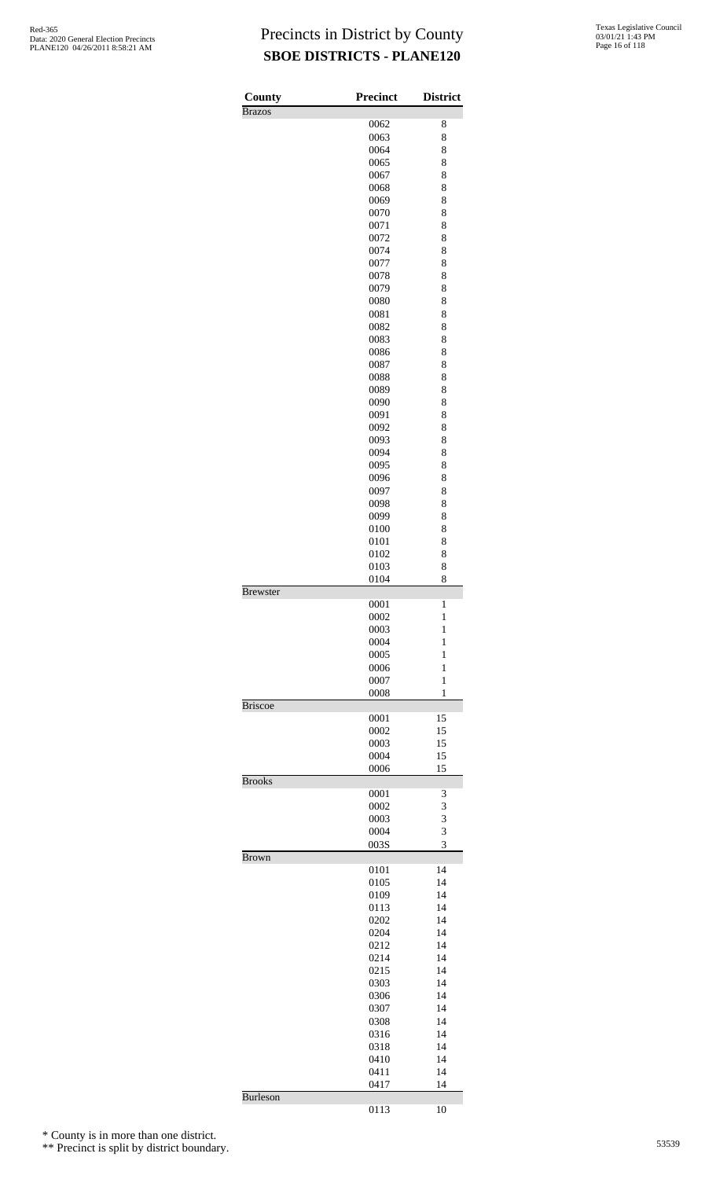| County          | <b>Precinct</b> | <b>District</b> |
|-----------------|-----------------|-----------------|
| <b>Brazos</b>   |                 |                 |
|                 | 0062            | 8               |
|                 | 0063            | 8               |
|                 | 0064            | 8               |
|                 | 0065            | 8               |
|                 | 0067            | 8               |
|                 | 0068            | 8               |
|                 | 0069            | 8               |
|                 | 0070            | 8               |
|                 | 0071            | 8               |
|                 | 0072            | 8               |
|                 | 0074            | 8               |
|                 | 0077            | 8               |
|                 | 0078            | 8               |
|                 | 0079            | 8               |
|                 | 0080            | 8               |
|                 |                 |                 |
|                 | 0081            | 8               |
|                 | 0082            | 8               |
|                 | 0083            | 8               |
|                 | 0086            | 8               |
|                 | 0087            | 8               |
|                 | 0088            | 8               |
|                 | 0089            | 8               |
|                 | 0090            | 8               |
|                 | 0091            | 8               |
|                 | 0092            | 8               |
|                 | 0093            | 8               |
|                 | 0094            | 8               |
|                 | 0095            | 8               |
|                 | 0096            | 8               |
|                 | 0097            | 8               |
|                 | 0098            | 8               |
|                 | 0099            | 8               |
|                 |                 |                 |
|                 | 0100            | 8               |
|                 | 0101            | 8               |
|                 | 0102            | 8               |
|                 | 0103            | 8               |
|                 | 0104            | 8               |
| <b>Brewster</b> |                 |                 |
|                 | 0001            | 1               |
|                 | 0002            | 1               |
|                 | 0003            | 1               |
|                 | 0004            | 1               |
|                 | 0005            | $\mathbf{1}$    |
|                 | 0006            | 1               |
|                 | 0007            | $\mathbf{1}$    |
|                 | 0008            | 1               |
| <b>Briscoe</b>  |                 |                 |
|                 | 0001            |                 |
|                 |                 |                 |
|                 |                 | 15              |
|                 | 0002            | 15              |
|                 | 0003            | 15              |
|                 | 0004            | 15              |
|                 | 0006            | 15              |
| <b>Brooks</b>   |                 |                 |
|                 | 0001            | 3               |
|                 | 0002            | 3               |
|                 | 0003            | 3               |
|                 | 0004            | 3               |
|                 | 003S            | 3               |
| <b>Brown</b>    |                 |                 |
|                 | 0101            | 14              |
|                 | 0105            | 14              |
|                 | 0109            | 14              |
|                 | 0113            | 14              |
|                 | 0202            | 14              |
|                 | 0204            | 14              |
|                 | 0212            | 14              |
|                 | 0214            | 14              |
|                 | 0215            | 14              |
|                 | 0303            | 14              |
|                 | 0306            | 14              |
|                 | 0307            | 14              |
|                 |                 | 14              |
|                 | 0308            | 14              |
|                 | 0316            |                 |
|                 | 0318            | 14              |
|                 | 0410            | 14              |
|                 | 0411<br>0417    | 14<br>14        |

10

\* County is in more than one district.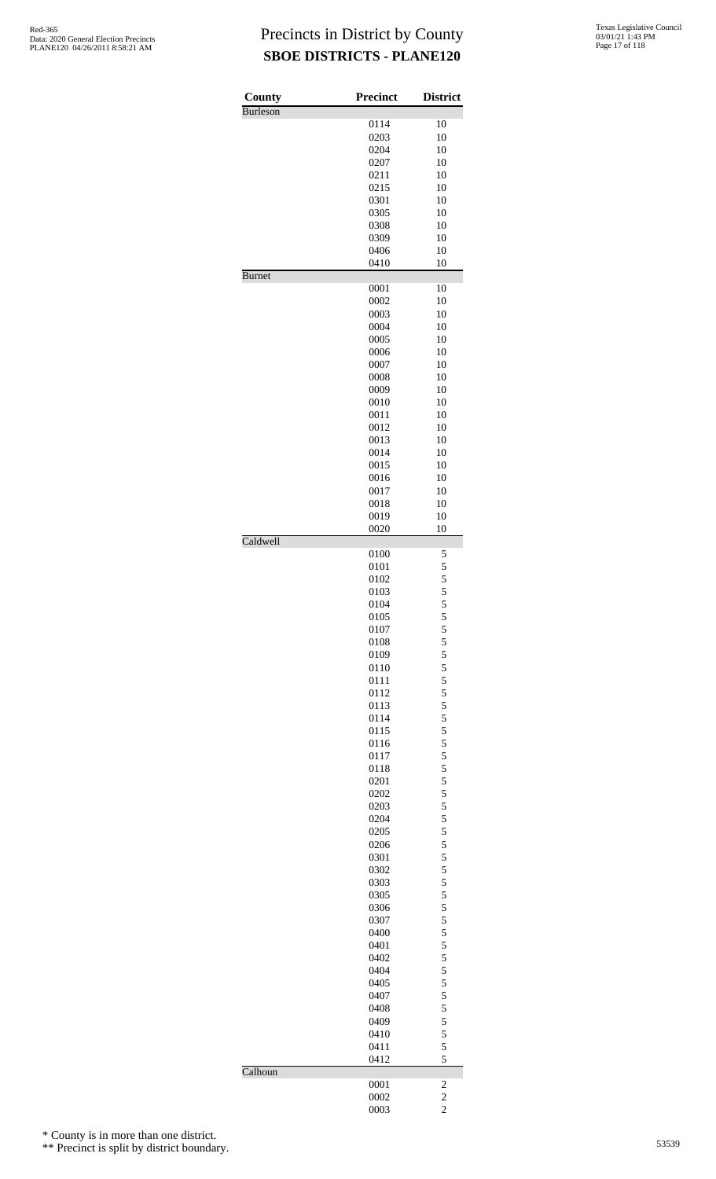| County        | <b>Precinct</b> | <b>District</b>               |
|---------------|-----------------|-------------------------------|
| Burleson      |                 |                               |
|               | 0114            | 10                            |
|               | 0203            | 10                            |
|               | 0204            | 10                            |
|               | 0207<br>0211    | 10<br>10                      |
|               |                 |                               |
|               | 0215            | 10                            |
|               | 0301            | 10                            |
|               | 0305            | 10                            |
|               | 0308            | 10                            |
|               | 0309            | 10                            |
|               | 0406            | 10                            |
|               | 0410            | 10                            |
| <b>Burnet</b> | 0001            | 10                            |
|               | 0002            | 10                            |
|               | 0003            | 10                            |
|               | 0004            |                               |
|               |                 | 10                            |
|               | 0005            | 10                            |
|               | 0006            | 10                            |
|               | 0007            | 10                            |
|               | 0008            | 10                            |
|               | 0009            | 10                            |
|               | 0010            | 10                            |
|               | 0011            | 10                            |
|               | 0012            | 10                            |
|               | 0013            | 10                            |
|               | 0014            | 10                            |
|               | 0015            | 10                            |
|               | 0016            | 10                            |
|               | 0017            | 10                            |
|               | 0018            | 10                            |
|               | 0019            | 10                            |
|               | 0020            | 10                            |
| Caldwell      |                 |                               |
|               | 0100            | 5                             |
|               | 0101            |                               |
|               | 0102            | 5<br>5<br>5<br>5<br>5         |
|               | 0103            |                               |
|               | 0104            |                               |
|               | 0105            | 5                             |
|               | 0107            |                               |
|               | 0108            |                               |
|               | 0109            |                               |
|               | 0110            |                               |
|               | 0111            |                               |
|               | 0112            |                               |
|               | 0113            |                               |
|               | 0114            |                               |
|               | 0115            |                               |
|               | 0116            |                               |
|               | 0117            |                               |
|               | 0118            |                               |
|               | 0201            |                               |
|               | 0202            |                               |
|               |                 |                               |
|               | 0203            |                               |
|               | 0204            |                               |
|               | 0205            |                               |
|               | 0206            |                               |
|               | 0301            |                               |
|               | 0302            |                               |
|               | 0303            |                               |
|               | 0305            |                               |
|               | 0306            |                               |
|               | 0307            |                               |
|               | 0400            |                               |
|               | 0401            |                               |
|               | 0402            |                               |
|               | 0404            |                               |
|               | 0405            |                               |
|               | 0407            |                               |
|               | 0408            |                               |
|               | 0409            |                               |
|               | 0410            |                               |
|               | 0411            | 55555555555555555555555555555 |
|               | 0412            | 5                             |
| Calhoun       |                 |                               |
|               | 0001            | $\overline{\mathbf{c}}$       |
|               | 0002            | $\frac{2}{2}$                 |
|               | 0003            |                               |

\* County is in more than one district.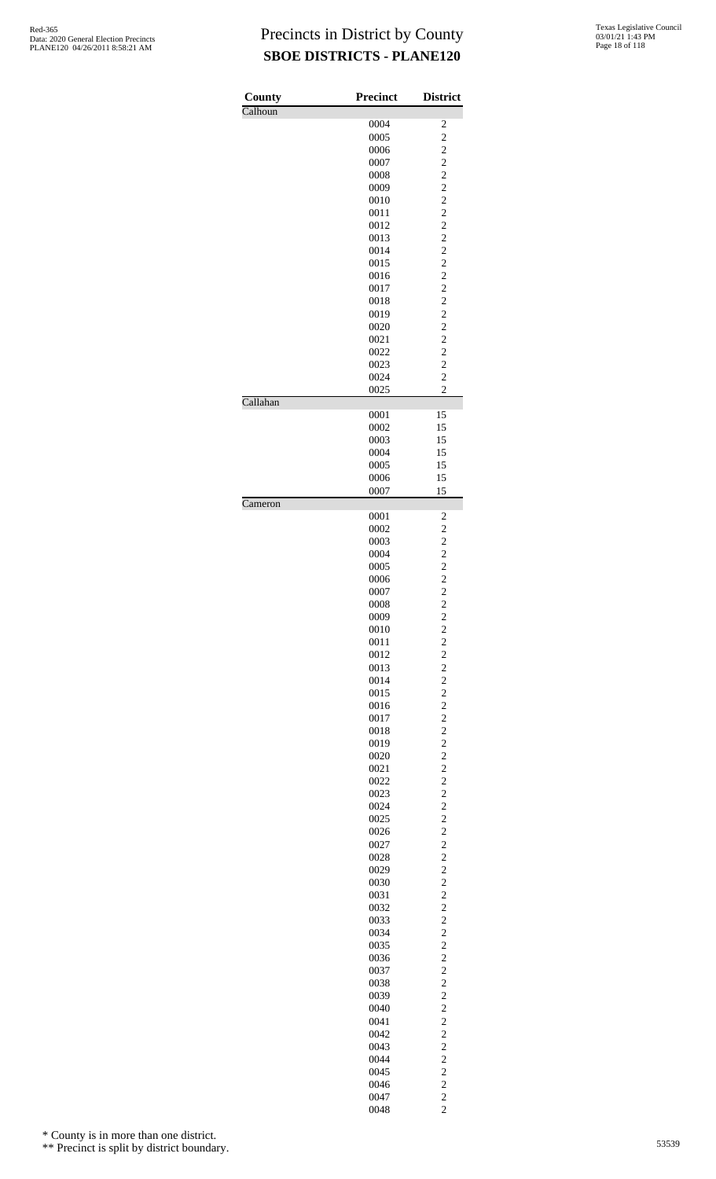| County   | <b>Precinct</b> | <b>District</b>                            |
|----------|-----------------|--------------------------------------------|
| Calhoun  |                 |                                            |
|          | 0004            | $\overline{\mathbf{c}}$                    |
|          | 0005            | $\overline{c}$                             |
|          | 0006            | $\overline{\mathbf{c}}$                    |
|          | 0007            | $\overline{c}$                             |
|          | 0008            | $\overline{c}$                             |
|          | 0009            | $\overline{c}$                             |
|          | 0010            | $\overline{c}$                             |
|          | 0011            |                                            |
|          | 0012            | $\frac{2}{2}$                              |
|          | 0013            | $\overline{\mathbf{c}}$                    |
|          | 0014            | $\overline{c}$                             |
|          | 0015            | $\overline{c}$                             |
|          | 0016            |                                            |
|          | 0017            | $\frac{2}{2}$                              |
|          | 0018            | $\overline{c}$                             |
|          | 0019            | $\overline{c}$                             |
|          | 0020            | $\overline{c}$                             |
|          |                 |                                            |
|          | 0021            | $\frac{2}{2}$                              |
|          | 0022            |                                            |
|          | 0023            | $\overline{c}$                             |
|          | 0024            | $\overline{c}$                             |
| Callahan | 0025            | $\overline{2}$                             |
|          | 0001            | 15                                         |
|          | 0002            | 15                                         |
|          | 0003            | 15                                         |
|          | 0004            | 15                                         |
|          | 0005            | 15                                         |
|          | 0006            | 15                                         |
| Cameron  | 0007            | 15                                         |
|          | 0001            | 2                                          |
|          | 0002            | $\overline{\mathbf{c}}$                    |
|          | 0003            | $\overline{c}$                             |
|          | 0004            | $\overline{\mathbf{c}}$                    |
|          | 0005            |                                            |
|          | 0006            | $\frac{2}{2}$                              |
|          | 0007            | $\overline{c}$                             |
|          | 0008            | $\overline{2}$                             |
|          | 0009            | $\overline{\mathbf{c}}$                    |
|          | 0010            | $\overline{\mathbf{c}}$                    |
|          | 0011            | $\overline{c}$                             |
|          | 0012            |                                            |
|          | 0013            | $\frac{2}{2}$                              |
|          | 0014            | $\overline{\mathbf{c}}$                    |
|          | 0015            | $\overline{\mathbf{c}}$                    |
|          | 0016            | $\overline{c}$                             |
|          | 0017            |                                            |
|          | 0018            | $\frac{2}{2}$                              |
|          | 0019            | $\overline{\mathbf{c}}$                    |
|          | 0020            | $\overline{\mathbf{c}}$                    |
|          | 0021            | $\overline{c}$                             |
|          | 0022            |                                            |
|          | 0023            | $\frac{2}{2}$                              |
|          | 0024            | $\overline{\mathbf{c}}$                    |
|          | 0025            | $\overline{\mathbf{c}}$                    |
|          |                 | $\overline{c}$                             |
|          | 0026            |                                            |
|          | 0027            | $\frac{2}{2}$                              |
|          | 0028            |                                            |
|          | 0029            | $\overline{\mathbf{c}}$                    |
|          | 0030            | $\overline{\mathbf{c}}$                    |
|          | 0031            | $\overline{c}$                             |
|          | 0032            | $\frac{2}{2}$                              |
|          | 0033            |                                            |
|          | 0034            | $\overline{\mathbf{c}}$                    |
|          | 0035            | $\overline{\mathbf{c}}$                    |
|          | 0036            | $\overline{c}$                             |
|          | 0037            | $\frac{2}{2}$                              |
|          | 0038            |                                            |
|          | 0039            | $\overline{\mathbf{c}}$                    |
|          | 0040            | $\overline{\mathbf{c}}$                    |
|          | 0041            | $\overline{c}$                             |
|          | 0042            |                                            |
|          | 0043            | $\begin{array}{c} 2 \\ 2 \\ 2 \end{array}$ |
|          | 0044            |                                            |
|          | 0045            |                                            |
|          | 0046            | $\frac{2}{2}$                              |
|          | 0047            |                                            |
|          | 0048            | $\frac{2}{2}$                              |
|          |                 |                                            |

\* County is in more than one district.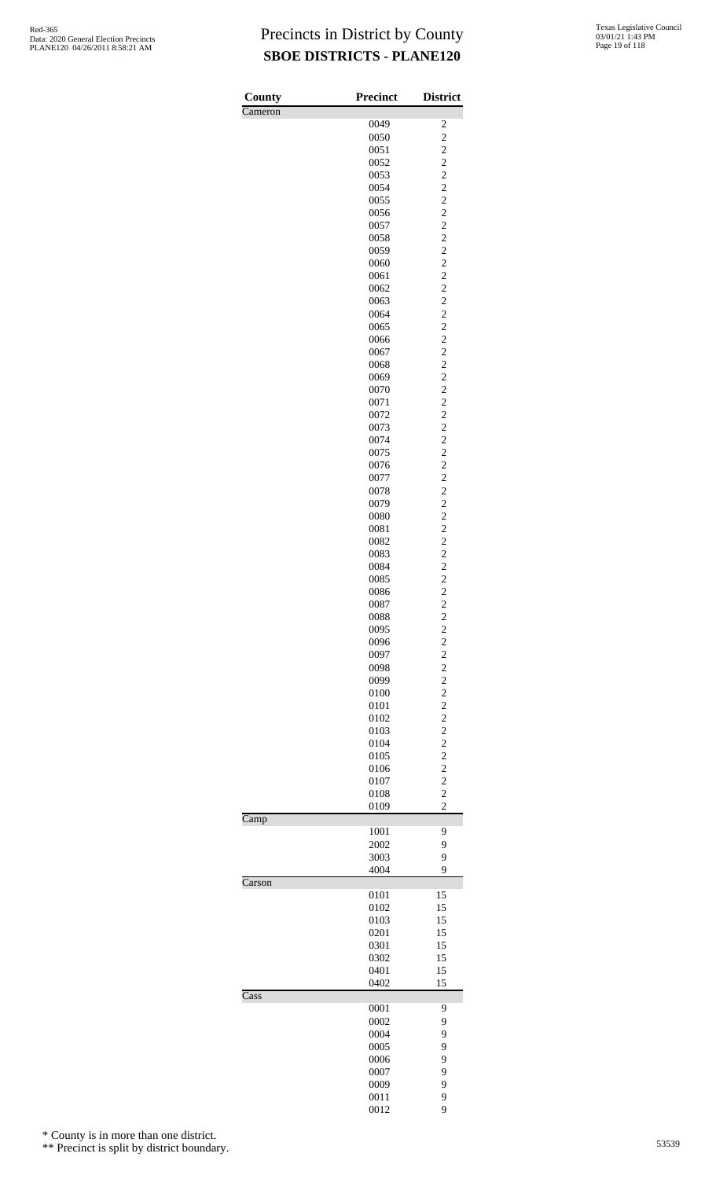| County                   | <b>Precinct</b> | <b>District</b>                           |
|--------------------------|-----------------|-------------------------------------------|
| Cameron                  |                 |                                           |
|                          | 0049<br>0050    | $\overline{\mathbf{c}}$<br>$\overline{c}$ |
|                          | 0051            |                                           |
|                          | 0052            | $\frac{2}{2}$                             |
|                          | 0053            | $\overline{c}$                            |
|                          | 0054            | $\overline{c}$                            |
|                          | 0055            | $\overline{c}$                            |
|                          | 0056            | $\frac{2}{2}$                             |
|                          | 0057            | $\overline{c}$                            |
|                          | 0058<br>0059    | $\overline{c}$                            |
|                          | 0060            | $\overline{c}$                            |
|                          | 0061            |                                           |
|                          | 0062            | $\frac{2}{2}$                             |
|                          | 0063            | $\overline{c}$                            |
|                          | 0064            | $\overline{c}$                            |
|                          | 0065            | $\overline{c}$                            |
|                          | 0066<br>0067    | $\frac{2}{2}$                             |
|                          | 0068            | $\overline{c}$                            |
|                          | 0069            | $\overline{c}$                            |
|                          | 0070            | $\overline{c}$                            |
|                          | 0071            | $\frac{2}{2}$                             |
|                          | 0072            |                                           |
|                          | 0073            | $\overline{c}$                            |
|                          | 0074            | $\overline{c}$                            |
|                          | 0075            | $\overline{c}$                            |
|                          | 0076<br>0077    | $\frac{2}{2}$                             |
|                          | 0078            | $\overline{c}$                            |
|                          | 0079            | $\overline{c}$                            |
|                          | 0080            | $\overline{c}$                            |
|                          | 0081            | $\frac{2}{2}$                             |
|                          | 0082            |                                           |
|                          | 0083            | $\overline{c}$                            |
|                          | 0084            | $\overline{c}$<br>$\overline{c}$          |
|                          | 0085<br>0086    | $\overline{\mathbf{c}}$                   |
|                          | 0087            | $\overline{c}$                            |
|                          | 0088            | $\overline{\mathbf{c}}$                   |
|                          | 0095            | $\overline{c}$                            |
|                          | 0096            | $\overline{c}$                            |
|                          | 0097            | $\frac{2}{2}$                             |
|                          | 0098            |                                           |
|                          | 0099            | $\overline{c}$                            |
|                          | 0100<br>0101    | $\overline{c}$<br>$\overline{c}$          |
|                          | 0102            |                                           |
|                          | 0103            | $\frac{2}{2}$                             |
|                          | 0104            | $\overline{c}$                            |
|                          | 0105            | $\overline{c}$                            |
|                          | 0106            | $\overline{\mathbf{c}}$                   |
|                          | 0107            | $\frac{2}{2}$                             |
|                          | 0108            |                                           |
| $\overline{\text{Camp}}$ | 0109            | $\overline{c}$                            |
|                          | 1001            | 9                                         |
|                          | 2002            | 9                                         |
|                          | 3003            | 9                                         |
|                          | 4004            | 9                                         |
| Carson                   |                 |                                           |
|                          | 0101            | 15                                        |
|                          | 0102            | 15<br>15                                  |
|                          | 0103<br>0201    | 15                                        |
|                          | 0301            | 15                                        |
|                          | 0302            | 15                                        |
|                          | 0401            | 15                                        |
|                          | 0402            | 15                                        |
| Cass                     |                 |                                           |
|                          | 0001            | 9                                         |
|                          | 0002<br>0004    | 9<br>9                                    |
|                          | 0005            | 9                                         |
|                          | 0006            | 9                                         |
|                          | 0007            | 9                                         |
|                          | 0009            | 9                                         |
|                          | 0011            | 9                                         |
|                          | 0012            | 9                                         |

\* County is in more than one district.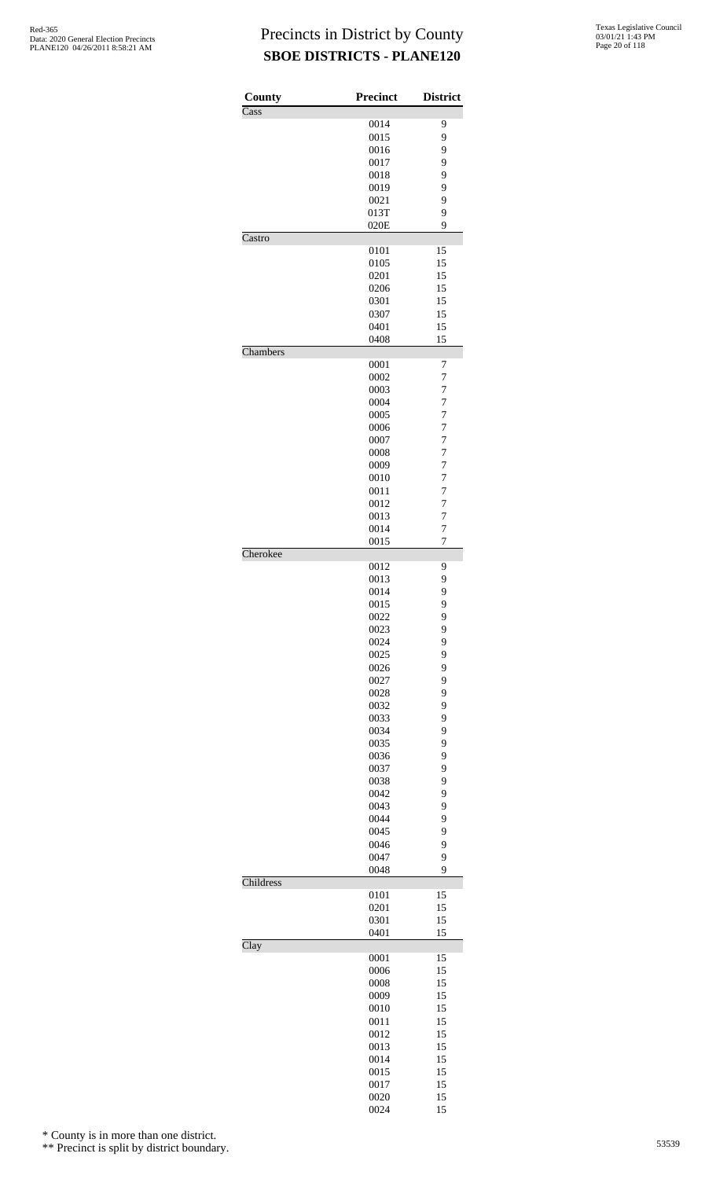| County    | Precinct     | <b>District</b>                  |
|-----------|--------------|----------------------------------|
| Cass      |              |                                  |
|           | 0014         | 9                                |
|           | 0015         | 9                                |
|           | 0016<br>0017 | 9<br>9                           |
|           | 0018         | 9                                |
|           | 0019         | 9                                |
|           | 0021         | 9                                |
|           | 013T         | 9                                |
|           | 020E         | 9                                |
| Castro    | 0101         | 15                               |
|           | 0105         | 15                               |
|           | 0201         | 15                               |
|           | 0206         | 15                               |
|           | 0301         | 15                               |
|           | 0307         | 15                               |
|           | 0401<br>0408 | 15<br>15                         |
| Chambers  |              |                                  |
|           | 0001         | 7                                |
|           | 0002         | 7                                |
|           | 0003         | 7                                |
|           | 0004         | $\overline{7}$                   |
|           | 0005<br>0006 | $\overline{7}$<br>$\overline{7}$ |
|           | 0007         | $\overline{7}$                   |
|           | 0008         | $\overline{7}$                   |
|           | 0009         | $\overline{7}$                   |
|           | 0010         | $\overline{7}$                   |
|           | 0011         | $\overline{7}$                   |
|           | 0012         | $\overline{7}$                   |
|           | 0013         | $\overline{7}$                   |
|           | 0014<br>0015 | $\overline{7}$<br>$\overline{7}$ |
| Cherokee  |              |                                  |
|           | 0012         | 9                                |
|           | 0013         | 9                                |
|           | 0014         | 9                                |
|           | 0015         | 9                                |
|           | 0022<br>0023 | 9<br>9                           |
|           | 0024         | 9                                |
|           | 0025         | 9                                |
|           | 0026         | 9                                |
|           | 0027         | 9                                |
|           | 0028         | 9                                |
|           | 0032<br>0033 | 9<br>9                           |
|           | 0034         | 9                                |
|           | 0035         | 9                                |
|           | 0036         | 9                                |
|           | 0037         | 9                                |
|           | 0038         | 9                                |
|           | 0042         | 9                                |
|           | 0043<br>0044 | 9<br>9                           |
|           | 0045         | 9                                |
|           | 0046         | 9                                |
|           | 0047         | 9                                |
|           | 0048         | 9                                |
| Childress |              |                                  |
|           | 0101<br>0201 | 15<br>15                         |
|           | 0301         | 15                               |
|           | 0401         | 15                               |
| Clay      |              |                                  |
|           | 0001         | 15                               |
|           | 0006<br>0008 | 15<br>15                         |
|           | 0009         | 15                               |
|           | 0010         | 15                               |
|           | 0011         | 15                               |
|           | 0012         | 15                               |
|           | 0013         | 15                               |
|           | 0014         | 15                               |
|           | 0015<br>0017 | 15<br>15                         |
|           | 0020         | 15                               |
|           | 0024         | 15                               |

\* County is in more than one district.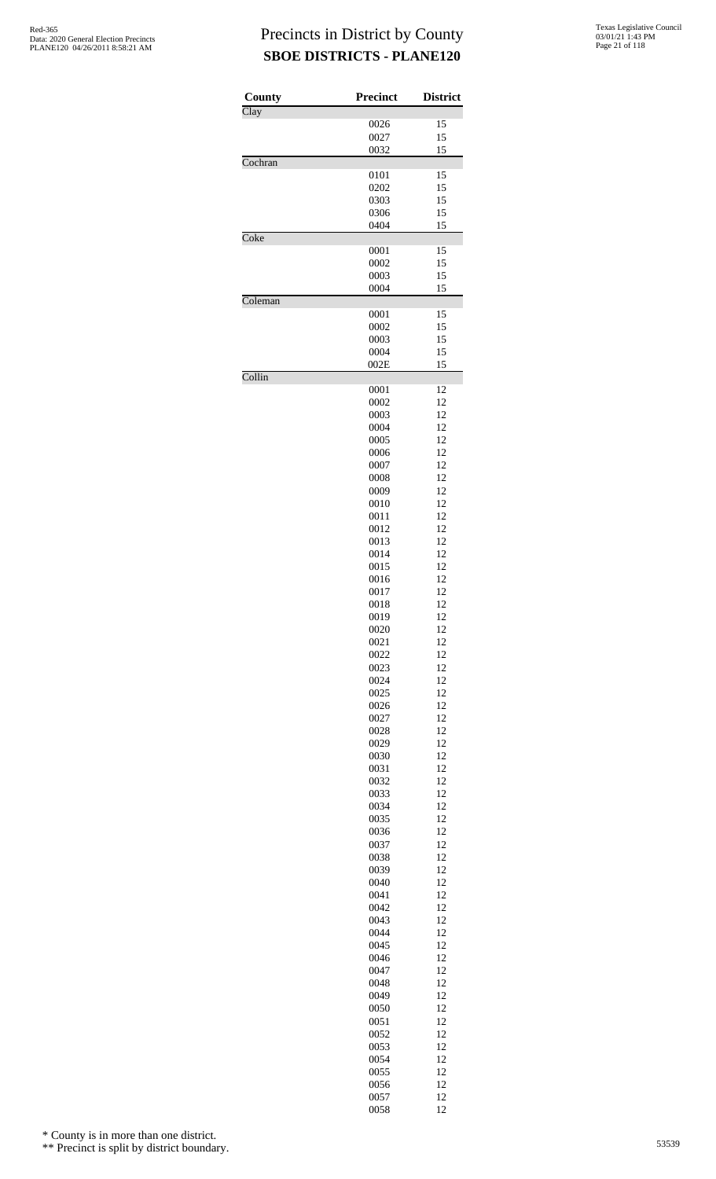| County  | <b>Precinct</b> | <b>District</b> |
|---------|-----------------|-----------------|
| Clay    |                 |                 |
|         | 0026            | 15              |
|         | 0027            | 15              |
| Cochran | 0032            | 15              |
|         | 0101            | 15              |
|         | 0202            | 15              |
|         | 0303            | 15              |
|         | 0306<br>0404    | 15<br>15        |
| Coke    |                 |                 |
|         | 0001            | 15              |
|         | 0002            | 15              |
|         | 0003            | 15              |
| Coleman | 0004            | 15              |
|         | 0001            | 15              |
|         | 0002            | 15              |
|         | 0003            | 15              |
|         | 0004            | 15              |
| Collin  | 002E            | 15              |
|         | 0001            | 12              |
|         | 0002            | 12              |
|         | 0003            | 12              |
|         | 0004            | 12              |
|         | 0005<br>0006    | 12<br>12        |
|         | 0007            | 12              |
|         | 0008            | 12              |
|         | 0009            | 12              |
|         | 0010            | 12              |
|         | 0011<br>0012    | 12<br>12        |
|         | 0013            | 12              |
|         | 0014            | 12              |
|         | 0015            | 12              |
|         | 0016            | 12              |
|         | 0017<br>0018    | 12<br>12        |
|         | 0019            | 12              |
|         | 0020            | 12              |
|         | 0021            | 12              |
|         | 0022            | 12              |
|         | 0023<br>0024    | 12<br>12        |
|         | 0025            | 12              |
|         | 0026            | 12              |
|         | 0027            | 12              |
|         | 0028            | 12              |
|         | 0029<br>0030    | 12<br>12        |
|         | 0031            | 12              |
|         | 0032            | 12              |
|         | 0033            | 12              |
|         | 0034            | 12              |
|         | 0035<br>0036    | 12<br>12        |
|         | 0037            | 12              |
|         | 0038            | 12              |
|         | 0039            | 12              |
|         | 0040            | 12              |
|         | 0041            | 12              |
|         | 0042<br>0043    | 12<br>12        |
|         | 0044            | 12              |
|         | 0045            | 12              |
|         | 0046            | 12              |
|         | 0047            | 12<br>12        |
|         | 0048<br>0049    | 12              |
|         | 0050            | 12              |
|         | 0051            | 12              |
|         | 0052            | 12              |
|         | 0053            | 12              |
|         | 0054<br>0055    | 12<br>12        |
|         | 0056            | 12              |
|         | 0057            | 12              |
|         | 0058            | 12              |

\* County is in more than one district.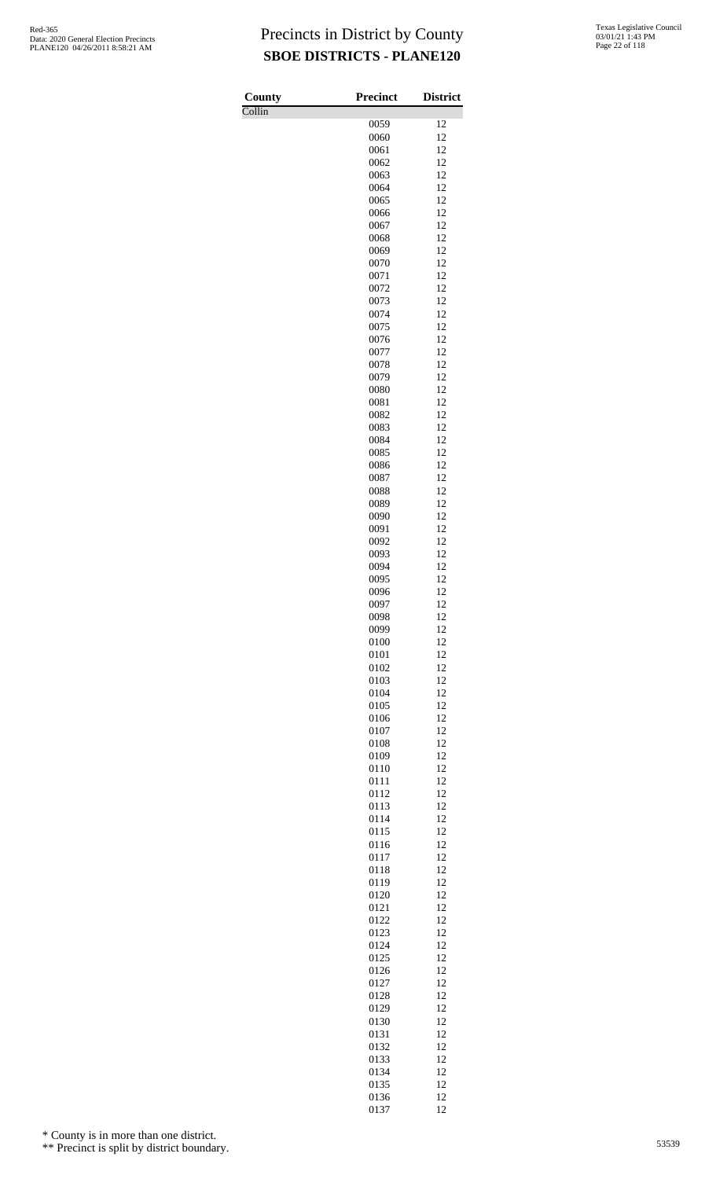Collin

| County | <b>Precinct</b> | <b>District</b> |
|--------|-----------------|-----------------|
| Collin |                 |                 |
|        | 0059<br>0060    | 12<br>12        |
|        | 0061            | 12              |
|        | 0062            | 12              |
|        | 0063            | 12              |
|        | 0064            | 12              |
|        | 0065            | 12              |
|        | 0066<br>0067    | 12<br>12        |
|        | 0068            | 12              |
|        | 0069            | 12              |
|        | 0070            | 12              |
|        | 0071            | 12              |
|        | 0072            | 12              |
|        | 0073            | 12<br>12        |
|        | 0074<br>0075    | 12              |
|        | 0076            | 12              |
|        | 0077            | 12              |
|        | 0078            | 12              |
|        | 0079            | 12              |
|        | 0080            | 12              |
|        | 0081<br>0082    | 12<br>12        |
|        | 0083            | 12              |
|        | 0084            | 12              |
|        | 0085            | 12              |
|        | 0086            | 12              |
|        | 0087            | 12              |
|        | 0088            | 12<br>12        |
|        | 0089<br>0090    | 12              |
|        | 0091            | 12              |
|        | 0092            | 12              |
|        | 0093            | 12              |
|        | 0094            | 12              |
|        | 0095            | 12              |
|        | 0096<br>0097    | 12<br>12        |
|        | 0098            | 12              |
|        | 0099            | 12              |
|        | 0100            | 12              |
|        | 0101            | 12              |
|        | 0102            | 12              |
|        | 0103<br>0104    | 12<br>12        |
|        | 0105            | 12              |
|        | 0106            | 12              |
|        | 0107            | 12              |
|        | 0108            | 12              |
|        | 0109            | 12              |
|        | 0110            | 12              |
|        | 0111<br>0112    | 12<br>12        |
|        | 0113            | 12              |
|        | 0114            | 12              |
|        | 0115            | 12              |
|        | 0116            | 12              |
|        | 0117            | 12              |
|        | 0118<br>0119    | 12<br>12        |
|        | 0120            | 12              |
|        | 0121            | 12              |
|        | 0122            | 12              |
|        | 0123            | 12              |
|        | 0124            | 12              |
|        | 0125<br>0126    | 12<br>12        |
|        | 0127            | 12              |
|        | 0128            | 12              |
|        | 0129            | 12              |
|        | 0130            | 12              |
|        | 0131            | 12              |
|        | 0132            | 12              |
|        | 0133<br>0134    | 12<br>12        |
|        | 0135            | 12              |
|        | 0136            | 12              |
|        | 0137            | 12              |

\* County is in more than one district.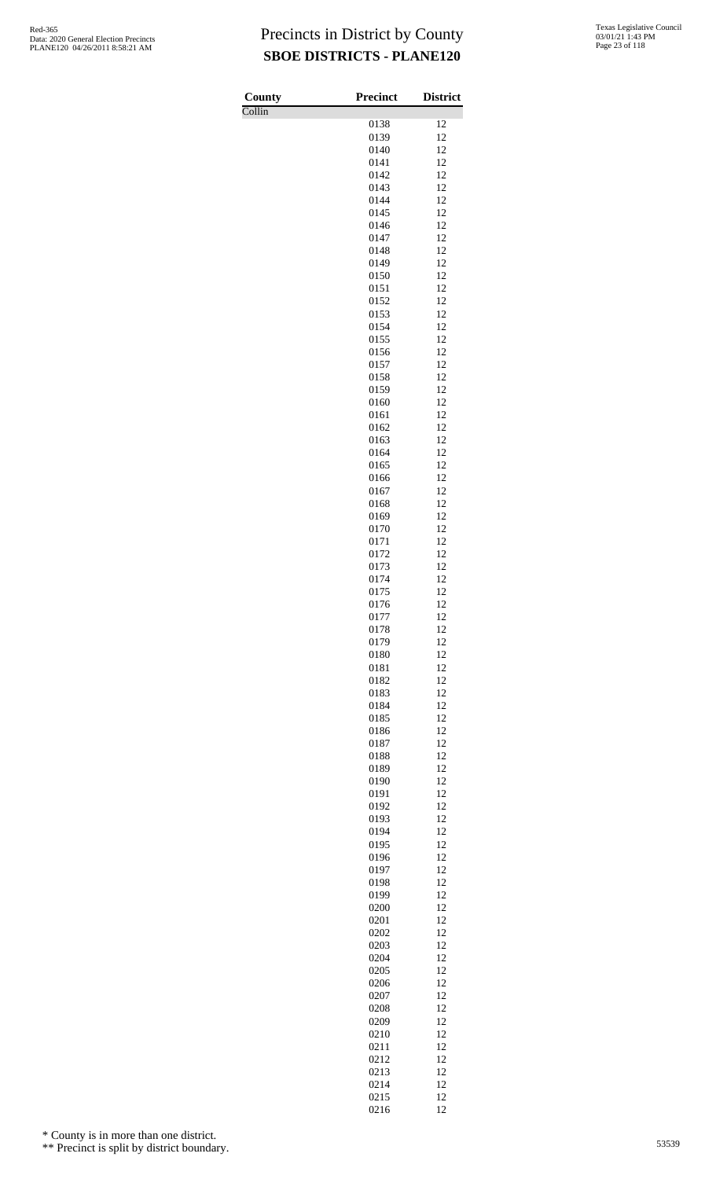Collin

| County                     | Precinct     | <b>District</b> |
|----------------------------|--------------|-----------------|
| $\overline{\text{Collin}}$ | 0138         | 12              |
|                            | 0139         | 12              |
|                            | 0140         | 12              |
|                            | 0141         | 12              |
|                            | 0142<br>0143 | 12<br>12        |
|                            | 0144         | 12              |
|                            | 0145         | 12              |
|                            | 0146         | 12              |
|                            | 0147<br>0148 | 12<br>12        |
|                            | 0149         | 12              |
|                            | 0150         | 12              |
|                            | 0151         | 12              |
|                            | 0152<br>0153 | 12<br>12        |
|                            | 0154         | 12              |
|                            | 0155         | 12              |
|                            | 0156         | 12              |
|                            | 0157<br>0158 | 12<br>12        |
|                            | 0159         | 12              |
|                            | 0160         | 12              |
|                            | 0161         | 12              |
|                            | 0162         | 12<br>12        |
|                            | 0163<br>0164 | 12              |
|                            | 0165         | 12              |
|                            | 0166         | 12              |
|                            | 0167         | 12              |
|                            | 0168<br>0169 | 12<br>12        |
|                            | 0170         | 12              |
|                            | 0171         | 12              |
|                            | 0172         | 12<br>12        |
|                            | 0173<br>0174 | 12              |
|                            | 0175         | 12              |
|                            | 0176         | 12              |
|                            | 0177         | 12<br>12        |
|                            | 0178<br>0179 | 12              |
|                            | 0180         | 12              |
|                            | 0181         | 12              |
|                            | 0182         | 12<br>12        |
|                            | 0183<br>0184 | 12              |
|                            | 0185         | 12              |
|                            | 0186         | 12              |
|                            | 0187         | 12              |
|                            | 0188<br>0189 | 12<br>12        |
|                            | 0190         | 12              |
|                            | 0191         | 12              |
|                            | 0192         | 12<br>12        |
|                            | 0193<br>0194 | 12              |
|                            | 0195         | 12              |
|                            | 0196         | 12              |
|                            | 0197         | 12              |
|                            | 0198<br>0199 | 12<br>12        |
|                            | 0200         | 12              |
|                            | 0201         | 12              |
|                            | 0202         | 12              |
|                            | 0203<br>0204 | 12<br>12        |
|                            | 0205         | 12              |
|                            | 0206         | 12              |
|                            | 0207         | 12              |
|                            | 0208<br>0209 | 12<br>12        |
|                            | 0210         | 12              |
|                            | 0211         | 12              |
|                            | 0212         | 12              |
|                            | 0213         | 12<br>12        |
|                            | 0214<br>0215 | 12              |
|                            | 0216         | 12              |

\* County is in more than one district.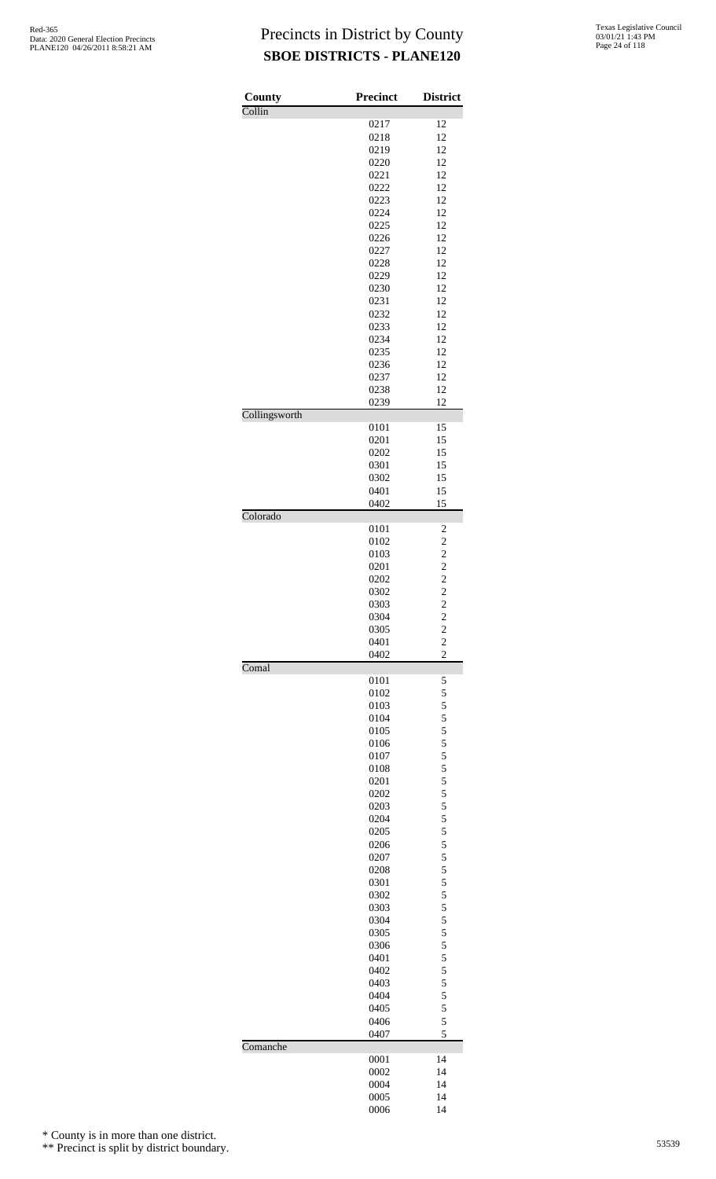| County        | <b>Precinct</b> | <b>District</b>                            |
|---------------|-----------------|--------------------------------------------|
| Collin        | 0217            | 12                                         |
|               | 0218            | 12                                         |
|               | 0219            | 12                                         |
|               | 0220            | 12                                         |
|               | 0221            | 12                                         |
|               | 0222            | 12                                         |
|               | 0223            | 12                                         |
|               | 0224            | 12<br>12                                   |
|               | 0225<br>0226    | 12                                         |
|               | 0227            | 12                                         |
|               | 0228            | 12                                         |
|               | 0229            | 12                                         |
|               | 0230            | 12                                         |
|               | 0231            | 12                                         |
|               | 0232            | 12                                         |
|               | 0233            | 12                                         |
|               | 0234<br>0235    | 12<br>12                                   |
|               | 0236            | 12                                         |
|               | 0237            | 12                                         |
|               | 0238            | 12                                         |
|               | 0239            | 12                                         |
| Collingsworth |                 |                                            |
|               | 0101            | 15                                         |
|               | 0201            | 15                                         |
|               | 0202<br>0301    | 15<br>15                                   |
|               | 0302            | 15                                         |
|               | 0401            | 15                                         |
|               | 0402            | 15                                         |
| Colorado      |                 |                                            |
|               | 0101            |                                            |
|               | 0102            | $\frac{2}{2}$                              |
|               | 0103            |                                            |
|               | 0201            | $\begin{array}{c} 2 \\ 2 \\ 2 \end{array}$ |
|               | 0202<br>0302    |                                            |
|               | 0303            |                                            |
|               | 0304            | $\overline{\mathbf{c}}$                    |
|               | 0305            |                                            |
|               | 0401            | $\frac{2}{2}$                              |
|               | 0402            | $\overline{c}$                             |
| Comal         |                 | 5                                          |
|               | 0101<br>0102    | 5                                          |
|               | 0103            |                                            |
|               | 0104            | $\frac{5}{5}$ 5 5                          |
|               | 0105            |                                            |
|               | 0106            |                                            |
|               | 0107            | $\overline{5}$                             |
|               | 0108            |                                            |
|               | 0201            | $\begin{array}{c} 5 \\ 5 \\ 5 \end{array}$ |
|               | 0202<br>0203    | 5                                          |
|               | 0204            | 5                                          |
|               | 0205            |                                            |
|               | 0206            | $\frac{5}{5}$ 5 5                          |
|               | 0207            |                                            |
|               | 0208            |                                            |
|               | 0301            | $\overline{5}$                             |
|               | 0302            |                                            |
|               | 0303            |                                            |
|               | 0304<br>0305    | $\frac{5}{5}$ 5 5                          |
|               | 0306            | 5                                          |
|               | 0401            |                                            |
|               | 0402            | $\frac{5}{5}$ 5 5                          |
|               | 0403            |                                            |
|               | 0404            |                                            |
|               | 0405            | 5                                          |
|               | 0406            | 5                                          |
| Comanche      | 0407            | 5                                          |
|               | 0001            | 14                                         |
|               | 0002            | 14                                         |
|               | 0004            | 14                                         |
|               | 0005            | 14                                         |
|               | 0006            | 14                                         |

\* County is in more than one district.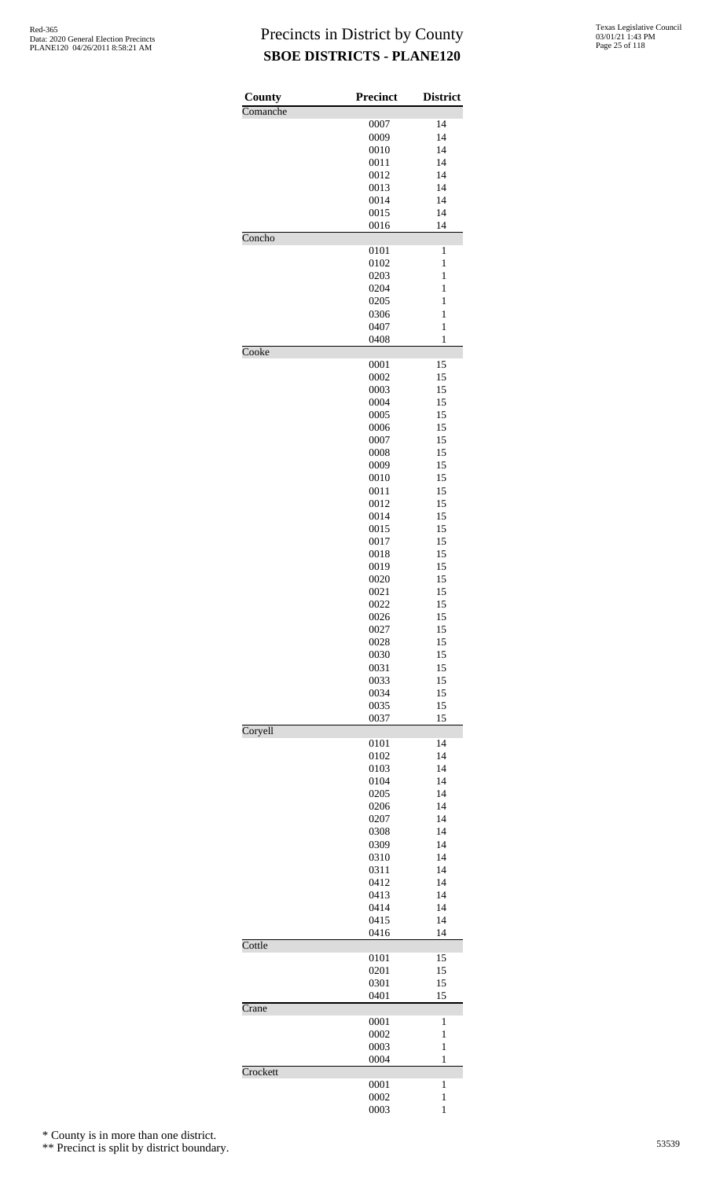| County                     | Precinct     | <b>District</b>              |
|----------------------------|--------------|------------------------------|
| Comanche                   |              |                              |
|                            | 0007         | 14                           |
|                            | 0009         | 14                           |
|                            | 0010<br>0011 | 14<br>14                     |
|                            | 0012         | 14                           |
|                            | 0013         | 14                           |
|                            | 0014         | 14                           |
|                            | 0015         | 14<br>14                     |
| $\overline{\text{Concho}}$ | 0016         |                              |
|                            | 0101         | 1                            |
|                            | 0102         | $\,1$                        |
|                            | 0203         | $\mathbf{1}$                 |
|                            | 0204<br>0205 | $\mathbf{1}$<br>$\mathbf{1}$ |
|                            | 0306         | $\mathbf{1}$                 |
|                            | 0407         | $\,1$                        |
|                            | 0408         | $\mathbf{1}$                 |
| Cooke                      |              |                              |
|                            | 0001<br>0002 | 15<br>15                     |
|                            | 0003         | 15                           |
|                            | 0004         | 15                           |
|                            | 0005         | 15                           |
|                            | 0006         | 15                           |
|                            | 0007<br>0008 | 15<br>15                     |
|                            | 0009         | 15                           |
|                            | 0010         | 15                           |
|                            | 0011         | 15                           |
|                            | 0012         | 15                           |
|                            | 0014         | 15<br>15                     |
|                            | 0015<br>0017 | 15                           |
|                            | 0018         | 15                           |
|                            | 0019         | 15                           |
|                            | 0020         | 15                           |
|                            | 0021         | 15                           |
|                            | 0022<br>0026 | 15<br>15                     |
|                            | 0027         | 15                           |
|                            | 0028         | 15                           |
|                            | 0030         | 15                           |
|                            | 0031         | 15                           |
|                            | 0033<br>0034 | 15<br>15                     |
|                            | 0035         | 15                           |
|                            | 0037         | 15                           |
| Coryell                    |              |                              |
|                            | 0101<br>0102 | 14<br>14                     |
|                            | 0103         | 14                           |
|                            | 0104         | 14                           |
|                            | 0205         | 14                           |
|                            | 0206         | 14                           |
|                            | 0207<br>0308 | 14<br>14                     |
|                            | 0309         | 14                           |
|                            | 0310         | 14                           |
|                            | 0311         | 14                           |
|                            | 0412         | 14                           |
|                            | 0413<br>0414 | 14<br>14                     |
|                            | 0415         | 14                           |
|                            | 0416         | 14                           |
| Cottle                     |              |                              |
|                            | 0101         | 15                           |
|                            | 0201<br>0301 | 15<br>15                     |
|                            | 0401         | 15                           |
| Crane                      |              |                              |
|                            | 0001         | 1                            |
|                            | 0002         | 1                            |
|                            | 0003<br>0004 | 1<br>1                       |
| Crockett                   |              |                              |
|                            | 0001         | 1                            |
|                            | 0002         | $\mathbf{1}$                 |
|                            | 0003         | $\mathbf{1}$                 |

\* County is in more than one district.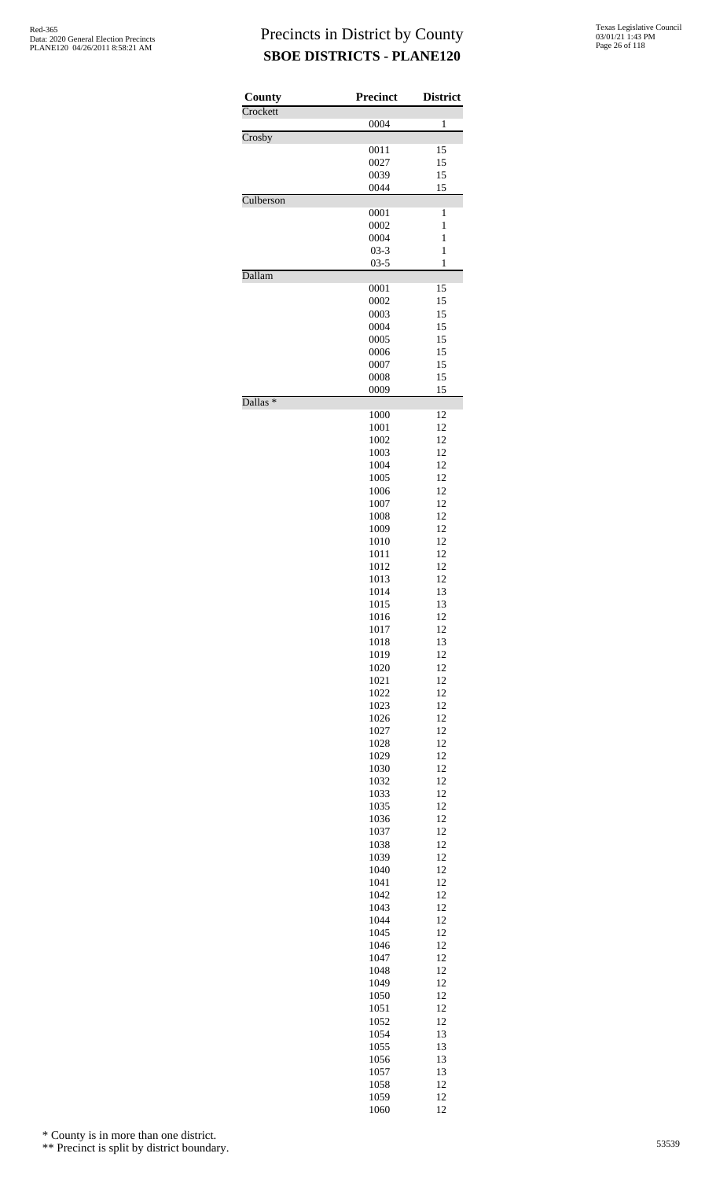| County              | <b>Precinct</b> | <b>District</b> |
|---------------------|-----------------|-----------------|
| Crockett            |                 | 1               |
| Crosby              | 0004            |                 |
|                     | 0011            | 15              |
|                     | 0027            | 15              |
|                     | 0039            | 15              |
| Culberson           | 0044            | 15              |
|                     | 0001            | 1               |
|                     | 0002            | 1               |
|                     | 0004            | 1               |
|                     | $03-3$          | 1               |
| Dallam              | $03 - 5$        | 1               |
|                     | 0001            | 15              |
|                     | 0002            | 15              |
|                     | 0003            | 15              |
|                     | 0004            | 15              |
|                     | 0005<br>0006    | 15<br>15        |
|                     | 0007            | 15              |
|                     | 0008            | 15              |
|                     | 0009            | 15              |
| Dallas <sup>*</sup> |                 |                 |
|                     | 1000            | 12              |
|                     | 1001<br>1002    | 12<br>12        |
|                     | 1003            | 12              |
|                     | 1004            | 12              |
|                     | 1005            | 12              |
|                     | 1006            | 12              |
|                     | 1007            | 12              |
|                     | 1008<br>1009    | 12<br>12        |
|                     | 1010            | 12              |
|                     | 1011            | 12              |
|                     | 1012            | 12              |
|                     | 1013            | 12              |
|                     | 1014            | 13              |
|                     | 1015            | 13              |
|                     | 1016<br>1017    | 12<br>12        |
|                     | 1018            | 13              |
|                     | 1019            | 12              |
|                     | 1020            | 12              |
|                     | 1021            | 12              |
|                     | 1022            | 12              |
|                     | 1023<br>1026    | 12<br>12        |
|                     | 1027            | 12              |
|                     | 1028            | 12              |
|                     | 1029            | 12              |
|                     | 1030            | 12              |
|                     | 1032            | 12              |
|                     | 1033<br>1035    | 12<br>12        |
|                     | 1036            | 12              |
|                     | 1037            | 12              |
|                     | 1038            | 12              |
|                     | 1039            | 12              |
|                     | 1040            | 12              |
|                     | 1041            | 12<br>12        |
|                     | 1042<br>1043    | 12              |
|                     | 1044            | 12              |
|                     | 1045            | 12              |
|                     | 1046            | 12              |
|                     | 1047            | 12              |
|                     | 1048            | 12<br>12        |
|                     | 1049<br>1050    | 12              |
|                     | 1051            | 12              |
|                     | 1052            | 12              |
|                     | 1054            | 13              |
|                     | 1055            | 13              |
|                     | 1056            | 13              |
|                     | 1057<br>1058    | 13<br>12        |
|                     | 1059            | 12              |
|                     | 1060            | 12              |

\* County is in more than one district.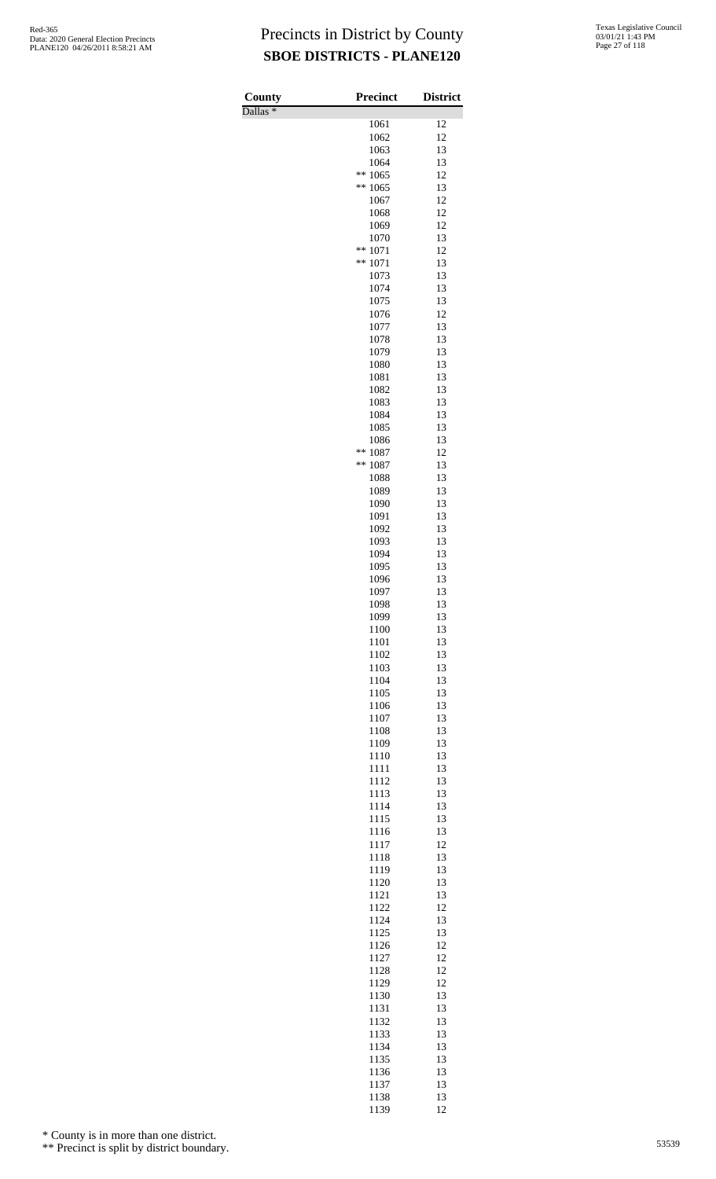Dallas \*

| County<br>$\overline{\text{Dallas}}$ $*$ | Precinct           | <b>District</b> |
|------------------------------------------|--------------------|-----------------|
|                                          | 1061               | 12              |
|                                          | 1062               | 12              |
|                                          | 1063<br>1064       | 13<br>13        |
|                                          | **<br>1065         | 12              |
|                                          | **<br>1065         | 13              |
|                                          | 1067               | 12<br>12        |
|                                          | 1068<br>1069       | 12              |
|                                          | 1070               | 13              |
|                                          | **<br>1071         | 12              |
|                                          | **<br>1071<br>1073 | 13<br>13        |
|                                          | 1074               | 13              |
|                                          | 1075               | 13              |
|                                          | 1076<br>1077       | 12<br>13        |
|                                          | 1078               | 13              |
|                                          | 1079               | 13              |
|                                          | 1080<br>1081       | 13<br>13        |
|                                          | 1082               | 13              |
|                                          | 1083               | 13              |
|                                          | 1084               | 13<br>13        |
|                                          | 1085<br>1086       | 13              |
|                                          | **<br>1087         | 12              |
|                                          | $**$<br>1087       | 13              |
|                                          | 1088<br>1089       | 13<br>13        |
|                                          | 1090               | 13              |
|                                          | 1091               | 13              |
|                                          | 1092<br>1093       | 13<br>13        |
|                                          | 1094               | 13              |
|                                          | 1095               | 13              |
|                                          | 1096<br>1097       | 13<br>13        |
|                                          | 1098               | 13              |
|                                          | 1099               | 13              |
|                                          | 1100<br>1101       | 13<br>13        |
|                                          | 1102               | 13              |
|                                          | 1103               | 13              |
|                                          | 1104               | 13<br>13        |
|                                          | 1105<br>1106       | 13              |
|                                          | 1107               | 13              |
|                                          | 1108               | 13              |
|                                          | 1109<br>1110       | 13<br>13        |
|                                          | 1111               | 13              |
|                                          | 1112               | 13              |
|                                          | 1113<br>1114       | 13<br>13        |
|                                          | 1115               | 13              |
|                                          | 1116               | 13              |
|                                          | 1117<br>1118       | 12<br>13        |
|                                          | 1119               | 13              |
|                                          | 1120               | 13              |
|                                          | 1121               | 13              |
|                                          | 1122<br>1124       | 12<br>13        |
|                                          | 1125               | 13              |
|                                          | 1126               | 12              |
|                                          | 1127<br>1128       | 12<br>12        |
|                                          | 1129               | 12              |
|                                          | 1130               | 13              |
|                                          | 1131<br>1132       | 13<br>13        |
|                                          | 1133               | 13              |
|                                          | 1134               | 13              |
|                                          | 1135               | 13              |
|                                          | 1136<br>1137       | 13<br>13        |
|                                          | 1138               | 13              |
|                                          | 1139               | 12              |

\* County is in more than one district.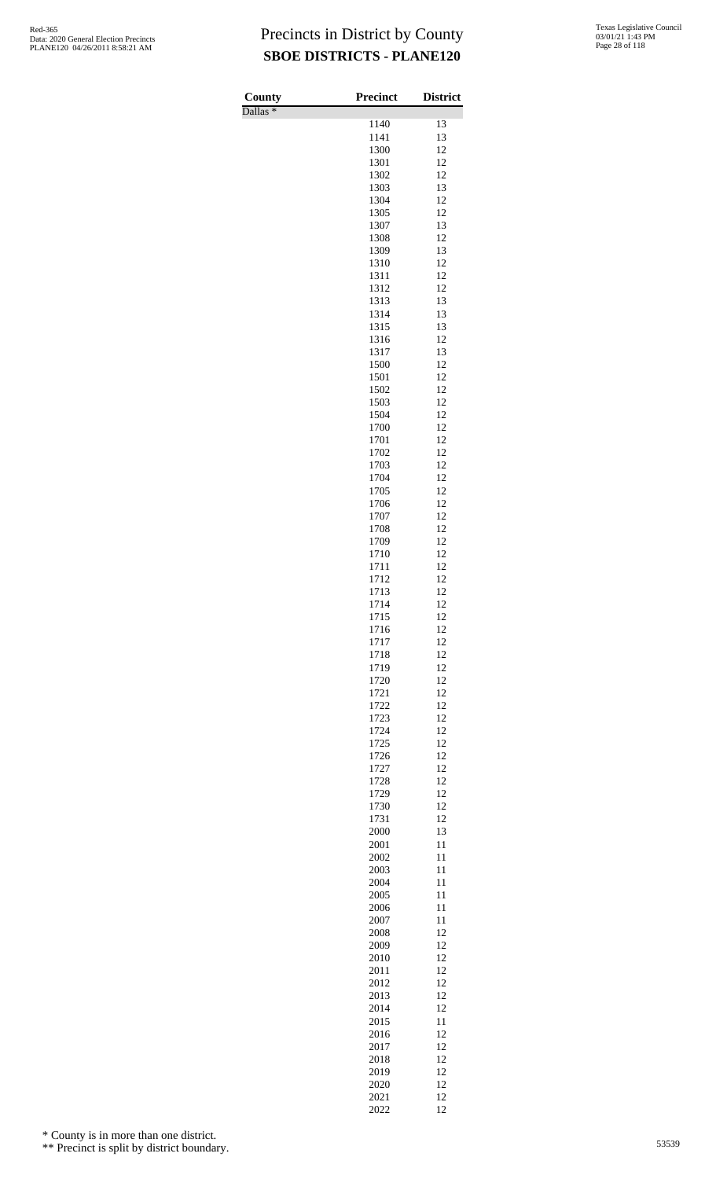Dallas \*

| Texas Legislative Council |
|---------------------------|
| 03/01/21 1:43 PM          |
| Page 28 of 118            |

| County                         | <b>Precinct</b> | <b>District</b> |
|--------------------------------|-----------------|-----------------|
| $\overline{\text{Dallas}}$ $*$ | 1140            | 13              |
|                                | 1141            | 13              |
|                                | 1300            | 12              |
|                                | 1301<br>1302    | 12<br>12        |
|                                | 1303            | 13              |
|                                | 1304            | 12              |
|                                | 1305            | 12              |
|                                | 1307<br>1308    | 13<br>12        |
|                                | 1309            | 13              |
|                                | 1310            | 12              |
|                                | 1311            | 12              |
|                                | 1312            | 12<br>13        |
|                                | 1313<br>1314    | 13              |
|                                | 1315            | 13              |
|                                | 1316            | 12              |
|                                | 1317<br>1500    | 13<br>12        |
|                                | 1501            | 12              |
|                                | 1502            | 12              |
|                                | 1503            | 12              |
|                                | 1504            | 12<br>12        |
|                                | 1700<br>1701    | 12              |
|                                | 1702            | 12              |
|                                | 1703            | 12              |
|                                | 1704            | 12<br>12        |
|                                | 1705<br>1706    | 12              |
|                                | 1707            | 12              |
|                                | 1708            | 12              |
|                                | 1709<br>1710    | 12<br>12        |
|                                | 1711            | 12              |
|                                | 1712            | 12              |
|                                | 1713            | 12              |
|                                | 1714<br>1715    | 12<br>12        |
|                                | 1716            | 12              |
|                                | 1717            | 12              |
|                                | 1718            | 12              |
|                                | 1719<br>1720    | 12<br>12        |
|                                | 1721            | 12              |
|                                | 1722            | 12              |
|                                | 1723            | 12              |
|                                | 1724<br>1725    | 12<br>12        |
|                                | 1726            | 12              |
|                                | 1727            | 12              |
|                                | 1728            | 12              |
|                                | 1729<br>1730    | 12<br>12        |
|                                | 1731            | 12              |
|                                | 2000            | 13              |
|                                | 2001            | 11              |
|                                | 2002<br>2003    | 11<br>11        |
|                                | 2004            | 11              |
|                                | 2005            | 11              |
|                                | 2006<br>2007    | 11<br>11        |
|                                | 2008            | 12              |
|                                | 2009            | 12              |
|                                | 2010            | 12              |
|                                | 2011<br>2012    | 12<br>12        |
|                                | 2013            | 12              |
|                                | 2014            | 12              |
|                                | 2015            | 11              |
|                                | 2016<br>2017    | 12<br>12        |
|                                | 2018            | 12              |
|                                | 2019            | 12              |
|                                | 2020            | 12              |
|                                | 2021<br>2022    | 12<br>12        |

\* County is in more than one district.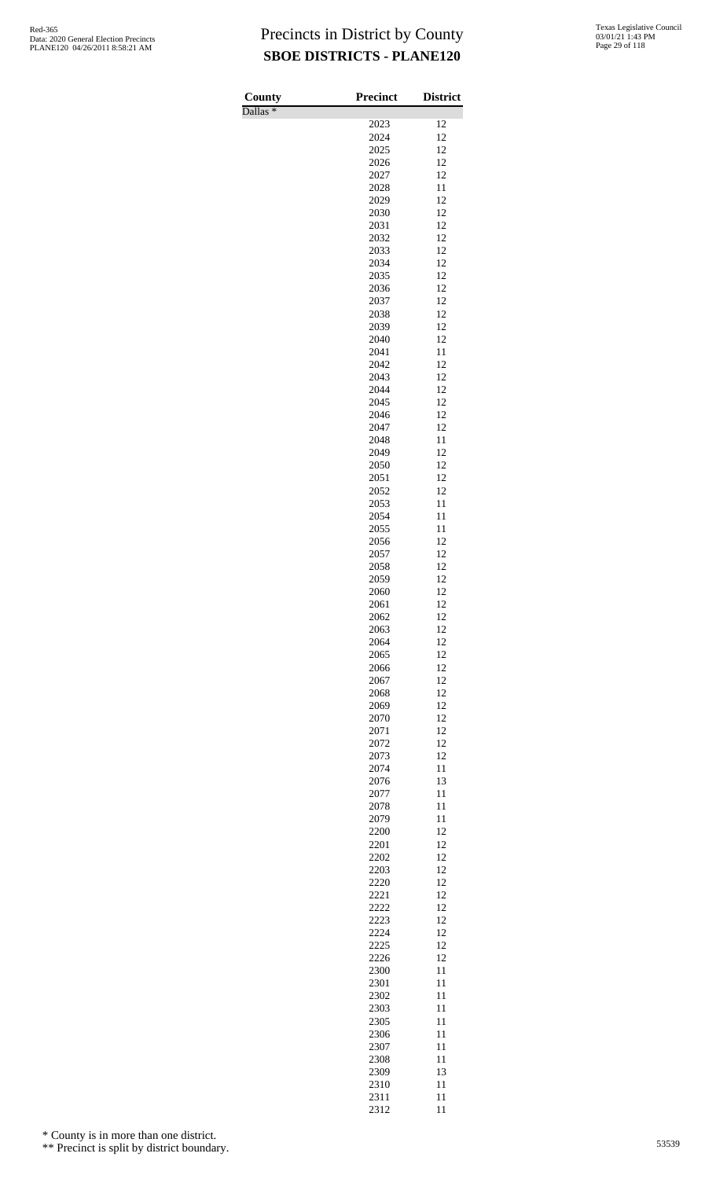Dallas \*

| County              | <b>Precinct</b> | <b>District</b> |
|---------------------|-----------------|-----------------|
| Dallas <sup>*</sup> |                 |                 |
|                     | 2023<br>2024    | 12<br>12        |
|                     | 2025            | 12              |
|                     | 2026            | 12              |
|                     | 2027            | 12              |
|                     | 2028            | 11              |
|                     | 2029<br>2030    | 12<br>12        |
|                     | 2031            | 12              |
|                     | 2032            | 12              |
|                     | 2033            | 12              |
|                     | 2034            | 12              |
|                     | 2035            | 12              |
|                     | 2036<br>2037    | 12<br>12        |
|                     | 2038            | 12              |
|                     | 2039            | 12              |
|                     | 2040            | 12              |
|                     | 2041            | 11              |
|                     | 2042            | 12              |
|                     | 2043<br>2044    | 12<br>12        |
|                     | 2045            | 12              |
|                     | 2046            | 12              |
|                     | 2047            | 12              |
|                     | 2048            | 11              |
|                     | 2049            | 12              |
|                     | 2050<br>2051    | 12<br>12        |
|                     | 2052            | 12              |
|                     | 2053            | 11              |
|                     | 2054            | 11              |
|                     | 2055            | 11              |
|                     | 2056            | 12<br>12        |
|                     | 2057<br>2058    | 12              |
|                     | 2059            | 12              |
|                     | 2060            | 12              |
|                     | 2061            | 12              |
|                     | 2062            | 12              |
|                     | 2063<br>2064    | 12<br>12        |
|                     | 2065            | 12              |
|                     | 2066            | 12              |
|                     | 2067            | 12              |
|                     | 2068            | 12              |
|                     | 2069<br>2070    | 12<br>12        |
|                     | 2071            | 12              |
|                     | 2072            | 12              |
|                     | 2073            | 12              |
|                     | 2074            | 11              |
|                     | 2076<br>2077    | 13<br>11        |
|                     | 2078            | 11              |
|                     | 2079            | 11              |
|                     | 2200            | 12              |
|                     | 2201            | 12              |
|                     | 2202            | 12<br>12        |
|                     | 2203<br>2220    | 12              |
|                     | 2221            | 12              |
|                     | 2222            | 12              |
|                     | 2223            | 12              |
|                     | 2224            | 12              |
|                     | 2225<br>2226    | 12<br>12        |
|                     | 2300            | 11              |
|                     | 2301            | 11              |
|                     | 2302            | 11              |
|                     | 2303            | 11              |
|                     | 2305            | 11              |
|                     | 2306<br>2307    | 11<br>11        |
|                     | 2308            | 11              |
|                     | 2309            | 13              |
|                     | 2310            | 11              |
|                     | 2311            | 11              |
|                     | 2312            | 11              |

\* County is in more than one district.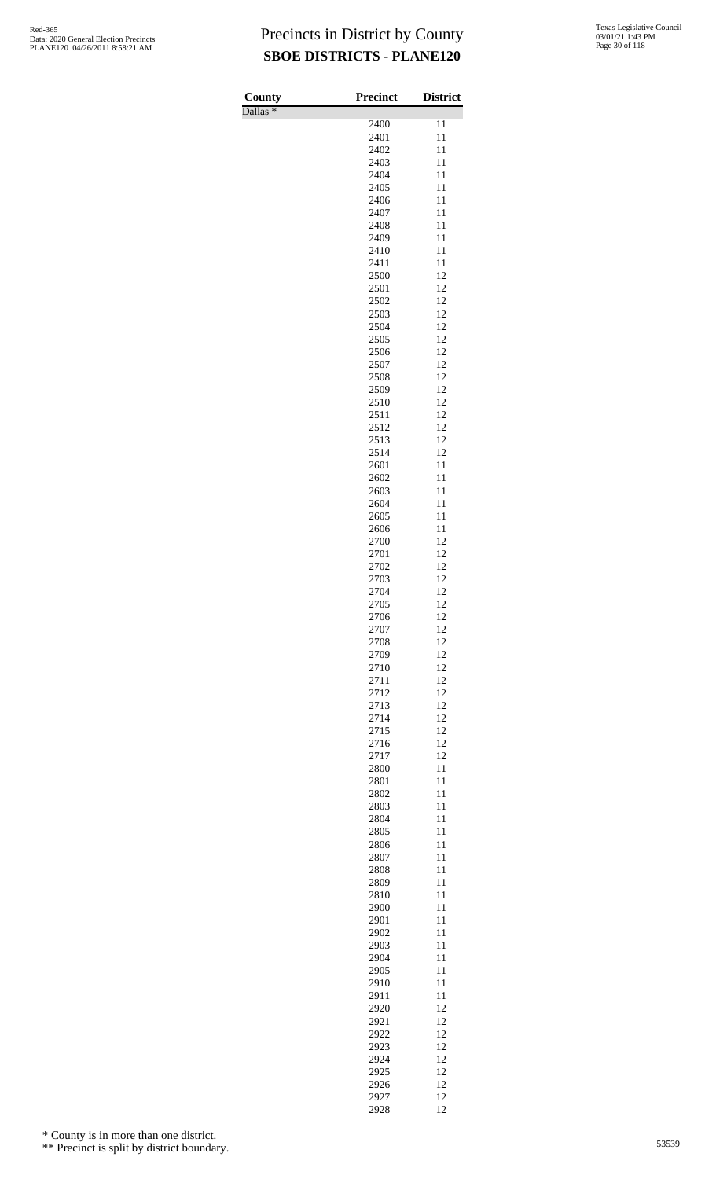Dallas \*

| County              | <b>Precinct</b> | <b>District</b> |
|---------------------|-----------------|-----------------|
| Dallas <sup>*</sup> |                 |                 |
|                     | 2400<br>2401    | 11<br>11        |
|                     | 2402            | 11              |
|                     | 2403            | 11              |
|                     | 2404            | 11              |
|                     | 2405            | 11              |
|                     | 2406            | 11              |
|                     | 2407            | 11              |
|                     | 2408<br>2409    | 11<br>11        |
|                     | 2410            | 11              |
|                     | 2411            | 11              |
|                     | 2500            | 12              |
|                     | 2501            | 12              |
|                     | 2502            | 12              |
|                     | 2503<br>2504    | 12<br>12        |
|                     | 2505            | 12              |
|                     | 2506            | 12              |
|                     | 2507            | 12              |
|                     | 2508            | 12              |
|                     | 2509            | 12              |
|                     | 2510<br>2511    | 12<br>12        |
|                     | 2512            | 12              |
|                     | 2513            | 12              |
|                     | 2514            | 12              |
|                     | 2601            | 11              |
|                     | 2602            | 11              |
|                     | 2603            | 11              |
|                     | 2604<br>2605    | 11<br>11        |
|                     | 2606            | 11              |
|                     | 2700            | 12              |
|                     | 2701            | 12              |
|                     | 2702            | 12              |
|                     | 2703            | 12              |
|                     | 2704<br>2705    | 12<br>12        |
|                     | 2706            | 12              |
|                     | 2707            | 12              |
|                     | 2708            | 12              |
|                     | 2709            | 12              |
|                     | 2710            | 12              |
|                     | 2711<br>2712    | 12<br>12        |
|                     | 2713            | 12              |
|                     | 2714            | 12              |
|                     | 2715            | 12              |
|                     | 2716            | 12              |
|                     | 2717            | 12              |
|                     | 2800            | 11              |
|                     | 2801<br>2802    | 11<br>11        |
|                     | 2803            | 11              |
|                     | 2804            | 11              |
|                     | 2805            | 11              |
|                     | 2806            | 11              |
|                     | 2807            | 11              |
|                     | 2808            | 11<br>11        |
|                     | 2809<br>2810    | 11              |
|                     | 2900            | 11              |
|                     | 2901            | 11              |
|                     | 2902            | 11              |
|                     | 2903            | 11              |
|                     | 2904            | 11              |
|                     | 2905<br>2910    | 11<br>11        |
|                     | 2911            | 11              |
|                     | 2920            | 12              |
|                     | 2921            | 12              |
|                     | 2922            | 12              |
|                     | 2923            | 12              |
|                     | 2924            | 12              |
|                     | 2925<br>2926    | 12<br>12        |
|                     | 2927            | 12              |
|                     | 2928            | 12              |

\* County is in more than one district.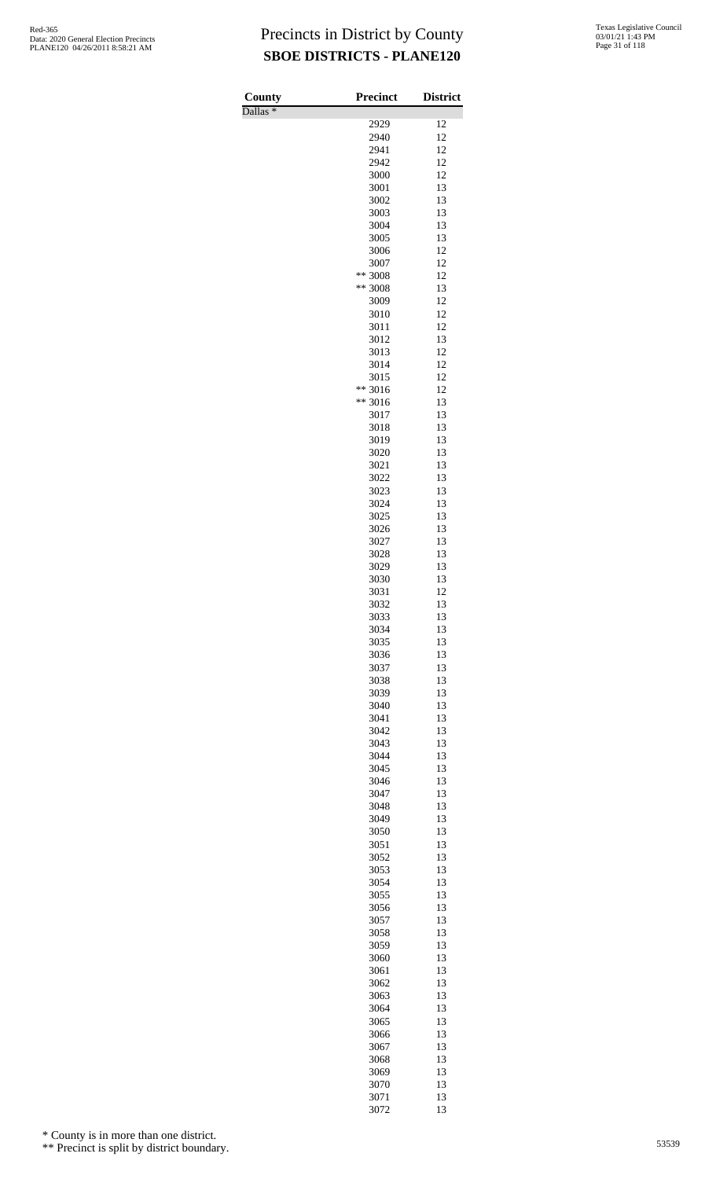Dallas \*

| County                         | Precinct        | <b>District</b> |
|--------------------------------|-----------------|-----------------|
| $\overline{\text{Dallas}}$ $*$ | 2929            | 12              |
|                                | 2940            | 12              |
|                                | 2941            | 12              |
|                                | 2942            | 12              |
|                                | 3000            | 12              |
|                                | 3001            | 13              |
|                                | 3002<br>3003    | 13<br>13        |
|                                | 3004            | 13              |
|                                | 3005            | 13              |
|                                | 3006            | 12              |
|                                | 3007            | 12              |
|                                | ** 3008         | 12<br>13        |
|                                | ** 3008<br>3009 | 12              |
|                                | 3010            | 12              |
|                                | 3011            | 12              |
|                                | 3012            | 13              |
|                                | 3013            | 12              |
|                                | 3014<br>3015    | 12<br>12        |
|                                | ** 3016         | 12              |
|                                | ** 3016         | 13              |
|                                | 3017            | 13              |
|                                | 3018            | 13              |
|                                | 3019<br>3020    | 13<br>13        |
|                                | 3021            | 13              |
|                                | 3022            | 13              |
|                                | 3023            | 13              |
|                                | 3024            | 13              |
|                                | 3025<br>3026    | 13<br>13        |
|                                | 3027            | 13              |
|                                | 3028            | 13              |
|                                | 3029            | 13              |
|                                | 3030            | 13              |
|                                | 3031            | 12              |
|                                | 3032<br>3033    | 13<br>13        |
|                                | 3034            | 13              |
|                                | 3035            | 13              |
|                                | 3036            | 13              |
|                                | 3037            | 13              |
|                                | 3038<br>3039    | 13<br>13        |
|                                | 3040            | 13              |
|                                | 3041            | 13              |
|                                | 3042            | 13              |
|                                | 3043            | 13              |
|                                | 3044<br>3045    | 13<br>13        |
|                                | 3046            | 13              |
|                                | 3047            | 13              |
|                                | 3048            | 13              |
|                                | 3049            | 13              |
|                                | 3050<br>3051    | 13<br>13        |
|                                | 3052            | 13              |
|                                | 3053            | 13              |
|                                | 3054            | 13              |
|                                | 3055            | 13              |
|                                | 3056<br>3057    | 13<br>13        |
|                                | 3058            | 13              |
|                                | 3059            | 13              |
|                                | 3060            | 13              |
|                                | 3061            | 13              |
|                                | 3062            | 13              |
|                                | 3063<br>3064    | 13<br>13        |
|                                | 3065            | 13              |
|                                | 3066            | 13              |
|                                | 3067            | 13              |
|                                | 3068            | 13              |
|                                | 3069<br>3070    | 13<br>13        |
|                                | 3071            | 13              |

13

\* County is in more than one district.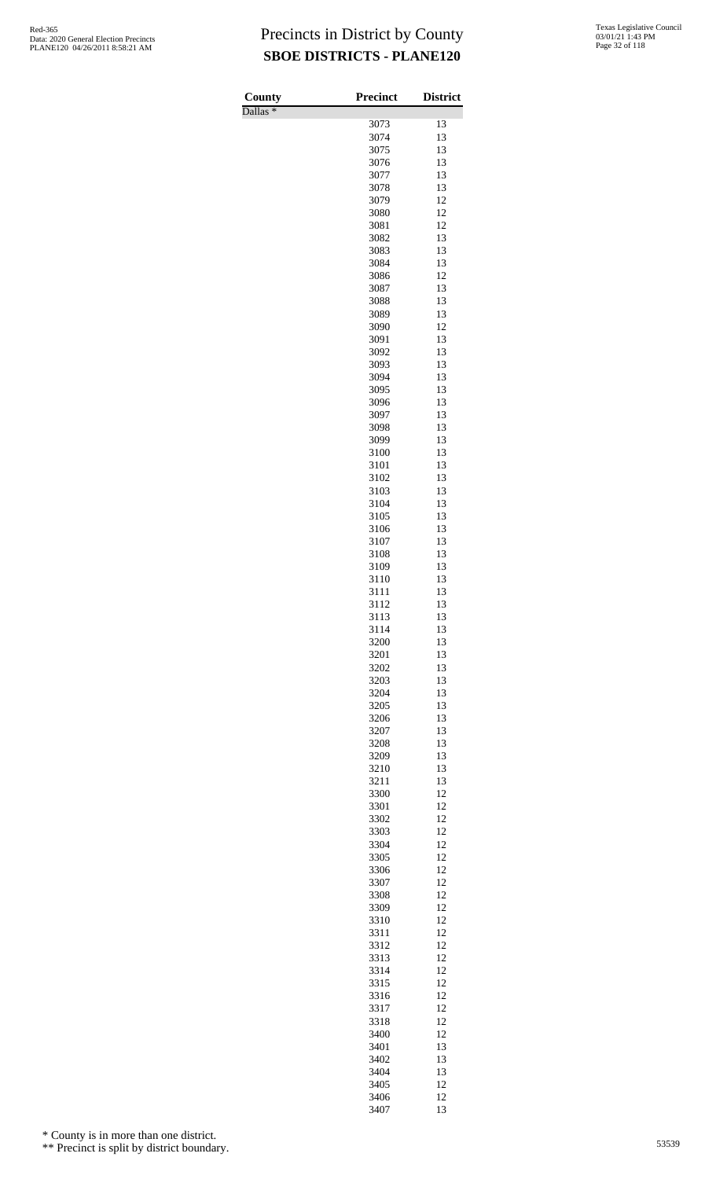Dallas \*

| County              | <b>Precinct</b> | <b>District</b> |
|---------------------|-----------------|-----------------|
| Dallas <sup>*</sup> | 3073            | 13              |
|                     | 3074            | 13              |
|                     | 3075            | 13              |
|                     | 3076            | 13              |
|                     | 3077            | 13              |
|                     | 3078<br>3079    | 13<br>12        |
|                     | 3080            | 12              |
|                     | 3081            | 12              |
|                     | 3082            | 13              |
|                     | 3083            | 13              |
|                     | 3084<br>3086    | 13<br>12        |
|                     | 3087            | 13              |
|                     | 3088            | 13              |
|                     | 3089            | 13              |
|                     | 3090            | 12              |
|                     | 3091<br>3092    | 13<br>13        |
|                     | 3093            | 13              |
|                     | 3094            | 13              |
|                     | 3095            | 13              |
|                     | 3096            | 13              |
|                     | 3097<br>3098    | 13<br>13        |
|                     | 3099            | 13              |
|                     | 3100            | 13              |
|                     | 3101            | 13              |
|                     | 3102            | 13              |
|                     | 3103<br>3104    | 13<br>13        |
|                     | 3105            | 13              |
|                     | 3106            | 13              |
|                     | 3107            | 13              |
|                     | 3108            | 13              |
|                     | 3109<br>3110    | 13<br>13        |
|                     | 3111            | 13              |
|                     | 3112            | 13              |
|                     | 3113            | 13              |
|                     | 3114            | 13              |
|                     | 3200<br>3201    | 13<br>13        |
|                     | 3202            | 13              |
|                     | 3203            | 13              |
|                     | 3204            | 13              |
|                     | 3205            | 13              |
|                     | 3206            | 13              |
|                     | 3207<br>3208    | 13<br>13        |
|                     | 3209            | 13              |
|                     | 3210            | 13              |
|                     | 3211            | 13              |
|                     | 3300            | 12<br>12        |
|                     | 3301<br>3302    | 12              |
|                     | 3303            | 12              |
|                     | 3304            | 12              |
|                     | 3305            | 12              |
|                     | 3306            | 12              |
|                     | 3307<br>3308    | 12<br>12        |
|                     | 3309            | 12              |
|                     | 3310            | 12              |
|                     | 3311            | 12              |
|                     | 3312            | 12              |
|                     | 3313<br>3314    | 12<br>12        |
|                     | 3315            | 12              |
|                     | 3316            | 12              |
|                     | 3317            | 12              |
|                     | 3318            | 12              |
|                     | 3400<br>3401    | 12<br>13        |
|                     | 3402            | 13              |
|                     | 3404            | 13              |
|                     | 3405            | 12              |
|                     | 3406<br>3407    | 12<br>13        |
|                     |                 |                 |

\* County is in more than one district.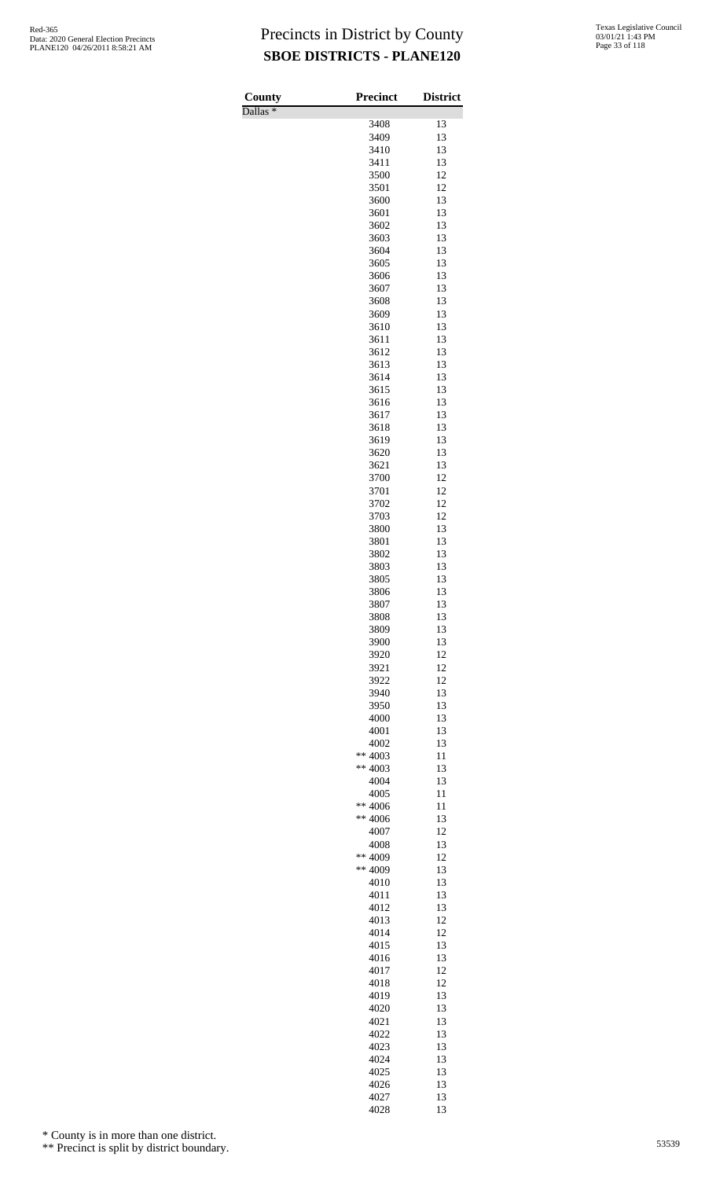Dallas \*

| County<br>$\overline{\text{Dallas}}$ * | Precinct        | <b>District</b> |
|----------------------------------------|-----------------|-----------------|
|                                        | 3408            | 13              |
|                                        | 3409            | 13              |
|                                        | 3410            | 13              |
|                                        | 3411<br>3500    | 13<br>12        |
|                                        | 3501            | 12              |
|                                        | 3600            | 13              |
|                                        | 3601            | 13              |
|                                        | 3602            | 13              |
|                                        | 3603<br>3604    | 13<br>13        |
|                                        | 3605            | 13              |
|                                        | 3606            | 13              |
|                                        | 3607            | 13              |
|                                        | 3608            | 13              |
|                                        | 3609            | 13<br>13        |
|                                        | 3610<br>3611    | 13              |
|                                        | 3612            | 13              |
|                                        | 3613            | 13              |
|                                        | 3614            | 13              |
|                                        | 3615            | 13              |
|                                        | 3616<br>3617    | 13<br>13        |
|                                        | 3618            | 13              |
|                                        | 3619            | 13              |
|                                        | 3620            | 13              |
|                                        | 3621            | 13              |
|                                        | 3700            | 12              |
|                                        | 3701<br>3702    | 12<br>12        |
|                                        | 3703            | 12              |
|                                        | 3800            | 13              |
|                                        | 3801            | 13              |
|                                        | 3802            | 13              |
|                                        | 3803<br>3805    | 13<br>13        |
|                                        | 3806            | 13              |
|                                        | 3807            | 13              |
|                                        | 3808            | 13              |
|                                        | 3809            | 13              |
|                                        | 3900<br>3920    | 13<br>12        |
|                                        | 3921            | 12              |
|                                        | 3922            | 12              |
|                                        | 3940            | 13              |
|                                        | 3950            | 13              |
|                                        | 4000<br>4001    | 13<br>13        |
|                                        | 4002            | 13              |
|                                        | ** $4003$       | 11              |
|                                        | ** $4003$       | 13              |
|                                        | 4004            | 13              |
|                                        | 4005<br>** 4006 | 11<br>11        |
|                                        | $** 4006$       | 13              |
|                                        | 4007            | 12              |
|                                        | 4008            | 13              |
|                                        | ** 4009         | 12              |
|                                        | ** 4009<br>4010 | 13<br>13        |
|                                        | 4011            | 13              |
|                                        | 4012            | 13              |
|                                        | 4013            | 12              |
|                                        | 4014            | 12              |
|                                        | 4015<br>4016    | 13<br>13        |
|                                        | 4017            | 12              |
|                                        | 4018            | 12              |
|                                        | 4019            | 13              |
|                                        | 4020            | 13              |
|                                        | 4021            | 13              |
|                                        | 4022<br>4023    | 13<br>13        |
|                                        | 4024            | 13              |
|                                        | 4025            | 13              |
|                                        | 4026            | 13              |
|                                        | 4027<br>4028    | 13<br>13        |

\* County is in more than one district.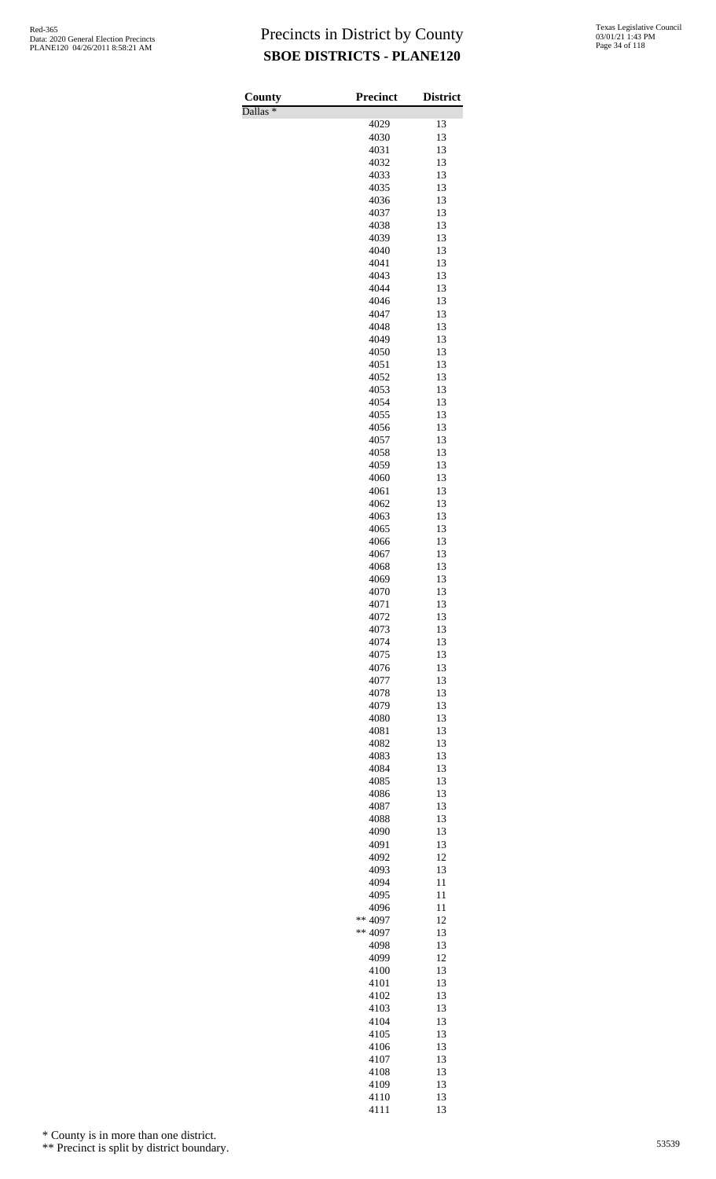Dallas \*

| County<br>$\overline{\text{Dallas}}$ $*$ | <b>Precinct</b> | <b>District</b> |
|------------------------------------------|-----------------|-----------------|
|                                          | 4029            | 13              |
|                                          | 4030            | 13              |
|                                          | 4031            | 13              |
|                                          | 4032            | 13              |
|                                          | 4033            | 13              |
|                                          | 4035            | 13              |
|                                          | 4036<br>4037    | 13<br>13        |
|                                          | 4038            | 13              |
|                                          | 4039            | 13              |
|                                          | 4040            | 13              |
|                                          | 4041            | 13              |
|                                          | 4043            | 13              |
|                                          | 4044            | 13              |
|                                          | 4046            | 13<br>13        |
|                                          | 4047<br>4048    | 13              |
|                                          | 4049            | 13              |
|                                          | 4050            | 13              |
|                                          | 4051            | 13              |
|                                          | 4052            | 13              |
|                                          | 4053            | 13              |
|                                          | 4054            | 13              |
|                                          | 4055            | 13              |
|                                          | 4056<br>4057    | 13<br>13        |
|                                          | 4058            | 13              |
|                                          | 4059            | 13              |
|                                          | 4060            | 13              |
|                                          | 4061            | 13              |
|                                          | 4062            | 13              |
|                                          | 4063            | 13              |
|                                          | 4065            | 13              |
|                                          | 4066<br>4067    | 13<br>13        |
|                                          | 4068            | 13              |
|                                          | 4069            | 13              |
|                                          | 4070            | 13              |
|                                          | 4071            | 13              |
|                                          | 4072            | 13              |
|                                          | 4073            | 13              |
|                                          | 4074            | 13              |
|                                          | 4075<br>4076    | 13<br>13        |
|                                          | 4077            | 13              |
|                                          | 4078            | 13              |
|                                          | 4079            | 13              |
|                                          | 4080            | 13              |
|                                          | 4081            | 13              |
|                                          | 4082            | 13              |
|                                          | 4083            | 13              |
|                                          | 4084<br>4085    | 13<br>13        |
|                                          | 4086            | 13              |
|                                          | 4087            | 13              |
|                                          | 4088            | 13              |
|                                          | 4090            | 13              |
|                                          | 4091            | 13              |
|                                          | 4092            | 12              |
|                                          | 4093            | 13              |
|                                          | 4094            | 11              |
|                                          | 4095<br>4096    | 11<br>11        |
|                                          | ** 4097         | 12              |
|                                          | ** 4097         | 13              |
|                                          | 4098            | 13              |
|                                          | 4099            | 12              |
|                                          | 4100            | 13              |
|                                          | 4101            | 13              |
|                                          | 4102            | 13              |
|                                          | 4103            | 13              |
|                                          | 4104<br>4105    | 13<br>13        |
|                                          | 4106            | 13              |
|                                          | 4107            | 13              |
|                                          | 4108            | 13              |
|                                          | 4109            | 13              |
|                                          | 4110            | 13              |
|                                          | 4111            | 13              |

\* County is in more than one district.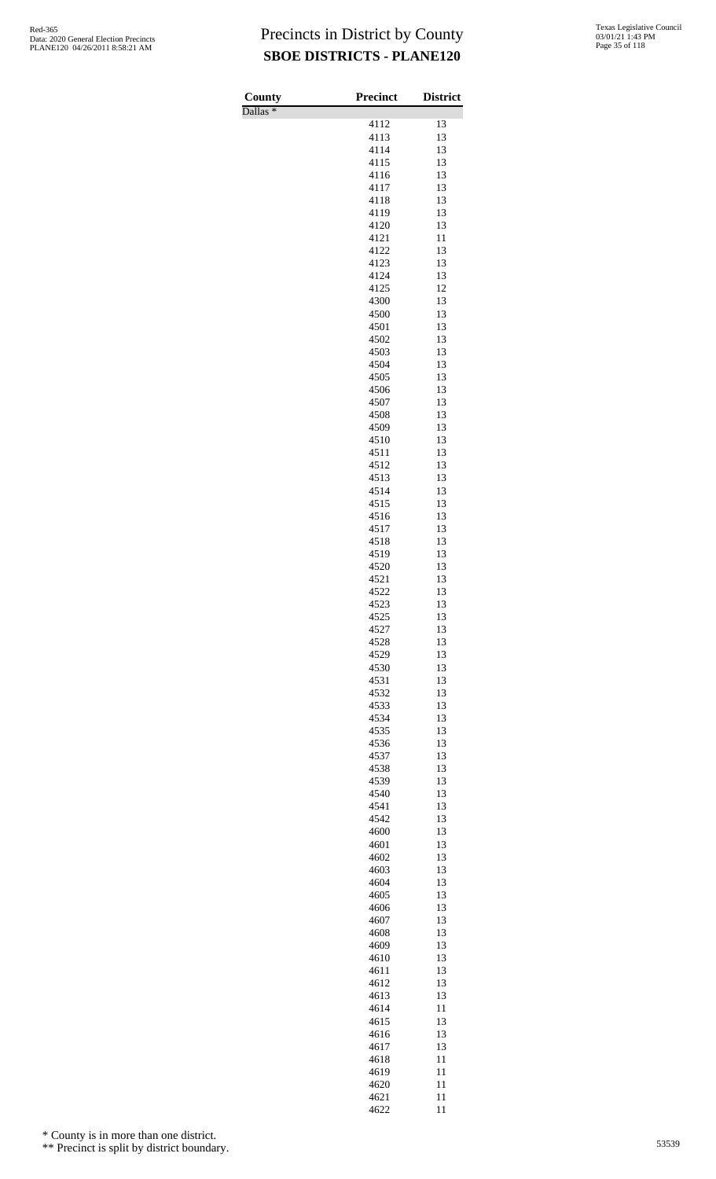Dallas \*

| County                         | Precinct     | <b>District</b> |
|--------------------------------|--------------|-----------------|
| $\overline{\text{Dallas}}$ $*$ |              | 13              |
|                                | 4112<br>4113 | 13              |
|                                | 4114         | 13              |
|                                | 4115         | 13              |
|                                | 4116         | 13              |
|                                | 4117         | 13              |
|                                | 4118         | 13              |
|                                | 4119         | 13              |
|                                | 4120<br>4121 | 13<br>11        |
|                                | 4122         | 13              |
|                                | 4123         | 13              |
|                                | 4124         | 13              |
|                                | 4125         | 12              |
|                                | 4300         | 13              |
|                                | 4500         | 13              |
|                                | 4501         | 13              |
|                                | 4502<br>4503 | 13<br>13        |
|                                | 4504         | 13              |
|                                | 4505         | 13              |
|                                | 4506         | 13              |
|                                | 4507         | 13              |
|                                | 4508         | 13              |
|                                | 4509         | 13              |
|                                | 4510         | 13              |
|                                | 4511         | 13              |
|                                | 4512<br>4513 | 13<br>13        |
|                                | 4514         | 13              |
|                                | 4515         | 13              |
|                                | 4516         | 13              |
|                                | 4517         | 13              |
|                                | 4518         | 13              |
|                                | 4519         | 13              |
|                                | 4520         | 13              |
|                                | 4521<br>4522 | 13<br>13        |
|                                | 4523         | 13              |
|                                | 4525         | 13              |
|                                | 4527         | 13              |
|                                | 4528         | 13              |
|                                | 4529         | 13              |
|                                | 4530         | 13              |
|                                | 4531         | 13              |
|                                | 4532         | 13              |
|                                | 4533<br>4534 | 13<br>13        |
|                                | 4535         | 13              |
|                                | 4536         | 13              |
|                                | 4537         | 13              |
|                                | 4538         | 13              |
|                                | 4539         | 13              |
|                                | 4540         | 13              |
|                                | 4541         | 13              |
|                                | 4542         | 13              |
|                                | 4600<br>4601 | 13<br>13        |
|                                | 4602         | 13              |
|                                | 4603         | 13              |
|                                | 4604         | 13              |
|                                | 4605         | 13              |
|                                | 4606         | 13              |
|                                | 4607         | 13              |
|                                | 4608         | 13              |
|                                | 4609         | 13              |
|                                | 4610<br>4611 | 13<br>13        |
|                                | 4612         | 13              |
|                                | 4613         | 13              |
|                                | 4614         | 11              |
|                                | 4615         | 13              |
|                                | 4616         | 13              |
|                                | 4617         | 13              |
|                                | 4618         | 11              |
|                                | 4619         | 11              |
|                                | 4620<br>4621 | 11<br>11        |
|                                | 4622         | 11              |

\* County is in more than one district.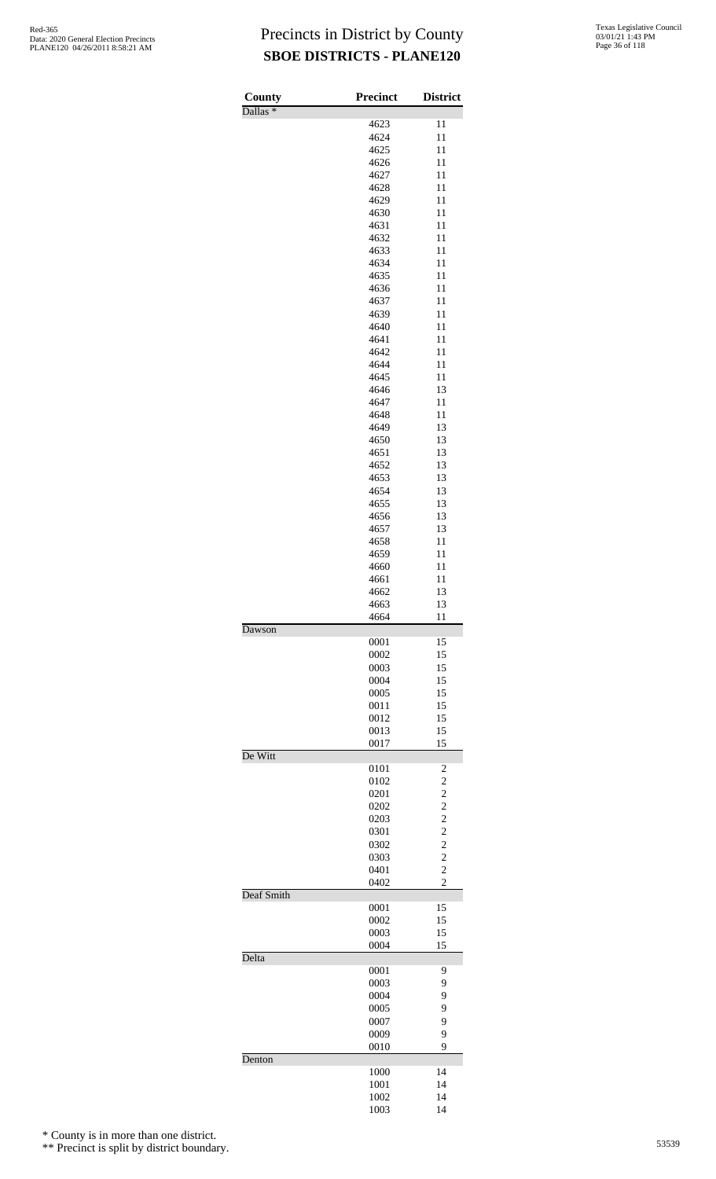| County              | <b>Precinct</b> | <b>District</b>                  |
|---------------------|-----------------|----------------------------------|
| Dallas <sup>*</sup> | 4623            | 11                               |
|                     | 4624            | 11                               |
|                     | 4625            | 11                               |
|                     | 4626            | 11                               |
|                     | 4627            | 11                               |
|                     | 4628            | 11<br>11                         |
|                     | 4629<br>4630    | 11                               |
|                     | 4631            | 11                               |
|                     | 4632            | 11                               |
|                     | 4633            | 11                               |
|                     | 4634            | 11                               |
|                     | 4635<br>4636    | 11<br>11                         |
|                     | 4637            | 11                               |
|                     | 4639            | 11                               |
|                     | 4640            | 11                               |
|                     | 4641            | 11                               |
|                     | 4642<br>4644    | 11<br>11                         |
|                     | 4645            | 11                               |
|                     | 4646            | 13                               |
|                     | 4647            | 11                               |
|                     | 4648            | 11                               |
|                     | 4649            | 13                               |
|                     | 4650            | 13                               |
|                     | 4651<br>4652    | 13<br>13                         |
|                     | 4653            | 13                               |
|                     | 4654            | 13                               |
|                     | 4655            | 13                               |
|                     | 4656            | 13                               |
|                     | 4657<br>4658    | 13<br>11                         |
|                     | 4659            | 11                               |
|                     | 4660            | 11                               |
|                     | 4661            | 11                               |
|                     | 4662            | 13                               |
|                     | 4663<br>4664    | 13<br>11                         |
| Dawson              |                 |                                  |
|                     | 0001            | 15                               |
|                     | 0002            | 15                               |
|                     | 0003<br>0004    | 15<br>15                         |
|                     | 0005            | 15                               |
|                     | 0011            | 15                               |
|                     | 0012            | 15                               |
|                     | 0013            | 15                               |
| De Witt             | 0017            | 15                               |
|                     | 0101            | $\overline{c}$                   |
|                     | 0102            | $\overline{\mathbf{c}}$          |
|                     | 0201            | $\overline{\mathbf{c}}$          |
|                     | 0202<br>0203    | $\overline{c}$<br>$\overline{c}$ |
|                     | 0301            | $\overline{c}$                   |
|                     | 0302            | $\overline{\mathbf{c}}$          |
|                     | 0303            | $\overline{c}$                   |
|                     | 0401            | $\overline{c}$                   |
| Deaf Smith          | 0402            | $\overline{c}$                   |
|                     | 0001            | 15                               |
|                     | 0002            | 15                               |
|                     | 0003            | 15                               |
| Delta               | 0004            | 15                               |
|                     | 0001            | 9                                |
|                     | 0003            | 9                                |
|                     | 0004            | 9                                |
|                     | 0005            | 9                                |
|                     | 0007<br>0009    | 9<br>9                           |
|                     | 0010            | 9                                |
| Denton              |                 |                                  |
|                     | 1000            | 14                               |
|                     | 1001<br>1002    | 14<br>14                         |
|                     | 1003            | 14                               |

\* County is in more than one district.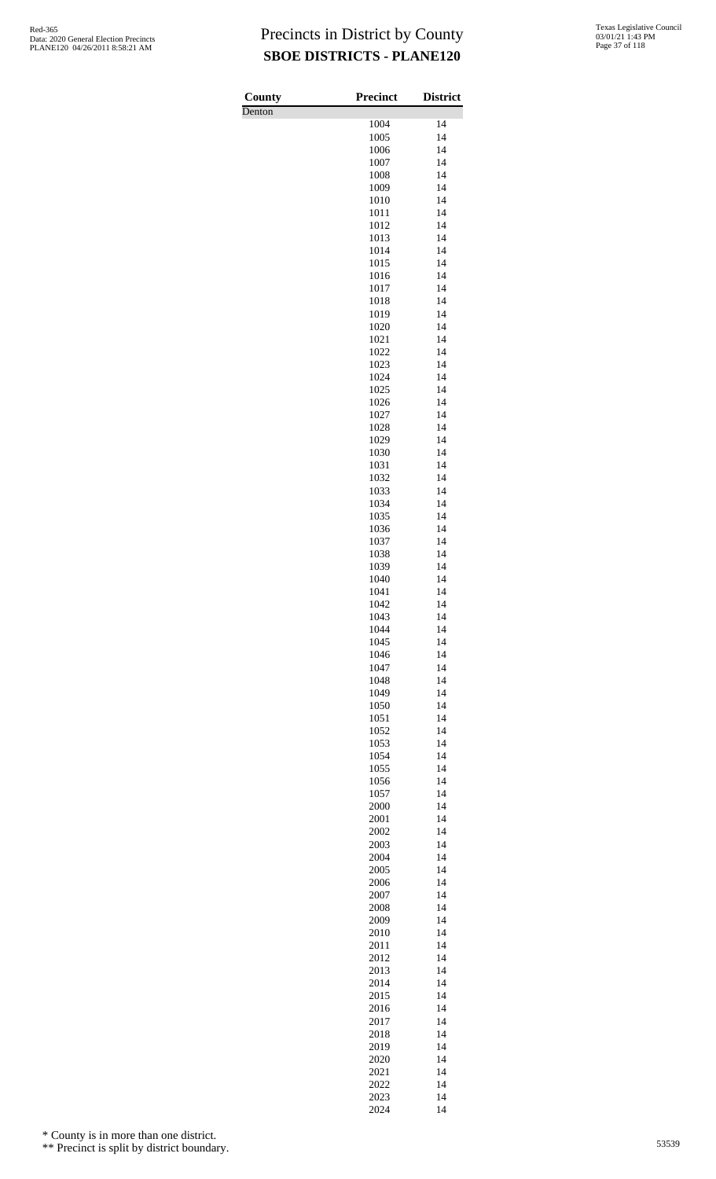| County | <b>Precinct</b> | <b>District</b> |
|--------|-----------------|-----------------|
| Denton | 1004            | 14              |
|        | 1005            | 14              |
|        | 1006            | 14              |
|        | 1007            | 14              |
|        | 1008            | 14              |
|        | 1009<br>1010    | 14<br>14        |
|        | 1011            | 14              |
|        | 1012            | 14              |
|        | 1013            | 14              |
|        | 1014            | 14              |
|        | 1015<br>1016    | 14<br>14        |
|        | 1017            | 14              |
|        | 1018            | 14              |
|        | 1019            | 14              |
|        | 1020            | 14<br>14        |
|        | 1021<br>1022    | 14              |
|        | 1023            | 14              |
|        | 1024            | 14              |
|        | 1025            | 14              |
|        | 1026<br>1027    | 14<br>14        |
|        | 1028            | 14              |
|        | 1029            | 14              |
|        | 1030            | 14              |
|        | 1031            | 14              |
|        | 1032<br>1033    | 14<br>14        |
|        | 1034            | 14              |
|        | 1035            | 14              |
|        | 1036            | 14              |
|        | 1037            | 14              |
|        | 1038<br>1039    | 14<br>14        |
|        | 1040            | 14              |
|        | 1041            | 14              |
|        | 1042            | 14              |
|        | 1043<br>1044    | 14<br>14        |
|        | 1045            | 14              |
|        | 1046            | 14              |
|        | 1047            | 14              |
|        | 1048            | 14              |
|        | 1049<br>1050    | 14<br>14        |
|        | 1051            | 14              |
|        | 1052            | 14              |
|        | 1053            | 14              |
|        | 1054<br>1055    | 14<br>14        |
|        | 1056            | 14              |
|        | 1057            | 14              |
|        | 2000            | 14              |
|        | 2001            | 14              |
|        | 2002<br>2003    | 14<br>14        |
|        | 2004            | 14              |
|        | 2005            | 14              |
|        | 2006            | 14              |
|        | 2007<br>2008    | 14<br>14        |
|        | 2009            | 14              |
|        | 2010            | 14              |
|        | 2011            | 14              |
|        | 2012            | 14              |
|        | 2013<br>2014    | 14<br>14        |
|        | 2015            | 14              |
|        | 2016            | 14              |
|        | 2017            | 14              |
|        | 2018<br>2019    | 14<br>14        |
|        | 2020            | 14              |
|        | 2021            | 14              |
|        | 2022            | 14              |
|        | 2023            | 14              |

14

\* County is in more than one district.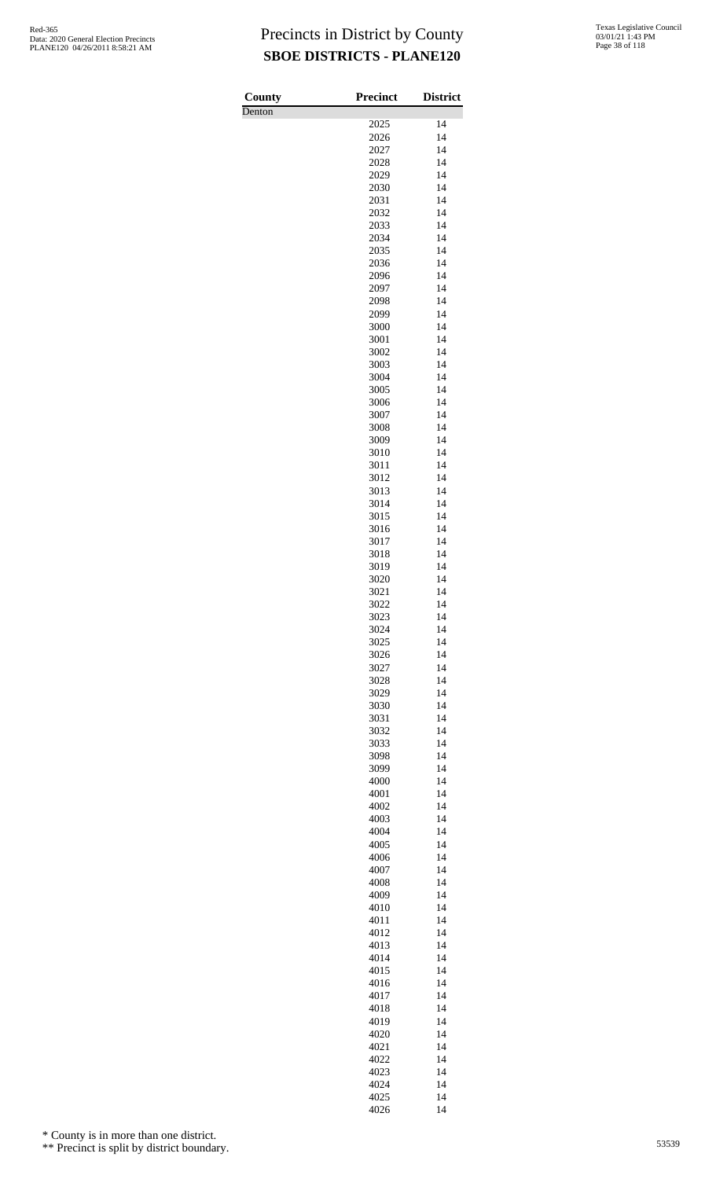**County** Denton

| <b>Precinct</b> | <b>District</b> |
|-----------------|-----------------|
| 2025            | 14              |
| 2026            | 14              |
| 2027            | 14              |
| 2028<br>2029    | 14<br>14        |
| 2030            | 14              |
| 2031            | 14              |
| 2032            | 14              |
| 2033            | 14              |
| 2034<br>2035    | 14<br>14        |
| 2036            | 14              |
| 2096            | 14              |
| 2097            | 14              |
| 2098<br>2099    | 14<br>14        |
| 3000            | 14              |
| 3001            | 14              |
| 3002            | 14              |
| 3003            | 14              |
| 3004<br>3005    | 14<br>14        |
| 3006            | 14              |
| 3007            | 14              |
| 3008            | 14              |
| 3009<br>3010    | 14<br>14        |
| 3011            | 14              |
| 3012            | 14              |
| 3013            | 14              |
| 3014            | 14<br>14        |
| 3015<br>3016    | 14              |
| 3017            | 14              |
| 3018            | 14              |
| 3019            | 14              |
| 3020<br>3021    | 14<br>14        |
| 3022            | 14              |
| 3023            | 14              |
| 3024            | 14              |
| 3025<br>3026    | 14<br>14        |
| 3027            | 14              |
| 3028            | 14              |
| 3029            | 14              |
| 3030<br>3031    | 14<br>14        |
| 3032            | 14              |
| 3033            | 14              |
| 3098            | 14              |
| 3099            | 14              |
| 4000<br>4001    | 14<br>14        |
| 4002            | 14              |
| 4003            | 14              |
| 4004            | 14              |
| 4005<br>4006    | 14<br>14        |
| 4007            | 14              |
| 4008            | 14              |
| 4009            | 14              |
| 4010            | 14              |
| 4011<br>4012    | 14<br>14        |
| 4013            | 14              |
| 4014            | 14              |
| 4015            | 14              |
| 4016<br>4017    | 14<br>14        |
| 4018            | 14              |
| 4019            | 14              |
| 4020            | 14              |
| 4021<br>4022    | 14<br>14        |
| 4023            | 14              |
| 4024            | 14              |
| 4025            | 14              |
| 4026            | 14              |

\* County is in more than one district.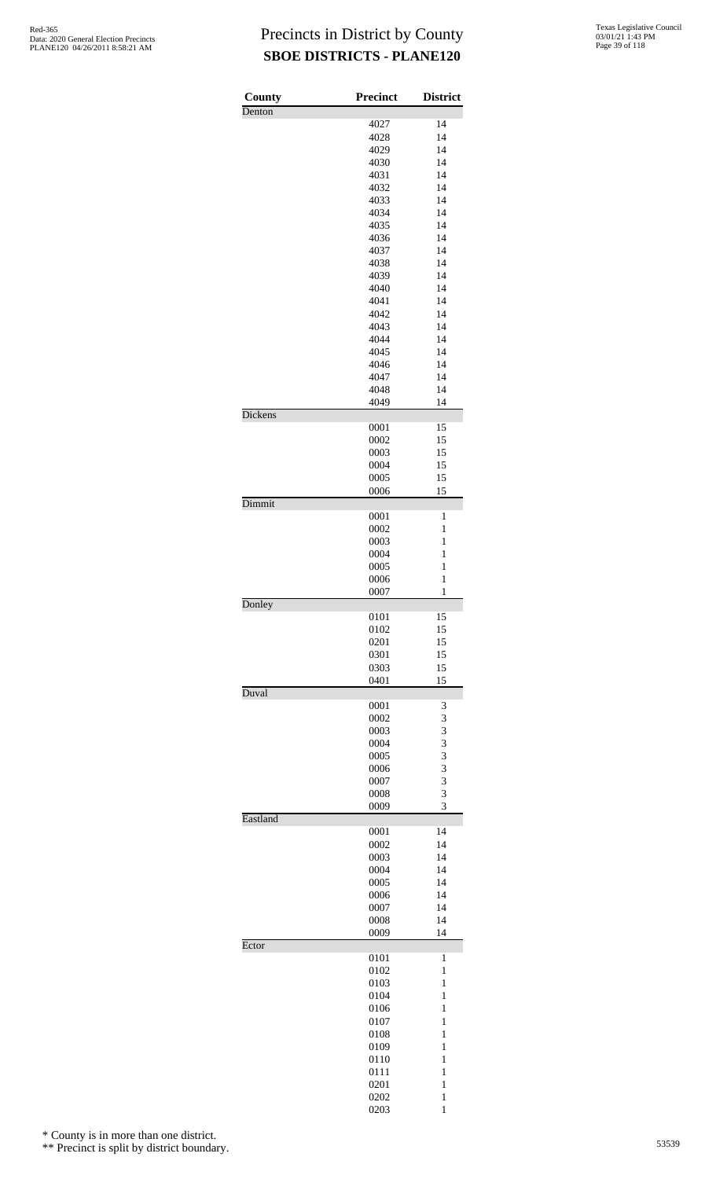| County   | <b>Precinct</b> | <b>District</b>              |
|----------|-----------------|------------------------------|
| Denton   |                 |                              |
|          | 4027            | 14                           |
|          | 4028            | 14<br>14                     |
|          | 4029<br>4030    | 14                           |
|          | 4031            | 14                           |
|          | 4032            | 14                           |
|          | 4033            | 14                           |
|          | 4034            | 14                           |
|          | 4035            | 14                           |
|          | 4036            | 14                           |
|          | 4037            | 14                           |
|          | 4038<br>4039    | 14<br>14                     |
|          | 4040            | 14                           |
|          | 4041            | 14                           |
|          | 4042            | 14                           |
|          | 4043            | 14                           |
|          | 4044            | 14                           |
|          | 4045            | 14                           |
|          | 4046            | 14                           |
|          | 4047            | 14                           |
|          | 4048            | 14                           |
|          | 4049            | 14                           |
| Dickens  | 0001            | 15                           |
|          | 0002            | 15                           |
|          | 0003            | 15                           |
|          | 0004            | 15                           |
|          | 0005            | 15                           |
|          | 0006            | 15                           |
| Dimmit   |                 |                              |
|          | 0001            | 1                            |
|          | 0002            | 1                            |
|          | 0003            | $\mathbf{1}$                 |
|          | 0004            | $\mathbf{1}$<br>$\mathbf{1}$ |
|          | 0005<br>0006    | $\mathbf{1}$                 |
|          | 0007            | $\mathbf{1}$                 |
| Donley   |                 |                              |
|          | 0101            | 15                           |
|          | 0102            | 15                           |
|          | 0201            | 15                           |
|          | 0301            | 15                           |
|          | 0303            | 15                           |
| Duval    | 0401            | 15                           |
|          | 0001            | 3                            |
|          | 0002            | 3                            |
|          | 0003            | 3                            |
|          | 0004            | 3                            |
|          | 0005            | 3                            |
|          | 0006            | 3                            |
|          | 0007            | 3                            |
|          | 0008            | 3                            |
|          | 0009            | 3                            |
| Eastland |                 | 14                           |
|          | 0001<br>0002    | 14                           |
|          | 0003            | 14                           |
|          | 0004            | 14                           |
|          | 0005            | 14                           |
|          | 0006            | 14                           |
|          | 0007            | 14                           |
|          | 0008            | 14                           |
|          | 0009            | 14                           |
| Ector    |                 |                              |
|          | 0101            | 1                            |
|          | 0102            | 1<br>$\mathbf{1}$            |
|          | 0103<br>0104    | $\mathbf{1}$                 |
|          | 0106            | 1                            |
|          | 0107            | 1                            |
|          | 0108            | 1                            |
|          | 0109            | $\mathbf{1}$                 |
|          | 0110            | 1                            |
|          | 0111            | 1                            |
|          | 0201            | $\mathbf{1}$                 |
|          | 0202            | 1                            |
|          | 0203            | $\mathbf{1}$                 |

\* County is in more than one district.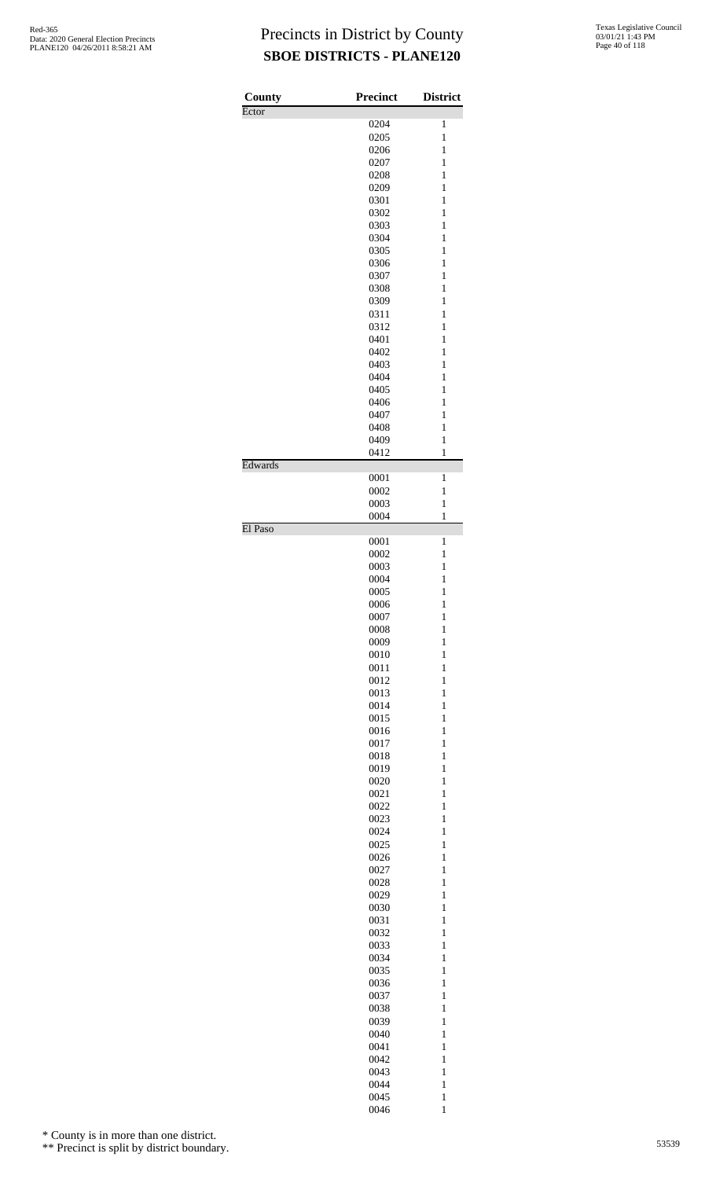| County  | <b>Precinct</b> | <b>District</b>              |
|---------|-----------------|------------------------------|
| Ector   |                 |                              |
|         | 0204<br>0205    | 1<br>1                       |
|         |                 | 1                            |
|         | 0206<br>0207    | 1                            |
|         | 0208            | 1                            |
|         | 0209            | 1                            |
|         | 0301            | $\mathbf{1}$                 |
|         | 0302            | $\mathbf{1}$                 |
|         | 0303            | 1                            |
|         | 0304            | 1                            |
|         | 0305            | 1                            |
|         | 0306            | 1                            |
|         | 0307            | 1                            |
|         | 0308            | 1                            |
|         | 0309            | 1                            |
|         | 0311            | 1                            |
|         | 0312            | $\mathbf{1}$                 |
|         | 0401            | $\mathbf{1}$                 |
|         | 0402            | 1                            |
|         | 0403            | 1                            |
|         | 0404            | 1                            |
|         | 0405<br>0406    | 1<br>1                       |
|         | 0407            | 1                            |
|         | 0408            | 1                            |
|         | 0409            | 1                            |
|         | 0412            | $\mathbf{1}$                 |
| Edwards |                 |                              |
|         | 0001            | 1                            |
|         | 0002<br>0003    | 1<br>1                       |
|         | 0004            | $\mathbf{1}$                 |
| El Paso |                 |                              |
|         | 0001            | $\mathbf{1}$                 |
|         | 0002            | 1                            |
|         | 0003            | 1                            |
|         | 0004            | $\mathbf{1}$                 |
|         | 0005            | $\mathbf{1}$                 |
|         | 0006            | $\mathbf{1}$                 |
|         | 0007<br>0008    | $\mathbf{1}$                 |
|         | 0009            | $\mathbf{1}$<br>$\mathbf{1}$ |
|         | 0010            | $\mathbf{1}$                 |
|         | 0011            | $\mathbf{1}$                 |
|         | 0012            | $\mathbf{1}$                 |
|         | 0013            | $\mathbf{1}$                 |
|         | 0014            | $\mathbf{1}$                 |
|         | 0015            | $\mathbf{1}$                 |
|         | 0016            | $\mathbf{1}$                 |
|         | 0017            | $\mathbf{1}$                 |
|         | 0018            | $\mathbf{1}$                 |
|         | 0019            | $\mathbf{1}$                 |
|         | 0020            | $\mathbf{1}$                 |
|         | 0021            | $\mathbf{1}$                 |
|         | 0022            | $\mathbf{1}$                 |
|         | 0023            | $\mathbf{1}$                 |
|         | 0024            | $\mathbf{1}$                 |
|         | 0025            | $\mathbf{1}$                 |
|         | 0026            | $\mathbf{1}$                 |
|         | 0027            | $\mathbf{1}$                 |
|         | 0028            | $\mathbf{1}$                 |
|         | 0029            | $\mathbf{1}$                 |
|         | 0030<br>0031    | $\mathbf{1}$<br>$\mathbf{1}$ |
|         | 0032            | $\mathbf{1}$                 |
|         | 0033            | $\mathbf{1}$                 |
|         | 0034            | $\mathbf{1}$                 |
|         | 0035            | $\mathbf{1}$                 |
|         | 0036            | $\mathbf{1}$                 |
|         | 0037            | $\mathbf{1}$                 |
|         | 0038            | $\mathbf{1}$                 |
|         | 0039            | $\mathbf{1}$                 |
|         | 0040            | $\mathbf{1}$                 |
|         | 0041            | $\mathbf{1}$                 |
|         | 0042            | $\mathbf{1}$                 |
|         | 0043            | $\mathbf{1}$                 |
|         | 0044            | $\mathbf{1}$                 |
|         | 0045            | $\mathbf{1}$                 |
|         | 0046            | $\mathbf{1}$                 |

\* County is in more than one district.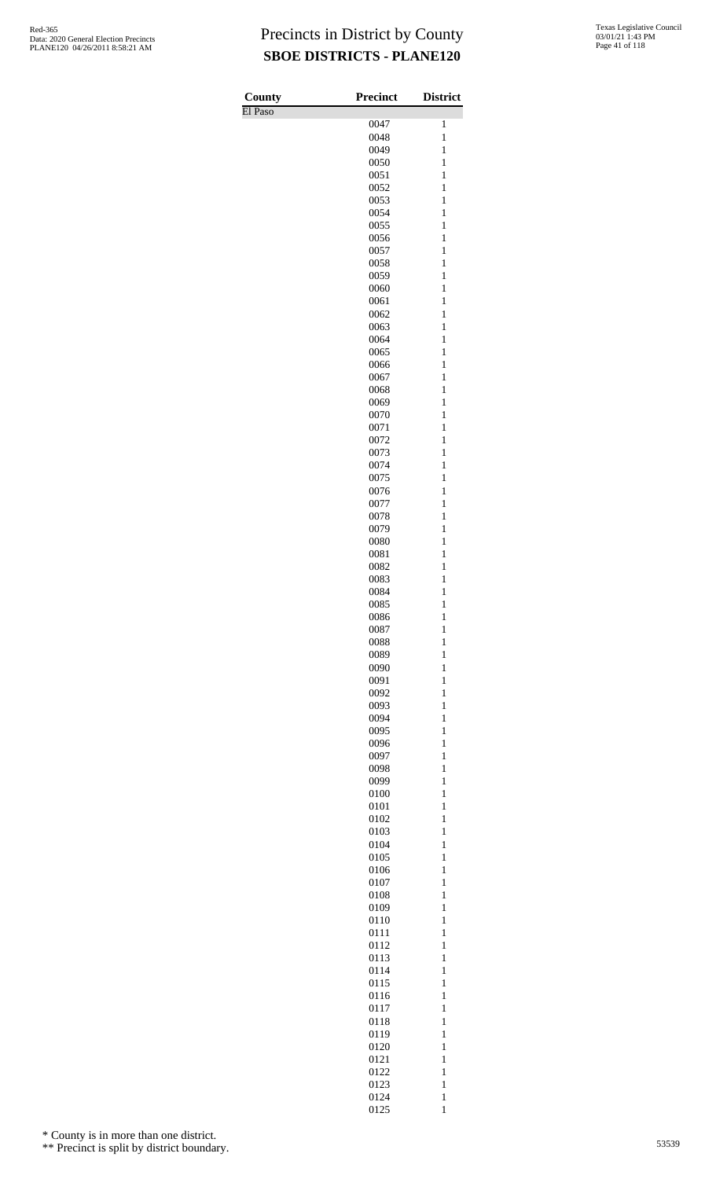| County  | <b>Precinct</b> | <b>District</b>              |
|---------|-----------------|------------------------------|
| El Paso |                 |                              |
|         | 0047            | 1                            |
|         | 0048<br>0049    | $\mathbf{1}$<br>$\mathbf{1}$ |
|         | 0050            | $\mathbf{1}$                 |
|         | 0051            | $\mathbf{1}$                 |
|         | 0052            | $\mathbf{1}$                 |
|         | 0053            | $\mathbf{1}$                 |
|         | 0054            | $\mathbf{1}$                 |
|         | 0055            | $\mathbf{1}$                 |
|         | 0056            | $\mathbf{1}$                 |
|         | 0057            | $\mathbf{1}$                 |
|         | 0058<br>0059    | $\mathbf{1}$<br>$\mathbf{1}$ |
|         | 0060            | $\mathbf{1}$                 |
|         | 0061            | $\mathbf{1}$                 |
|         | 0062            | $\mathbf{1}$                 |
|         | 0063            | $\mathbf{1}$                 |
|         | 0064            | $\mathbf{1}$                 |
|         | 0065            | $\mathbf{1}$                 |
|         | 0066            | $\mathbf{1}$                 |
|         | 0067<br>0068    | $\mathbf{1}$<br>$\mathbf{1}$ |
|         | 0069            | $\mathbf{1}$                 |
|         | 0070            | $\mathbf{1}$                 |
|         | 0071            | $\mathbf{1}$                 |
|         | 0072            | $\mathbf{1}$                 |
|         | 0073            | $\mathbf{1}$                 |
|         | 0074            | $\mathbf{1}$                 |
|         | 0075            | $\mathbf{1}$                 |
|         | 0076            | $\mathbf{1}$                 |
|         | 0077            | $\mathbf{1}$<br>$\mathbf{1}$ |
|         | 0078<br>0079    | $\mathbf{1}$                 |
|         | 0080            | $\mathbf{1}$                 |
|         | 0081            | $\mathbf{1}$                 |
|         | 0082            | $\mathbf{1}$                 |
|         | 0083            | $\mathbf{1}$                 |
|         | 0084            | $\mathbf{1}$                 |
|         | 0085            | $\mathbf{1}$                 |
|         | 0086            | $\mathbf{1}$                 |
|         | 0087<br>0088    | $\mathbf{1}$<br>$\mathbf{1}$ |
|         | 0089            | $\mathbf{1}$                 |
|         | 0090            | $\mathbf{1}$                 |
|         | 0091            | $\mathbf{1}$                 |
|         | 0092            | $\mathbf{1}$                 |
|         | 0093            | $\mathbf{1}$                 |
|         | 0094            | $\mathbf{1}$                 |
|         | 0095            | $\mathbf{1}$                 |
|         | 0096            | $\mathbf{1}$                 |
|         | 0097<br>0098    | $\mathbf{1}$<br>$\mathbf{1}$ |
|         | 0099            | $\mathbf{1}$                 |
|         | 0100            | $\mathbf{1}$                 |
|         | 0101            | $\mathbf{1}$                 |
|         | 0102            | $\mathbf{1}$                 |
|         | 0103            | $\mathbf{1}$                 |
|         | 0104            | $\mathbf{1}$                 |
|         | 0105            | $\mathbf{1}$                 |
|         | 0106<br>0107    | $\mathbf{1}$<br>$\mathbf{1}$ |
|         | 0108            | $\mathbf{1}$                 |
|         | 0109            | $\mathbf{1}$                 |
|         | 0110            | $\mathbf{1}$                 |
|         | 0111            | $\mathbf{1}$                 |
|         | 0112            | $\mathbf{1}$                 |
|         | 0113            | $\mathbf{1}$                 |
|         | 0114            | $\mathbf{1}$                 |
|         | 0115<br>0116    | $\mathbf{1}$<br>$\mathbf{1}$ |
|         | 0117            | $\mathbf{1}$                 |
|         | 0118            | $\mathbf{1}$                 |
|         | 0119            | $\mathbf{1}$                 |
|         | 0120            | $\mathbf{1}$                 |
|         | 0121            | $\mathbf{1}$                 |
|         | 0122            | $\mathbf{1}$                 |
|         | 0123            | $\mathbf{1}$                 |
|         | 0124<br>0125    | $\mathbf{1}$<br>$\mathbf{1}$ |
|         |                 |                              |

\* County is in more than one district.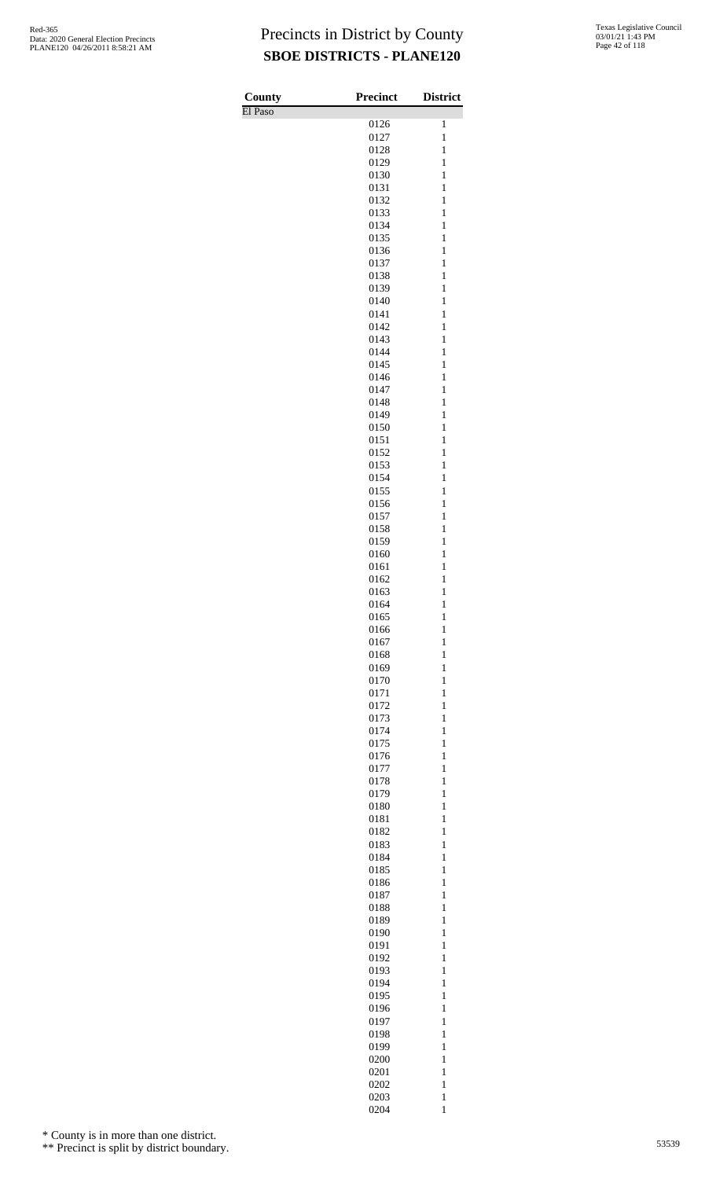| County<br>El Paso | <b>Precinct</b> | <b>District</b>              |
|-------------------|-----------------|------------------------------|
|                   | 0126            | $\mathbf{1}$                 |
|                   | 0127<br>0128    | $\mathbf{1}$<br>$\mathbf{1}$ |
|                   | 0129            | $\mathbf{1}$                 |
|                   | 0130            | $\mathbf{1}$                 |
|                   | 0131<br>0132    | $\mathbf{1}$<br>$\mathbf{1}$ |
|                   | 0133            | $\mathbf{1}$                 |
|                   | 0134<br>0135    | $\mathbf{1}$<br>$\mathbf{1}$ |
|                   | 0136            | $\mathbf{1}$                 |
|                   | 0137<br>0138    | $\mathbf{1}$<br>$\mathbf{1}$ |
|                   | 0139            | $\mathbf{1}$                 |
|                   | 0140            | $\mathbf{1}$                 |
|                   | 0141<br>0142    | $\mathbf{1}$<br>$\mathbf{1}$ |
|                   | 0143            | $\mathbf{1}$                 |
|                   | 0144<br>0145    | $\mathbf{1}$<br>$\mathbf{1}$ |
|                   | 0146            | $\mathbf{1}$                 |
|                   | 0147<br>0148    | $\mathbf{1}$<br>$\mathbf{1}$ |
|                   | 0149            | $\mathbf{1}$                 |
|                   | 0150<br>0151    | $\mathbf{1}$<br>$\mathbf{1}$ |
|                   | 0152            | $\mathbf{1}$                 |
|                   | 0153            | $\mathbf{1}$                 |
|                   | 0154<br>0155    | $\mathbf{1}$<br>$\mathbf{1}$ |
|                   | 0156            | $\mathbf{1}$                 |
|                   | 0157<br>0158    | $\mathbf{1}$<br>$\mathbf{1}$ |
|                   | 0159            | $\mathbf{1}$                 |
|                   | 0160<br>0161    | $\mathbf{1}$<br>$\mathbf{1}$ |
|                   | 0162            | $\mathbf{1}$                 |
|                   | 0163            | $\mathbf{1}$                 |
|                   | 0164<br>0165    | $\mathbf{1}$<br>$\mathbf{1}$ |
|                   | 0166            | $\mathbf{1}$                 |
|                   | 0167<br>0168    | $\mathbf{1}$<br>$\mathbf{1}$ |
|                   | 0169            | $\mathbf{1}$                 |
|                   | 0170<br>0171    | $\mathbf{1}$<br>$\mathbf{1}$ |
|                   | 0172            | $\mathbf{1}$                 |
|                   | 0173            | $\mathbf{1}$                 |
|                   | 0174<br>0175    | $\mathbf{1}$<br>$\mathbf{1}$ |
|                   | 0176            | $\mathbf{1}$                 |
|                   | 0177<br>0178    | $\mathbf{1}$<br>$\mathbf{1}$ |
|                   | 0179            | $\mathbf{1}$                 |
|                   | 0180<br>0181    | $\mathbf{1}$<br>$\mathbf{1}$ |
|                   | 0182            | $\mathbf{1}$                 |
|                   | 0183<br>0184    | $\mathbf{1}$<br>$\mathbf{1}$ |
|                   | 0185            | $\mathbf{1}$                 |
|                   | 0186            | $\mathbf{1}$                 |
|                   | 0187<br>0188    | $\mathbf{1}$<br>$\mathbf{1}$ |
|                   | 0189            | $\mathbf{1}$                 |
|                   | 0190<br>0191    | $\mathbf{1}$<br>$\mathbf{1}$ |
|                   | 0192            | $\mathbf{1}$                 |
|                   | 0193<br>0194    | $\mathbf{1}$<br>$\mathbf{1}$ |
|                   | 0195            | $\mathbf{1}$                 |
|                   | 0196            | $\mathbf{1}$                 |
|                   | 0197<br>0198    | $\mathbf{1}$<br>$\mathbf{1}$ |
|                   | 0199            | $\mathbf{1}$                 |
|                   | 0200<br>0201    | $\mathbf{1}$<br>$\mathbf{1}$ |
|                   | 0202            | $\mathbf{1}$                 |
|                   | 0203<br>0204    | $\mathbf{1}$<br>$\mathbf{1}$ |

\* County is in more than one district.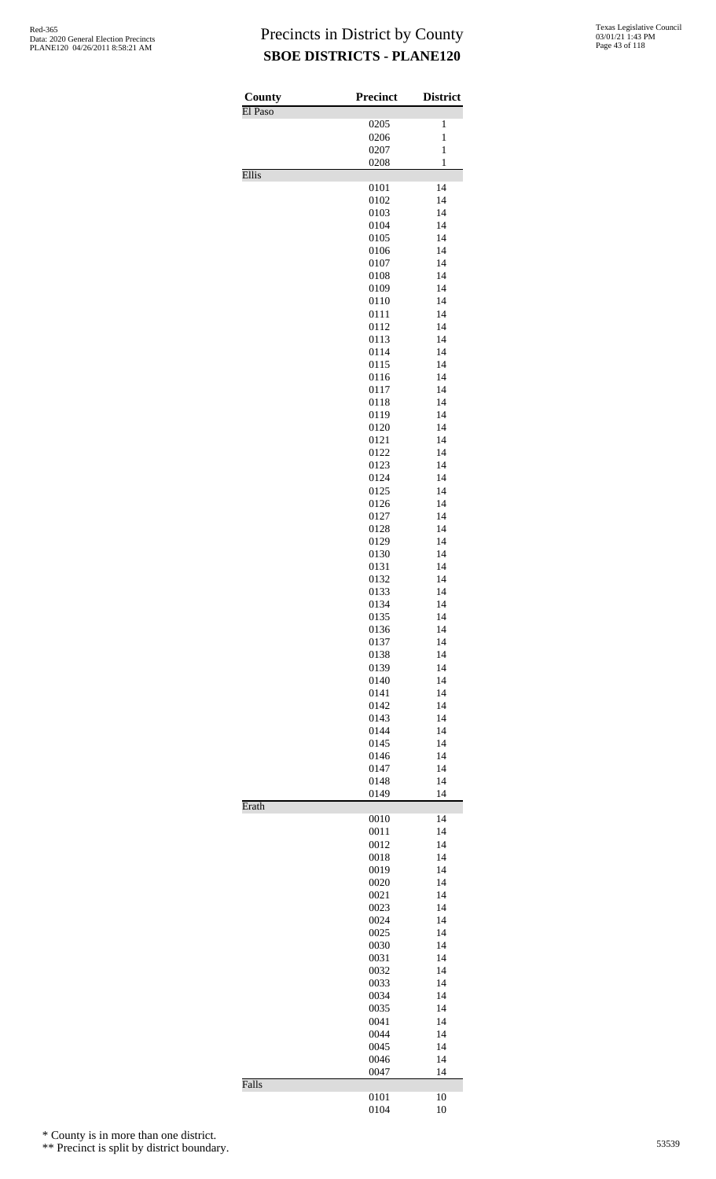| County<br>El Paso | <b>Precinct</b> | <b>District</b> |
|-------------------|-----------------|-----------------|
|                   | 0205            | 1               |
|                   | 0206            | $\mathbf{1}$    |
|                   | 0207            | $\mathbf{1}$    |
| Ellis             | 0208            | $\mathbf{1}$    |
|                   | 0101            | 14              |
|                   | 0102            | 14              |
|                   | 0103            | 14              |
|                   | 0104            | 14              |
|                   | 0105            | 14              |
|                   | 0106            | 14              |
|                   | 0107<br>0108    | 14<br>14        |
|                   | 0109            | 14              |
|                   | 0110            | 14              |
|                   | 0111            | 14              |
|                   | 0112            | 14              |
|                   | 0113            | 14              |
|                   | 0114            | 14              |
|                   | 0115            | 14<br>14        |
|                   | 0116<br>0117    | 14              |
|                   | 0118            | 14              |
|                   | 0119            | 14              |
|                   | 0120            | 14              |
|                   | 0121            | 14              |
|                   | 0122            | 14              |
|                   | 0123            | 14              |
|                   | 0124            | 14<br>14        |
|                   | 0125<br>0126    | 14              |
|                   | 0127            | 14              |
|                   | 0128            | 14              |
|                   | 0129            | 14              |
|                   | 0130            | 14              |
|                   | 0131            | 14              |
|                   | 0132            | 14              |
|                   | 0133<br>0134    | 14<br>14        |
|                   | 0135            | 14              |
|                   | 0136            | 14              |
|                   | 0137            | 14              |
|                   | 0138            | 14              |
|                   | 0139            | 14              |
|                   | 0140            | 14              |
|                   | 0141            | 14              |
|                   | 0142<br>0143    | 14<br>14        |
|                   | 0144            | 14              |
|                   | 0145            | 14              |
|                   | 0146            | 14              |
|                   | 0147            | 14              |
|                   | 0148            | 14              |
|                   | 0149            | 14              |
| Erath             | 0010            | 14              |
|                   | 0011            | 14              |
|                   | 0012            | 14              |
|                   | 0018            | 14              |
|                   | 0019            | 14              |
|                   | 0020            | 14              |
|                   | 0021            | 14              |
|                   | 0023<br>0024    | 14<br>14        |
|                   | 0025            | 14              |
|                   | 0030            | 14              |
|                   | 0031            | 14              |
|                   | 0032            | 14              |
|                   | 0033            | 14              |
|                   | 0034            | 14              |
|                   | 0035            | 14              |
|                   | 0041<br>0044    | 14<br>14        |
|                   | 0045            | 14              |
|                   | 0046            | 14              |
|                   | 0047            | 14              |
| Falls             |                 |                 |
|                   | 0101            | 10              |
|                   | 0104            | 10              |

\* County is in more than one district.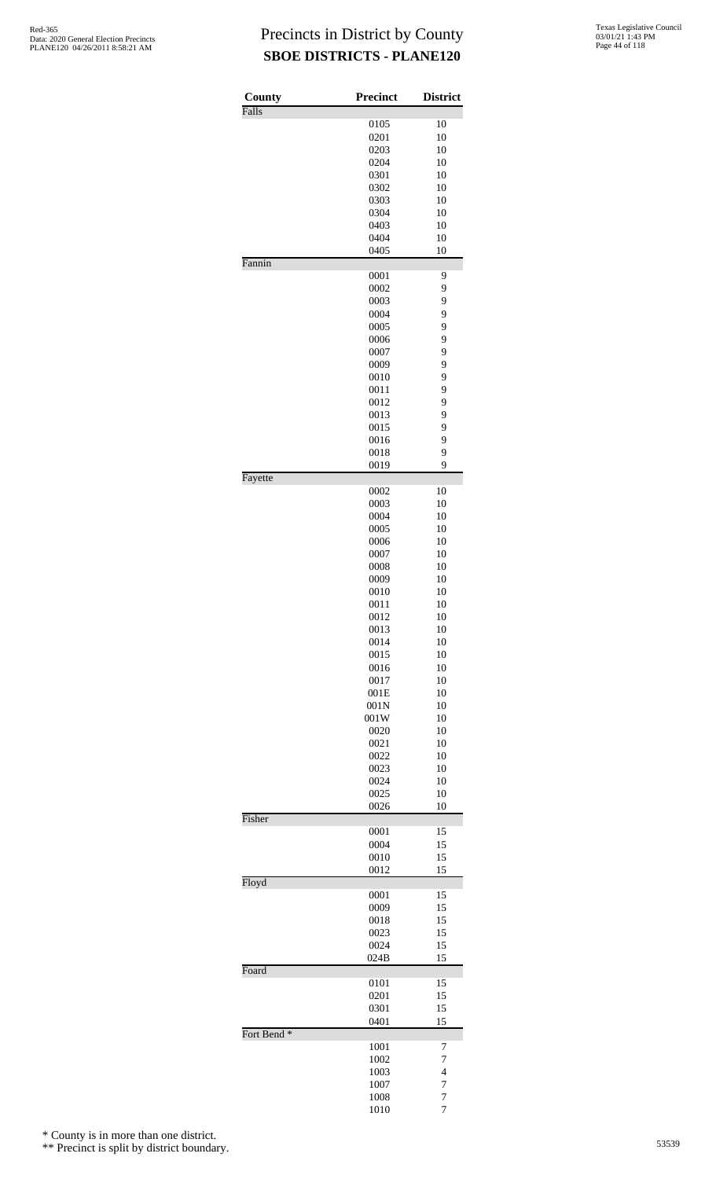| County                 | Precinct     | <b>District</b> |
|------------------------|--------------|-----------------|
| Falls                  | 0105         | 10              |
|                        | 0201         | 10              |
|                        | 0203         | 10              |
|                        | 0204         | 10              |
|                        | 0301         | 10              |
|                        | 0302         | 10              |
|                        | 0303         | 10              |
|                        | 0304         | 10              |
|                        | 0403         | 10              |
|                        | 0404         | 10              |
|                        | 0405         | 10              |
| Fannin                 |              |                 |
|                        | 0001         | 9               |
|                        | 0002         | 9<br>9          |
|                        | 0003<br>0004 | 9               |
|                        | 0005         | 9               |
|                        | 0006         | 9               |
|                        | 0007         | 9               |
|                        | 0009         | 9               |
|                        | 0010         | 9               |
|                        | 0011         | 9               |
|                        | 0012         | 9               |
|                        | 0013         | 9               |
|                        | 0015         | 9               |
|                        | 0016         | 9               |
|                        | 0018         | 9               |
|                        | 0019         | 9               |
| Fayette                |              |                 |
|                        | 0002         | 10              |
|                        | 0003         | 10              |
|                        | 0004         | 10              |
|                        | 0005         | 10              |
|                        | 0006         | 10              |
|                        | 0007         | 10              |
|                        | 0008         | 10              |
|                        | 0009         | 10              |
|                        | 0010         | 10              |
|                        | 0011         | 10              |
|                        | 0012         | 10              |
|                        | 0013<br>0014 | 10<br>10        |
|                        | 0015         | 10              |
|                        | 0016         | 10              |
|                        | 0017         | 10              |
|                        | 001E         | 10              |
|                        | 001N         | 10              |
|                        | 001W         | 10              |
|                        | 0020         | 10              |
|                        | 0021         | 10              |
|                        | 0022         | 10              |
|                        | 0023         | 10              |
|                        | 0024         | 10              |
|                        | 0025         | 10              |
|                        | 0026         | 10              |
| Fisher                 |              |                 |
|                        | 0001<br>0004 | 15<br>15        |
|                        | 0010         | 15              |
|                        | 0012         | 15              |
| Floyd                  |              |                 |
|                        | 0001         | 15              |
|                        | 0009         | 15              |
|                        | 0018         | 15              |
|                        | 0023         | 15              |
|                        | 0024<br>024B | 15<br>15        |
| Foard                  |              |                 |
|                        | 0101         | 15              |
|                        | 0201         | 15              |
|                        | 0301<br>0401 | 15<br>15        |
| Fort Bend <sup>*</sup> |              |                 |
|                        | 1001         | 7               |
|                        | 1002         | 7               |
|                        | 1003         | 4               |
|                        | 1007         | 7               |
|                        | 1008         | 7               |
|                        | 1010         | $\overline{7}$  |

\* County is in more than one district.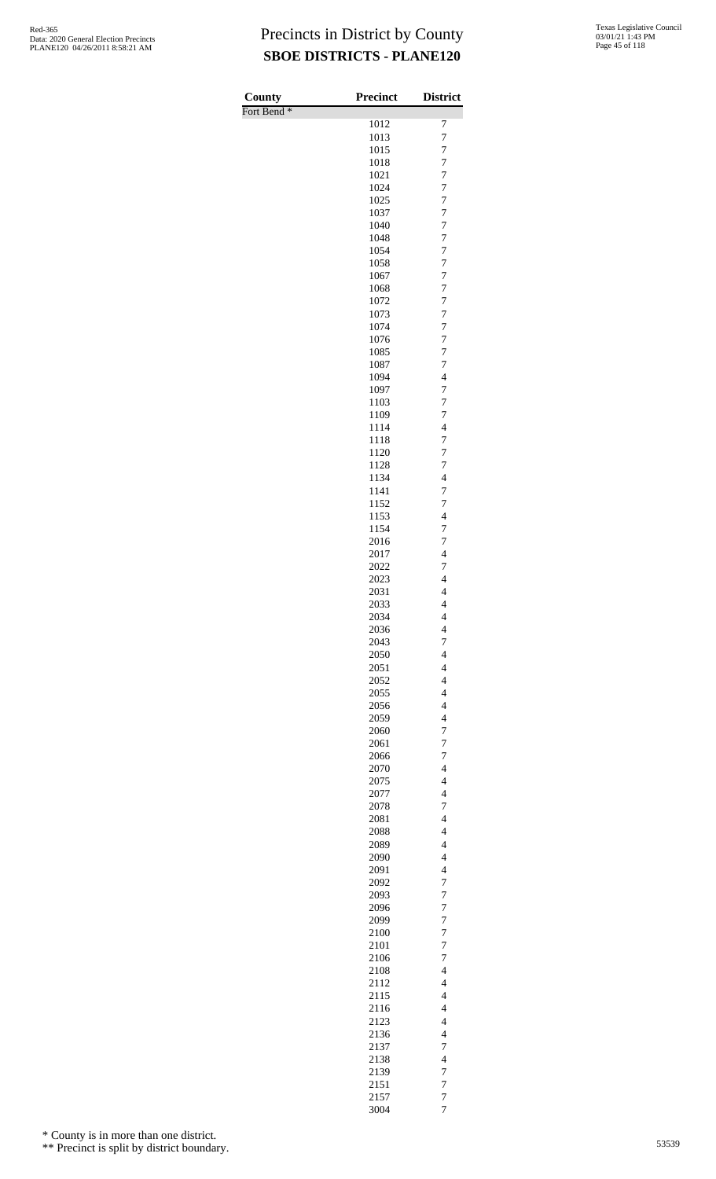| County                 | <b>Precinct</b> | <b>District</b>                                     |
|------------------------|-----------------|-----------------------------------------------------|
| Fort Bend <sup>*</sup> | 1012            | 7                                                   |
|                        | 1013            | $\overline{7}$                                      |
|                        | 1015            | $\overline{7}$                                      |
|                        | 1018            | $\overline{7}$                                      |
|                        | 1021            | $\overline{7}$                                      |
|                        | 1024            | 7                                                   |
|                        | 1025            | $\overline{7}$                                      |
|                        | 1037<br>1040    | $\boldsymbol{7}$<br>$\overline{7}$                  |
|                        | 1048            | $\boldsymbol{7}$                                    |
|                        | 1054            | $\boldsymbol{7}$                                    |
|                        | 1058            | $\overline{7}$                                      |
|                        | 1067            | 7                                                   |
|                        | 1068            | $\overline{7}$                                      |
|                        | 1072<br>1073    | $\overline{7}$<br>$\boldsymbol{7}$                  |
|                        | 1074            | $\overline{7}$                                      |
|                        | 1076            | $\boldsymbol{7}$                                    |
|                        | 1085            | $\overline{7}$                                      |
|                        | 1087            | 7                                                   |
|                        | 1094            | $\overline{\mathcal{L}}$                            |
|                        | 1097<br>1103    | $\overline{7}$<br>$\boldsymbol{7}$                  |
|                        | 1109            | $\overline{7}$                                      |
|                        | 1114            | $\overline{4}$                                      |
|                        | 1118            | $\boldsymbol{7}$                                    |
|                        | 1120            | $\overline{7}$                                      |
|                        | 1128            | 7                                                   |
|                        | 1134<br>1141    | $\overline{4}$<br>$\boldsymbol{7}$                  |
|                        | 1152            | $\boldsymbol{7}$                                    |
|                        | 1153            | $\overline{\mathcal{L}}$                            |
|                        | 1154            | $\boldsymbol{7}$                                    |
|                        | 2016            | $\overline{7}$                                      |
|                        | 2017            | $\overline{4}$                                      |
|                        | 2022<br>2023    | 7<br>$\overline{\mathcal{L}}$                       |
|                        | 2031            | $\overline{4}$                                      |
|                        | 2033            | 4                                                   |
|                        | 2034            | 4                                                   |
|                        | 2036            | $\overline{4}$                                      |
|                        | 2043            | $\overline{7}$                                      |
|                        | 2050<br>2051    | $\overline{4}$<br>$\overline{4}$                    |
|                        | 2052            | $\overline{\mathcal{L}}$                            |
|                        | 2055            | $\overline{\mathbf{4}}$                             |
|                        | 2056            | $\overline{\mathcal{L}}$                            |
|                        | 2059            | $\overline{4}$                                      |
|                        | 2060            | $\overline{7}$                                      |
|                        | 2061<br>2066    | 7<br>7                                              |
|                        | 2070            | $\overline{4}$                                      |
|                        | 2075            | $\overline{\mathcal{L}}$                            |
|                        | 2077            | $\overline{4}$                                      |
|                        | 2078            | 7                                                   |
|                        | 2081            | $\overline{\mathbf{4}}$<br>$\overline{\mathcal{L}}$ |
|                        | 2088<br>2089    | $\overline{4}$                                      |
|                        | 2090            | $\overline{4}$                                      |
|                        | 2091            | $\overline{\mathbf{4}}$                             |
|                        | 2092            | 7                                                   |
|                        | 2093            | $\overline{7}$                                      |
|                        | 2096<br>2099    | 7<br>$\overline{7}$                                 |
|                        | 2100            | $\overline{7}$                                      |
|                        | 2101            | 7                                                   |
|                        | 2106            | $\overline{7}$                                      |
|                        | 2108            | $\overline{4}$                                      |
|                        | 2112            | $\overline{4}$                                      |
|                        | 2115<br>2116    | $\overline{\mathbf{4}}$<br>$\overline{\mathbf{4}}$  |
|                        | 2123            | $\overline{\mathcal{L}}$                            |
|                        | 2136            | $\overline{\mathcal{L}}$                            |
|                        | 2137            | 7                                                   |
|                        | 2138            | $\overline{4}$                                      |
|                        | 2139            | 7                                                   |
|                        | 2151<br>2157    | $\overline{7}$<br>$\overline{7}$                    |
|                        | 3004            | $\overline{7}$                                      |

\* County is in more than one district.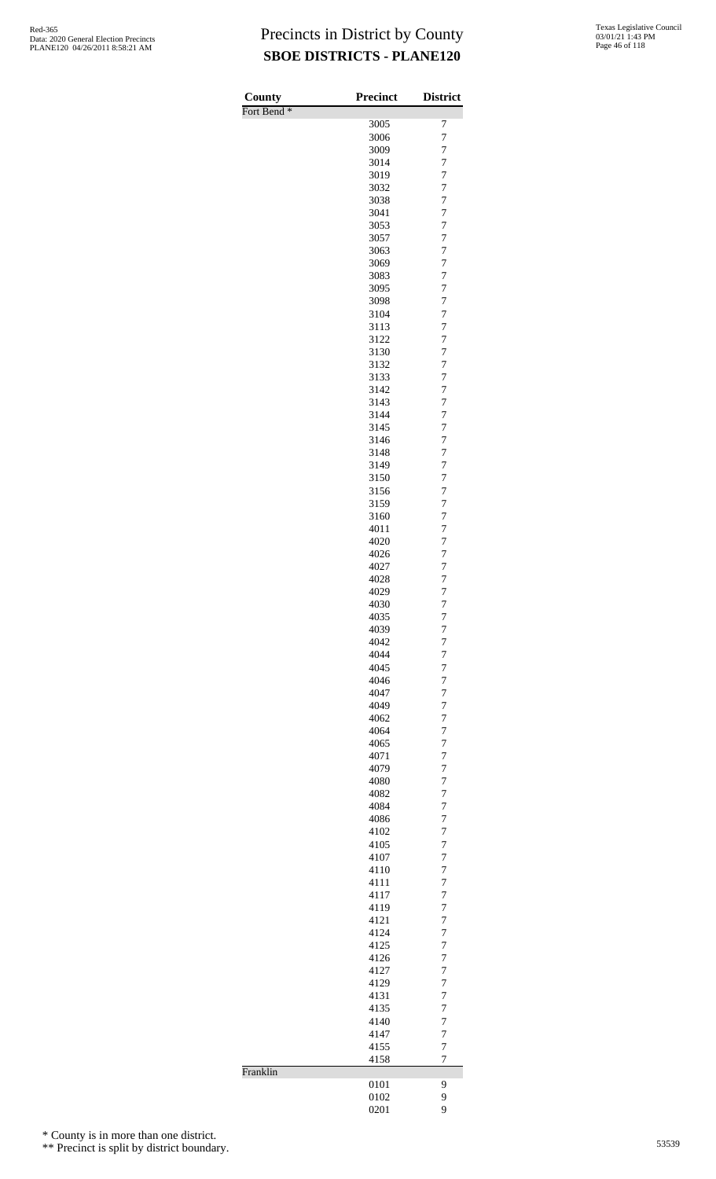| County                 | <b>Precinct</b> | <b>District</b>                  |
|------------------------|-----------------|----------------------------------|
| Fort Bend <sup>*</sup> |                 |                                  |
|                        | 3005<br>3006    | 7<br>7                           |
|                        | 3009            | $\overline{7}$                   |
|                        | 3014            | 7                                |
|                        | 3019            | $\overline{7}$                   |
|                        | 3032            | $\overline{7}$                   |
|                        | 3038            | $\overline{7}$                   |
|                        | 3041            | 7                                |
|                        | 3053            | 7                                |
|                        | 3057            | $\overline{7}$                   |
|                        | 3063<br>3069    | 7<br>7                           |
|                        | 3083            | $\overline{7}$                   |
|                        | 3095            | $\overline{7}$                   |
|                        | 3098            | $\overline{7}$                   |
|                        | 3104            | $\overline{7}$                   |
|                        | 3113            | $\overline{7}$                   |
|                        | 3122            | $\overline{7}$                   |
|                        | 3130            | 7                                |
|                        | 3132            | $\overline{7}$                   |
|                        | 3133<br>3142    | 7<br>7                           |
|                        | 3143            | $\overline{7}$                   |
|                        | 3144            | $\overline{7}$                   |
|                        | 3145            | $\overline{7}$                   |
|                        | 3146            | $\overline{7}$                   |
|                        | 3148            | 7                                |
|                        | 3149            | $\overline{7}$                   |
|                        | 3150            | 7                                |
|                        | 3156            | $\overline{7}$                   |
|                        | 3159<br>3160    | $\overline{7}$<br>7              |
|                        | 4011            | $\overline{7}$                   |
|                        | 4020            | 7                                |
|                        | 4026            | $\overline{7}$                   |
|                        | 4027            | 7                                |
|                        | 4028            | 7                                |
|                        | 4029            | $\overline{7}$                   |
|                        | 4030            | $\overline{7}$                   |
|                        | 4035<br>4039    | 7<br>$\overline{7}$              |
|                        | 4042            | $\overline{7}$                   |
|                        | 4044            | $\overline{7}$                   |
|                        | 4045            | 7                                |
|                        | 4046            | $\overline{7}$                   |
|                        | 4047            | $\overline{7}$                   |
|                        | 4049            | 7                                |
|                        | 4062            | $\overline{7}$                   |
|                        | 4064<br>4065    | 7<br>$\overline{7}$              |
|                        | 4071            | $\overline{7}$                   |
|                        | 4079            | 7                                |
|                        | 4080            | $\overline{7}$                   |
|                        | 4082            | 7                                |
|                        | 4084            | $\overline{7}$                   |
|                        | 4086            | $\overline{7}$                   |
|                        | 4102            | 7                                |
|                        | 4105            | $\overline{7}$<br>7              |
|                        | 4107<br>4110    | $\overline{7}$                   |
|                        | 4111            | $\overline{7}$                   |
|                        | 4117            | 7                                |
|                        | 4119            | $\overline{7}$                   |
|                        | 4121            | 7                                |
|                        | 4124            | $\overline{7}$                   |
|                        | 4125            | $\overline{7}$                   |
|                        | 4126            | $\overline{7}$<br>$\overline{7}$ |
|                        | 4127<br>4129    | 7                                |
|                        | 4131            | $\overline{7}$                   |
|                        | 4135            | $\overline{7}$                   |
|                        | 4140            | 7                                |
|                        | 4147            | $\overline{7}$                   |
|                        | 4155            | $\overline{7}$                   |
|                        | 4158            | $\overline{7}$                   |
| Franklin               |                 |                                  |
|                        | 0101<br>0102    | 9<br>9                           |
|                        | 0201            | 9                                |
|                        |                 |                                  |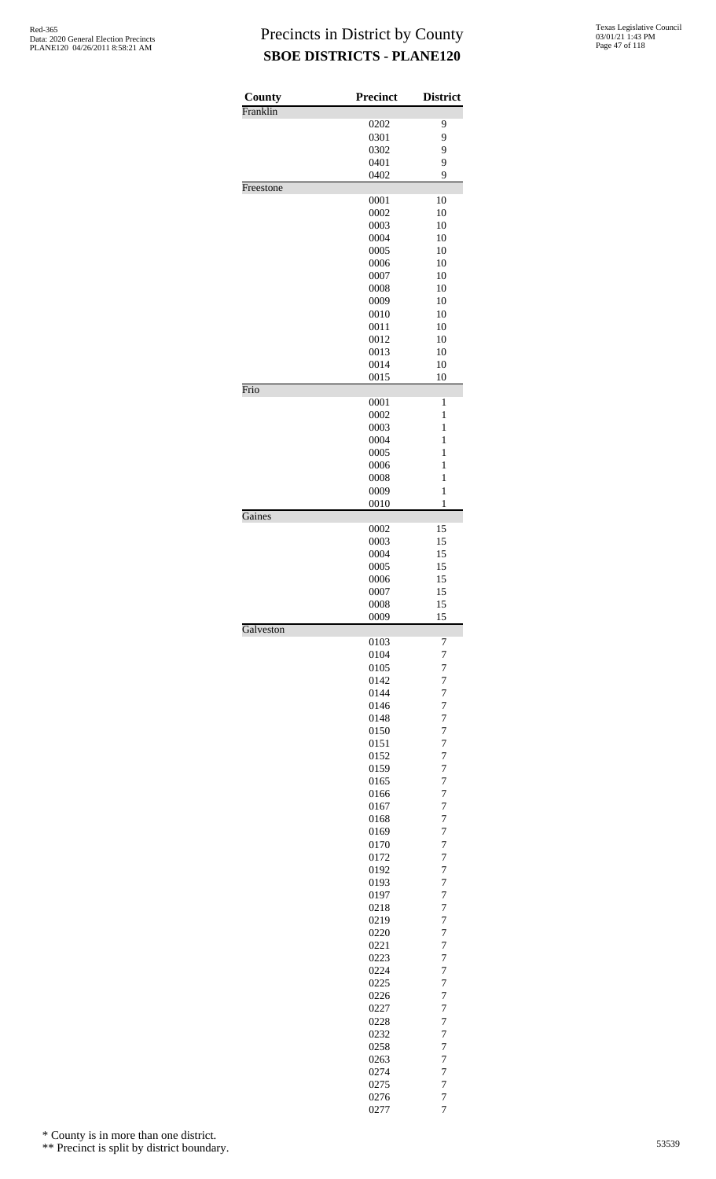| County    | <b>Precinct</b> | <b>District</b>       |
|-----------|-----------------|-----------------------|
| Franklin  |                 |                       |
|           | 0202<br>0301    | 9<br>9                |
|           | 0302            | 9                     |
|           | 0401            | 9                     |
|           | 0402            | 9                     |
| Freestone |                 |                       |
|           | 0001            | 10                    |
|           | 0002            | 10                    |
|           | 0003            | 10                    |
|           | 0004            | 10                    |
|           | 0005<br>0006    | 10<br>10              |
|           | 0007            | 10                    |
|           | 0008            | 10                    |
|           | 0009            | 10                    |
|           | 0010            | 10                    |
|           | 0011            | 10                    |
|           | 0012            | 10                    |
|           | 0013            | 10                    |
|           | 0014            | 10                    |
|           | 0015            | 10                    |
| Frio      |                 |                       |
|           | 0001<br>0002    | 1<br>$\mathbf{1}$     |
|           | 0003            | $\mathbf{1}$          |
|           | 0004            | $\mathbf{1}$          |
|           | 0005            | $\mathbf{1}$          |
|           | 0006            | $\mathbf{1}$          |
|           | 0008            | 1                     |
|           | 0009            | $\mathbf{1}$          |
|           | 0010            | $\mathbf{1}$          |
| Gaines    |                 |                       |
|           | 0002            | 15                    |
|           | 0003<br>0004    | 15                    |
|           | 0005            | 15<br>15              |
|           | 0006            | 15                    |
|           | 0007            | 15                    |
|           | 0008            | 15                    |
|           | 0009            | 15                    |
| Galveston |                 |                       |
|           | 0103            | 7                     |
|           | 0104            | 7                     |
|           | 0105            | 7                     |
|           | 0142<br>0144    | 7<br>7                |
|           | 0146            | $\overline{7}$        |
|           | 0148            | $\overline{7}$        |
|           | 0150            | $\overline{7}$        |
|           | 0151            | 7                     |
|           | 0152            | $\overline{7}$        |
|           | 0159            | $\overline{7}$        |
|           | 0165            | 7                     |
|           | 0166            | $\overline{7}$        |
|           | 0167            | $\boldsymbol{7}$      |
|           | 0168            | $\overline{7}$        |
|           | 0169            | $\overline{7}$        |
|           | 0170            | $\overline{7}$        |
|           | 0172            | $\overline{7}$<br>7   |
|           | 0192<br>0193    | $\overline{7}$        |
|           | 0197            | $\overline{7}$        |
|           | 0218            | 7                     |
|           | 0219            | 7                     |
|           | 0220            | $\boldsymbol{7}$      |
|           | 0221            | 7                     |
|           | 0223            | 7                     |
|           | 0224            | 7                     |
|           | 0225            | 7                     |
|           | 0226            | 7                     |
|           | 0227            | 7                     |
|           | 0228            | 7                     |
|           | 0232            | 7                     |
|           | 0258            | 7                     |
|           | 0263<br>0274    | $\boldsymbol{7}$<br>7 |
|           | 0275            | 7                     |
|           | 0276            | 7                     |
|           | 0277            | $\overline{7}$        |

\* County is in more than one district.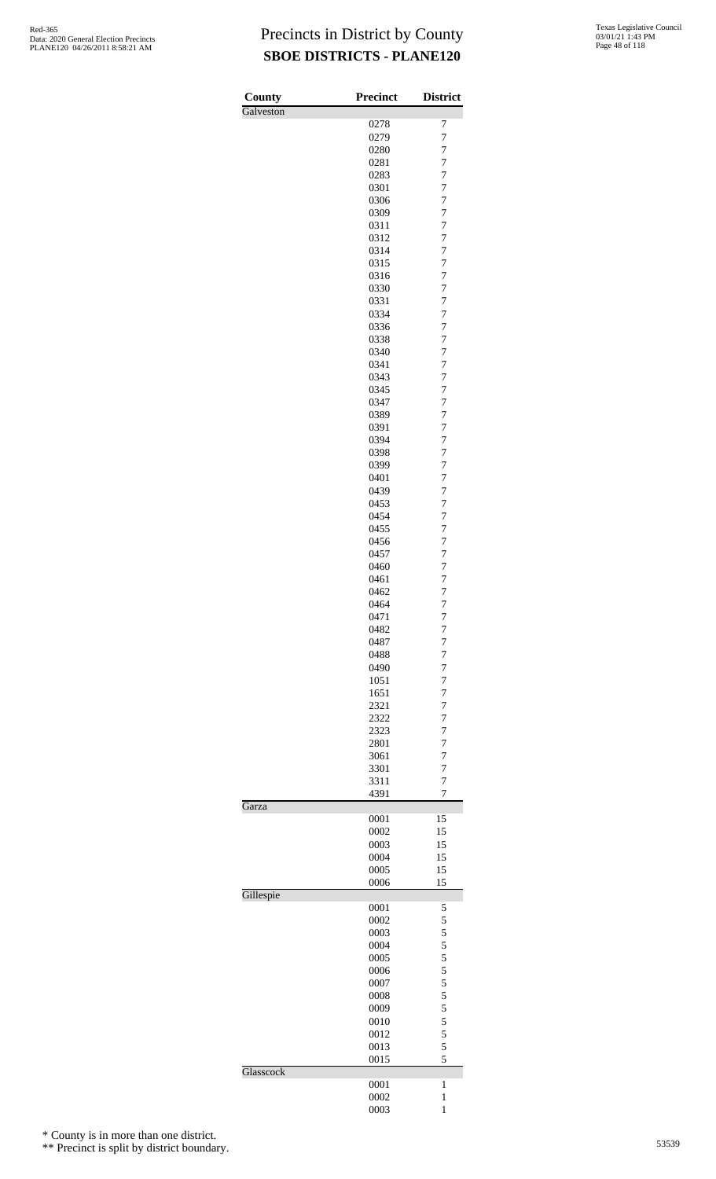| County    | <b>Precinct</b> | <b>District</b>         |
|-----------|-----------------|-------------------------|
| Galveston |                 |                         |
|           | 0278<br>0279    | 7<br>7                  |
|           | 0280            | 7                       |
|           | 0281            | $\overline{7}$          |
|           | 0283            | 7                       |
|           | 0301            | $\overline{7}$          |
|           | 0306            | $\overline{7}$          |
|           | 0309            | 7                       |
|           | 0311<br>0312    | $\overline{7}$<br>7     |
|           | 0314            | $\overline{7}$          |
|           | 0315            | $\overline{7}$          |
|           | 0316            | 7                       |
|           | 0330            | $\overline{7}$          |
|           | 0331            | 7                       |
|           | 0334<br>0336    | 7<br>$\overline{7}$     |
|           | 0338            | 7                       |
|           | 0340            | $\overline{7}$          |
|           | 0341            | 7                       |
|           | 0343            | $\overline{7}$          |
|           | 0345            | $\overline{7}$          |
|           | 0347            | 7                       |
|           | 0389<br>0391    | $\overline{7}$<br>7     |
|           | 0394            | 7                       |
|           | 0398            | $\overline{7}$          |
|           | 0399            | 7                       |
|           | 0401            | $\overline{7}$          |
|           | 0439            | 7                       |
|           | 0453            | 7<br>$\overline{7}$     |
|           | 0454<br>0455    | 7                       |
|           | 0456            | $\overline{7}$          |
|           | 0457            | 7                       |
|           | 0460            | 7                       |
|           | 0461            | $\overline{7}$          |
|           | 0462            | 7                       |
|           | 0464<br>0471    | $\overline{7}$<br>7     |
|           | 0482            | 7                       |
|           | 0487            | 7                       |
|           | 0488            | 7                       |
|           | 0490            | $\overline{7}$          |
|           | 1051            | $\overline{7}$          |
|           | 1651<br>2321    | $\overline{7}$<br>7     |
|           | 2322            | 7                       |
|           | 2323            | 7                       |
|           | 2801            | $\overline{7}$          |
|           | 3061            | $\overline{7}$          |
|           | 3301            | 7                       |
|           | 3311            | 7                       |
| Garza     | 4391            | 7                       |
|           | 0001            | 15                      |
|           | 0002            | 15                      |
|           | 0003            | 15                      |
|           | 0004<br>0005    | 15<br>15                |
|           | 0006            | 15                      |
| Gillespie |                 |                         |
|           | 0001            | 5                       |
|           | 0002<br>0003    | 5<br>5                  |
|           | 0004            | 5                       |
|           | 0005            | 5                       |
|           | 0006            | 5                       |
|           | 0007            | 5                       |
|           | 0008            | $\overline{\mathbf{5}}$ |
|           | 0009            | 5                       |
|           | 0010<br>0012    | 5<br>5                  |
|           | 0013            | 5                       |
|           | 0015            | 5                       |
| Glasscock |                 |                         |
|           | 0001<br>0002    | 1<br>$\mathbf{1}$       |
|           | 0003            | $\mathbf{1}$            |

\* County is in more than one district.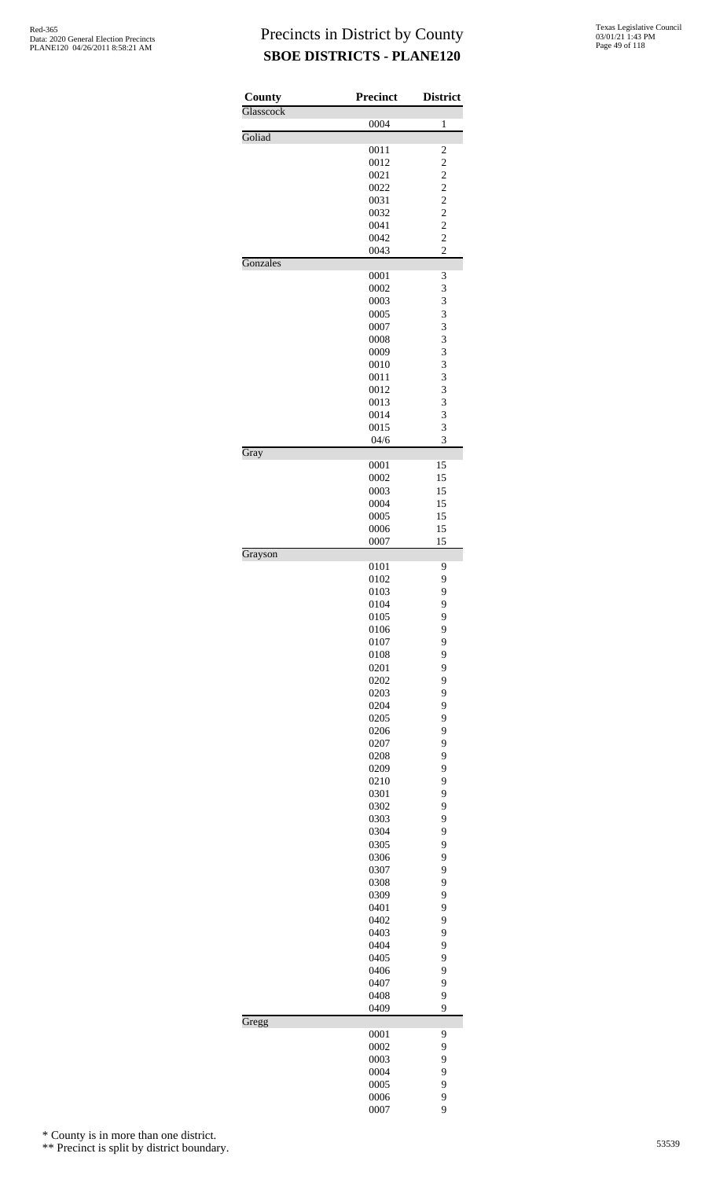| County    | Precinct     | <b>District</b>                  |
|-----------|--------------|----------------------------------|
| Glasscock | 0004         | 1                                |
| Goliad    |              |                                  |
|           | 0011         | $\overline{c}$                   |
|           | 0012         | $\overline{c}$                   |
|           | 0021         | $\overline{\mathbf{c}}$          |
|           | 0022         | $\overline{c}$                   |
|           | 0031         | $\overline{c}$                   |
|           | 0032         | $\overline{c}$                   |
|           | 0041         | $\overline{c}$                   |
|           | 0042         | $\overline{c}$<br>$\overline{c}$ |
| Gonzales  | 0043         |                                  |
|           | 0001         | 3                                |
|           | 0002         | 3                                |
|           | 0003         | 3                                |
|           | 0005         | 3                                |
|           | 0007         | 3                                |
|           | 0008         | 3                                |
|           | 0009         | 3                                |
|           | 0010         | 3                                |
|           | 0011         | 3                                |
|           | 0012         | 3                                |
|           | 0013         | 3                                |
|           | 0014         | 3                                |
|           | 0015         | 3                                |
|           | 04/6         | 3                                |
| Gray      |              |                                  |
|           | 0001         | 15                               |
|           | 0002<br>0003 | 15<br>15                         |
|           | 0004         | 15                               |
|           | 0005         | 15                               |
|           | 0006         | 15                               |
|           | 0007         | 15                               |
| Grayson   |              |                                  |
|           | 0101         | 9                                |
|           | 0102         | 9                                |
|           | 0103         | 9                                |
|           | 0104         | 9                                |
|           | 0105         | 9                                |
|           | 0106         | 9                                |
|           | 0107         | 9                                |
|           | 0108         | 9                                |
|           | 0201         | 9                                |
|           | 0202         | 9                                |
|           | 0203         | 9                                |
|           | 0204         | 9                                |
|           | 0205         | 9                                |
|           | 0206         | 9                                |
|           | 0207         | 9                                |
|           | 0208         | 9                                |
|           | 0209         | 9<br>9                           |
|           | 0210<br>0301 | 9                                |
|           | 0302         | 9                                |
|           | 0303         | 9                                |
|           | 0304         | 9                                |
|           | 0305         | 9                                |
|           | 0306         | 9                                |
|           | 0307         | 9                                |
|           | 0308         | 9                                |
|           | 0309         | 9                                |
|           | 0401         | 9                                |
|           | 0402         | 9                                |
|           | 0403         | 9                                |
|           | 0404         | 9                                |
|           | 0405         | 9                                |
|           | 0406         | 9                                |
|           | 0407         | 9                                |
|           | 0408         | 9                                |
|           | 0409         | 9                                |
| Gregg     |              |                                  |
|           | 0001         | 9                                |
|           | 0002         | 9                                |
|           | 0003         | 9                                |
|           | 0004         | 9                                |
|           | 0005<br>0006 | 9<br>9                           |
|           | 0007         | 9                                |
|           |              |                                  |

\* County is in more than one district.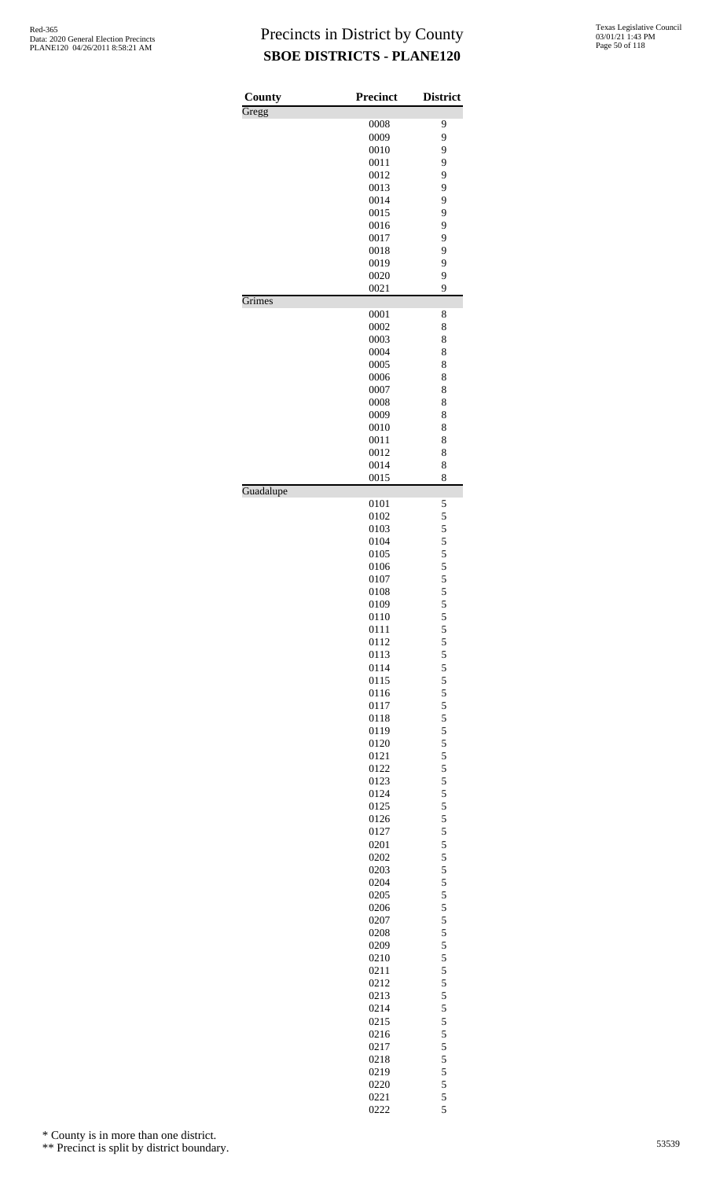| County    | Precinct     | <b>District</b>                            |
|-----------|--------------|--------------------------------------------|
| Gregg     | 0008         |                                            |
|           | 0009         | 9<br>9                                     |
|           | 0010         | 9                                          |
|           | 0011         | 9                                          |
|           | 0012         | 9                                          |
|           | 0013         | 9                                          |
|           | 0014         | 9                                          |
|           | 0015         | 9                                          |
|           | 0016         | 9<br>9                                     |
|           | 0017<br>0018 | 9                                          |
|           | 0019         | 9                                          |
|           | 0020         | 9                                          |
|           | 0021         | 9                                          |
| Grimes    |              |                                            |
|           | 0001<br>0002 | 8                                          |
|           | 0003         | 8<br>8                                     |
|           | 0004         | 8                                          |
|           | 0005         | 8                                          |
|           | 0006         | 8                                          |
|           | 0007         | 8                                          |
|           | 0008         | 8                                          |
|           | 0009         | 8                                          |
|           | 0010         | 8                                          |
|           | 0011<br>0012 | 8<br>8                                     |
|           | 0014         | 8                                          |
|           | 0015         | 8                                          |
| Guadalupe |              |                                            |
|           | 0101         | 5                                          |
|           | 0102<br>0103 | 5                                          |
|           | 0104         | $\frac{5}{5}$                              |
|           | 0105         |                                            |
|           | 0106         | $\begin{array}{c} 5 \\ 5 \\ 5 \end{array}$ |
|           | 0107         |                                            |
|           | 0108         | 5                                          |
|           | 0109         | 5                                          |
|           | 0110         | 5                                          |
|           | 0111<br>0112 | $\frac{5}{5}$                              |
|           | 0113         |                                            |
|           | 0114         | $\frac{5}{5}$                              |
|           | 0115         | 5                                          |
|           | 0116         | 5                                          |
|           | 0117         | 5                                          |
|           | 0118         | $\frac{5}{5}$                              |
|           | 0119<br>0120 |                                            |
|           | 0121         | 5<br>5                                     |
|           | 0122         | 5                                          |
|           | 0123         |                                            |
|           | 0124         | $\frac{5}{5}$                              |
|           | 0125         | 5                                          |
|           | 0126         | 5                                          |
|           | 0127         | 5                                          |
|           | 0201<br>0202 | $\frac{5}{5}$                              |
|           | 0203         | 5                                          |
|           | 0204         | 5                                          |
|           | 0205         | 5                                          |
|           | 0206         |                                            |
|           | 0207         | $\frac{5}{5}$                              |
|           | 0208         | 5                                          |
|           | 0209         | 5                                          |
|           | 0210         | 5                                          |
|           | 0211<br>0212 | $\frac{5}{5}$                              |
|           | 0213         | 5                                          |
|           | 0214         | 5                                          |
|           | 0215         | 5                                          |
|           | 0216         | $\frac{5}{5}$                              |
|           | 0217         |                                            |
|           | 0218         | 5                                          |
|           | 0219         | $\frac{5}{5}$                              |
|           | 0220         | 5                                          |
|           | 0221<br>0222 | 5                                          |

\* County is in more than one district.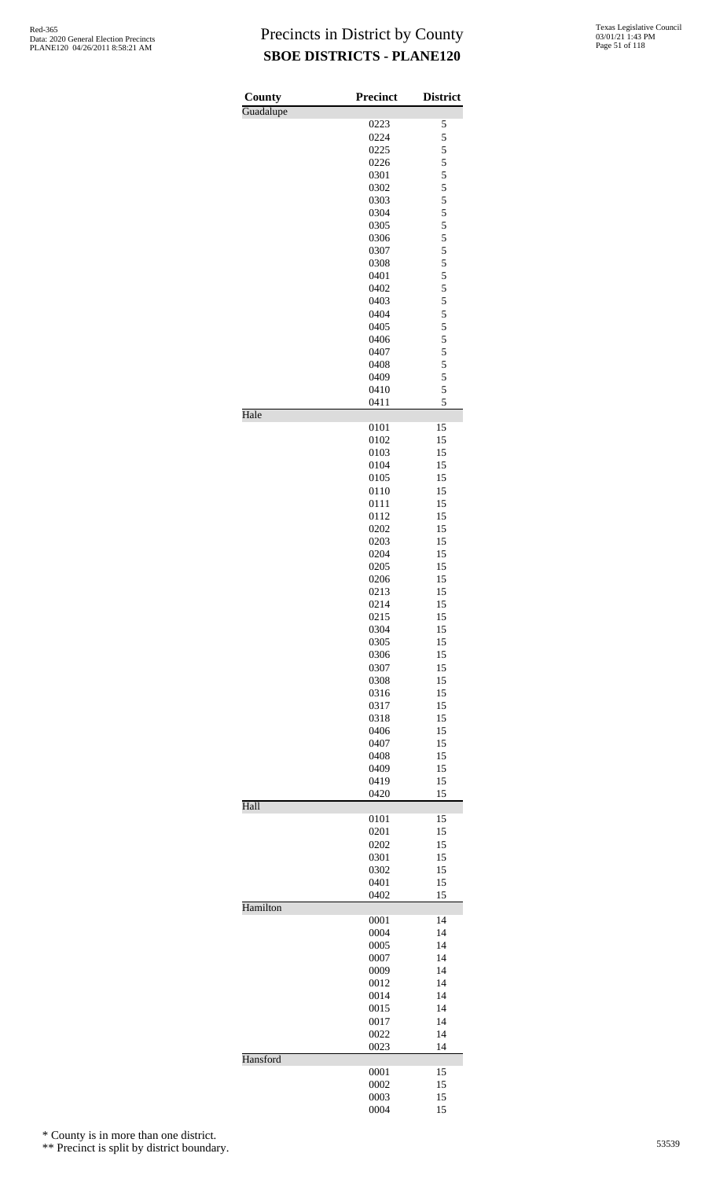| County<br>Guadalupe | <b>Precinct</b> | <b>District</b> |
|---------------------|-----------------|-----------------|
|                     | 0223            | 5               |
|                     | 0224            | 5               |
|                     | 0225            | 5               |
|                     | 0226            | 5               |
|                     | 0301            | 5               |
|                     | 0302            | 5               |
|                     | 0303            | 5               |
|                     | 0304<br>0305    | 5<br>5          |
|                     | 0306            | 5               |
|                     | 0307            | 5               |
|                     | 0308            | 5               |
|                     | 0401            | 5               |
|                     | 0402            | 5               |
|                     | 0403            | 5               |
|                     | 0404            | 5               |
|                     | 0405            | 5               |
|                     | 0406<br>0407    | 5<br>5          |
|                     | 0408            | 5               |
|                     | 0409            | 5               |
|                     | 0410            | 5               |
|                     | 0411            | 5               |
| Hale                |                 |                 |
|                     | 0101<br>0102    | 15<br>15        |
|                     | 0103            | 15              |
|                     | 0104            | 15              |
|                     | 0105            | 15              |
|                     | 0110            | 15              |
|                     | 0111            | 15              |
|                     | 0112            | 15              |
|                     | 0202            | 15              |
|                     | 0203            | 15              |
|                     | 0204            | 15<br>15        |
|                     | 0205<br>0206    | 15              |
|                     | 0213            | 15              |
|                     | 0214            | 15              |
|                     | 0215            | 15              |
|                     | 0304            | 15              |
|                     | 0305            | 15              |
|                     | 0306            | 15              |
|                     | 0307            | 15              |
|                     | 0308<br>0316    | 15<br>15        |
|                     | 0317            | 15              |
|                     | 0318            | 15              |
|                     | 0406            | 15              |
|                     | 0407            | 15              |
|                     | 0408            | 15              |
|                     | 0409            | 15              |
|                     | 0419            | 15              |
| Hall                | 0420            | 15              |
|                     | 0101            | 15              |
|                     | 0201            | 15              |
|                     | 0202            | 15              |
|                     | 0301            | 15              |
|                     | 0302            | 15              |
|                     | 0401<br>0402    | 15<br>15        |
| Hamilton            |                 |                 |
|                     | 0001            | 14              |
|                     | 0004            | 14              |
|                     | 0005            | 14              |
|                     | 0007            | 14              |
|                     | 0009<br>0012    | 14<br>14        |
|                     | 0014            | 14              |
|                     | 0015            | 14              |
|                     | 0017            | 14              |
|                     | 0022            | 14              |
|                     | 0023            | 14              |
| Hansford            | 0001            | 15              |
|                     | 0002            | 15              |
|                     | 0003            | 15              |
|                     | 0004            | 15              |

\* County is in more than one district.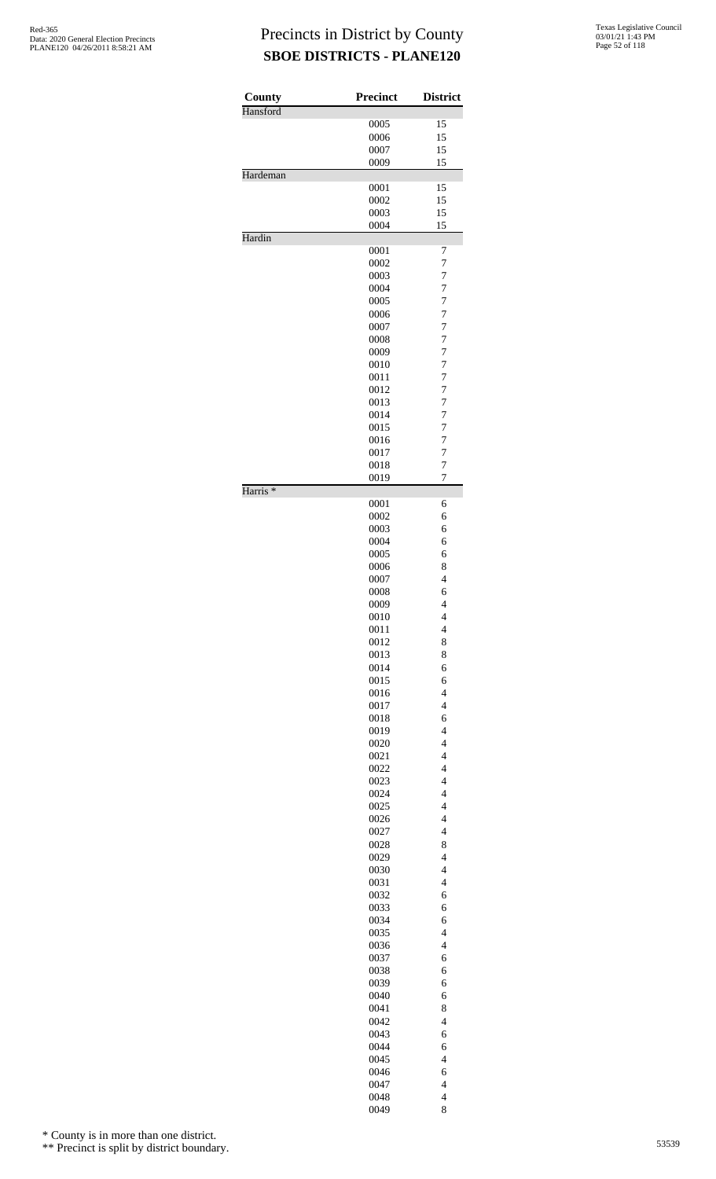| County              | <b>Precinct</b> | <b>District</b>                  |
|---------------------|-----------------|----------------------------------|
| Hansford            |                 |                                  |
|                     | 0005            | 15                               |
|                     | 0006            | 15                               |
|                     | 0007            | 15                               |
|                     | 0009            | 15                               |
| Hardeman            |                 |                                  |
|                     | 0001<br>0002    | 15<br>15                         |
|                     | 0003            | 15                               |
|                     | 0004            | 15                               |
| Hardin              |                 |                                  |
|                     | 0001            | 7                                |
|                     | 0002            | 7                                |
|                     | 0003<br>0004    | 7<br>7                           |
|                     | 0005            | $\overline{7}$                   |
|                     | 0006            | 7                                |
|                     | 0007            | 7                                |
|                     | 0008            | $\overline{7}$                   |
|                     | 0009            | 7                                |
|                     | 0010            | 7                                |
|                     | 0011            | 7                                |
|                     | 0012<br>0013    | 7<br>$\overline{7}$              |
|                     | 0014            | 7                                |
|                     | 0015            | 7                                |
|                     | 0016            | 7                                |
|                     | 0017            | 7                                |
|                     | 0018            | $\overline{7}$                   |
| Harris <sup>*</sup> | 0019            | 7                                |
|                     | 0001            | 6                                |
|                     | 0002            | 6                                |
|                     | 0003            | 6                                |
|                     | 0004            | 6<br>6                           |
|                     | 0005<br>0006    | 8                                |
|                     | 0007            | $\overline{\mathcal{L}}$         |
|                     | 0008            | 6                                |
|                     | 0009            | 4                                |
|                     | 0010            | $\overline{\mathcal{L}}$         |
|                     | 0011            | $\overline{\mathcal{L}}$         |
|                     | 0012            | 8                                |
|                     | 0013<br>0014    | 8<br>6                           |
|                     | 0015            | 6                                |
|                     | 0016            | $\overline{4}$                   |
|                     | 0017            | $\overline{\mathbf{4}}$          |
|                     | 0018            | 6                                |
|                     | 0019            | $\overline{\mathbf{4}}$          |
|                     | 0020<br>0021    | $\overline{4}$<br>$\overline{4}$ |
|                     | 0022            | $\overline{\mathbf{4}}$          |
|                     | 0023            | $\overline{\mathbf{4}}$          |
|                     | 0024            | $\overline{\mathbf{4}}$          |
|                     | 0025            | $\overline{4}$                   |
|                     | 0026            | $\overline{4}$                   |
|                     | 0027            | $\overline{\mathbf{4}}$          |
|                     | 0028            | 8<br>$\overline{\mathbf{4}}$     |
|                     | 0029<br>0030    | $\overline{4}$                   |
|                     | 0031            | $\overline{4}$                   |
|                     | 0032            | 6                                |
|                     | 0033            | 6                                |
|                     | 0034            | 6                                |
|                     | 0035            | $\overline{\mathcal{L}}$         |
|                     | 0036            | $\overline{4}$                   |
|                     | 0037<br>0038    | 6<br>6                           |
|                     | 0039            | 6                                |
|                     | 0040            | 6                                |
|                     | 0041            | 8                                |
|                     | 0042            | $\overline{\mathbf{4}}$          |
|                     | 0043            | 6                                |
|                     | 0044            | 6                                |
|                     | 0045            | $\overline{\mathcal{L}}$         |
|                     | 0046            | 6<br>$\overline{\mathbf{4}}$     |
|                     | 0047<br>0048    | $\overline{\mathbf{4}}$          |
|                     | 0049            | 8                                |

\* County is in more than one district.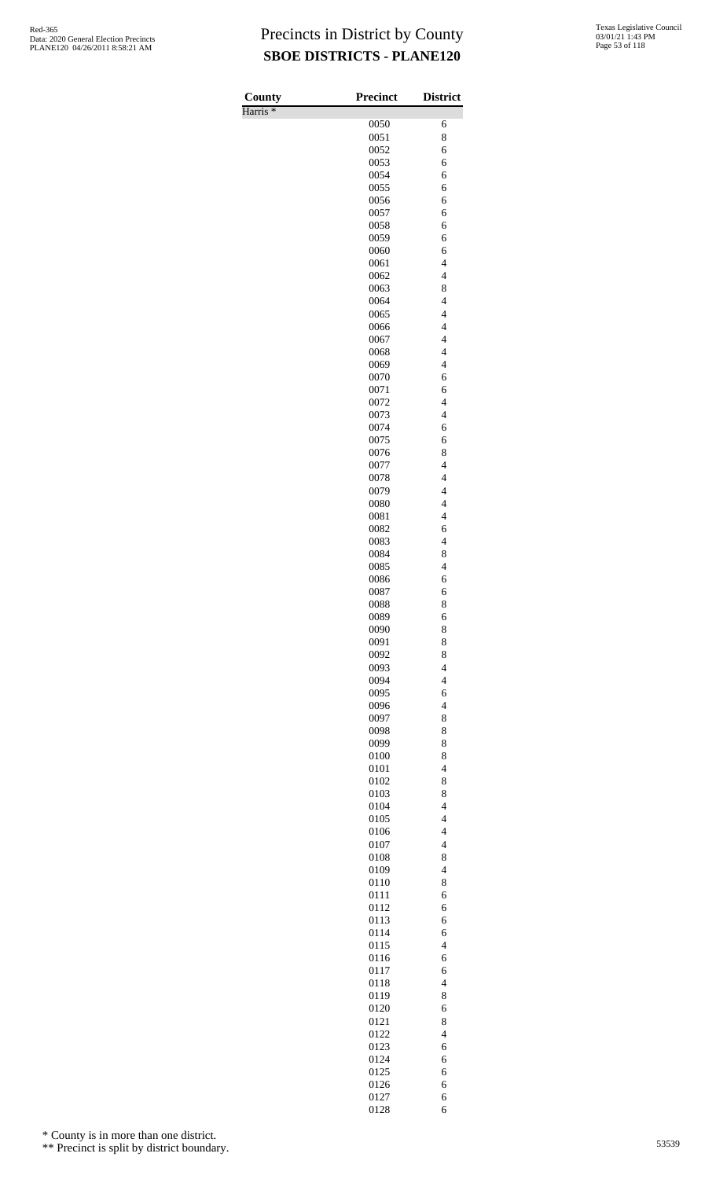Harris \*

| County<br>Harris <sup>*</sup> | Precinct     | <b>District</b>                                      |
|-------------------------------|--------------|------------------------------------------------------|
|                               | 0050         | 6                                                    |
|                               | 0051         | 8                                                    |
|                               | 0052<br>0053 | 6<br>6                                               |
|                               | 0054         | 6                                                    |
|                               | 0055         | 6                                                    |
|                               | 0056         | 6                                                    |
|                               | 0057<br>0058 | 6<br>6                                               |
|                               | 0059         | 6                                                    |
|                               | 0060         | 6                                                    |
|                               | 0061<br>0062 | $\overline{4}$<br>$\overline{\mathcal{L}}$           |
|                               | 0063         | 8                                                    |
|                               | 0064         | $\overline{\mathcal{L}}$                             |
|                               | 0065         | $\overline{\mathcal{L}}$                             |
|                               | 0066<br>0067 | $\overline{\mathcal{L}}$<br>$\overline{\mathcal{L}}$ |
|                               | 0068         | $\overline{4}$                                       |
|                               | 0069         | $\overline{\mathcal{L}}$                             |
|                               | 0070<br>0071 | 6<br>6                                               |
|                               | 0072         | $\overline{\mathcal{L}}$                             |
|                               | 0073         | $\overline{\mathcal{L}}$                             |
|                               | 0074         | 6                                                    |
|                               | 0075<br>0076 | 6<br>8                                               |
|                               | 0077         | $\overline{\mathcal{L}}$                             |
|                               | 0078         | $\overline{\mathcal{L}}$                             |
|                               | 0079<br>0080 | $\overline{\mathcal{L}}$<br>$\overline{\mathcal{L}}$ |
|                               | 0081         | $\overline{\mathcal{L}}$                             |
|                               | 0082         | 6                                                    |
|                               | 0083         | $\overline{4}$                                       |
|                               | 0084<br>0085 | 8<br>$\overline{\mathcal{L}}$                        |
|                               | 0086         | 6                                                    |
|                               | 0087         | 6                                                    |
|                               | 0088         | 8                                                    |
|                               | 0089<br>0090 | 6<br>8                                               |
|                               | 0091         | 8                                                    |
|                               | 0092         | 8                                                    |
|                               | 0093<br>0094 | $\overline{4}$<br>$\overline{4}$                     |
|                               | 0095         | 6                                                    |
|                               | 0096         | $\overline{\mathcal{L}}$                             |
|                               | 0097         | 8                                                    |
|                               | 0098<br>0099 | 8<br>8                                               |
|                               | 0100         | 8                                                    |
|                               | 0101         | $\overline{\mathcal{L}}$                             |
|                               | 0102         | 8                                                    |
|                               | 0103<br>0104 | 8<br>$\overline{4}$                                  |
|                               | 0105         | $\overline{\mathcal{L}}$                             |
|                               | 0106         | $\overline{\mathcal{L}}$                             |
|                               | 0107<br>0108 | $\overline{4}$<br>8                                  |
|                               | 0109         | $\overline{4}$                                       |
|                               | 0110         | 8                                                    |
|                               | 0111         | 6                                                    |
|                               | 0112<br>0113 | 6<br>6                                               |
|                               | 0114         | 6                                                    |
|                               | 0115         | $\overline{4}$                                       |
|                               | 0116<br>0117 | 6                                                    |
|                               | 0118         | 6<br>$\overline{4}$                                  |
|                               | 0119         | 8                                                    |
|                               | 0120         | 6                                                    |
|                               | 0121<br>0122 | 8<br>$\overline{4}$                                  |
|                               | 0123         | 6                                                    |
|                               | 0124         | 6                                                    |
|                               | 0125         | 6                                                    |
|                               | 0126<br>0127 | 6<br>6                                               |
|                               | 0128         | 6                                                    |

\* County is in more than one district.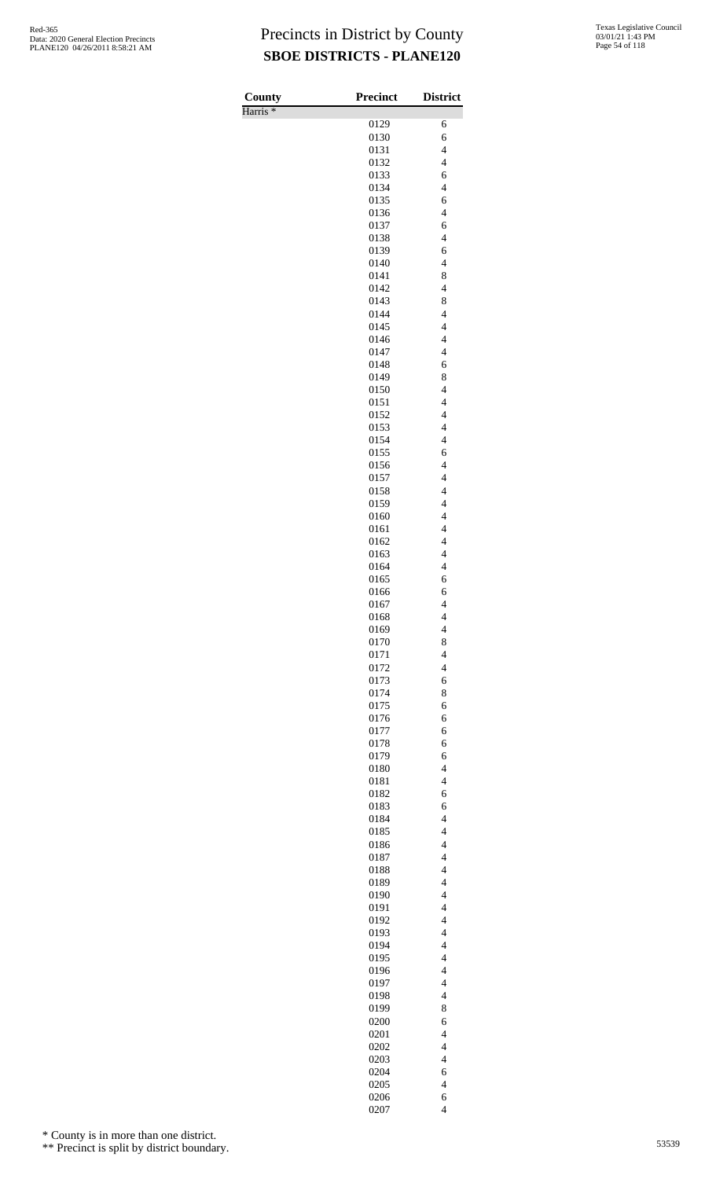Harris \*

| County<br>Harris <sup>*</sup> | <b>Precinct</b> | <b>District</b>                                     |
|-------------------------------|-----------------|-----------------------------------------------------|
|                               | 0129            | 6                                                   |
|                               | 0130            | 6                                                   |
|                               | 0131            | $\overline{\mathcal{L}}$                            |
|                               | 0132            | $\overline{4}$                                      |
|                               | 0133            | 6                                                   |
|                               | 0134            | $\overline{\mathcal{L}}$                            |
|                               | 0135            | 6<br>$\overline{4}$                                 |
|                               | 0136<br>0137    | 6                                                   |
|                               | 0138            | $\overline{\mathbf{4}}$                             |
|                               | 0139            | 6                                                   |
|                               | 0140            | $\overline{\mathcal{L}}$                            |
|                               | 0141            | 8                                                   |
|                               | 0142            | $\overline{4}$                                      |
|                               | 0143            | 8                                                   |
|                               | 0144<br>0145    | $\overline{4}$<br>$\overline{4}$                    |
|                               | 0146            | $\overline{\mathcal{L}}$                            |
|                               | 0147            | $\overline{4}$                                      |
|                               | 0148            | 6                                                   |
|                               | 0149            | 8                                                   |
|                               | 0150            | $\overline{4}$                                      |
|                               | 0151            | $\overline{4}$                                      |
|                               | 0152            | $\overline{4}$                                      |
|                               | 0153<br>0154    | $\overline{\mathbf{4}}$<br>$\overline{\mathcal{L}}$ |
|                               | 0155            | 6                                                   |
|                               | 0156            | $\overline{\mathcal{L}}$                            |
|                               | 0157            | $\overline{4}$                                      |
|                               | 0158            | $\overline{\mathbf{4}}$                             |
|                               | 0159            | $\overline{4}$                                      |
|                               | 0160            | $\overline{4}$                                      |
|                               | 0161            | $\overline{4}$                                      |
|                               | 0162            | $\overline{4}$<br>$\overline{\mathbf{4}}$           |
|                               | 0163<br>0164    | $\overline{4}$                                      |
|                               | 0165            | 6                                                   |
|                               | 0166            | 6                                                   |
|                               | 0167            | $\overline{4}$                                      |
|                               | 0168            | $\overline{\mathcal{L}}$                            |
|                               | 0169            | $\overline{\mathcal{L}}$                            |
|                               | 0170            | 8                                                   |
|                               | 0171            | $\overline{\mathcal{L}}$                            |
|                               | 0172            | $\overline{\mathcal{L}}$                            |
|                               | 0173<br>0174    | 6<br>8                                              |
|                               | 0175            | 6                                                   |
|                               | 0176            | 6                                                   |
|                               | 0177            | 6                                                   |
|                               | 0178            | 6                                                   |
|                               | 0179            | 6                                                   |
|                               | 0180            | $\overline{\mathcal{L}}$                            |
|                               | 0181            | $\overline{\mathcal{L}}$                            |
|                               | 0182<br>0183    | 6<br>6                                              |
|                               | 0184            | $\overline{\mathcal{L}}$                            |
|                               | 0185            | $\overline{\mathcal{L}}$                            |
|                               | 0186            | $\overline{4}$                                      |
|                               | 0187            | $\overline{4}$                                      |
|                               | 0188            | $\overline{4}$                                      |
|                               | 0189            | $\overline{\mathcal{L}}$                            |
|                               | 0190            | $\overline{4}$                                      |
|                               | 0191            | $\overline{4}$<br>$\overline{4}$                    |
|                               | 0192<br>0193    | $\overline{4}$                                      |
|                               | 0194            | $\overline{4}$                                      |
|                               | 0195            | $\overline{4}$                                      |
|                               | 0196            | $\overline{4}$                                      |
|                               | 0197            | $\overline{4}$                                      |
|                               | 0198            | $\overline{4}$                                      |
|                               | 0199            | 8                                                   |
|                               | 0200            | 6                                                   |
|                               | 0201            | $\overline{\mathcal{L}}$<br>$\overline{4}$          |
|                               | 0202<br>0203    | $\overline{4}$                                      |
|                               | 0204            | 6                                                   |
|                               | 0205            | $\overline{\mathcal{L}}$                            |
|                               | 0206            | 6                                                   |
|                               | 0207            | $\overline{4}$                                      |

\* County is in more than one district.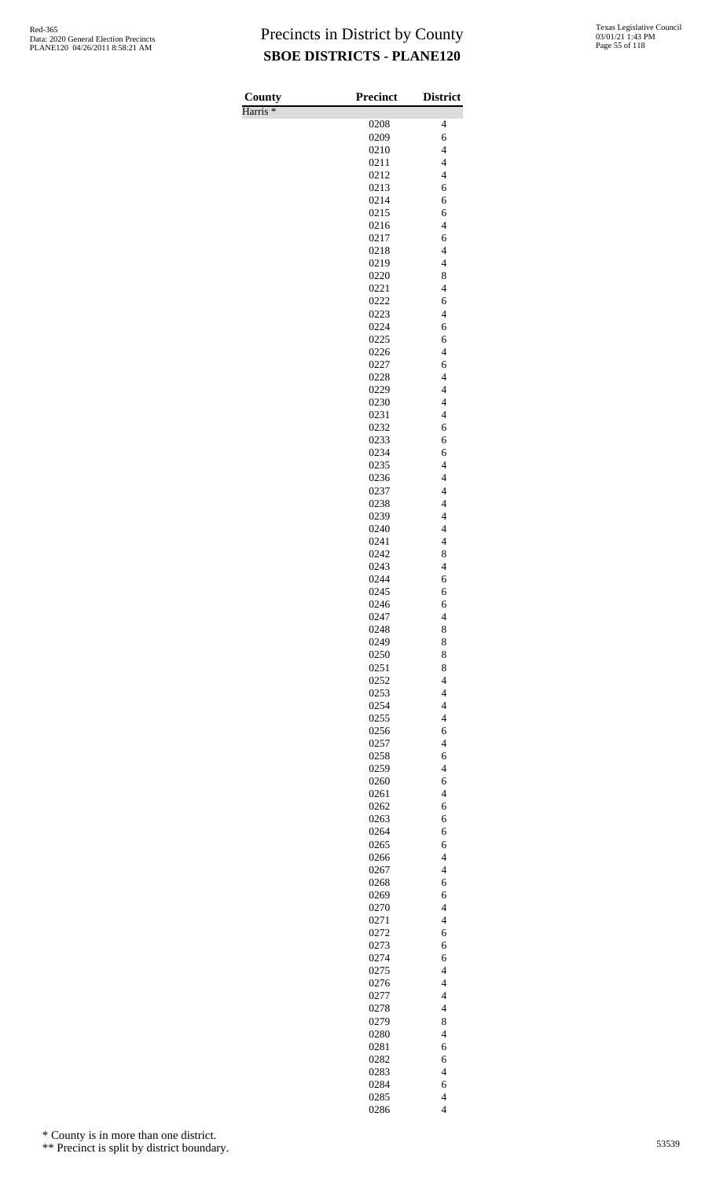Harris \*

| County<br>Harris <sup>*</sup> | <b>Precinct</b> | <b>District</b>                  |
|-------------------------------|-----------------|----------------------------------|
|                               | 0208            | 4                                |
|                               | 0209            | 6                                |
|                               | 0210            | $\overline{\mathcal{L}}$         |
|                               | 0211            | $\overline{4}$                   |
|                               | 0212            | $\overline{\mathcal{L}}$         |
|                               | 0213            | 6                                |
|                               | 0214            | 6                                |
|                               | 0215            | 6                                |
|                               | 0216            | $\overline{\mathcal{L}}$         |
|                               | 0217            | 6                                |
|                               | 0218            | $\overline{4}$                   |
|                               | 0219            | $\overline{\mathcal{L}}$         |
|                               | 0220            | 8<br>$\overline{4}$              |
|                               | 0221<br>0222    | 6                                |
|                               | 0223            | $\overline{4}$                   |
|                               | 0224            | 6                                |
|                               | 0225            | 6                                |
|                               | 0226            | $\overline{\mathcal{L}}$         |
|                               | 0227            | 6                                |
|                               | 0228            | $\overline{4}$                   |
|                               | 0229            | $\overline{\mathcal{L}}$         |
|                               | 0230            | $\overline{\mathcal{L}}$         |
|                               | 0231            | $\overline{4}$                   |
|                               | 0232            | 6                                |
|                               | 0233<br>0234    | 6<br>6                           |
|                               | 0235            | $\overline{\mathcal{L}}$         |
|                               | 0236            | $\overline{\mathcal{L}}$         |
|                               | 0237            | $\overline{\mathcal{L}}$         |
|                               | 0238            | $\overline{4}$                   |
|                               | 0239            | $\overline{4}$                   |
|                               | 0240            | $\overline{\mathcal{L}}$         |
|                               | 0241            | $\overline{\mathcal{L}}$         |
|                               | 0242            | 8                                |
|                               | 0243            | $\overline{4}$                   |
|                               | 0244            | 6                                |
|                               | 0245            | 6                                |
|                               | 0246            | 6                                |
|                               | 0247            | $\overline{\mathcal{L}}$         |
|                               | 0248<br>0249    | 8<br>8                           |
|                               | 0250            | 8                                |
|                               | 0251            | 8                                |
|                               | 0252            | $\overline{\mathcal{L}}$         |
|                               | 0253            | $\overline{\mathcal{L}}$         |
|                               | 0254            | $\overline{4}$                   |
|                               | 0255            | $\overline{4}$                   |
|                               | 0256            | 6                                |
|                               | 0257            | $\overline{\mathcal{L}}$         |
|                               | 0258            | 6                                |
|                               | 0259            | $\overline{4}$                   |
|                               | 0260            | 6                                |
|                               | 0261            | $\overline{4}$                   |
|                               | 0262<br>0263    | 6<br>6                           |
|                               | 0264            | 6                                |
|                               | 0265            | 6                                |
|                               | 0266            | $\overline{4}$                   |
|                               | 0267            | $\overline{\mathcal{L}}$         |
|                               | 0268            | 6                                |
|                               | 0269            | 6                                |
|                               | 0270            | $\overline{\mathcal{L}}$         |
|                               | 0271            | $\overline{4}$                   |
|                               | 0272            | 6                                |
|                               | 0273            | 6                                |
|                               | 0274            | 6                                |
|                               | 0275            | $\overline{4}$<br>$\overline{4}$ |
|                               | 0276            | $\overline{4}$                   |
|                               | 0277<br>0278    | $\overline{\mathcal{L}}$         |
|                               | 0279            | 8                                |
|                               | 0280            | $\overline{\mathcal{L}}$         |
|                               | 0281            | 6                                |
|                               | 0282            | 6                                |
|                               | 0283            | $\overline{\mathcal{L}}$         |
|                               | 0284            | 6                                |
|                               | 0285            | $\overline{\mathcal{L}}$         |
|                               | 0286            | $\overline{4}$                   |

\* County is in more than one district.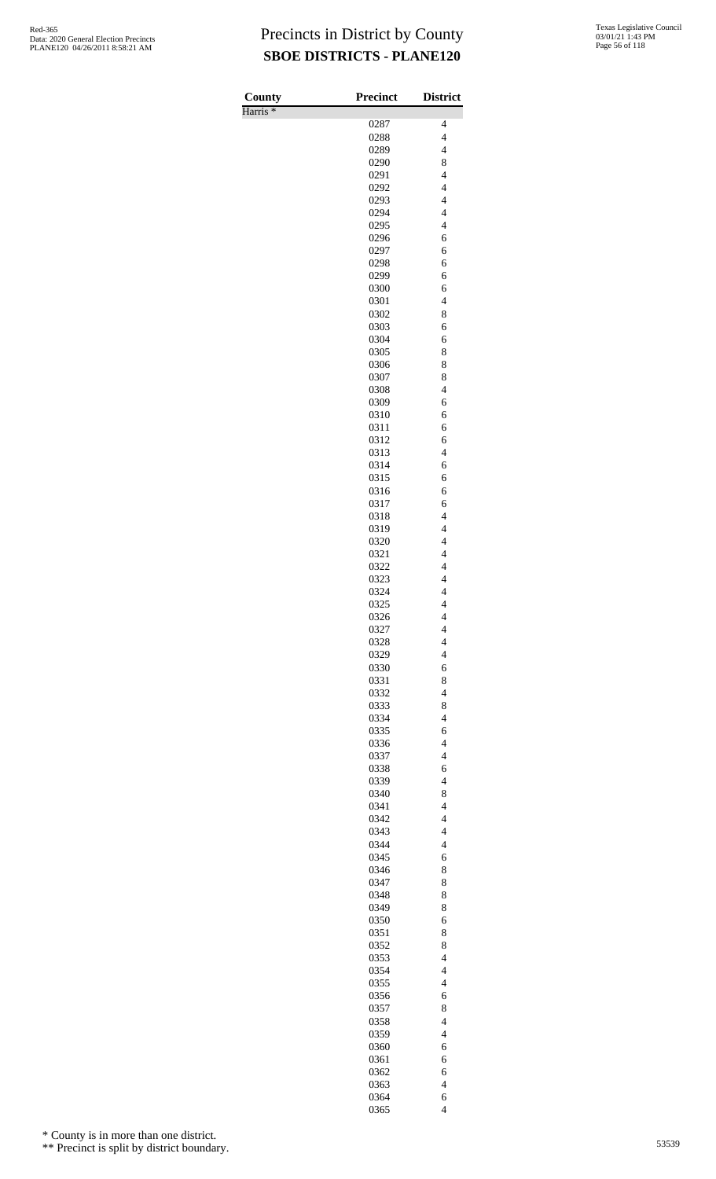Harris \*

| County              | <b>Precinct</b> | <b>District</b>                                      |
|---------------------|-----------------|------------------------------------------------------|
| Harris <sup>*</sup> |                 |                                                      |
|                     | 0287<br>0288    | 4<br>$\overline{\mathcal{L}}$                        |
|                     | 0289            | $\overline{4}$                                       |
|                     | 0290            | 8                                                    |
|                     | 0291            | $\overline{\mathcal{L}}$                             |
|                     | 0292            | $\overline{\mathbf{4}}$                              |
|                     | 0293            | $\overline{\mathcal{L}}$                             |
|                     | 0294            | $\overline{\mathcal{L}}$                             |
|                     | 0295            | $\overline{4}$                                       |
|                     | 0296            | 6                                                    |
|                     | 0297<br>0298    | 6<br>6                                               |
|                     | 0299            | 6                                                    |
|                     | 0300            | 6                                                    |
|                     | 0301            | $\overline{4}$                                       |
|                     | 0302            | 8                                                    |
|                     | 0303            | 6                                                    |
|                     | 0304            | 6                                                    |
|                     | 0305            | 8                                                    |
|                     | 0306<br>0307    | 8<br>8                                               |
|                     | 0308            | $\overline{\mathcal{L}}$                             |
|                     | 0309            | 6                                                    |
|                     | 0310            | 6                                                    |
|                     | 0311            | 6                                                    |
|                     | 0312            | 6                                                    |
|                     | 0313            | $\overline{\mathcal{L}}$                             |
|                     | 0314            | 6                                                    |
|                     | 0315<br>0316    | 6<br>6                                               |
|                     | 0317            | 6                                                    |
|                     | 0318            | $\overline{\mathcal{L}}$                             |
|                     | 0319            | $\overline{\mathcal{L}}$                             |
|                     | 0320            | $\overline{4}$                                       |
|                     | 0321            | $\overline{\mathcal{L}}$                             |
|                     | 0322            | $\overline{\mathbf{4}}$                              |
|                     | 0323            | $\overline{4}$                                       |
|                     | 0324            | $\overline{4}$                                       |
|                     | 0325<br>0326    | 4<br>$\overline{\mathcal{L}}$                        |
|                     | 0327            | $\overline{\mathcal{L}}$                             |
|                     | 0328            | $\overline{\mathcal{L}}$                             |
|                     | 0329            | $\overline{4}$                                       |
|                     | 0330            | 6                                                    |
|                     | 0331            | 8                                                    |
|                     | 0332            | $\overline{\mathcal{L}}$                             |
|                     | 0333            | 8                                                    |
|                     | 0334<br>0335    | $\overline{\mathcal{L}}$<br>6                        |
|                     | 0336            | $\overline{4}$                                       |
|                     | 0337            | $\overline{\mathcal{L}}$                             |
|                     | 0338            | 6                                                    |
|                     | 0339            | $\overline{4}$                                       |
|                     | 0340            | 8                                                    |
|                     | 0341            | $\overline{4}$                                       |
|                     | 0342            | $\overline{\mathcal{L}}$                             |
|                     | 0343            | $\overline{\mathcal{L}}$                             |
|                     | 0344<br>0345    | $\overline{4}$<br>6                                  |
|                     | 0346            | 8                                                    |
|                     | 0347            | 8                                                    |
|                     | 0348            | 8                                                    |
|                     | 0349            | 8                                                    |
|                     | 0350            | 6                                                    |
|                     | 0351            | 8                                                    |
|                     | 0352            | 8                                                    |
|                     | 0353<br>0354    | $\overline{\mathcal{L}}$<br>$\overline{\mathcal{L}}$ |
|                     | 0355            | $\overline{4}$                                       |
|                     | 0356            | 6                                                    |
|                     | 0357            | 8                                                    |
|                     | 0358            | $\overline{\mathcal{L}}$                             |
|                     | 0359            | $\overline{\mathcal{L}}$                             |
|                     | 0360            | 6                                                    |
|                     |                 | 6                                                    |
|                     | 0361            |                                                      |
|                     | 0362            | 6                                                    |
|                     | 0363<br>0364    | $\overline{\mathcal{L}}$<br>6                        |

\* County is in more than one district.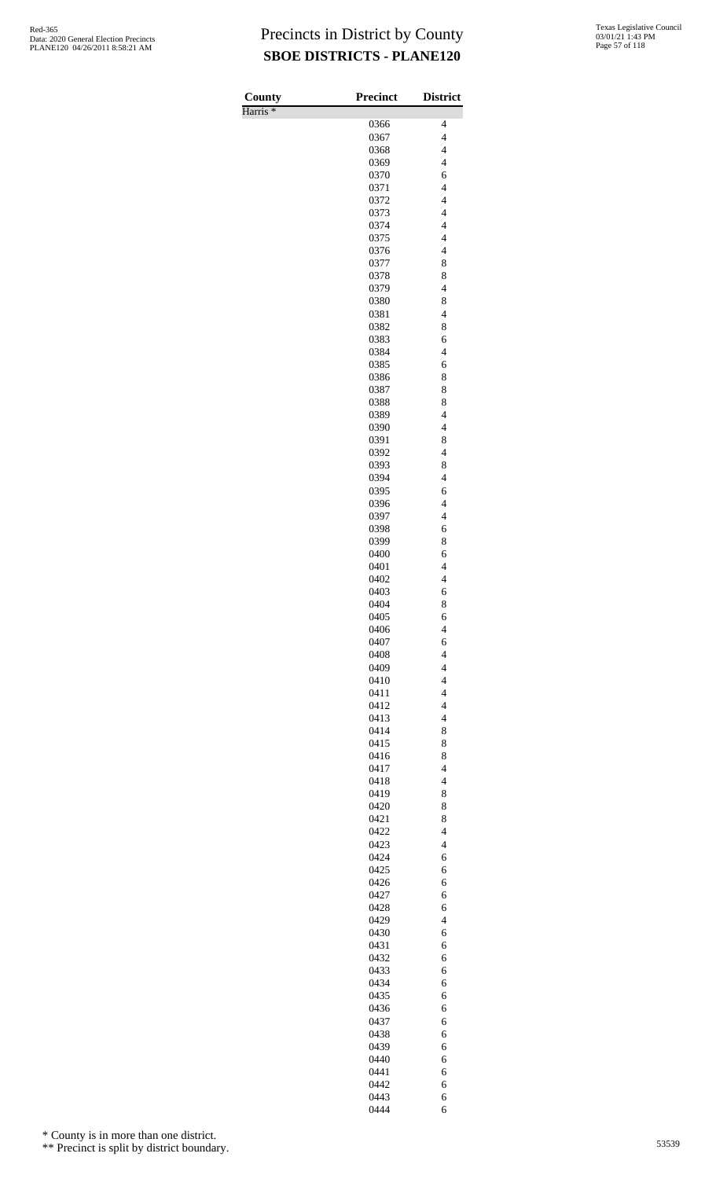Harris \*

| County<br>Harris <sup>*</sup> | Precinct     | <b>District</b>                            |
|-------------------------------|--------------|--------------------------------------------|
|                               | 0366         | 4                                          |
|                               | 0367         | $\overline{4}$                             |
|                               | 0368         | $\overline{\mathcal{L}}$                   |
|                               | 0369         | $\overline{4}$<br>6                        |
|                               | 0370<br>0371 | $\overline{\mathbf{4}}$                    |
|                               | 0372         | $\overline{\mathcal{L}}$                   |
|                               | 0373         | $\overline{4}$                             |
|                               | 0374         | $\overline{4}$                             |
|                               | 0375         | $\overline{\mathcal{L}}$                   |
|                               | 0376<br>0377 | $\overline{\mathcal{L}}$<br>8              |
|                               | 0378         | 8                                          |
|                               | 0379         | $\overline{\mathcal{L}}$                   |
|                               | 0380         | 8                                          |
|                               | 0381         | $\overline{\mathcal{L}}$                   |
|                               | 0382<br>0383 | 8<br>6                                     |
|                               | 0384         | $\overline{4}$                             |
|                               | 0385         | 6                                          |
|                               | 0386         | 8                                          |
|                               | 0387         | 8                                          |
|                               | 0388<br>0389 | 8<br>$\overline{\mathcal{L}}$              |
|                               | 0390         | $\overline{\mathcal{L}}$                   |
|                               | 0391         | 8                                          |
|                               | 0392         | $\overline{\mathcal{L}}$                   |
|                               | 0393         | 8<br>$\overline{\mathcal{L}}$              |
|                               | 0394<br>0395 | 6                                          |
|                               | 0396         | $\overline{\mathcal{L}}$                   |
|                               | 0397         | $\overline{4}$                             |
|                               | 0398         | 6                                          |
|                               | 0399         | 8                                          |
|                               | 0400<br>0401 | 6<br>$\overline{\mathbf{4}}$               |
|                               | 0402         | $\overline{\mathcal{L}}$                   |
|                               | 0403         | 6                                          |
|                               | 0404         | 8                                          |
|                               | 0405         | 6                                          |
|                               | 0406<br>0407 | $\overline{4}$<br>6                        |
|                               | 0408         | $\overline{\mathcal{L}}$                   |
|                               | 0409         | $\overline{4}$                             |
|                               | 0410         | $\overline{\mathbf{4}}$                    |
|                               | 0411         | $\overline{\mathbf{4}}$                    |
|                               | 0412<br>0413 | $\overline{4}$<br>$\overline{\mathcal{L}}$ |
|                               | 0414         | 8                                          |
|                               | 0415         | 8                                          |
|                               | 0416         | 8                                          |
|                               | 0417         | $\overline{4}$                             |
|                               | 0418<br>0419 | $\overline{\mathcal{L}}$<br>8              |
|                               | 0420         | 8                                          |
|                               | 0421         | 8                                          |
|                               | 0422         | $\overline{4}$                             |
|                               | 0423         | $\overline{\mathcal{L}}$                   |
|                               | 0424<br>0425 | 6<br>6                                     |
|                               | 0426         | 6                                          |
|                               | 0427         | 6                                          |
|                               | 0428         | 6                                          |
|                               | 0429         | $\overline{4}$                             |
|                               | 0430<br>0431 | 6<br>6                                     |
|                               | 0432         | 6                                          |
|                               | 0433         | 6                                          |
|                               | 0434         | 6                                          |
|                               | 0435         | 6                                          |
|                               | 0436<br>0437 | 6<br>6                                     |
|                               | 0438         | 6                                          |
|                               | 0439         | 6                                          |
|                               | 0440         | 6                                          |
|                               | 0441         | 6                                          |
|                               | 0442         | 6                                          |
|                               | 0443<br>0444 | 6<br>6                                     |

\* County is in more than one district.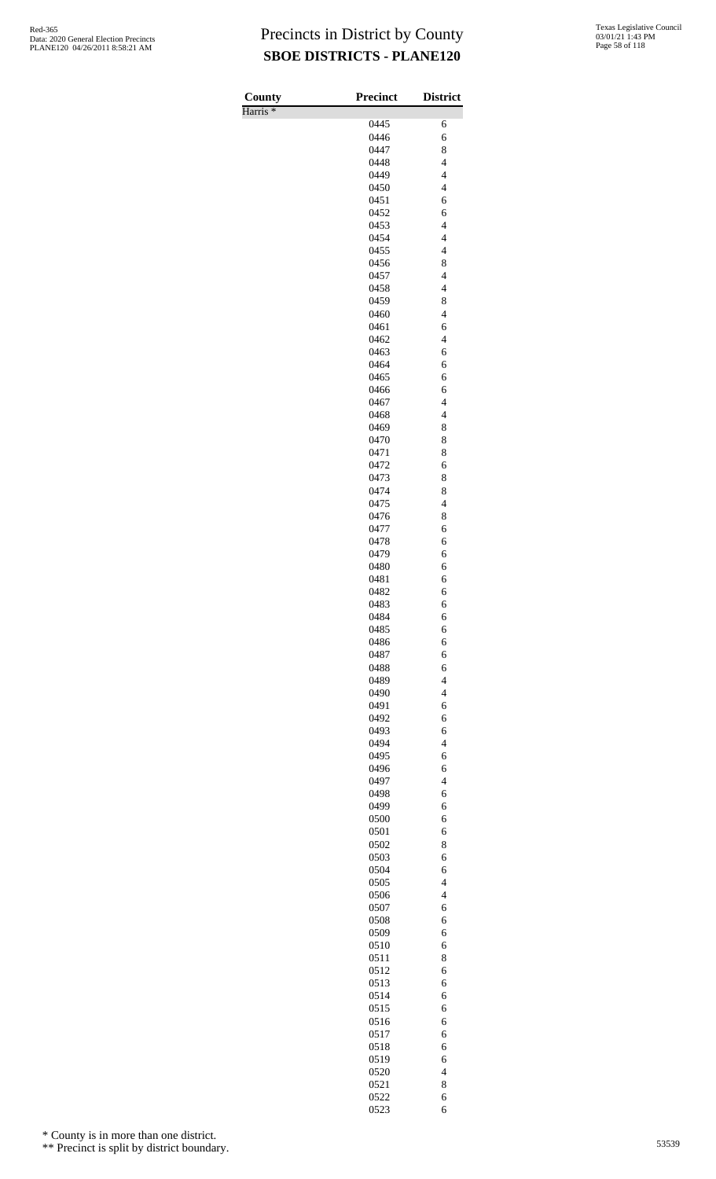Harris \*

| County<br>Harris <sup>*</sup> | <b>Precinct</b> | <b>District</b>                                      |
|-------------------------------|-----------------|------------------------------------------------------|
|                               | 0445            | 6                                                    |
|                               | 0446            | 6                                                    |
|                               | 0447            | 8                                                    |
|                               | 0448            | $\overline{4}$                                       |
|                               | 0449            | $\overline{\mathbf{4}}$                              |
|                               | 0450            | $\overline{\mathcal{L}}$                             |
|                               | 0451            | 6                                                    |
|                               | 0452<br>0453    | 6<br>$\overline{4}$                                  |
|                               | 0454            | $\overline{\mathbf{4}}$                              |
|                               | 0455            | $\overline{\mathcal{L}}$                             |
|                               | 0456            | 8                                                    |
|                               | 0457            | $\overline{\mathcal{L}}$                             |
|                               | 0458            | $\overline{4}$                                       |
|                               | 0459            | 8                                                    |
|                               | 0460<br>0461    | $\overline{\mathcal{L}}$<br>6                        |
|                               | 0462            | $\overline{4}$                                       |
|                               | 0463            | 6                                                    |
|                               | 0464            | 6                                                    |
|                               | 0465            | 6                                                    |
|                               | 0466            | 6                                                    |
|                               | 0467            | $\overline{\mathcal{L}}$                             |
|                               | 0468            | $\overline{4}$                                       |
|                               | 0469<br>0470    | 8<br>8                                               |
|                               | 0471            | 8                                                    |
|                               | 0472            | 6                                                    |
|                               | 0473            | 8                                                    |
|                               | 0474            | 8                                                    |
|                               | 0475            | $\overline{4}$                                       |
|                               | 0476            | 8                                                    |
|                               | 0477            | 6                                                    |
|                               | 0478<br>0479    | 6<br>6                                               |
|                               | 0480            | 6                                                    |
|                               | 0481            | 6                                                    |
|                               | 0482            | 6                                                    |
|                               | 0483            | 6                                                    |
|                               | 0484            | 6                                                    |
|                               | 0485            | 6                                                    |
|                               | 0486            | 6                                                    |
|                               | 0487<br>0488    | 6<br>6                                               |
|                               | 0489            | $\overline{\mathcal{L}}$                             |
|                               | 0490            | $\overline{\mathcal{L}}$                             |
|                               | 0491            | 6                                                    |
|                               | 0492            | 6                                                    |
|                               | 0493            | 6                                                    |
|                               | 0494            | $\overline{\mathcal{L}}$                             |
|                               | 0495            | 6                                                    |
|                               | 0496<br>0497    | 6<br>$\overline{4}$                                  |
|                               | 0498            | 6                                                    |
|                               | 0499            | 6                                                    |
|                               | 0500            | 6                                                    |
|                               | 0501            | 6                                                    |
|                               | 0502            | 8                                                    |
|                               | 0503            | 6                                                    |
|                               | 0504            | 6                                                    |
|                               | 0505<br>0506    | $\overline{\mathcal{L}}$<br>$\overline{\mathcal{L}}$ |
|                               | 0507            | 6                                                    |
|                               | 0508            | 6                                                    |
|                               | 0509            | 6                                                    |
|                               | 0510            | 6                                                    |
|                               | 0511            | 8                                                    |
|                               | 0512            | 6                                                    |
|                               | 0513            | 6                                                    |
|                               | 0514            | 6                                                    |
|                               | 0515<br>0516    | 6<br>6                                               |
|                               | 0517            | 6                                                    |
|                               | 0518            | 6                                                    |
|                               | 0519            | 6                                                    |
|                               | 0520            | $\overline{\mathcal{L}}$                             |
|                               | 0521            | 8                                                    |
|                               | 0522            | 6                                                    |
|                               | 0523            | 6                                                    |

\* County is in more than one district.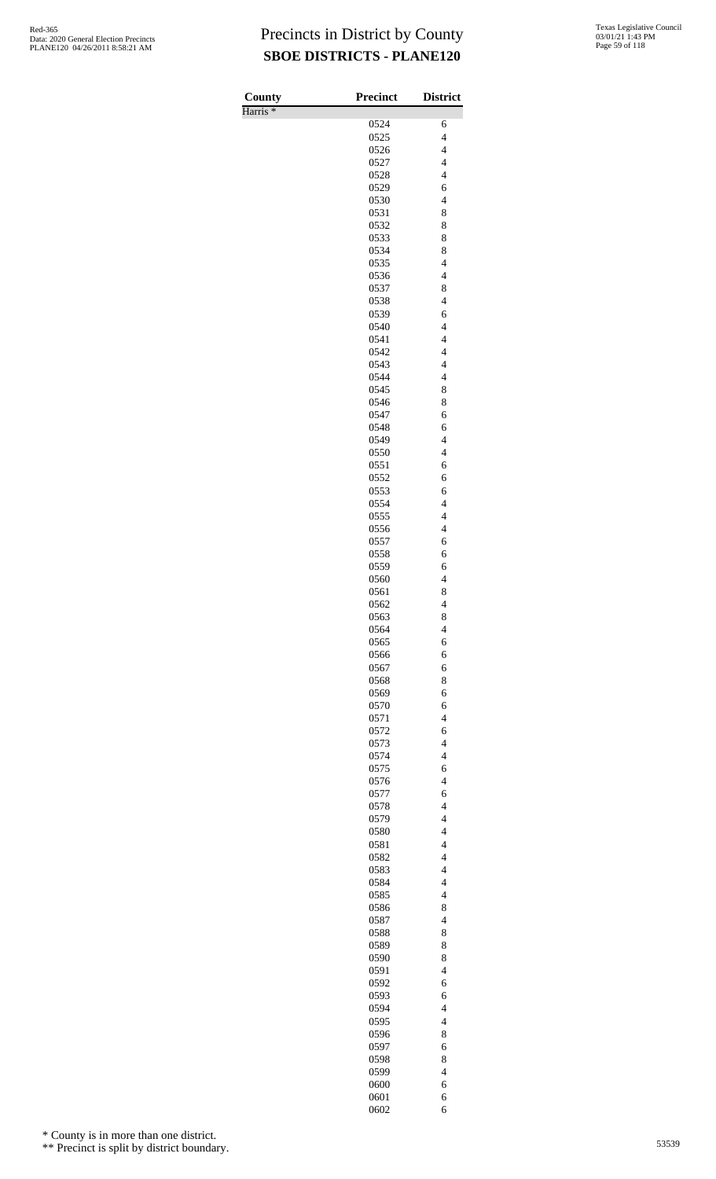Harris \*

| County<br>Harris <sup>*</sup> | <b>Precinct</b> | <b>District</b>                                     |
|-------------------------------|-----------------|-----------------------------------------------------|
|                               | 0524            | 6                                                   |
|                               | 0525            | $\overline{4}$                                      |
|                               | 0526            | $\overline{\mathcal{L}}$                            |
|                               | 0527            | $\overline{\mathcal{L}}$                            |
|                               | 0528<br>0529    | $\overline{\mathcal{L}}$<br>6                       |
|                               | 0530            | $\overline{4}$                                      |
|                               | 0531            | 8                                                   |
|                               | 0532            | 8                                                   |
|                               | 0533            | 8                                                   |
|                               | 0534            | 8                                                   |
|                               | 0535<br>0536    | $\overline{4}$<br>$\overline{\mathcal{L}}$          |
|                               | 0537            | 8                                                   |
|                               | 0538            | $\overline{\mathcal{L}}$                            |
|                               | 0539            | 6                                                   |
|                               | 0540            | $\overline{\mathcal{L}}$                            |
|                               | 0541            | $\overline{4}$<br>$\overline{4}$                    |
|                               | 0542<br>0543    | $\overline{\mathbf{4}}$                             |
|                               | 0544            | $\overline{\mathcal{L}}$                            |
|                               | 0545            | 8                                                   |
|                               | 0546            | 8                                                   |
|                               | 0547            | 6                                                   |
|                               | 0548<br>0549    | 6<br>$\overline{\mathbf{4}}$                        |
|                               | 0550            | $\overline{\mathcal{L}}$                            |
|                               | 0551            | 6                                                   |
|                               | 0552            | 6                                                   |
|                               | 0553            | 6                                                   |
|                               | 0554<br>0555    | $\overline{\mathbf{4}}$<br>$\overline{\mathcal{L}}$ |
|                               | 0556            | $\overline{\mathcal{L}}$                            |
|                               | 0557            | 6                                                   |
|                               | 0558            | 6                                                   |
|                               | 0559            | 6                                                   |
|                               | 0560            | $\overline{4}$                                      |
|                               | 0561<br>0562    | 8<br>$\overline{4}$                                 |
|                               | 0563            | 8                                                   |
|                               | 0564            | $\overline{4}$                                      |
|                               | 0565            | 6                                                   |
|                               | 0566            | 6<br>6                                              |
|                               | 0567<br>0568    | 8                                                   |
|                               | 0569            | 6                                                   |
|                               | 0570            | 6                                                   |
|                               | 0571            | $\overline{4}$                                      |
|                               | 0572            | 6                                                   |
|                               | 0573<br>0574    | $\overline{4}$<br>$\overline{\mathcal{L}}$          |
|                               | 0575            | 6                                                   |
|                               | 0576            | $\overline{4}$                                      |
|                               | 0577            | 6                                                   |
|                               | 0578            | $\overline{4}$<br>$\overline{\mathcal{L}}$          |
|                               | 0579<br>0580    | $\overline{\mathcal{L}}$                            |
|                               | 0581            | $\overline{\mathcal{L}}$                            |
|                               | 0582            | $\overline{4}$                                      |
|                               | 0583            | $\overline{\mathcal{L}}$                            |
|                               | 0584            | $\overline{4}$                                      |
|                               | 0585<br>0586    | $\overline{\mathcal{L}}$<br>8                       |
|                               | 0587            | $\overline{4}$                                      |
|                               | 0588            | 8                                                   |
|                               | 0589            | 8                                                   |
|                               | 0590            | 8                                                   |
|                               | 0591<br>0592    | $\overline{4}$<br>6                                 |
|                               | 0593            | 6                                                   |
|                               | 0594            | $\overline{4}$                                      |
|                               | 0595            | $\overline{4}$                                      |
|                               | 0596            | 8                                                   |
|                               | 0597<br>0598    | 6<br>8                                              |
|                               | 0599            | $\overline{\mathcal{L}}$                            |
|                               | 0600            | 6                                                   |
|                               | 0601            | 6                                                   |
|                               | 0602            | 6                                                   |

\* County is in more than one district.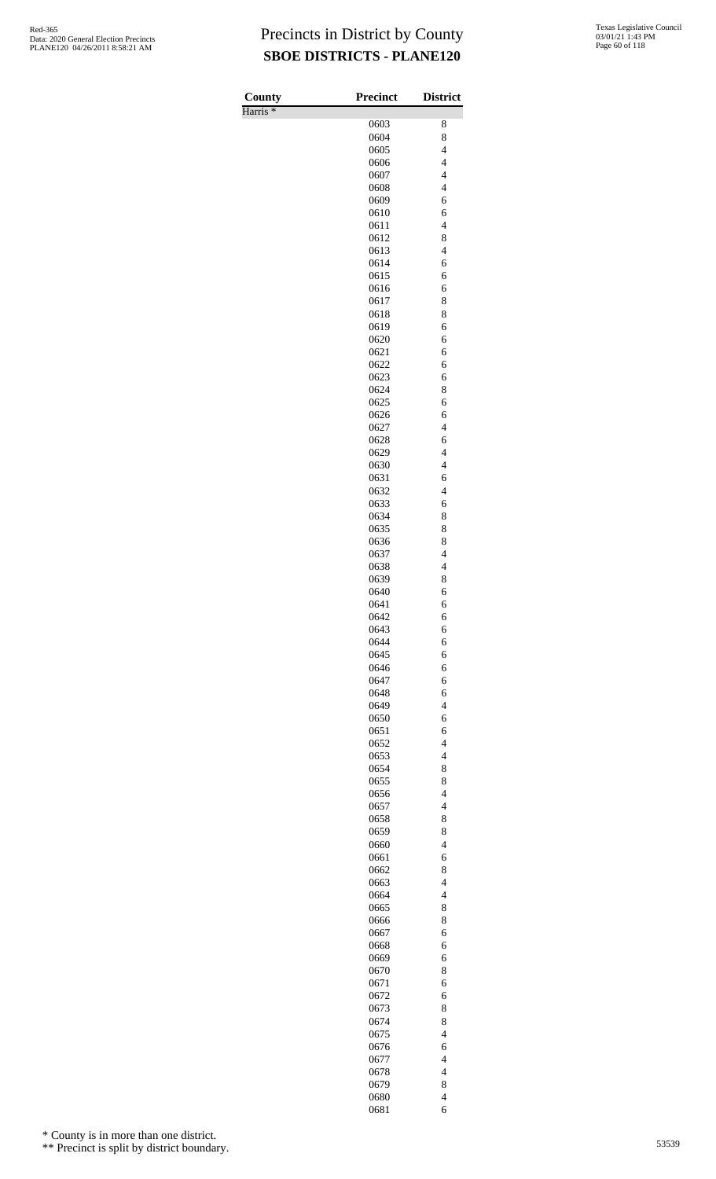Harris \*

| County              | Precinct     | <b>District</b>               |
|---------------------|--------------|-------------------------------|
| Harris <sup>*</sup> |              |                               |
|                     | 0603         | 8                             |
|                     | 0604<br>0605 | 8<br>$\overline{\mathcal{L}}$ |
|                     | 0606         | $\overline{4}$                |
|                     | 0607         | $\overline{4}$                |
|                     | 0608         | $\overline{\mathbf{4}}$       |
|                     | 0609         | 6                             |
|                     | 0610         | 6                             |
|                     | 0611         | $\overline{\mathcal{L}}$      |
|                     | 0612         | 8                             |
|                     | 0613<br>0614 | $\overline{\mathcal{L}}$<br>6 |
|                     | 0615         | 6                             |
|                     | 0616         | 6                             |
|                     | 0617         | 8                             |
|                     | 0618         | 8                             |
|                     | 0619         | 6                             |
|                     | 0620         | 6                             |
|                     | 0621         | 6                             |
|                     | 0622<br>0623 | 6<br>6                        |
|                     | 0624         | 8                             |
|                     | 0625         | 6                             |
|                     | 0626         | 6                             |
|                     | 0627         | $\overline{4}$                |
|                     | 0628         | 6                             |
|                     | 0629         | $\overline{\mathcal{L}}$      |
|                     | 0630         | $\overline{\mathcal{L}}$      |
|                     | 0631<br>0632 | 6<br>$\overline{4}$           |
|                     | 0633         | 6                             |
|                     | 0634         | 8                             |
|                     | 0635         | 8                             |
|                     | 0636         | 8                             |
|                     | 0637         | $\overline{4}$                |
|                     | 0638         | $\overline{\mathbf{4}}$       |
|                     | 0639         | 8                             |
|                     | 0640         | 6                             |
|                     | 0641<br>0642 | 6<br>6                        |
|                     | 0643         | 6                             |
|                     | 0644         | 6                             |
|                     | 0645         | 6                             |
|                     | 0646         | 6                             |
|                     | 0647         | 6                             |
|                     | 0648         | 6                             |
|                     | 0649         | $\overline{\mathcal{L}}$      |
|                     | 0650<br>0651 | 6                             |
|                     | 0652         | 6<br>$\overline{4}$           |
|                     | 0653         | $\overline{\mathcal{L}}$      |
|                     | 0654         | 8                             |
|                     | 0655         | 8                             |
|                     | 0656         | $\overline{4}$                |
|                     | 0657         | $\overline{4}$                |
|                     | 0658         | 8                             |
|                     | 0659         | 8                             |
|                     | 0660<br>0661 | $\overline{4}$<br>6           |
|                     | 0662         | 8                             |
|                     | 0663         | $\overline{\mathcal{L}}$      |
|                     | 0664         | $\overline{\mathcal{L}}$      |
|                     | 0665         | 8                             |
|                     | 0666         | 8                             |
|                     | 0667         | 6                             |
|                     | 0668         | 6                             |
|                     | 0669<br>0670 | 6<br>8                        |
|                     | 0671         | 6                             |
|                     | 0672         | 6                             |
|                     | 0673         | 8                             |
|                     | 0674         | 8                             |
|                     | 0675         | $\overline{4}$                |
|                     | 0676         | 6                             |
|                     | 0677         | $\overline{4}$                |
|                     | 0678         | $\overline{\mathcal{L}}$      |
|                     | 0679         | 8                             |
|                     | 0680<br>0681 | $\overline{\mathcal{L}}$<br>6 |
|                     |              |                               |

\* County is in more than one district.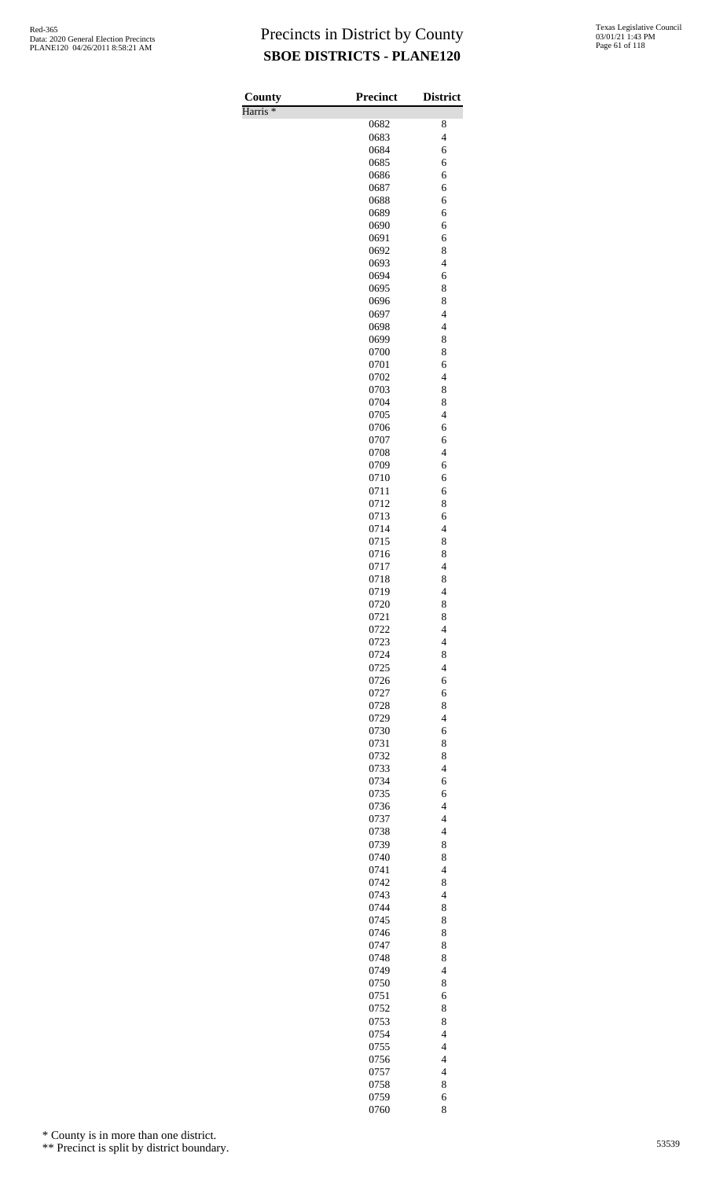Harris \*

| County              | <b>Precinct</b> | <b>District</b>                                      |
|---------------------|-----------------|------------------------------------------------------|
| Harris <sup>*</sup> |                 |                                                      |
|                     | 0682            | 8<br>$\overline{4}$                                  |
|                     | 0683            | 6                                                    |
|                     | 0684<br>0685    | 6                                                    |
|                     | 0686            | 6                                                    |
|                     | 0687            | 6                                                    |
|                     | 0688            | 6                                                    |
|                     | 0689            | 6                                                    |
|                     | 0690            | 6                                                    |
|                     | 0691            | 6                                                    |
|                     | 0692            | 8                                                    |
|                     | 0693            | $\overline{\mathcal{L}}$                             |
|                     | 0694            | 6                                                    |
|                     | 0695            | 8                                                    |
|                     | 0696            | 8                                                    |
|                     | 0697<br>0698    | $\overline{\mathcal{L}}$<br>$\overline{\mathcal{L}}$ |
|                     | 0699            | 8                                                    |
|                     | 0700            | 8                                                    |
|                     | 0701            | 6                                                    |
|                     | 0702            | $\overline{4}$                                       |
|                     | 0703            | 8                                                    |
|                     | 0704            | 8                                                    |
|                     | 0705            | $\overline{4}$                                       |
|                     | 0706            | 6                                                    |
|                     | 0707            | 6                                                    |
|                     | 0708            | $\overline{4}$                                       |
|                     | 0709            | 6                                                    |
|                     | 0710            | 6                                                    |
|                     | 0711            | 6                                                    |
|                     | 0712            | 8                                                    |
|                     | 0713            | 6<br>$\overline{\mathcal{L}}$                        |
|                     | 0714<br>0715    | 8                                                    |
|                     | 0716            | 8                                                    |
|                     | 0717            | $\overline{\mathcal{L}}$                             |
|                     | 0718            | 8                                                    |
|                     | 0719            | $\overline{4}$                                       |
|                     | 0720            | 8                                                    |
|                     | 0721            | 8                                                    |
|                     | 0722            | $\overline{\mathcal{L}}$                             |
|                     | 0723            | $\overline{\mathcal{L}}$                             |
|                     | 0724            | 8                                                    |
|                     | 0725            | $\overline{4}$                                       |
|                     | 0726            | 6                                                    |
|                     | 0727            | 6                                                    |
|                     | 0728            | 8                                                    |
|                     | 0729            | $\overline{\mathcal{L}}$                             |
|                     | 0730<br>0731    | 6<br>8                                               |
|                     | 0732            | 8                                                    |
|                     | 0733            | $\overline{\mathcal{L}}$                             |
|                     | 0734            | 6                                                    |
|                     | 0735            | 6                                                    |
|                     | 0736            | $\overline{4}$                                       |
|                     | 0737            | $\overline{\mathcal{L}}$                             |
|                     | 0738            | $\overline{\mathcal{L}}$                             |
|                     | 0739            | 8                                                    |
|                     | 0740            | 8                                                    |
|                     | 0741            | $\overline{4}$                                       |
|                     | 0742            | 8                                                    |
|                     | 0743            | $\overline{\mathcal{L}}$                             |
|                     | 0744            | 8                                                    |
|                     | 0745            | 8                                                    |
|                     | 0746<br>0747    | 8<br>8                                               |
|                     | 0748            | 8                                                    |
|                     | 0749            | $\overline{\mathcal{L}}$                             |
|                     | 0750            | 8                                                    |
|                     | 0751            | 6                                                    |
|                     | 0752            | 8                                                    |
|                     | 0753            | 8                                                    |
|                     | 0754            | $\overline{\mathcal{L}}$                             |
|                     | 0755            | $\overline{4}$                                       |
|                     | 0756            | $\overline{4}$                                       |
|                     | 0757            | $\overline{4}$                                       |
|                     | 0758            | 8                                                    |
|                     | 0759            | 6                                                    |
|                     | 0760            | 8                                                    |

\* County is in more than one district.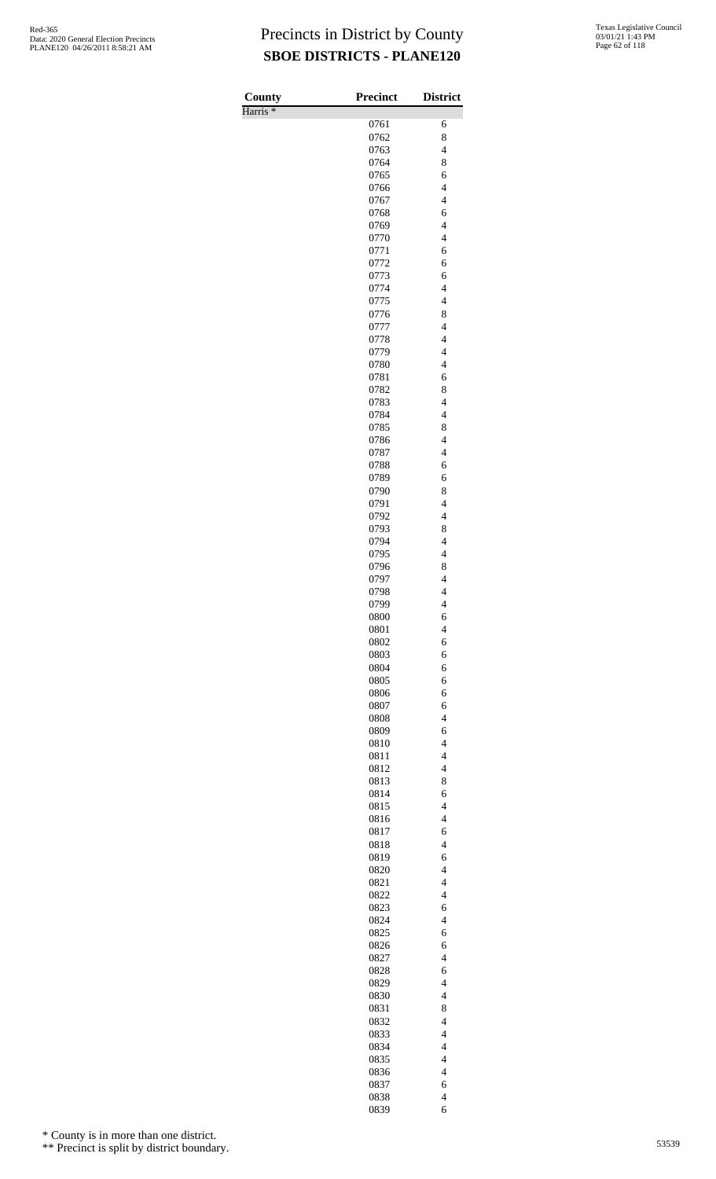Harris \*

| County<br>Harris <sup>*</sup> | <b>Precinct</b> | <b>District</b>                                      |
|-------------------------------|-----------------|------------------------------------------------------|
|                               | 0761            | 6                                                    |
|                               | 0762            | 8                                                    |
|                               | 0763            | $\overline{\mathcal{L}}$                             |
|                               | 0764<br>0765    | 8<br>6                                               |
|                               | 0766            | $\overline{\mathbf{4}}$                              |
|                               | 0767            | $\overline{\mathcal{L}}$                             |
|                               | 0768            | 6                                                    |
|                               | 0769            | $\overline{4}$                                       |
|                               | 0770<br>0771    | $\overline{\mathcal{L}}$<br>6                        |
|                               | 0772            | 6                                                    |
|                               | 0773            | 6                                                    |
|                               | 0774            | $\overline{4}$                                       |
|                               | 0775<br>0776    | $\overline{\mathcal{L}}$<br>8                        |
|                               | 0777            | $\overline{\mathcal{L}}$                             |
|                               | 0778            | $\overline{4}$                                       |
|                               | 0779            | $\overline{4}$                                       |
|                               | 0780            | $\overline{\mathcal{L}}$                             |
|                               | 0781<br>0782    | 6<br>8                                               |
|                               | 0783            | $\overline{\mathcal{L}}$                             |
|                               | 0784            | $\overline{\mathcal{L}}$                             |
|                               | 0785            | 8                                                    |
|                               | 0786<br>0787    | $\overline{\mathcal{L}}$<br>$\overline{\mathcal{L}}$ |
|                               | 0788            | 6                                                    |
|                               | 0789            | 6                                                    |
|                               | 0790            | 8                                                    |
|                               | 0791            | $\overline{\mathcal{L}}$                             |
|                               | 0792<br>0793    | $\overline{4}$<br>8                                  |
|                               | 0794            | $\overline{4}$                                       |
|                               | 0795            | $\overline{\mathbf{4}}$                              |
|                               | 0796            | 8                                                    |
|                               | 0797<br>0798    | $\overline{\mathcal{L}}$<br>$\overline{\mathcal{L}}$ |
|                               | 0799            | $\overline{4}$                                       |
|                               | 0800            | 6                                                    |
|                               | 0801            | $\overline{4}$                                       |
|                               | 0802            | 6                                                    |
|                               | 0803<br>0804    | 6<br>6                                               |
|                               | 0805            | 6                                                    |
|                               | 0806            | 6                                                    |
|                               | 0807            | 6                                                    |
|                               | 0808<br>0809    | $\overline{4}$<br>6                                  |
|                               | 0810            | $\overline{4}$                                       |
|                               | 0811            | $\overline{\mathcal{L}}$                             |
|                               | 0812            | $\overline{4}$                                       |
|                               | 0813            | 8                                                    |
|                               | 0814<br>0815    | 6<br>$\overline{4}$                                  |
|                               | 0816            | $\overline{\mathcal{L}}$                             |
|                               | 0817            | 6                                                    |
|                               | 0818            | $\overline{4}$                                       |
|                               | 0819            | 6                                                    |
|                               | 0820<br>0821    | $\overline{4}$<br>$\overline{\mathcal{L}}$           |
|                               | 0822            | $\overline{\mathcal{L}}$                             |
|                               | 0823            | 6                                                    |
|                               | 0824            | $\overline{4}$                                       |
|                               | 0825<br>0826    | 6<br>6                                               |
|                               | 0827            | $\overline{\mathcal{L}}$                             |
|                               | 0828            | 6                                                    |
|                               | 0829            | $\overline{4}$                                       |
|                               | 0830            | $\overline{\mathcal{L}}$                             |
|                               | 0831<br>0832    | 8<br>$\overline{\mathcal{L}}$                        |
|                               | 0833            | $\overline{\mathcal{L}}$                             |
|                               | 0834            | $\overline{4}$                                       |
|                               | 0835            | $\overline{4}$                                       |
|                               | 0836            | $\overline{\mathcal{L}}$                             |
|                               | 0837<br>0838    | 6<br>$\overline{\mathcal{L}}$                        |
|                               | 0839            | 6                                                    |

\* County is in more than one district.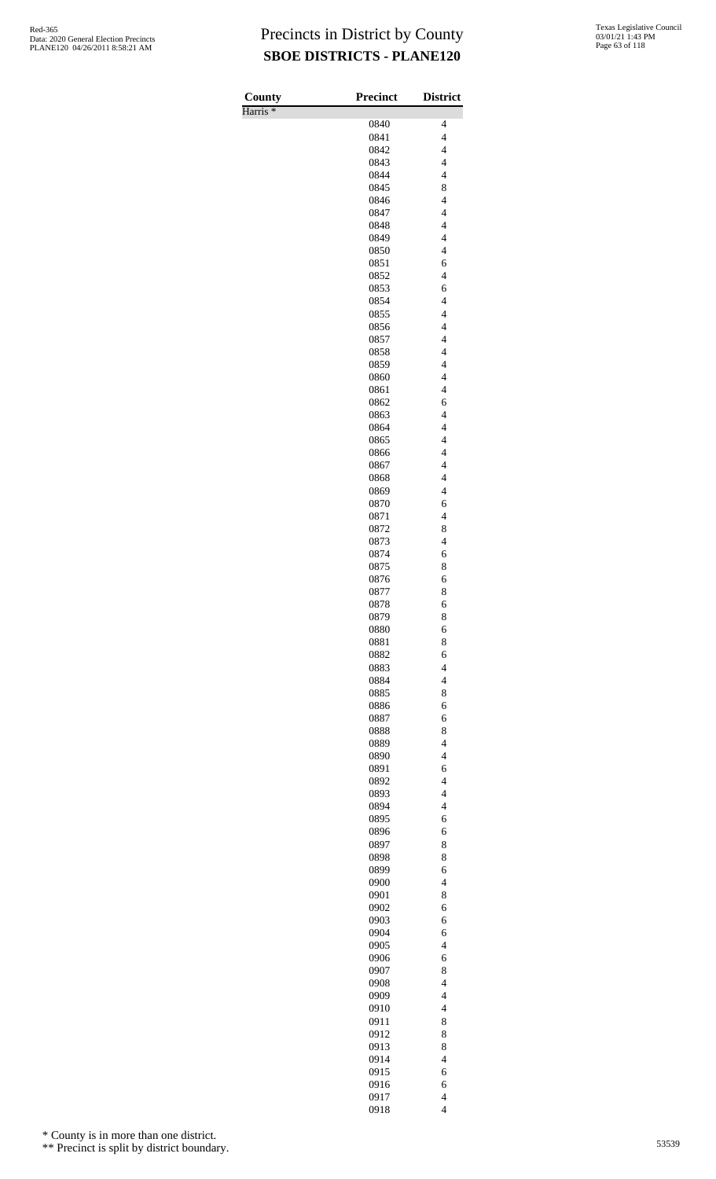Harris \*

| County              | Precinct     | <b>District</b>                            |
|---------------------|--------------|--------------------------------------------|
| Harris <sup>*</sup> |              |                                            |
|                     | 0840         | 4                                          |
|                     | 0841         | $\overline{\mathcal{L}}$                   |
|                     | 0842<br>0843 | $\overline{\mathcal{L}}$<br>$\overline{4}$ |
|                     | 0844         | $\overline{4}$                             |
|                     | 0845         | 8                                          |
|                     | 0846         | $\overline{\mathcal{L}}$                   |
|                     | 0847         | $\overline{\mathcal{L}}$                   |
|                     | 0848         | $\overline{4}$                             |
|                     | 0849         | $\overline{4}$                             |
|                     | 0850         | $\overline{\mathcal{L}}$                   |
|                     | 0851         | 6                                          |
|                     | 0852         | $\overline{\mathcal{L}}$                   |
|                     | 0853<br>0854 | 6<br>$\overline{4}$                        |
|                     | 0855         | $\overline{\mathcal{L}}$                   |
|                     | 0856         | $\overline{\mathcal{L}}$                   |
|                     | 0857         | $\overline{\mathcal{L}}$                   |
|                     | 0858         | $\overline{4}$                             |
|                     | 0859         | $\overline{4}$                             |
|                     | 0860         | $\overline{\mathcal{L}}$                   |
|                     | 0861         | $\overline{\mathcal{L}}$                   |
|                     | 0862         | 6<br>$\overline{4}$                        |
|                     | 0863<br>0864 | $\overline{4}$                             |
|                     | 0865         | $\overline{\mathcal{L}}$                   |
|                     | 0866         | $\overline{\mathcal{L}}$                   |
|                     | 0867         | $\overline{\mathcal{L}}$                   |
|                     | 0868         | $\overline{4}$                             |
|                     | 0869         | $\overline{4}$                             |
|                     | 0870         | 6                                          |
|                     | 0871         | $\overline{4}$                             |
|                     | 0872<br>0873 | 8<br>$\overline{4}$                        |
|                     | 0874         | 6                                          |
|                     | 0875         | 8                                          |
|                     | 0876         | 6                                          |
|                     | 0877         | 8                                          |
|                     | 0878         | 6                                          |
|                     | 0879         | 8                                          |
|                     | 0880         | 6                                          |
|                     | 0881<br>0882 | 8<br>6                                     |
|                     | 0883         | $\overline{4}$                             |
|                     | 0884         | $\overline{4}$                             |
|                     | 0885         | 8                                          |
|                     | 0886         | 6                                          |
|                     | 0887         | 6                                          |
|                     | 0888         | 8                                          |
|                     | 0889         | $\overline{4}$                             |
|                     | 0890         | $\overline{\mathcal{L}}$                   |
|                     | 0891<br>0892 | 6<br>$\overline{4}$                        |
|                     | 0893         | $\overline{4}$                             |
|                     | 0894         | $\overline{4}$                             |
|                     | 0895         | 6                                          |
|                     | 0896         | 6                                          |
|                     | 0897         | 8                                          |
|                     | 0898         | 8                                          |
|                     | 0899         | 6                                          |
|                     | 0900         | $\overline{\mathcal{L}}$                   |
|                     | 0901<br>0902 | 8<br>6                                     |
|                     | 0903         | 6                                          |
|                     | 0904         | 6                                          |
|                     | 0905         | $\overline{4}$                             |
|                     | 0906         | 6                                          |
|                     | 0907         | 8                                          |
|                     | 0908         | $\overline{4}$                             |
|                     | 0909         | $\overline{4}$<br>$\overline{\mathcal{L}}$ |
|                     | 0910<br>0911 | 8                                          |
|                     | 0912         | 8                                          |
|                     | 0913         | 8                                          |
|                     | 0914         | $\overline{4}$                             |
|                     | 0915         | 6                                          |
|                     | 0916         | 6                                          |
|                     | 0917         | $\overline{\mathcal{L}}$                   |
|                     | 0918         | $\overline{\mathcal{L}}$                   |

\* County is in more than one district.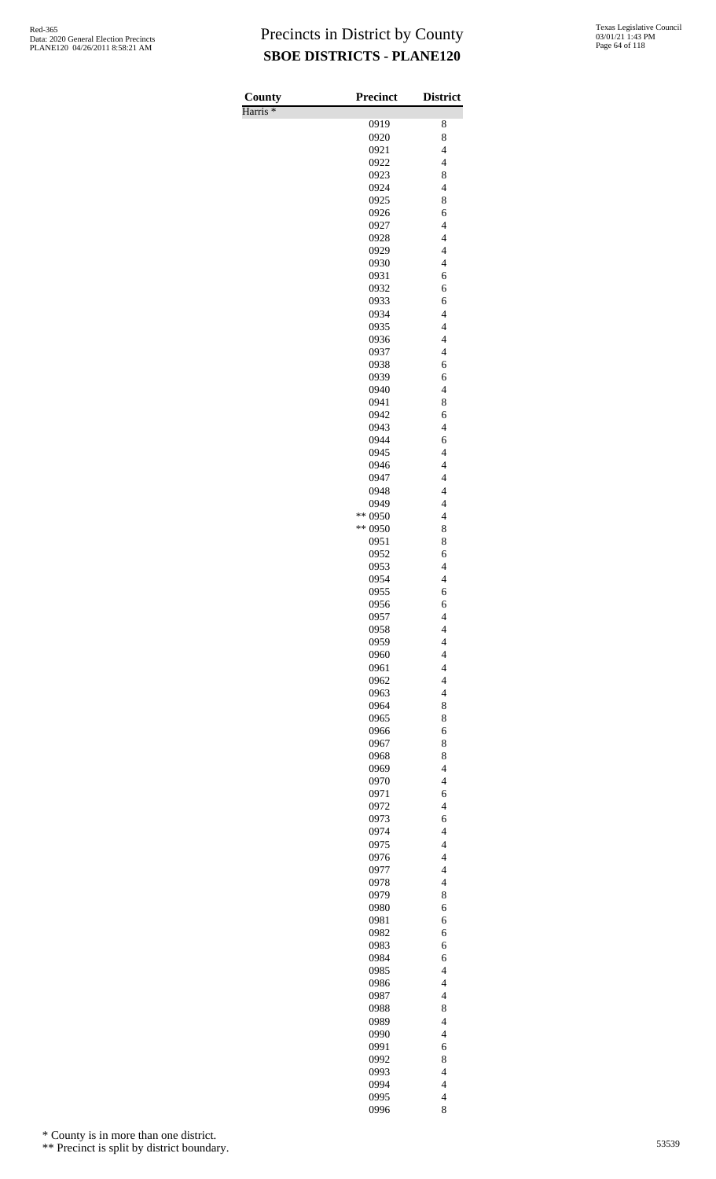Harris \*

| County<br>Harris <sup>*</sup> | <b>Precinct</b> | <b>District</b>                                      |
|-------------------------------|-----------------|------------------------------------------------------|
|                               | 0919            | 8                                                    |
|                               | 0920            | 8                                                    |
|                               | 0921            | $\overline{\mathcal{L}}$                             |
|                               | 0922            | $\overline{4}$                                       |
|                               | 0923            | 8                                                    |
|                               | 0924            | $\overline{\mathcal{L}}$                             |
|                               | 0925            | 8                                                    |
|                               | 0926            | 6                                                    |
|                               | 0927            | $\overline{4}$                                       |
|                               | 0928            | $\overline{4}$                                       |
|                               | 0929            | $\overline{4}$                                       |
|                               | 0930            | $\overline{4}$                                       |
|                               | 0931<br>0932    | 6<br>6                                               |
|                               | 0933            | 6                                                    |
|                               | 0934            | $\overline{4}$                                       |
|                               | 0935            | $\overline{\mathcal{L}}$                             |
|                               | 0936            | $\overline{4}$                                       |
|                               | 0937            | $\overline{4}$                                       |
|                               | 0938            | 6                                                    |
|                               | 0939            | 6                                                    |
|                               | 0940            | $\overline{\mathcal{L}}$                             |
|                               | 0941            | 8                                                    |
|                               | 0942            | 6                                                    |
|                               | 0943            | $\overline{\mathbf{4}}$                              |
|                               | 0944            | 6                                                    |
|                               | 0945            | $\overline{4}$                                       |
|                               | 0946            | $\overline{4}$<br>$\overline{4}$                     |
|                               | 0947<br>0948    | $\overline{4}$                                       |
|                               | 0949            | $\overline{4}$                                       |
|                               | ** 0950         | $\overline{4}$                                       |
|                               | ** 0950         | 8                                                    |
|                               | 0951            | 8                                                    |
|                               | 0952            | 6                                                    |
|                               | 0953            | $\overline{4}$                                       |
|                               | 0954            | $\overline{4}$                                       |
|                               | 0955            | 6                                                    |
|                               | 0956            | 6                                                    |
|                               | 0957            | 4                                                    |
|                               | 0958            | $\overline{\mathbf{4}}$                              |
|                               | 0959            | $\overline{4}$                                       |
|                               | 0960<br>0961    | $\overline{\mathcal{L}}$<br>$\overline{\mathcal{L}}$ |
|                               | 0962            | $\overline{4}$                                       |
|                               | 0963            | $\overline{4}$                                       |
|                               | 0964            | 8                                                    |
|                               | 0965            | 8                                                    |
|                               | 0966            | 6                                                    |
|                               | 0967            | 8                                                    |
|                               | 0968            | 8                                                    |
|                               | 0969            | $\overline{4}$                                       |
|                               | 0970            | $\overline{\mathcal{L}}$                             |
|                               | 0971            | 6                                                    |
|                               | 0972            | $\overline{\mathcal{L}}$                             |
|                               | 0973            | 6                                                    |
|                               | 0974            | $\overline{\mathcal{L}}$                             |
|                               | 0975<br>0976    | $\overline{\mathcal{L}}$<br>$\overline{\mathcal{L}}$ |
|                               | 0977            | $\overline{4}$                                       |
|                               | 0978            | $\overline{4}$                                       |
|                               | 0979            | 8                                                    |
|                               | 0980            | 6                                                    |
|                               | 0981            | 6                                                    |
|                               | 0982            | 6                                                    |
|                               | 0983            | 6                                                    |
|                               | 0984            | 6                                                    |
|                               | 0985            | $\overline{\mathcal{L}}$                             |
|                               | 0986            | $\overline{4}$                                       |
|                               | 0987            | $\overline{4}$                                       |
|                               | 0988            | 8                                                    |
|                               | 0989            | $\overline{\mathcal{L}}$                             |
|                               | 0990            | $\overline{\mathcal{L}}$                             |
|                               | 0991<br>0992    | 6<br>8                                               |
|                               | 0993            | $\overline{4}$                                       |
|                               | 0994            | $\overline{4}$                                       |
|                               | 0995            | $\overline{\mathcal{L}}$                             |
|                               | 0996            | 8                                                    |

\* County is in more than one district.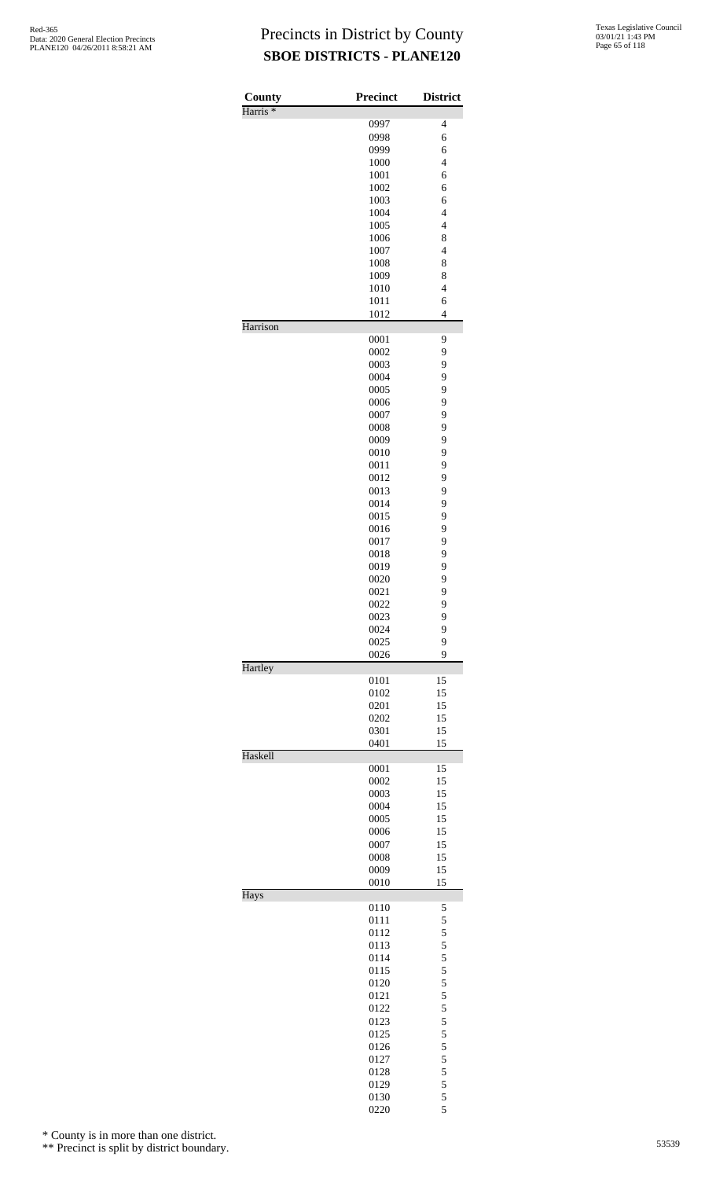| $\overline{\mathcal{L}}$<br>0997<br>0998<br>6<br>0999<br>6<br>$\overline{4}$<br>1000<br>1001<br>6<br>1002<br>6<br>1003<br>6<br>1004<br>$\overline{4}$<br>$\overline{\mathcal{L}}$<br>1005<br>8<br>1006<br>1007<br>$\overline{4}$<br>1008<br>8<br>1009<br>8<br>$\overline{\mathcal{L}}$<br>1010<br>1011<br>6<br>1012<br>$\overline{4}$<br>Harrison<br>0001<br>9<br>9<br>0002<br>9<br>0003<br>9<br>0004<br>9<br>0005<br>9<br>0006<br>9<br>0007<br>9<br>0008<br>9<br>0009<br>9<br>0010<br>9<br>0011<br>9<br>0012<br>9<br>0013<br>9<br>0014<br>9<br>0015<br>9<br>0016<br>9<br>0017<br>9<br>0018<br>9<br>0019<br>9<br>0020<br>9<br>0021<br>9<br>0022<br>0023<br>9<br>9<br>0024<br>9<br>0025<br>0026<br>9<br>Hartley<br>0101<br>15<br>0102<br>15<br>15<br>0201<br>15<br>0202<br>15<br>0301<br>0401<br>15<br>Haskell<br>0001<br>15<br>0002<br>15<br>15<br>0003<br>0004<br>15<br>0005<br>15<br>0006<br>15<br>15<br>0007<br>15<br>0008<br>0009<br>15<br>0010<br>15<br>Hays<br>0110<br>5<br>5<br>0111<br>5<br>0112<br>5<br>0113<br>5<br>0114<br>5<br>0115<br>5<br>0120<br>5<br>0121<br>5<br>0122<br>5<br>0123<br>5<br>0125<br>5<br>0126<br>$\frac{5}{5}$<br>0127<br>0128<br>5<br>0129<br>5<br>0130 | County              | Precinct | <b>District</b> |
|------------------------------------------------------------------------------------------------------------------------------------------------------------------------------------------------------------------------------------------------------------------------------------------------------------------------------------------------------------------------------------------------------------------------------------------------------------------------------------------------------------------------------------------------------------------------------------------------------------------------------------------------------------------------------------------------------------------------------------------------------------------------------------------------------------------------------------------------------------------------------------------------------------------------------------------------------------------------------------------------------------------------------------------------------------------------------------------------------------------------------------------------------------------------------------------|---------------------|----------|-----------------|
|                                                                                                                                                                                                                                                                                                                                                                                                                                                                                                                                                                                                                                                                                                                                                                                                                                                                                                                                                                                                                                                                                                                                                                                          | Harris <sup>*</sup> |          |                 |
|                                                                                                                                                                                                                                                                                                                                                                                                                                                                                                                                                                                                                                                                                                                                                                                                                                                                                                                                                                                                                                                                                                                                                                                          |                     |          |                 |
|                                                                                                                                                                                                                                                                                                                                                                                                                                                                                                                                                                                                                                                                                                                                                                                                                                                                                                                                                                                                                                                                                                                                                                                          |                     |          |                 |
|                                                                                                                                                                                                                                                                                                                                                                                                                                                                                                                                                                                                                                                                                                                                                                                                                                                                                                                                                                                                                                                                                                                                                                                          |                     |          |                 |
|                                                                                                                                                                                                                                                                                                                                                                                                                                                                                                                                                                                                                                                                                                                                                                                                                                                                                                                                                                                                                                                                                                                                                                                          |                     |          |                 |
|                                                                                                                                                                                                                                                                                                                                                                                                                                                                                                                                                                                                                                                                                                                                                                                                                                                                                                                                                                                                                                                                                                                                                                                          |                     |          |                 |
|                                                                                                                                                                                                                                                                                                                                                                                                                                                                                                                                                                                                                                                                                                                                                                                                                                                                                                                                                                                                                                                                                                                                                                                          |                     |          |                 |
|                                                                                                                                                                                                                                                                                                                                                                                                                                                                                                                                                                                                                                                                                                                                                                                                                                                                                                                                                                                                                                                                                                                                                                                          |                     |          |                 |
|                                                                                                                                                                                                                                                                                                                                                                                                                                                                                                                                                                                                                                                                                                                                                                                                                                                                                                                                                                                                                                                                                                                                                                                          |                     |          |                 |
|                                                                                                                                                                                                                                                                                                                                                                                                                                                                                                                                                                                                                                                                                                                                                                                                                                                                                                                                                                                                                                                                                                                                                                                          |                     |          |                 |
|                                                                                                                                                                                                                                                                                                                                                                                                                                                                                                                                                                                                                                                                                                                                                                                                                                                                                                                                                                                                                                                                                                                                                                                          |                     |          |                 |
|                                                                                                                                                                                                                                                                                                                                                                                                                                                                                                                                                                                                                                                                                                                                                                                                                                                                                                                                                                                                                                                                                                                                                                                          |                     |          |                 |
|                                                                                                                                                                                                                                                                                                                                                                                                                                                                                                                                                                                                                                                                                                                                                                                                                                                                                                                                                                                                                                                                                                                                                                                          |                     |          |                 |
|                                                                                                                                                                                                                                                                                                                                                                                                                                                                                                                                                                                                                                                                                                                                                                                                                                                                                                                                                                                                                                                                                                                                                                                          |                     |          |                 |
|                                                                                                                                                                                                                                                                                                                                                                                                                                                                                                                                                                                                                                                                                                                                                                                                                                                                                                                                                                                                                                                                                                                                                                                          |                     |          |                 |
|                                                                                                                                                                                                                                                                                                                                                                                                                                                                                                                                                                                                                                                                                                                                                                                                                                                                                                                                                                                                                                                                                                                                                                                          |                     |          |                 |
|                                                                                                                                                                                                                                                                                                                                                                                                                                                                                                                                                                                                                                                                                                                                                                                                                                                                                                                                                                                                                                                                                                                                                                                          |                     |          |                 |
|                                                                                                                                                                                                                                                                                                                                                                                                                                                                                                                                                                                                                                                                                                                                                                                                                                                                                                                                                                                                                                                                                                                                                                                          |                     |          |                 |
|                                                                                                                                                                                                                                                                                                                                                                                                                                                                                                                                                                                                                                                                                                                                                                                                                                                                                                                                                                                                                                                                                                                                                                                          |                     |          |                 |
|                                                                                                                                                                                                                                                                                                                                                                                                                                                                                                                                                                                                                                                                                                                                                                                                                                                                                                                                                                                                                                                                                                                                                                                          |                     |          |                 |
|                                                                                                                                                                                                                                                                                                                                                                                                                                                                                                                                                                                                                                                                                                                                                                                                                                                                                                                                                                                                                                                                                                                                                                                          |                     |          |                 |
|                                                                                                                                                                                                                                                                                                                                                                                                                                                                                                                                                                                                                                                                                                                                                                                                                                                                                                                                                                                                                                                                                                                                                                                          |                     |          |                 |
|                                                                                                                                                                                                                                                                                                                                                                                                                                                                                                                                                                                                                                                                                                                                                                                                                                                                                                                                                                                                                                                                                                                                                                                          |                     |          |                 |
|                                                                                                                                                                                                                                                                                                                                                                                                                                                                                                                                                                                                                                                                                                                                                                                                                                                                                                                                                                                                                                                                                                                                                                                          |                     |          |                 |
|                                                                                                                                                                                                                                                                                                                                                                                                                                                                                                                                                                                                                                                                                                                                                                                                                                                                                                                                                                                                                                                                                                                                                                                          |                     |          |                 |
|                                                                                                                                                                                                                                                                                                                                                                                                                                                                                                                                                                                                                                                                                                                                                                                                                                                                                                                                                                                                                                                                                                                                                                                          |                     |          |                 |
|                                                                                                                                                                                                                                                                                                                                                                                                                                                                                                                                                                                                                                                                                                                                                                                                                                                                                                                                                                                                                                                                                                                                                                                          |                     |          |                 |
|                                                                                                                                                                                                                                                                                                                                                                                                                                                                                                                                                                                                                                                                                                                                                                                                                                                                                                                                                                                                                                                                                                                                                                                          |                     |          |                 |
|                                                                                                                                                                                                                                                                                                                                                                                                                                                                                                                                                                                                                                                                                                                                                                                                                                                                                                                                                                                                                                                                                                                                                                                          |                     |          |                 |
|                                                                                                                                                                                                                                                                                                                                                                                                                                                                                                                                                                                                                                                                                                                                                                                                                                                                                                                                                                                                                                                                                                                                                                                          |                     |          |                 |
|                                                                                                                                                                                                                                                                                                                                                                                                                                                                                                                                                                                                                                                                                                                                                                                                                                                                                                                                                                                                                                                                                                                                                                                          |                     |          |                 |
|                                                                                                                                                                                                                                                                                                                                                                                                                                                                                                                                                                                                                                                                                                                                                                                                                                                                                                                                                                                                                                                                                                                                                                                          |                     |          |                 |
|                                                                                                                                                                                                                                                                                                                                                                                                                                                                                                                                                                                                                                                                                                                                                                                                                                                                                                                                                                                                                                                                                                                                                                                          |                     |          |                 |
|                                                                                                                                                                                                                                                                                                                                                                                                                                                                                                                                                                                                                                                                                                                                                                                                                                                                                                                                                                                                                                                                                                                                                                                          |                     |          |                 |
|                                                                                                                                                                                                                                                                                                                                                                                                                                                                                                                                                                                                                                                                                                                                                                                                                                                                                                                                                                                                                                                                                                                                                                                          |                     |          |                 |
|                                                                                                                                                                                                                                                                                                                                                                                                                                                                                                                                                                                                                                                                                                                                                                                                                                                                                                                                                                                                                                                                                                                                                                                          |                     |          |                 |
|                                                                                                                                                                                                                                                                                                                                                                                                                                                                                                                                                                                                                                                                                                                                                                                                                                                                                                                                                                                                                                                                                                                                                                                          |                     |          |                 |
|                                                                                                                                                                                                                                                                                                                                                                                                                                                                                                                                                                                                                                                                                                                                                                                                                                                                                                                                                                                                                                                                                                                                                                                          |                     |          |                 |
|                                                                                                                                                                                                                                                                                                                                                                                                                                                                                                                                                                                                                                                                                                                                                                                                                                                                                                                                                                                                                                                                                                                                                                                          |                     |          |                 |
|                                                                                                                                                                                                                                                                                                                                                                                                                                                                                                                                                                                                                                                                                                                                                                                                                                                                                                                                                                                                                                                                                                                                                                                          |                     |          |                 |
|                                                                                                                                                                                                                                                                                                                                                                                                                                                                                                                                                                                                                                                                                                                                                                                                                                                                                                                                                                                                                                                                                                                                                                                          |                     |          |                 |
|                                                                                                                                                                                                                                                                                                                                                                                                                                                                                                                                                                                                                                                                                                                                                                                                                                                                                                                                                                                                                                                                                                                                                                                          |                     |          |                 |
|                                                                                                                                                                                                                                                                                                                                                                                                                                                                                                                                                                                                                                                                                                                                                                                                                                                                                                                                                                                                                                                                                                                                                                                          |                     |          |                 |
|                                                                                                                                                                                                                                                                                                                                                                                                                                                                                                                                                                                                                                                                                                                                                                                                                                                                                                                                                                                                                                                                                                                                                                                          |                     |          |                 |
|                                                                                                                                                                                                                                                                                                                                                                                                                                                                                                                                                                                                                                                                                                                                                                                                                                                                                                                                                                                                                                                                                                                                                                                          |                     |          |                 |
|                                                                                                                                                                                                                                                                                                                                                                                                                                                                                                                                                                                                                                                                                                                                                                                                                                                                                                                                                                                                                                                                                                                                                                                          |                     |          |                 |
|                                                                                                                                                                                                                                                                                                                                                                                                                                                                                                                                                                                                                                                                                                                                                                                                                                                                                                                                                                                                                                                                                                                                                                                          |                     |          |                 |
|                                                                                                                                                                                                                                                                                                                                                                                                                                                                                                                                                                                                                                                                                                                                                                                                                                                                                                                                                                                                                                                                                                                                                                                          |                     |          |                 |
|                                                                                                                                                                                                                                                                                                                                                                                                                                                                                                                                                                                                                                                                                                                                                                                                                                                                                                                                                                                                                                                                                                                                                                                          |                     |          |                 |
|                                                                                                                                                                                                                                                                                                                                                                                                                                                                                                                                                                                                                                                                                                                                                                                                                                                                                                                                                                                                                                                                                                                                                                                          |                     |          |                 |
|                                                                                                                                                                                                                                                                                                                                                                                                                                                                                                                                                                                                                                                                                                                                                                                                                                                                                                                                                                                                                                                                                                                                                                                          |                     |          |                 |
|                                                                                                                                                                                                                                                                                                                                                                                                                                                                                                                                                                                                                                                                                                                                                                                                                                                                                                                                                                                                                                                                                                                                                                                          |                     |          |                 |
|                                                                                                                                                                                                                                                                                                                                                                                                                                                                                                                                                                                                                                                                                                                                                                                                                                                                                                                                                                                                                                                                                                                                                                                          |                     |          |                 |
|                                                                                                                                                                                                                                                                                                                                                                                                                                                                                                                                                                                                                                                                                                                                                                                                                                                                                                                                                                                                                                                                                                                                                                                          |                     |          |                 |
|                                                                                                                                                                                                                                                                                                                                                                                                                                                                                                                                                                                                                                                                                                                                                                                                                                                                                                                                                                                                                                                                                                                                                                                          |                     |          |                 |
|                                                                                                                                                                                                                                                                                                                                                                                                                                                                                                                                                                                                                                                                                                                                                                                                                                                                                                                                                                                                                                                                                                                                                                                          |                     |          |                 |
|                                                                                                                                                                                                                                                                                                                                                                                                                                                                                                                                                                                                                                                                                                                                                                                                                                                                                                                                                                                                                                                                                                                                                                                          |                     |          |                 |
|                                                                                                                                                                                                                                                                                                                                                                                                                                                                                                                                                                                                                                                                                                                                                                                                                                                                                                                                                                                                                                                                                                                                                                                          |                     |          |                 |
|                                                                                                                                                                                                                                                                                                                                                                                                                                                                                                                                                                                                                                                                                                                                                                                                                                                                                                                                                                                                                                                                                                                                                                                          |                     |          |                 |
|                                                                                                                                                                                                                                                                                                                                                                                                                                                                                                                                                                                                                                                                                                                                                                                                                                                                                                                                                                                                                                                                                                                                                                                          |                     |          |                 |
|                                                                                                                                                                                                                                                                                                                                                                                                                                                                                                                                                                                                                                                                                                                                                                                                                                                                                                                                                                                                                                                                                                                                                                                          |                     |          |                 |
|                                                                                                                                                                                                                                                                                                                                                                                                                                                                                                                                                                                                                                                                                                                                                                                                                                                                                                                                                                                                                                                                                                                                                                                          |                     |          |                 |
|                                                                                                                                                                                                                                                                                                                                                                                                                                                                                                                                                                                                                                                                                                                                                                                                                                                                                                                                                                                                                                                                                                                                                                                          |                     |          |                 |
|                                                                                                                                                                                                                                                                                                                                                                                                                                                                                                                                                                                                                                                                                                                                                                                                                                                                                                                                                                                                                                                                                                                                                                                          |                     |          |                 |
|                                                                                                                                                                                                                                                                                                                                                                                                                                                                                                                                                                                                                                                                                                                                                                                                                                                                                                                                                                                                                                                                                                                                                                                          |                     |          |                 |
|                                                                                                                                                                                                                                                                                                                                                                                                                                                                                                                                                                                                                                                                                                                                                                                                                                                                                                                                                                                                                                                                                                                                                                                          |                     |          |                 |
|                                                                                                                                                                                                                                                                                                                                                                                                                                                                                                                                                                                                                                                                                                                                                                                                                                                                                                                                                                                                                                                                                                                                                                                          |                     |          |                 |
|                                                                                                                                                                                                                                                                                                                                                                                                                                                                                                                                                                                                                                                                                                                                                                                                                                                                                                                                                                                                                                                                                                                                                                                          |                     |          |                 |
|                                                                                                                                                                                                                                                                                                                                                                                                                                                                                                                                                                                                                                                                                                                                                                                                                                                                                                                                                                                                                                                                                                                                                                                          |                     |          |                 |
| 5<br>0220                                                                                                                                                                                                                                                                                                                                                                                                                                                                                                                                                                                                                                                                                                                                                                                                                                                                                                                                                                                                                                                                                                                                                                                |                     |          |                 |

\* County is in more than one district.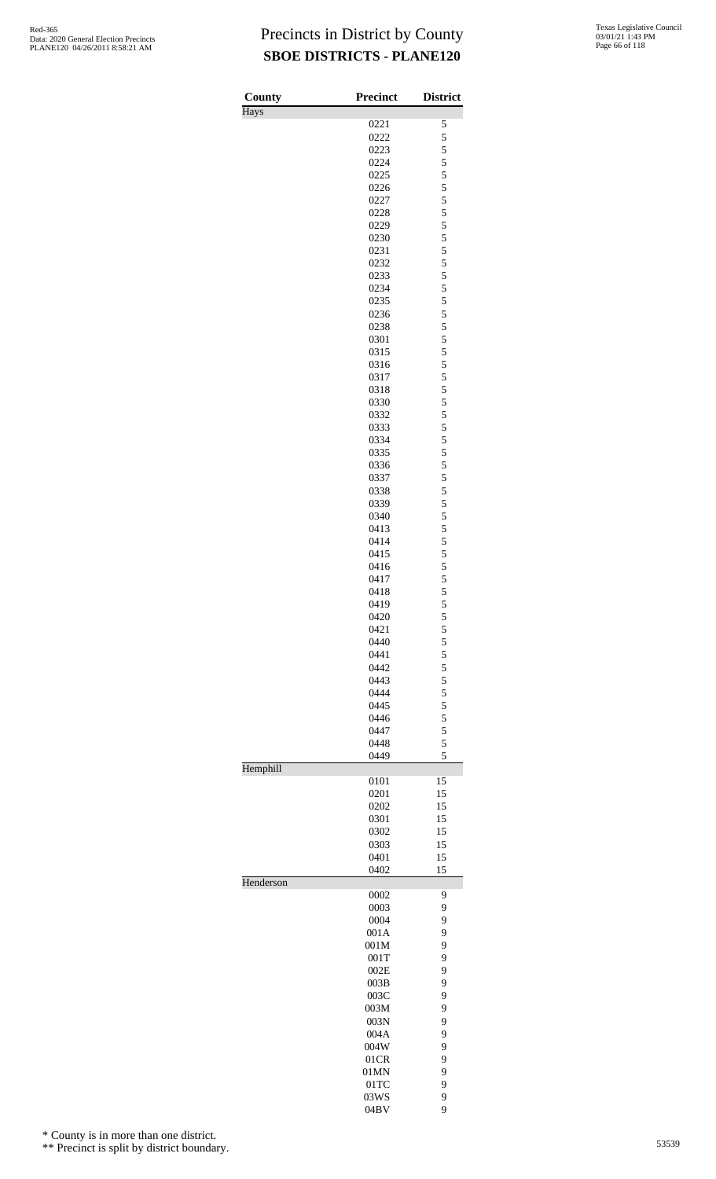| County    | <b>Precinct</b> | <b>District</b> |
|-----------|-----------------|-----------------|
| Hays      |                 |                 |
|           | 0221            | 5               |
|           | 0222            | 5               |
|           | 0223            | 5               |
|           | 0224            | 5<br>5          |
|           | 0225<br>0226    | 5               |
|           | 0227            | 5               |
|           | 0228            | 5               |
|           | 0229            | 5               |
|           | 0230            | 5               |
|           | 0231            | 5               |
|           | 0232            | 5               |
|           | 0233            | 5               |
|           | 0234            | 5               |
|           | 0235            | 5               |
|           | 0236            | 5               |
|           | 0238            | 5               |
|           | 0301            | 5               |
|           | 0315            | 5               |
|           | 0316            | 5               |
|           | 0317            | 5<br>5          |
|           | 0318<br>0330    | 5               |
|           | 0332            | 5               |
|           | 0333            | 5               |
|           | 0334            | 5               |
|           | 0335            | 5               |
|           | 0336            | 5               |
|           | 0337            | 5               |
|           | 0338            | 5               |
|           | 0339            | 5               |
|           | 0340            | 5               |
|           | 0413            | 5               |
|           | 0414            | 5               |
|           | 0415            | 5               |
|           | 0416            | 5               |
|           | 0417            | 5               |
|           | 0418<br>0419    | 5<br>5          |
|           | 0420            | 5               |
|           | 0421            | 5               |
|           | 0440            | 5               |
|           | 0441            | 5               |
|           | 0442            | 5               |
|           | 0443            | 5               |
|           | 0444            | 5               |
|           | 0445            | 5               |
|           | 0446            | 5               |
|           | 0447            | 5               |
|           | 0448            | 5               |
|           | 0449            | 5               |
| Hemphill  |                 |                 |
|           | 0101            | 15<br>15        |
|           | 0201<br>0202    | 15              |
|           | 0301            | 15              |
|           | 0302            | 15              |
|           | 0303            | 15              |
|           | 0401            | 15              |
|           | 0402            | 15              |
| Henderson |                 |                 |
|           | 0002            | 9               |
|           | 0003            | 9               |
|           | 0004            | 9               |
|           | 001A            | 9               |
|           | 001M<br>001T    | 9<br>9          |
|           | 002E            | 9               |
|           | 003B            | 9               |
|           | 003C            | 9               |
|           | 003M            | 9               |
|           | 003N            | 9               |
|           | 004A            | 9               |
|           | 004W            | 9               |
|           | 01CR            | 9               |
|           | 01MN            | 9               |
|           | $01$ TC         | 9               |
|           | 03WS            | 9               |
|           | 04BV            | 9               |

\* County is in more than one district.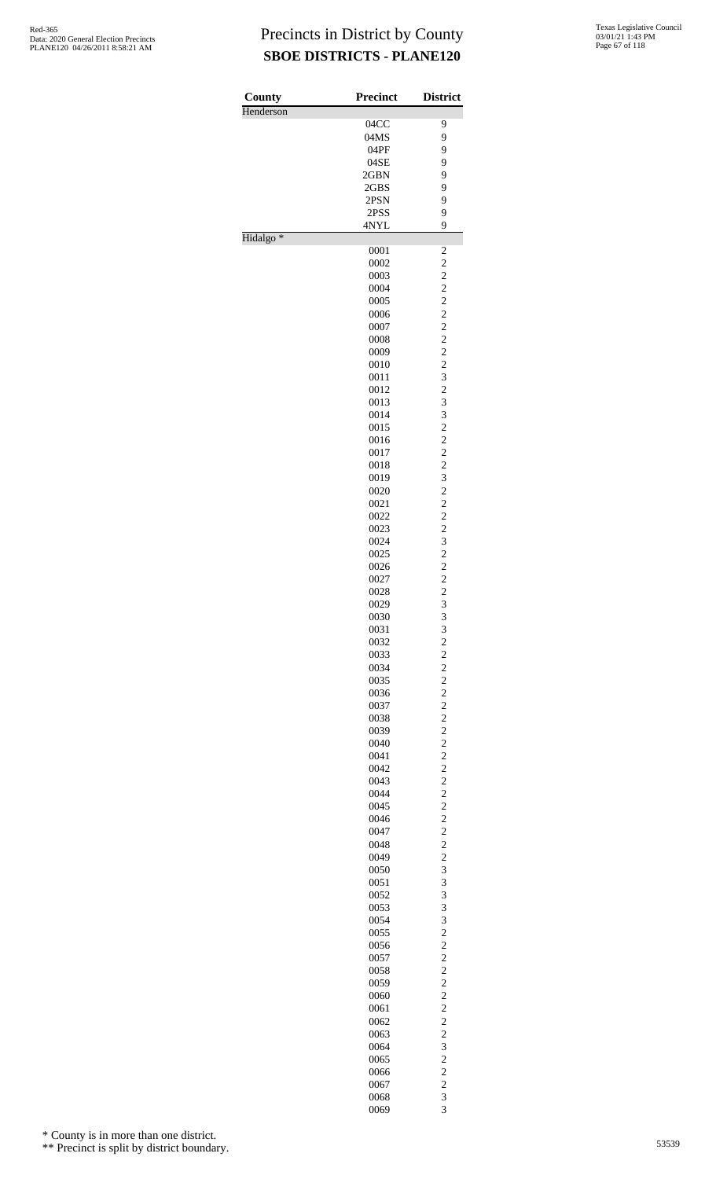| County               | <b>Precinct</b> | <b>District</b>                                 |
|----------------------|-----------------|-------------------------------------------------|
| Henderson            |                 |                                                 |
|                      | 04CC            | 9                                               |
|                      | 04MS            | 9                                               |
|                      | 04PF            | 9                                               |
|                      | 04SE            | 9                                               |
|                      | 2GBN            | 9                                               |
|                      | 2GBS<br>2PSN    | 9<br>9                                          |
|                      | 2PSS            | 9                                               |
|                      | 4NYL            | 9                                               |
| Hidalgo <sup>*</sup> |                 |                                                 |
|                      | 0001            | $\overline{\mathbf{c}}$                         |
|                      | 0002            | $\overline{c}$                                  |
|                      | 0003<br>0004    | $\begin{array}{c} 2 \\ 2 \\ 2 \end{array}$      |
|                      | 0005            |                                                 |
|                      | 0006            |                                                 |
|                      | 0007            | $\frac{2}{2}$                                   |
|                      | 0008            | $\frac{2}{2}$                                   |
|                      | 0009            |                                                 |
|                      | 0010            | $\overline{c}$<br>3                             |
|                      | 0011<br>0012    | $\overline{c}$                                  |
|                      | 0013            | 3                                               |
|                      | 0014            | 3                                               |
|                      | 0015            | $\overline{c}$                                  |
|                      | 0016            | $\frac{2}{2}$                                   |
|                      | 0017            |                                                 |
|                      | 0018            | $\frac{2}{3}$                                   |
|                      | 0019<br>0020    | $\overline{c}$                                  |
|                      | 0021            |                                                 |
|                      | 0022            | $\frac{2}{2}$                                   |
|                      | 0023            |                                                 |
|                      | 0024            | $\frac{2}{3}$                                   |
|                      | 0025            | $\overline{\mathbf{c}}$                         |
|                      | 0026            | $\frac{2}{2}$                                   |
|                      | 0027            | $\overline{c}$                                  |
|                      | 0028<br>0029    | 3                                               |
|                      | 0030            | 3                                               |
|                      | 0031            |                                                 |
|                      | 0032            | $\frac{3}{2}$                                   |
|                      | 0033            |                                                 |
|                      | 0034            |                                                 |
|                      | 0035            |                                                 |
|                      | 0036<br>0037    | $\begin{array}{c} 2 \\ 2 \\ 2 \\ 2 \end{array}$ |
|                      | 0038            |                                                 |
|                      | 0039            |                                                 |
|                      | 0040            | 2222222222                                      |
|                      | 0041            |                                                 |
|                      | 0042            |                                                 |
|                      | 0043            |                                                 |
|                      | 0044            |                                                 |
|                      | 0045<br>0046    |                                                 |
|                      | 0047            |                                                 |
|                      | 0048            |                                                 |
|                      | 0049            | $\frac{2}{3}$                                   |
|                      | 0050            |                                                 |
|                      | 0051            | $\frac{3}{3}$                                   |
|                      | 0052<br>0053    |                                                 |
|                      | 0054            | $\frac{3}{3}$                                   |
|                      | 0055            | $\overline{\mathbf{c}}$                         |
|                      | 0056            |                                                 |
|                      | 0057            | $\frac{2}{2}$                                   |
|                      | 0058            |                                                 |
|                      | 0059            | $\begin{array}{c} 2 \\ 2 \\ 2 \\ 2 \end{array}$ |
|                      | 0060            |                                                 |
|                      | 0061            |                                                 |
|                      | 0062<br>0063    |                                                 |
|                      | 0064            | $\frac{2}{3}$                                   |
|                      | 0065            | $\overline{\mathbf{c}}$                         |
|                      | 0066            | $\frac{2}{2}$                                   |
|                      | 0067            |                                                 |
|                      | 0068            | $\frac{3}{3}$                                   |
|                      | 0069            |                                                 |

\* County is in more than one district.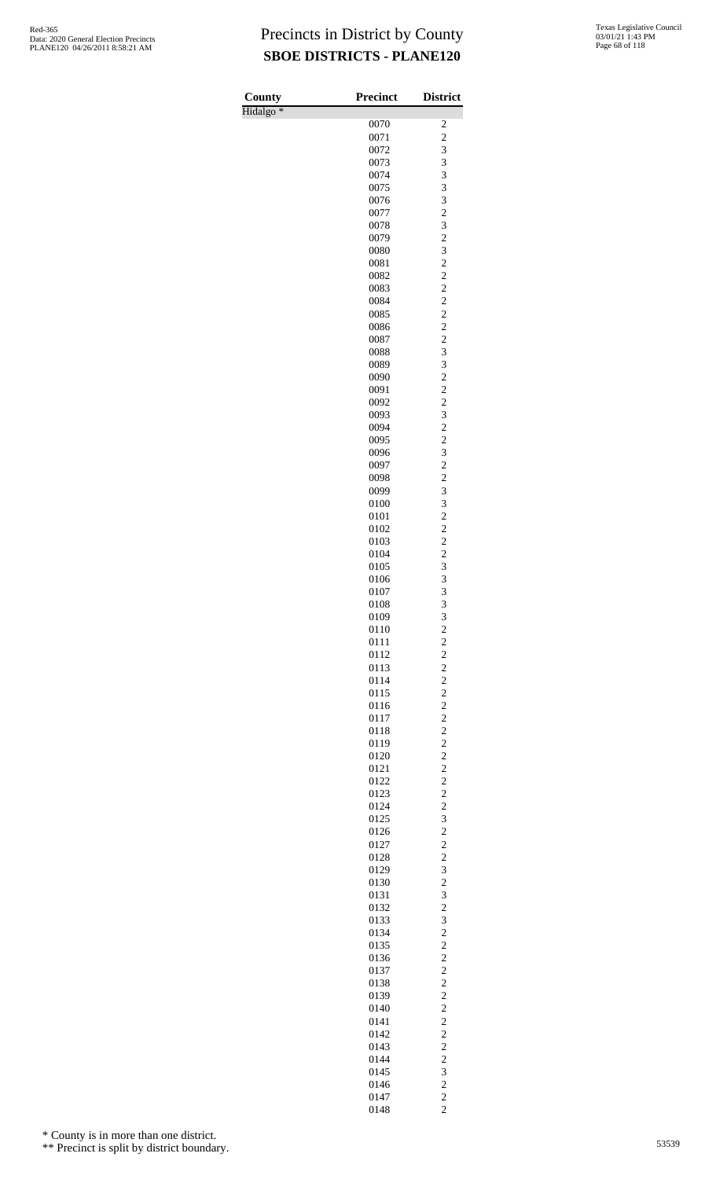| County               | <b>Precinct</b> | <b>District</b>                                        |
|----------------------|-----------------|--------------------------------------------------------|
| Hidalgo <sup>*</sup> |                 |                                                        |
|                      | 0070            | $\overline{\mathbf{c}}$                                |
|                      | 0071            | $\overline{c}$                                         |
|                      | 0072<br>0073    | 3<br>3                                                 |
|                      | 0074            | 3                                                      |
|                      | 0075            | 3                                                      |
|                      | 0076            | 3                                                      |
|                      | 0077            | $\overline{\mathbf{c}}$                                |
|                      | 0078            | 3                                                      |
|                      | 0079            | $\overline{c}$                                         |
|                      | 0080            | 3                                                      |
|                      | 0081<br>0082    | $\overline{c}$                                         |
|                      | 0083            | $\frac{2}{2}$                                          |
|                      | 0084            | $\overline{c}$                                         |
|                      | 0085            | $\overline{c}$                                         |
|                      | 0086            | $\overline{c}$                                         |
|                      | 0087            | $\frac{2}{3}$                                          |
|                      | 0088            |                                                        |
|                      | 0089            | 3                                                      |
|                      | 0090            | $\overline{c}$                                         |
|                      | 0091<br>0092    | $\overline{c}$                                         |
|                      | 0093            | $\overline{\mathbf{c}}$<br>3                           |
|                      | 0094            | $\overline{c}$                                         |
|                      | 0095            | $\overline{c}$                                         |
|                      | 0096            | 3                                                      |
|                      | 0097            | $\frac{2}{2}$                                          |
|                      | 0098            |                                                        |
|                      | 0099            | 3                                                      |
|                      | 0100            | 3<br>$\overline{c}$                                    |
|                      | 0101<br>0102    |                                                        |
|                      | 0103            | $\frac{2}{2}$                                          |
|                      | 0104            | $\overline{c}$                                         |
|                      | 0105            | 3                                                      |
|                      | 0106            | 3                                                      |
|                      | 0107            | 3                                                      |
|                      | 0108            | 3                                                      |
|                      | 0109            | $\begin{array}{c} 3 \\ 2 \\ 2 \end{array}$             |
|                      | 0110<br>0111    |                                                        |
|                      | 0112            |                                                        |
|                      | 0113            |                                                        |
|                      | 0114            |                                                        |
|                      | 0115            | $\begin{array}{c} 2 \\ 2 \\ 2 \\ 2 \end{array}$        |
|                      | 0116            |                                                        |
|                      | 0117            |                                                        |
|                      | 0118            |                                                        |
|                      | 0119<br>0120    |                                                        |
|                      | 0121            | $\begin{array}{c} 2 \\ 2 \\ 2 \\ 2 \end{array}$        |
|                      | 0122            |                                                        |
|                      | 0123            |                                                        |
|                      | 0124            | $\begin{array}{c} 2 \\ 2 \\ 3 \end{array}$             |
|                      | 0125            |                                                        |
|                      | 0126            | $\overline{\mathbf{c}}$                                |
|                      | 0127            | $\begin{array}{c}\n2 \\ 2 \\ 3 \\ 2 \\ 3\n\end{array}$ |
|                      | 0128            |                                                        |
|                      | 0129<br>0130    |                                                        |
|                      | 0131            |                                                        |
|                      | 0132            |                                                        |
|                      | 0133            | $\frac{2}{3}$                                          |
|                      | 0134            | $\overline{\mathbf{c}}$                                |
|                      | 0135            | $\overline{c}$                                         |
|                      | 0136            | $\overline{c}$                                         |
|                      | 0137            | $\begin{array}{c} 2 \\ 2 \\ 2 \\ 2 \end{array}$        |
|                      | 0138<br>0139    |                                                        |
|                      | 0140            |                                                        |
|                      | 0141            |                                                        |
|                      | 0142            |                                                        |
|                      | 0143            | $\frac{2}{2}$                                          |
|                      | 0144            | $\frac{2}{3}$                                          |
|                      | 0145            |                                                        |
|                      | 0146            | $\overline{\mathbf{c}}$                                |
|                      | 0147            | $\frac{2}{2}$                                          |
|                      | 0148            |                                                        |

\* County is in more than one district.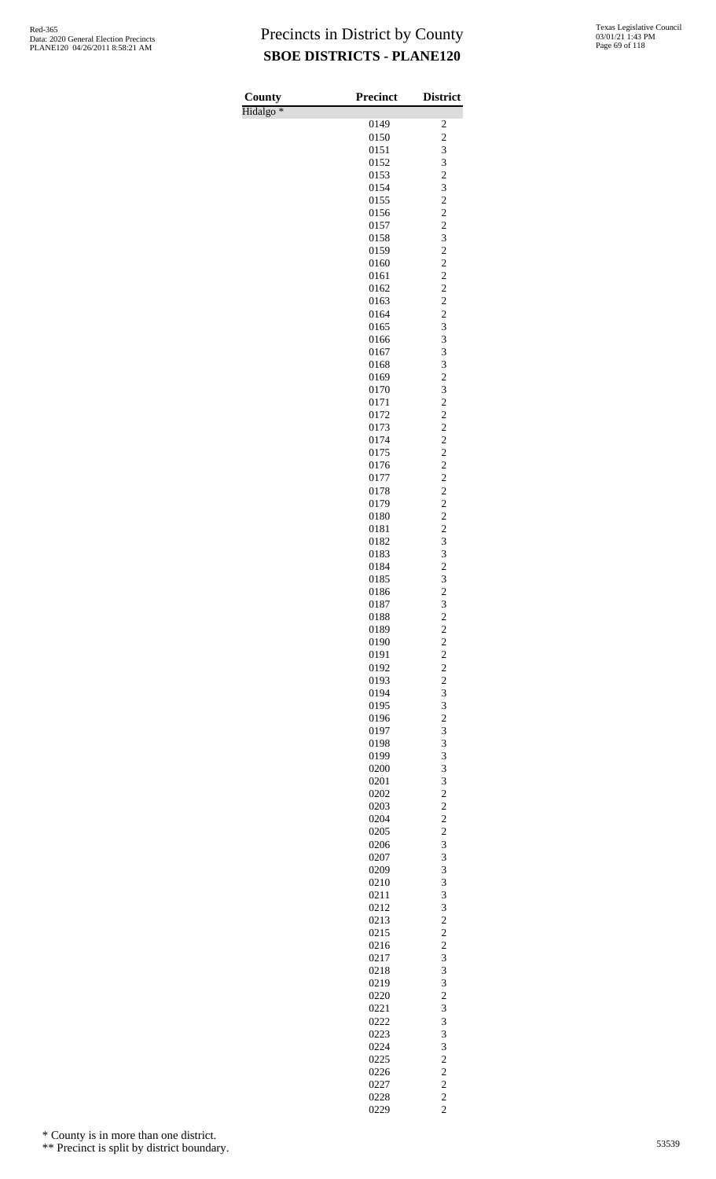| County               | <b>Precinct</b> | <b>District</b>                           |
|----------------------|-----------------|-------------------------------------------|
| Hidalgo <sup>*</sup> |                 |                                           |
|                      | 0149<br>0150    | 2<br>$\overline{c}$                       |
|                      | 0151            | 3                                         |
|                      | 0152            | 3                                         |
|                      | 0153            | $\overline{\mathbf{c}}$                   |
|                      | 0154            | 3                                         |
|                      | 0155            | $\overline{c}$                            |
|                      | 0156            | $\overline{c}$<br>$\overline{c}$          |
|                      | 0157<br>0158    | 3                                         |
|                      | 0159            | $\overline{c}$                            |
|                      | 0160            | $\overline{c}$                            |
|                      | 0161            | $\overline{c}$                            |
|                      | 0162            | $\overline{c}$                            |
|                      | 0163            | $\overline{\mathbf{c}}$<br>$\overline{c}$ |
|                      | 0164<br>0165    | 3                                         |
|                      | 0166            | 3                                         |
|                      | 0167            | 3                                         |
|                      | 0168            | 3                                         |
|                      | 0169            | $\overline{c}$                            |
|                      | 0170            | 3                                         |
|                      | 0171<br>0172    | $\overline{c}$<br>$\overline{c}$          |
|                      | 0173            | $\overline{\mathbf{c}}$                   |
|                      | 0174            | $\overline{c}$                            |
|                      | 0175            | $\overline{c}$                            |
|                      | 0176            | $\overline{c}$                            |
|                      | 0177            | $\overline{c}$                            |
|                      | 0178            | $\overline{\mathbf{c}}$<br>$\overline{c}$ |
|                      | 0179<br>0180    | $\overline{c}$                            |
|                      | 0181            | $\overline{c}$                            |
|                      | 0182            | 3                                         |
|                      | 0183            | 3                                         |
|                      | 0184            | $\overline{c}$                            |
|                      | 0185            | 3                                         |
|                      | 0186<br>0187    | $\overline{c}$<br>3                       |
|                      | 0188            |                                           |
|                      | 0189            | $\frac{2}{2}$                             |
|                      | 0190            | $\overline{c}$                            |
|                      | 0191            | $\overline{c}$                            |
|                      | 0192            | $\overline{c}$                            |
|                      | 0193<br>0194    | $\overline{\mathbf{c}}$<br>3              |
|                      | 0195            | 3                                         |
|                      | 0196            | $\overline{c}$                            |
|                      | 0197            | 3                                         |
|                      | 0198            | 3                                         |
|                      | 0199            | 3                                         |
|                      | 0200<br>0201    | 3<br>3                                    |
|                      | 0202            | $\overline{c}$                            |
|                      | 0203            | $\overline{\mathbf{c}}$                   |
|                      | 0204            | $\overline{c}$                            |
|                      | 0205            | $\overline{c}$                            |
|                      | 0206            | 3<br>3                                    |
|                      | 0207<br>0209    | 3                                         |
|                      | 0210            | 3                                         |
|                      | 0211            | 3                                         |
|                      | 0212            | 3                                         |
|                      | 0213            | $\overline{c}$                            |
|                      | 0215            | $\overline{\mathbf{c}}$<br>$\overline{c}$ |
|                      | 0216<br>0217    | 3                                         |
|                      | 0218            | 3                                         |
|                      | 0219            | 3                                         |
|                      | 0220            | $\overline{\mathbf{c}}$                   |
|                      | 0221            | 3                                         |
|                      | 0222            | 3                                         |
|                      | 0223<br>0224    | 3<br>3                                    |
|                      | 0225            | $\overline{\mathbf{c}}$                   |
|                      | 0226            | $\overline{c}$                            |
|                      | 0227            | $\overline{c}$                            |
|                      | 0228            | $\overline{c}$                            |
|                      | 0229            | $\overline{c}$                            |

\* County is in more than one district.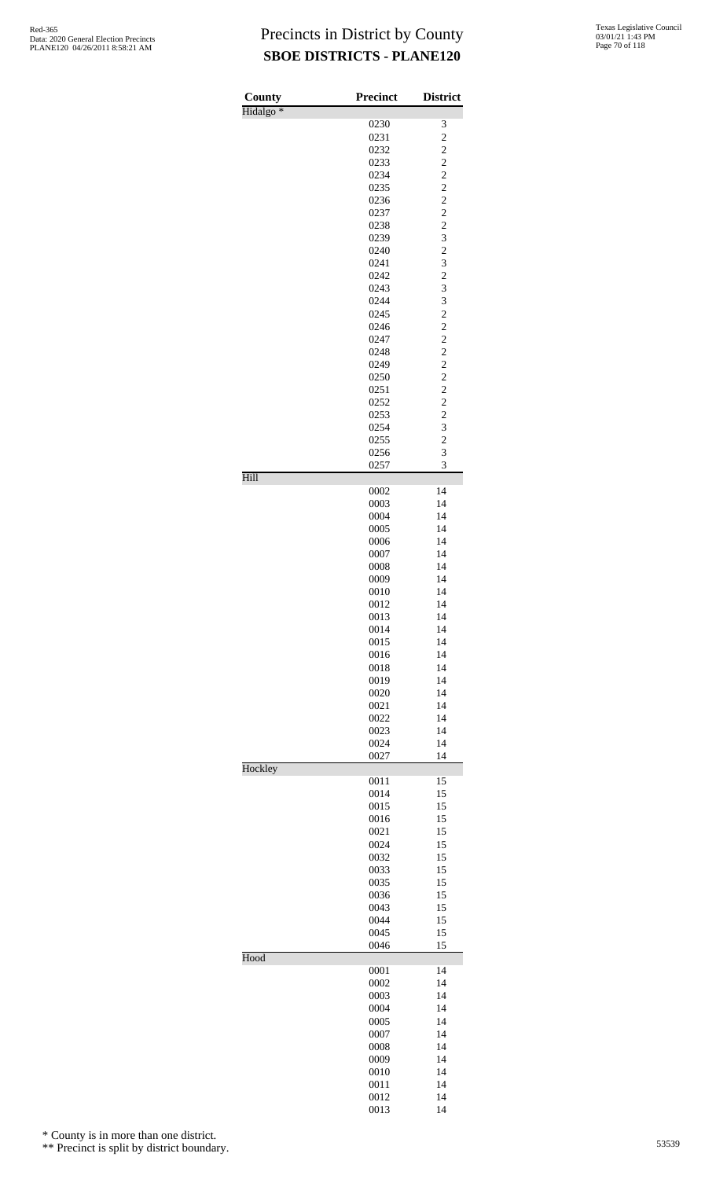| County               | <b>Precinct</b> | <b>District</b>                                    |
|----------------------|-----------------|----------------------------------------------------|
| Hidalgo <sup>*</sup> | 0230            | 3                                                  |
|                      | 0231            | $\overline{c}$                                     |
|                      | 0232            | $\overline{\mathbf{c}}$                            |
|                      | 0233            | $\overline{c}$                                     |
|                      | 0234            | $\overline{c}$                                     |
|                      | 0235<br>0236    | $\overline{c}$<br>$\overline{c}$                   |
|                      | 0237            |                                                    |
|                      | 0238            | $\frac{2}{2}$                                      |
|                      | 0239            | 3                                                  |
|                      | 0240            | $\overline{\mathbf{c}}$                            |
|                      | 0241            | 3                                                  |
|                      | 0242<br>0243    | $\overline{\mathbf{c}}$<br>$\overline{\mathbf{3}}$ |
|                      | 0244            | 3                                                  |
|                      | 0245            | $\overline{c}$                                     |
|                      | 0246            | $\overline{c}$                                     |
|                      | 0247            | $\frac{2}{2}$                                      |
|                      | 0248            |                                                    |
|                      | 0249<br>0250    | $\overline{c}$<br>$\overline{\mathbf{c}}$          |
|                      | 0251            | $\overline{c}$                                     |
|                      | 0252            |                                                    |
|                      | 0253            | $\frac{2}{2}$                                      |
|                      | 0254            | 3                                                  |
|                      | 0255            | $\overline{c}$<br>3                                |
|                      | 0256<br>0257    | 3                                                  |
| Hill                 |                 |                                                    |
|                      | 0002            | 14                                                 |
|                      | 0003            | 14<br>14                                           |
|                      | 0004<br>0005    | 14                                                 |
|                      | 0006            | 14                                                 |
|                      | 0007            | 14                                                 |
|                      | 0008            | 14                                                 |
|                      | 0009<br>0010    | 14<br>14                                           |
|                      | 0012            | 14                                                 |
|                      | 0013            | 14                                                 |
|                      | 0014            | 14                                                 |
|                      | 0015            | 14                                                 |
|                      | 0016            | 14<br>14                                           |
|                      | 0018<br>0019    | 14                                                 |
|                      | 0020            | 14                                                 |
|                      | 0021            | 14                                                 |
|                      | 0022            | 14                                                 |
|                      | 0023            | 14                                                 |
|                      | 0024<br>0027    | 14<br>14                                           |
| Hockley              |                 |                                                    |
|                      | 0011            | 15                                                 |
|                      | 0014            | 15                                                 |
|                      | 0015<br>0016    | 15<br>15                                           |
|                      | 0021            | 15                                                 |
|                      | 0024            | 15                                                 |
|                      | 0032            | 15                                                 |
|                      | 0033            | 15                                                 |
|                      | 0035<br>0036    | 15<br>15                                           |
|                      | 0043            | 15                                                 |
|                      | 0044            | 15                                                 |
|                      | 0045            | 15                                                 |
| Hood                 | 0046            | 15                                                 |
|                      | 0001            | 14                                                 |
|                      | 0002            | 14                                                 |
|                      | 0003            | 14                                                 |
|                      | 0004            | 14                                                 |
|                      | 0005<br>0007    | 14<br>14                                           |
|                      | 0008            | 14                                                 |
|                      | 0009            | 14                                                 |
|                      | 0010            | 14                                                 |
|                      | 0011            | 14                                                 |
|                      | 0012            | 14                                                 |

14

\* County is in more than one district.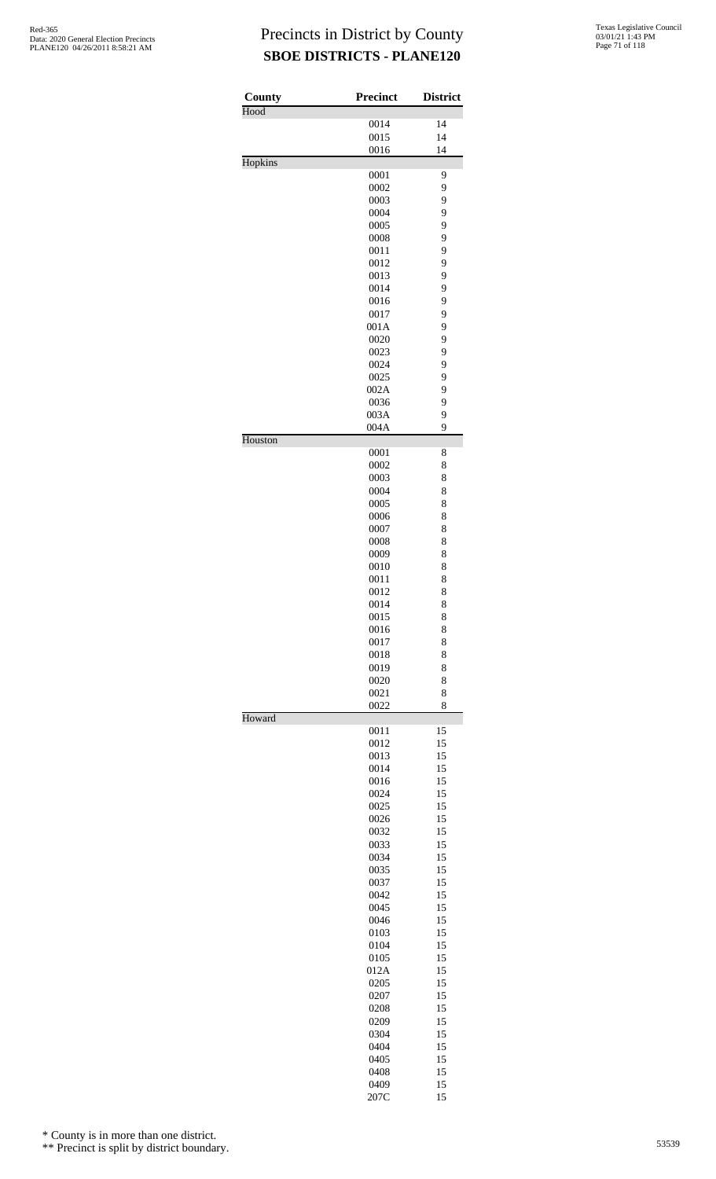| <b>County</b> | <b>Precinct</b> | <b>District</b> |
|---------------|-----------------|-----------------|
| Hood          | 0014            | 14              |
|               | 0015            | 14              |
|               | 0016            | 14              |
| Hopkins       |                 |                 |
|               | 0001<br>0002    | 9<br>9          |
|               | 0003            | 9               |
|               | 0004            | 9               |
|               | 0005            | 9               |
|               | 0008            | 9               |
|               | 0011<br>0012    | 9<br>9          |
|               | 0013            | 9               |
|               | 0014            | 9               |
|               | 0016            | 9               |
|               | 0017            | 9               |
|               | 001A            | 9               |
|               | 0020<br>0023    | 9<br>9          |
|               | 0024            | 9               |
|               | 0025            | 9               |
|               | 002A            | 9               |
|               | 0036            | 9               |
|               | 003A            | 9<br>9          |
| Houston       | 004A            |                 |
|               | 0001            | 8               |
|               | 0002            | 8               |
|               | 0003            | 8               |
|               | 0004            | 8               |
|               | 0005<br>0006    | 8<br>8          |
|               | 0007            | 8               |
|               | 0008            | 8               |
|               | 0009            | 8               |
|               | 0010            | 8               |
|               | 0011            | 8               |
|               | 0012            | 8<br>8          |
|               | 0014<br>0015    | 8               |
|               | 0016            | 8               |
|               | 0017            | 8               |
|               | 0018            | 8               |
|               | 0019            | 8               |
|               | 0020<br>0021    | 8<br>8          |
|               | 0022            | 8               |
| Howard        |                 |                 |
|               | 0011            | 15              |
|               | 0012<br>0013    | 15<br>15        |
|               | 0014            | 15              |
|               | 0016            | 15              |
|               | 0024            | 15              |
|               | 0025            | 15              |
|               | 0026            | 15              |
|               | 0032<br>0033    | 15<br>15        |
|               | 0034            | 15              |
|               | 0035            | 15              |
|               | 0037            | 15              |
|               | 0042            | 15              |
|               | 0045            | 15              |
|               | 0046<br>0103    | 15<br>15        |
|               | 0104            | 15              |
|               | 0105            | 15              |
|               | 012A            | 15              |
|               | 0205            | 15              |
|               | 0207            | 15              |
|               | 0208<br>0209    | 15<br>15        |
|               | 0304            | 15              |
|               | 0404            | 15              |
|               | 0405            | 15              |
|               | 0408            | 15              |
|               | 0409            | 15              |
|               | 207C            | 15              |

\* County is in more than one district.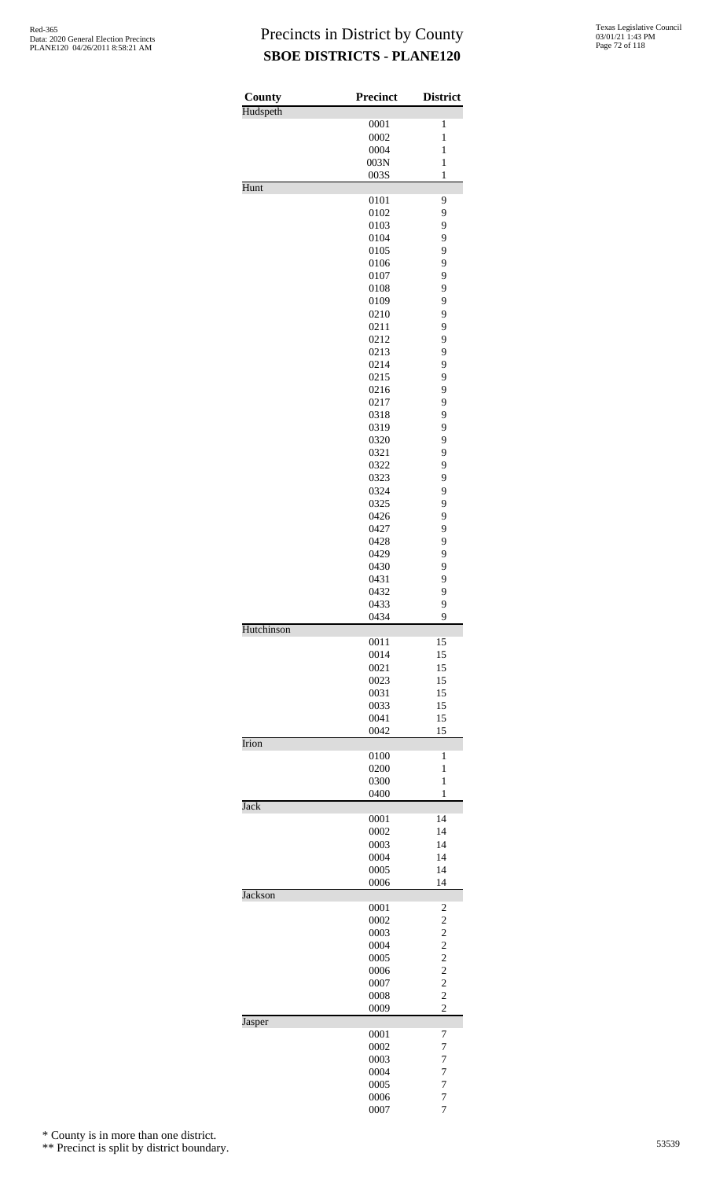| County      | <b>Precinct</b> | <b>District</b>                            |
|-------------|-----------------|--------------------------------------------|
| Hudspeth    | 0001            | $\mathbf{1}$                               |
|             | 0002            | $\mathbf{1}$                               |
|             | 0004            | $\mathbf{1}$                               |
|             | 003N            | $\mathbf{1}$                               |
|             | 003S            | $\mathbf{1}$                               |
| Hunt        |                 |                                            |
|             | 0101<br>0102    | 9<br>9                                     |
|             | 0103            | 9                                          |
|             | 0104            | 9                                          |
|             | 0105            | 9                                          |
|             | 0106            | 9                                          |
|             | 0107            | 9                                          |
|             | 0108<br>0109    | 9<br>9                                     |
|             | 0210            | 9                                          |
|             | 0211            | 9                                          |
|             | 0212            | 9                                          |
|             | 0213            | 9                                          |
|             | 0214            | 9                                          |
|             | 0215<br>0216    | 9<br>9                                     |
|             | 0217            | 9                                          |
|             | 0318            | 9                                          |
|             | 0319            | 9                                          |
|             | 0320            | 9                                          |
|             | 0321            | 9                                          |
|             | 0322            | 9                                          |
|             | 0323<br>0324    | 9<br>9                                     |
|             | 0325            | 9                                          |
|             | 0426            | 9                                          |
|             | 0427            | 9                                          |
|             | 0428            | 9                                          |
|             | 0429<br>0430    | 9<br>9                                     |
|             | 0431            | 9                                          |
|             | 0432            | 9                                          |
|             | 0433            | 9                                          |
|             | 0434            | 9                                          |
| Hutchinson  |                 |                                            |
|             | 0011<br>0014    | 15<br>15                                   |
|             | 0021            | 15                                         |
|             | 0023            | 15                                         |
|             | 0031            | 15                                         |
|             | 0033            | 15                                         |
|             | 0041<br>0042    | 15<br>15                                   |
| Irion       |                 |                                            |
|             | 0100            | 1                                          |
|             | 0200            | 1                                          |
|             | 0300            | 1                                          |
| <b>Jack</b> | 0400            | 1                                          |
|             | 0001            | 14                                         |
|             | 0002            | 14                                         |
|             | 0003            | 14                                         |
|             | 0004            | 14<br>14                                   |
|             | 0005<br>0006    | 14                                         |
| Jackson     |                 |                                            |
|             | 0001            | $\overline{\mathbf{c}}$                    |
|             | 0002            | $\overline{c}$                             |
|             | 0003<br>0004    | $\overline{\mathbf{c}}$                    |
|             | 0005            | $\frac{2}{2}$                              |
|             | 0006            |                                            |
|             | 0007            | $\begin{array}{c} 2 \\ 2 \\ 2 \end{array}$ |
|             | 0008            |                                            |
| Jasper      | 0009            | $\overline{c}$                             |
|             | 0001            | 7                                          |
|             | 0002            | $\overline{7}$                             |
|             | 0003            | 7                                          |
|             | 0004            | 7                                          |
|             | 0005<br>0006    | $\overline{7}$<br>7                        |
|             | 0007            | 7                                          |

\* County is in more than one district.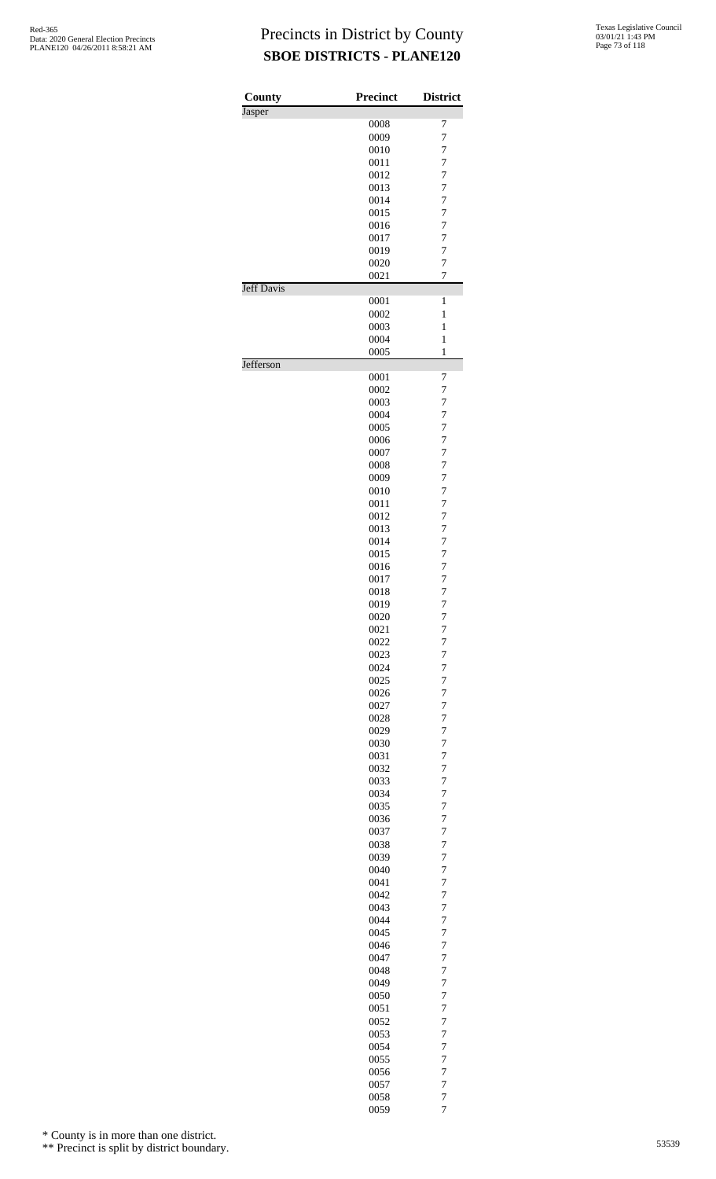| County            | <b>Precinct</b> | <b>District</b>                  |
|-------------------|-----------------|----------------------------------|
| Jasper            |                 |                                  |
|                   | 0008            | 7                                |
|                   | 0009            | 7                                |
|                   | 0010            | $\overline{7}$                   |
|                   | 0011            | $\overline{7}$                   |
|                   | 0012            | $\overline{7}$                   |
|                   | 0013            | $\overline{7}$                   |
|                   | 0014            | $\overline{7}$                   |
|                   | 0015            | $\overline{7}$                   |
|                   | 0016            | $\overline{7}$                   |
|                   | 0017            | $\overline{7}$                   |
|                   | 0019            | $\overline{7}$                   |
|                   | 0020            | $\overline{7}$                   |
| <b>Jeff Davis</b> | 0021            | $\overline{7}$                   |
|                   | 0001            | 1                                |
|                   | 0002            | $\mathbf{1}$                     |
|                   | 0003            | $\mathbf{1}$                     |
|                   | 0004<br>0005    | $\mathbf{1}$<br>$\mathbf{1}$     |
| Jefferson         |                 |                                  |
|                   | 0001            | 7                                |
|                   | 0002<br>0003    | 7                                |
|                   |                 | $\overline{7}$                   |
|                   | 0004<br>0005    | $\overline{7}$                   |
|                   | 0006            | $\overline{7}$<br>$\overline{7}$ |
|                   | 0007            | $\overline{7}$                   |
|                   | 0008            | $\overline{7}$                   |
|                   | 0009            | $\overline{7}$                   |
|                   | 0010            | $\overline{7}$                   |
|                   | 0011            | $\overline{7}$                   |
|                   | 0012            | $\overline{7}$                   |
|                   | 0013            | $\overline{7}$                   |
|                   | 0014            | $\overline{7}$                   |
|                   | 0015            | $\overline{7}$                   |
|                   | 0016            | $\overline{7}$                   |
|                   | 0017            | 7                                |
|                   | 0018            | $\overline{7}$                   |
|                   | 0019            | 7                                |
|                   | 0020            | $\overline{7}$                   |
|                   | 0021            | 7                                |
|                   | 0022            | $\overline{7}$                   |
|                   | 0023            | 7                                |
|                   | 0024            | 7                                |
|                   | 0025            | 7                                |
|                   | 0026            | 7                                |
|                   | 0027            | $\overline{7}$                   |
|                   | 0028            | $\overline{7}$                   |
|                   | 0029            | 7                                |
|                   | 0030            | $\overline{7}$                   |
|                   | 0031            | 7                                |
|                   | 0032            | $\overline{7}$                   |
|                   | 0033            | $\overline{7}$                   |
|                   | 0034            | 7                                |
|                   | 0035            | 7                                |
|                   | 0036            | 7                                |
|                   | 0037            | $\overline{7}$                   |
|                   | 0038            | $\overline{7}$                   |
|                   | 0039            | 7                                |
|                   | 0040            | $\overline{7}$                   |
|                   | 0041            | 7                                |
|                   | 0042            | $\overline{7}$                   |
|                   | 0043            | $\overline{7}$                   |
|                   | 0044            | 7                                |
|                   | 0045            | 7                                |
|                   | 0046            | 7                                |
|                   | 0047            | $\overline{7}$                   |
|                   | 0048            | $\overline{7}$                   |
|                   | 0049            | 7                                |
|                   | 0050            | $\overline{7}$                   |
|                   | 0051            | 7                                |
|                   | 0052            | $\overline{7}$                   |
|                   | 0053            | 7                                |
|                   | 0054            | 7                                |
|                   | 0055            | 7                                |
|                   | 0056            | 7                                |
|                   | 0057            | $\overline{7}$                   |
|                   | 0058            | $\overline{7}$                   |
|                   | 0059            | $\overline{7}$                   |

\* County is in more than one district.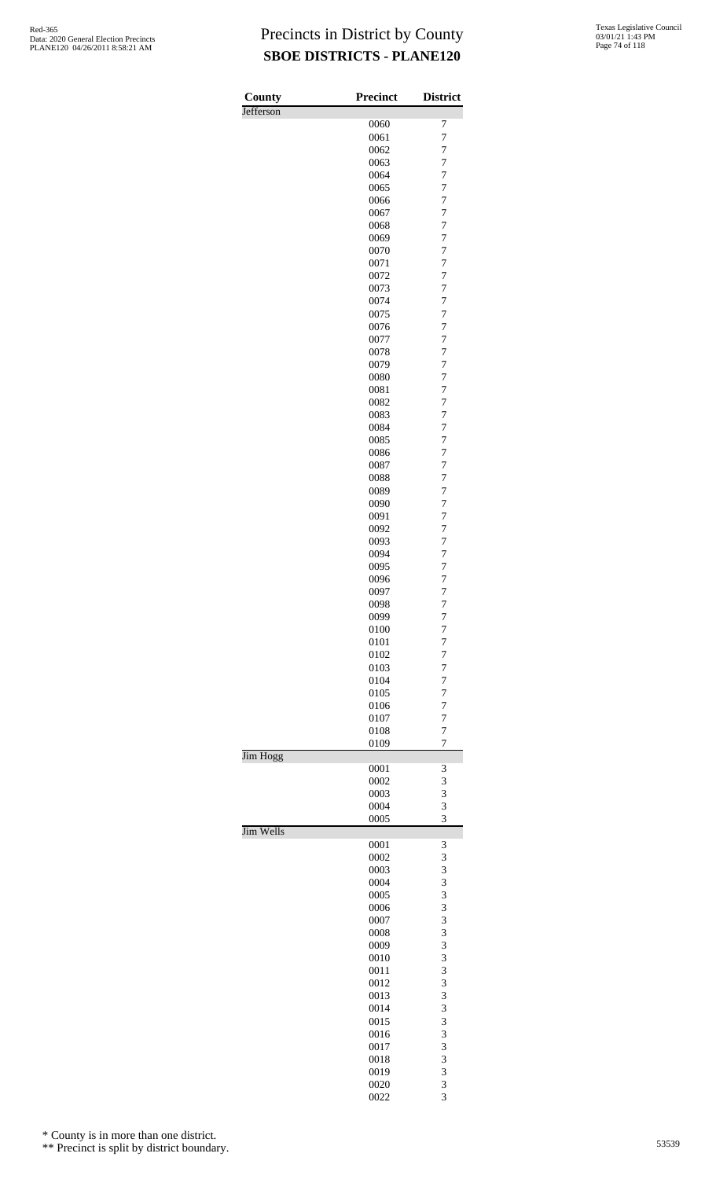| County    | <b>Precinct</b> | <b>District</b>                  |
|-----------|-----------------|----------------------------------|
| Jefferson |                 |                                  |
|           | 0060            | 7                                |
|           | 0061            | 7                                |
|           | 0062<br>0063    | $\overline{7}$<br>$\overline{7}$ |
|           | 0064            | $\overline{7}$                   |
|           | 0065            | $\overline{7}$                   |
|           | 0066            | $\overline{7}$                   |
|           | 0067            | $\overline{7}$                   |
|           | 0068            | 7                                |
|           | 0069            | $\overline{7}$                   |
|           | 0070            | $\overline{7}$                   |
|           | 0071            | $\overline{7}$                   |
|           | 0072<br>0073    | $\overline{7}$<br>$\overline{7}$ |
|           | 0074            | $\overline{7}$                   |
|           | 0075            | $\overline{7}$                   |
|           | 0076            | $\overline{7}$                   |
|           | 0077            | $\overline{7}$                   |
|           | 0078            | 7                                |
|           | 0079            | $\overline{7}$                   |
|           | 0080            | $\overline{7}$                   |
|           | 0081            | $\overline{7}$<br>$\overline{7}$ |
|           | 0082<br>0083    | $\overline{7}$                   |
|           | 0084            | $\overline{7}$                   |
|           | 0085            | $\overline{7}$                   |
|           | 0086            | $\overline{7}$                   |
|           | 0087            | $\overline{7}$                   |
|           | 0088            | 7                                |
|           | 0089            | $\overline{7}$                   |
|           | 0090            | $\overline{7}$                   |
|           | 0091            | $\overline{7}$                   |
|           | 0092<br>0093    | $\overline{7}$<br>$\overline{7}$ |
|           | 0094            | $\overline{7}$                   |
|           | 0095            | $\overline{7}$                   |
|           | 0096            | $\overline{7}$                   |
|           | 0097            | $\overline{7}$                   |
|           | 0098            | $\overline{7}$                   |
|           | 0099            | 7                                |
|           | 0100            | 7                                |
|           | 0101            | 7                                |
|           | 0102<br>0103    | 7<br>$\overline{7}$              |
|           | 0104            | 7                                |
|           | 0105            | 7                                |
|           | 0106            | 7                                |
|           | 0107            | $\overline{7}$                   |
|           | 0108            | $\overline{7}$                   |
|           | 0109            | $\overline{7}$                   |
| Jim Hogg  |                 |                                  |
|           | 0001<br>0002    | 3<br>3                           |
|           | 0003            | 3                                |
|           | 0004            | 3                                |
|           | 0005            | 3                                |
| Jim Wells |                 |                                  |
|           | 0001            | 3                                |
|           | 0002            | 3                                |
|           | 0003            | 3                                |
|           | 0004<br>0005    | 3<br>3                           |
|           | 0006            | 3                                |
|           | 0007            | 3                                |
|           | 0008            | 3                                |
|           | 0009            | 3                                |
|           | 0010            | 3                                |
|           | 0011            | 3                                |
|           | 0012            | 3                                |
|           | 0013            | 3                                |
|           | 0014<br>0015    | 3<br>3                           |
|           | 0016            | 3                                |
|           | 0017            | 3                                |
|           | 0018            | 3                                |
|           | 0019            | 3                                |
|           | 0020            | 3                                |
|           | 0022            | 3                                |

\* County is in more than one district.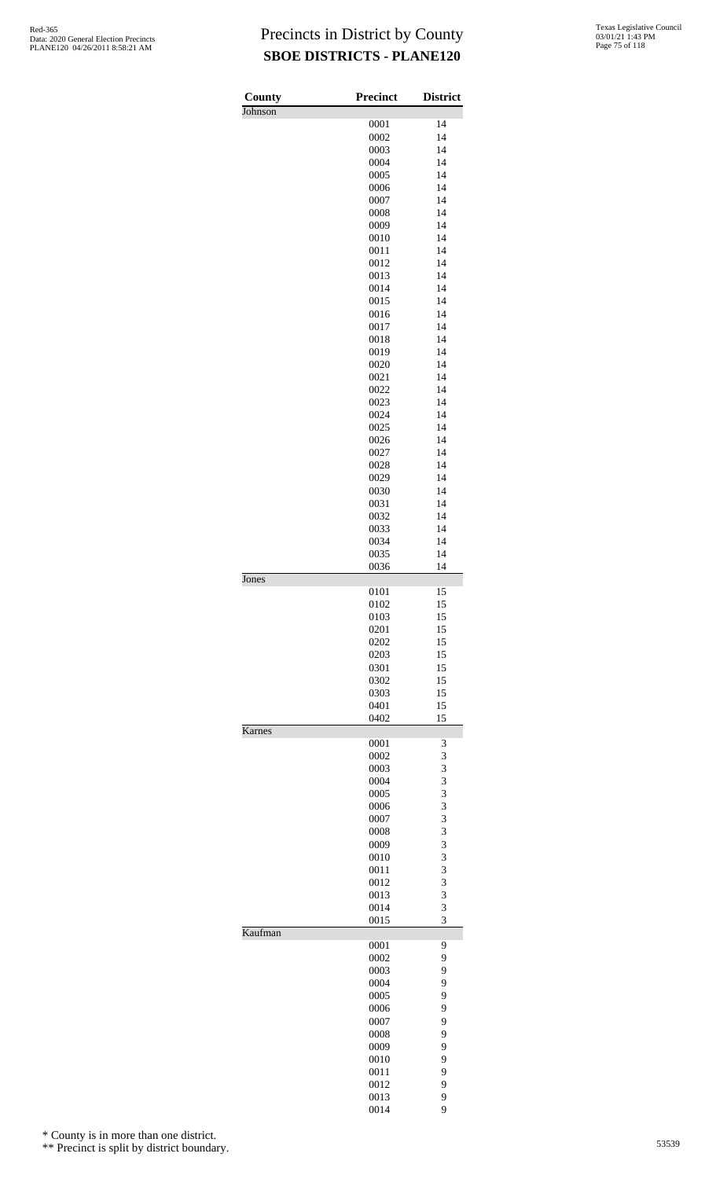| County  | Precinct     | <b>District</b> |
|---------|--------------|-----------------|
| Johnson | 0001         | 14              |
|         | 0002         | 14              |
|         | 0003         | 14              |
|         | 0004         | 14              |
|         | 0005         | 14              |
|         | 0006         | 14              |
|         | 0007         | 14              |
|         | 0008         | 14              |
|         | 0009         | 14              |
|         | 0010<br>0011 | 14<br>14        |
|         | 0012         | 14              |
|         | 0013         | 14              |
|         | 0014         | 14              |
|         | 0015         | 14              |
|         | 0016         | 14              |
|         | 0017         | 14              |
|         | 0018         | 14              |
|         | 0019         | 14              |
|         | 0020         | 14              |
|         | 0021         | 14              |
|         | 0022         | 14              |
|         | 0023         | 14              |
|         | 0024         | 14              |
|         | 0025         | 14              |
|         | 0026         | 14              |
|         | 0027<br>0028 | 14<br>14        |
|         | 0029         | 14              |
|         | 0030         | 14              |
|         | 0031         | 14              |
|         | 0032         | 14              |
|         | 0033         | 14              |
|         | 0034         | 14              |
|         | 0035         | 14              |
|         | 0036         | 14              |
| Jones   |              |                 |
|         | 0101         | 15              |
|         | 0102<br>0103 | 15              |
|         | 0201         | 15<br>15        |
|         | 0202         | 15              |
|         | 0203         | 15              |
|         | 0301         | 15              |
|         | 0302         | 15              |
|         | 0303         | 15              |
|         | 0401         | 15              |
|         | 0402         | 15              |
| Karnes  |              |                 |
|         | 0001<br>0002 | 3<br>3          |
|         | 0003         | 3               |
|         | 0004         | 3               |
|         | 0005         | 3               |
|         | 0006         | 3               |
|         | 0007         | 3               |
|         | 0008         | 3               |
|         | 0009         | 3               |
|         | 0010         | 3               |
|         | 0011         | 3               |
|         | 0012<br>0013 | 3<br>3          |
|         | 0014         | 3               |
|         | 0015         | 3               |
| Kaufman |              |                 |
|         | 0001         | 9               |
|         | 0002         | 9               |
|         | 0003         | 9               |
|         | 0004         | 9               |
|         | 0005         | 9               |
|         | 0006         | 9               |
|         | 0007         | 9               |
|         | 0008<br>0009 | 9<br>9          |
|         | 0010         | 9               |
|         | 0011         | 9               |
|         | 0012         | 9               |
|         | 0013         | 9               |

9

\* County is in more than one district.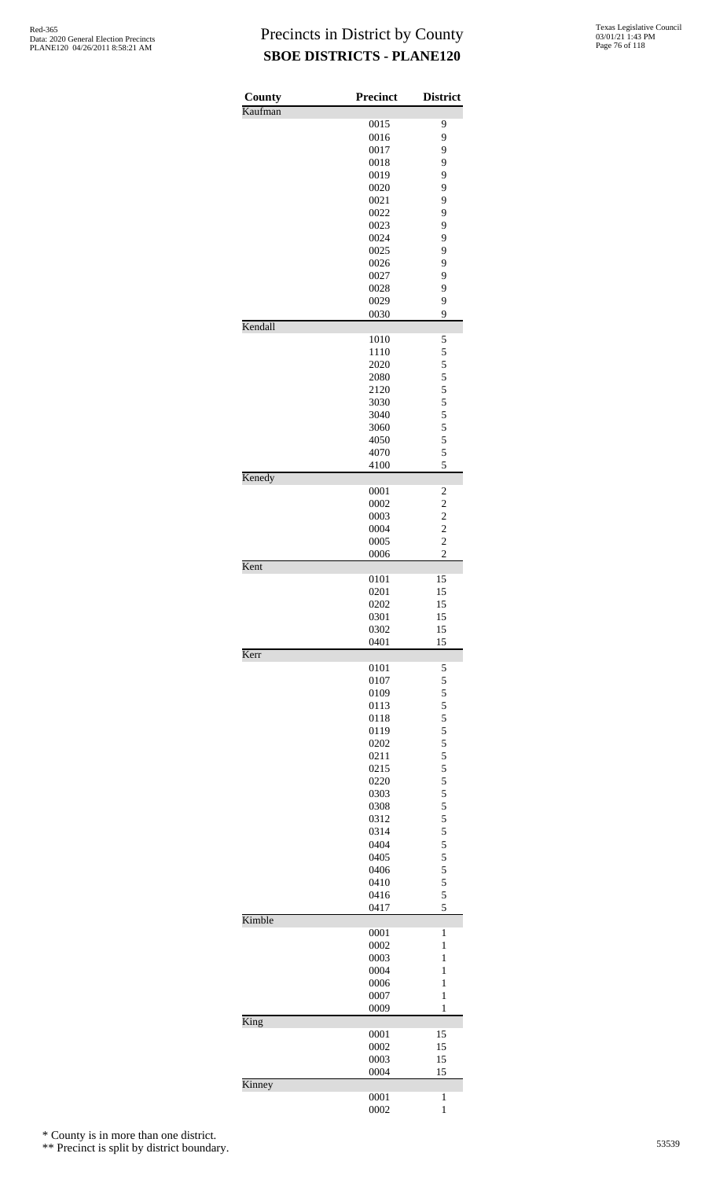| County  | Precinct     | <b>District</b>                                    |
|---------|--------------|----------------------------------------------------|
| Kaufman |              |                                                    |
|         | 0015         | 9                                                  |
|         | 0016<br>0017 | 9                                                  |
|         | 0018         | 9<br>9                                             |
|         | 0019         | 9                                                  |
|         | 0020         | 9                                                  |
|         | 0021         | 9                                                  |
|         | 0022         | 9                                                  |
|         | 0023         | 9                                                  |
|         | 0024<br>0025 | 9<br>9                                             |
|         | 0026         | 9                                                  |
|         | 0027         | 9                                                  |
|         | 0028         | 9                                                  |
|         | 0029         | 9                                                  |
| Kendall | 0030         | 9                                                  |
|         | 1010         | 5                                                  |
|         | 1110         | 5                                                  |
|         | 2020         | 5                                                  |
|         | 2080         | 5                                                  |
|         | 2120         | 5                                                  |
|         | 3030         | 5                                                  |
|         | 3040<br>3060 | 5<br>5                                             |
|         | 4050         | 5                                                  |
|         | 4070         | 5                                                  |
|         | 4100         | 5                                                  |
| Kenedy  |              |                                                    |
|         | 0001<br>0002 | $\overline{\mathbf{c}}$<br>$\overline{\mathbf{c}}$ |
|         | 0003         | $\overline{\mathbf{c}}$                            |
|         | 0004         | $\overline{\mathbf{c}}$                            |
|         | 0005         | $\overline{2}$                                     |
|         | 0006         | $\overline{c}$                                     |
| Kent    |              |                                                    |
|         | 0101<br>0201 | 15<br>15                                           |
|         | 0202         | 15                                                 |
|         | 0301         | 15                                                 |
|         | 0302         | 15                                                 |
|         | 0401         | 15                                                 |
| Kerr    | 0101         | 5                                                  |
|         | 0107         | 5                                                  |
|         | 0109         | 5                                                  |
|         | 0113         | 5                                                  |
|         | 0118         | 5                                                  |
|         | 0119         | 5                                                  |
|         | 0202<br>0211 | 5<br>5                                             |
|         | 0215         | 5                                                  |
|         | 0220         | 5                                                  |
|         | 0303         | 5                                                  |
|         | 0308         | 5                                                  |
|         | 0312         | 5                                                  |
|         | 0314<br>0404 | 5<br>5                                             |
|         | 0405         | 5                                                  |
|         | 0406         | 5                                                  |
|         | 0410         | 5                                                  |
|         | 0416         | 5                                                  |
| Kimble  | 0417         | 5                                                  |
|         | 0001         | 1                                                  |
|         | 0002         | 1                                                  |
|         | 0003         | 1                                                  |
|         | 0004         | $\mathbf{1}$                                       |
|         | 0006         | $\mathbf{1}$                                       |
|         | 0007<br>0009 | $\mathbf{1}$<br>1                                  |
| King    |              |                                                    |
|         | 0001         | 15                                                 |
|         | 0002         | 15                                                 |
|         | 0003         | 15                                                 |
|         | 0004         | 15                                                 |
| Kinney  | 0001         | 1                                                  |
|         | 0002         | $\mathbf{1}$                                       |

\* County is in more than one district.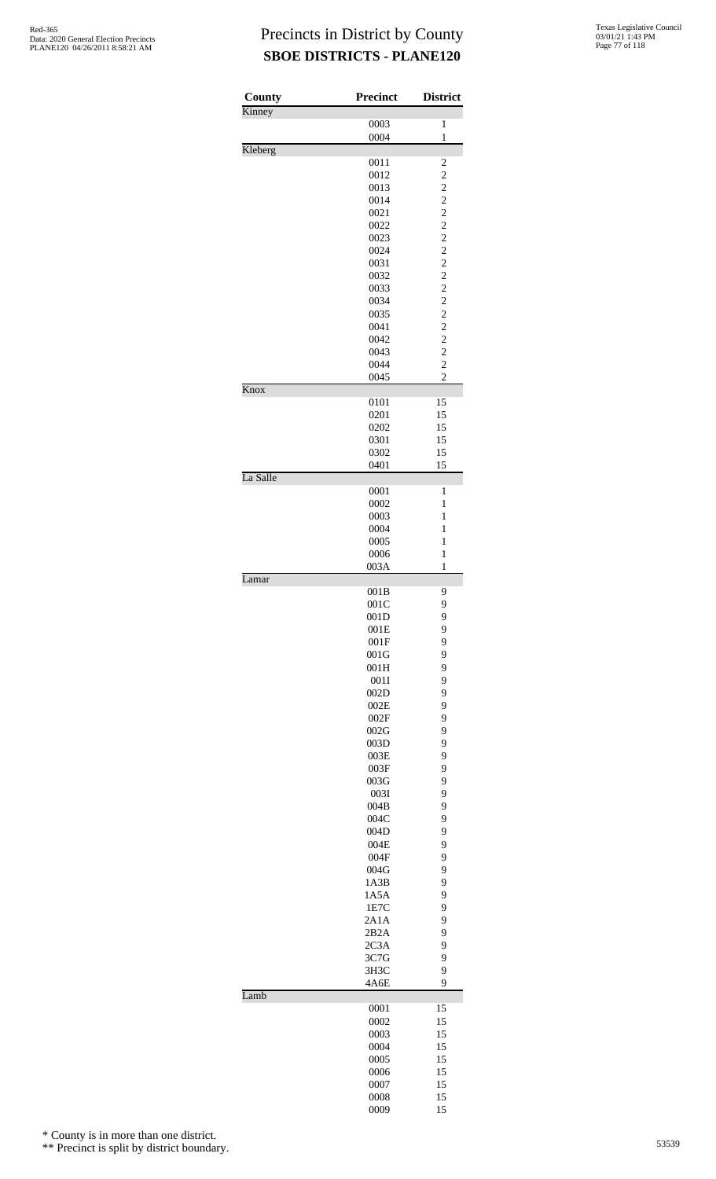| County   | <b>Precinct</b> | <b>District</b>                  |
|----------|-----------------|----------------------------------|
| Kinney   |                 |                                  |
|          | 0003<br>0004    | 1<br>$\mathbf{1}$                |
| Kleberg  |                 |                                  |
|          | 0011            | $\overline{\mathbf{c}}$          |
|          | 0012<br>0013    | $\overline{c}$<br>$\overline{c}$ |
|          | 0014            | $\overline{c}$                   |
|          | 0021            | $\overline{\mathbf{c}}$          |
|          | 0022            | $\overline{\mathbf{c}}$          |
|          | 0023<br>0024    | $\overline{c}$<br>$\overline{c}$ |
|          | 0031            | $\overline{c}$                   |
|          | 0032            | $\overline{\mathbf{c}}$          |
|          | 0033            | $\overline{\mathbf{c}}$          |
|          | 0034<br>0035    | $\overline{c}$<br>$\overline{c}$ |
|          | 0041            | $\overline{c}$                   |
|          | 0042            | $\overline{c}$                   |
|          | 0043            | $\overline{c}$                   |
|          | 0044            | $\overline{c}$<br>$\overline{c}$ |
| Knox     | 0045            |                                  |
|          | 0101            | 15                               |
|          | 0201            | 15                               |
|          | 0202            | 15                               |
|          | 0301<br>0302    | 15<br>15                         |
|          | 0401            | 15                               |
| La Salle |                 |                                  |
|          | 0001            | 1                                |
|          | 0002<br>0003    | 1<br>$\mathbf{1}$                |
|          | 0004            | $\mathbf{1}$                     |
|          | 0005            | 1                                |
|          | 0006            | $\mathbf{1}$                     |
| Lamar    | 003A            | 1                                |
|          | 001B            | 9                                |
|          | 001C            | 9                                |
|          | 001D<br>001E    | 9<br>9                           |
|          | 001F            | 9                                |
|          | 001G            | 9                                |
|          | 001H            | 9                                |
|          | 001I<br>002D    | 9<br>9                           |
|          | 002E            | 9                                |
|          | 002F            | 9                                |
|          | 002G            | 9                                |
|          | 003D<br>003E    | 9<br>9                           |
|          | 003F            | 9                                |
|          | 003G            | 9                                |
|          | 003I            | 9                                |
|          | 004B<br>004C    | 9<br>9                           |
|          | 004D            | 9                                |
|          | 004E            | 9                                |
|          | 004F            | 9<br>9                           |
|          | 004G<br>1A3B    | 9                                |
|          | 1A5A            | 9                                |
|          | 1E7C            | 9                                |
|          | 2A1A            | 9<br>9                           |
|          | 2B2A<br>2C3A    | 9                                |
|          | 3C7G            | 9                                |
|          | 3H3C            | 9                                |
| Lamb     | 4A6E            | 9                                |
|          | 0001            | 15                               |
|          | 0002            | 15                               |
|          | 0003            | 15                               |
|          | 0004<br>0005    | 15<br>15                         |
|          | 0006            | 15                               |
|          | 0007            | 15                               |
|          | 0008            | 15                               |
|          | 0009            | 15                               |

\* County is in more than one district.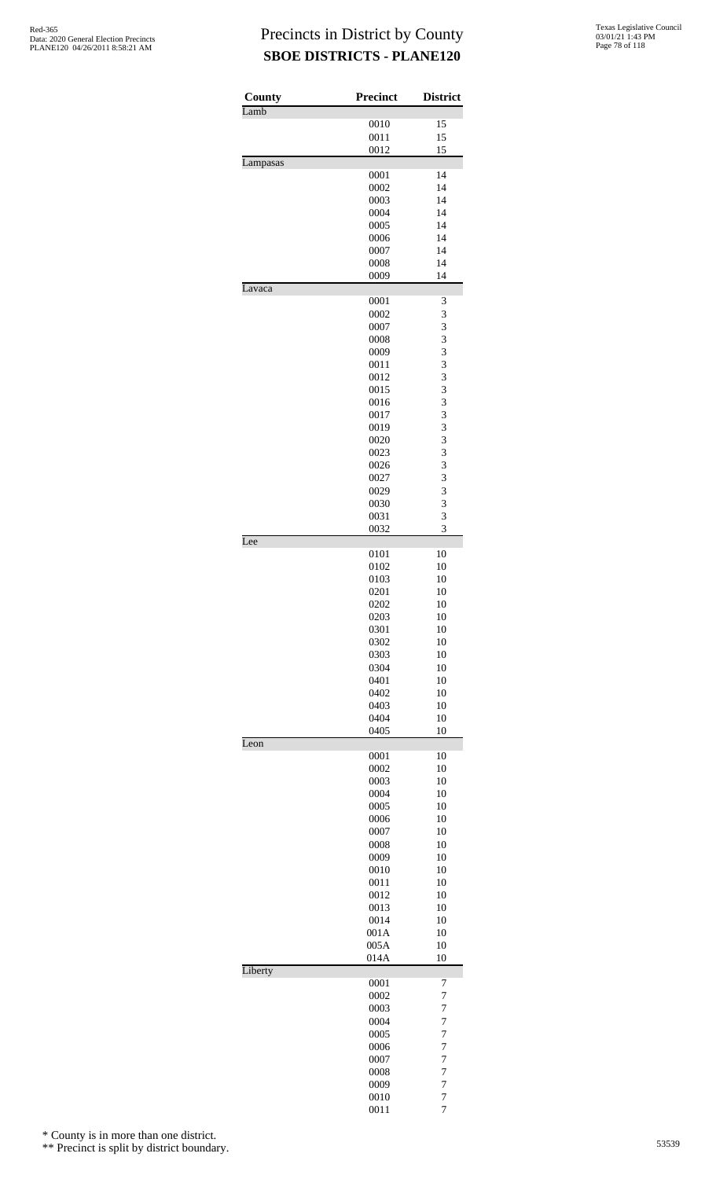| County<br>Lamb | <b>Precinct</b> | <b>District</b>                  |
|----------------|-----------------|----------------------------------|
|                | 0010            | 15                               |
|                | 0011            | 15                               |
|                | 0012            | 15                               |
| Lampasas       | 0001            | 14                               |
|                | 0002            | 14                               |
|                | 0003            | 14                               |
|                | 0004            | 14                               |
|                | 0005<br>0006    | 14<br>14                         |
|                | 0007            | 14                               |
|                | 0008            | 14                               |
|                | 0009            | 14                               |
| Lavaca         | 0001            | 3                                |
|                | 0002            | 3                                |
|                | 0007            | 3                                |
|                | 0008            | 3                                |
|                | 0009<br>0011    | 3<br>3                           |
|                | 0012            | 3                                |
|                | 0015            | 3                                |
|                | 0016            | 3                                |
|                | 0017            | 3<br>3                           |
|                | 0019<br>0020    | 3                                |
|                | 0023            | 3                                |
|                | 0026            | 3                                |
|                | 0027            | 3                                |
|                | 0029<br>0030    | 3<br>3                           |
|                | 0031            | 3                                |
|                | 0032            | 3                                |
| Lee            |                 |                                  |
|                | 0101<br>0102    | 10<br>10                         |
|                | 0103            | 10                               |
|                | 0201            | 10                               |
|                | 0202            | 10                               |
|                | 0203<br>0301    | 10<br>10                         |
|                | 0302            | 10                               |
|                | 0303            | 10                               |
|                | 0304            | 10<br>10                         |
|                | 0401<br>0402    | 10                               |
|                | 0403            | 10                               |
|                | 0404            | 10                               |
| Leon           | 0405            | 10                               |
|                | 0001            | 10                               |
|                | 0002            | 10                               |
|                | 0003            | 10                               |
|                | 0004<br>0005    | 10<br>10                         |
|                | 0006            | 10                               |
|                | 0007            | 10                               |
|                | 0008            | 10                               |
|                | 0009<br>0010    | 10<br>10                         |
|                | 0011            | 10                               |
|                | 0012            | 10                               |
|                | 0013            | 10                               |
|                | 0014<br>001A    | 10<br>10                         |
|                | 005A            | 10                               |
|                | 014A            | 10                               |
| Liberty        |                 |                                  |
|                | 0001<br>0002    | 7<br>$\overline{7}$              |
|                | 0003            | $\overline{7}$                   |
|                | 0004            | $\overline{7}$                   |
|                | 0005            | $\overline{7}$                   |
|                | 0006<br>0007    | $\overline{7}$<br>$\overline{7}$ |
|                | 0008            | $\overline{7}$                   |
|                | 0009            | 7                                |
|                | 0010            | $\overline{7}$                   |
|                | 0011            | $\overline{7}$                   |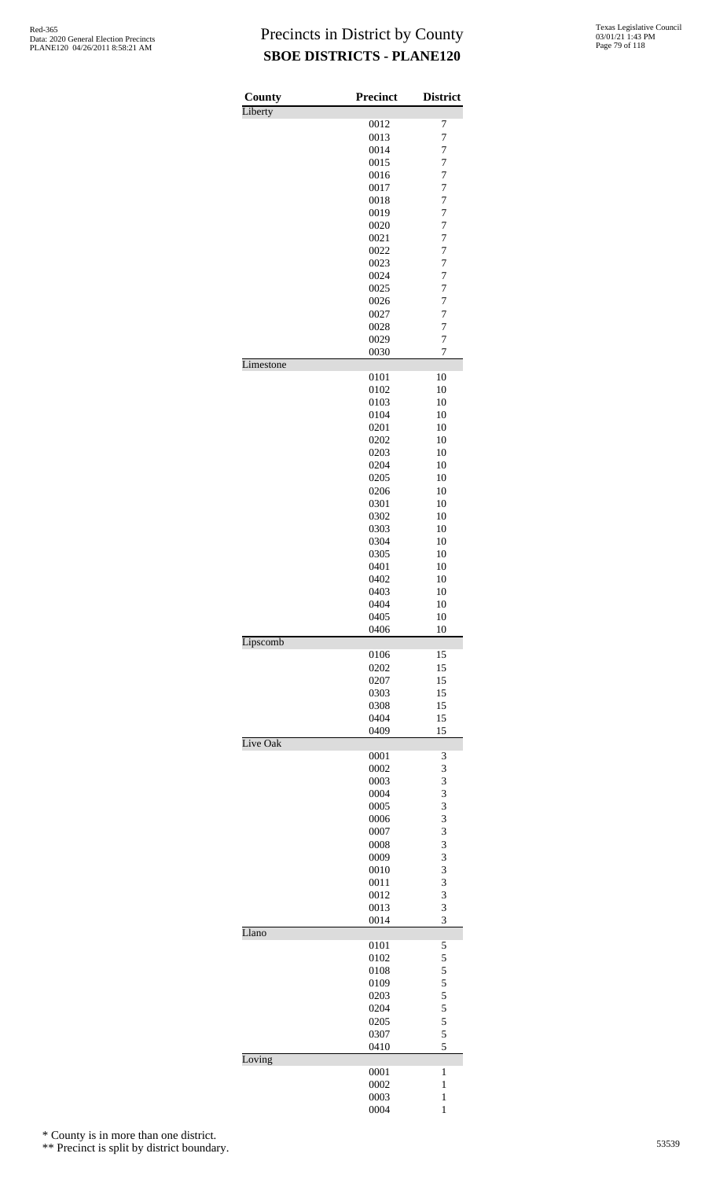| County    | <b>Precinct</b> | <b>District</b>     |
|-----------|-----------------|---------------------|
| Liberty   | 0012            | 7                   |
|           | 0013            | $\overline{7}$      |
|           | 0014            | 7                   |
|           | 0015            | $\overline{7}$      |
|           | 0016            | $\overline{7}$      |
|           | 0017            | $\overline{7}$      |
|           | 0018            | $\overline{7}$      |
|           | 0019            | 7                   |
|           | 0020            | 7                   |
|           | 0021            | $\overline{7}$      |
|           | 0022            | $\overline{7}$      |
|           | 0023            | $\overline{7}$      |
|           | 0024<br>0025    | 7<br>$\overline{7}$ |
|           | 0026            | $\overline{7}$      |
|           | 0027            | $\overline{7}$      |
|           | 0028            | $\overline{7}$      |
|           | 0029            | $\overline{7}$      |
|           | 0030            | 7                   |
| Limestone |                 |                     |
|           | 0101<br>0102    | 10<br>10            |
|           | 0103            | 10                  |
|           | 0104            | 10                  |
|           | 0201            | 10                  |
|           | 0202            | 10                  |
|           | 0203            | 10                  |
|           | 0204            | 10                  |
|           | 0205            | 10                  |
|           | 0206            | 10                  |
|           | 0301            | 10                  |
|           | 0302            | 10                  |
|           | 0303            | 10                  |
|           | 0304            | 10                  |
|           | 0305<br>0401    | 10<br>10            |
|           | 0402            | 10                  |
|           | 0403            | 10                  |
|           | 0404            | 10                  |
|           | 0405            | 10                  |
|           | 0406            | 10                  |
| Lipscomb  | 0106            | 15                  |
|           | 0202            | 15                  |
|           | 0207            | 15                  |
|           | 0303            | 15                  |
|           | 0308            | 15                  |
|           | 0404            | 15                  |
|           | 0409            | 15                  |
| Live Oak  | 0001            | 3                   |
|           | 0002            | 3                   |
|           | 0003            | 3                   |
|           | 0004            | 3                   |
|           | 0005            | 3                   |
|           | 0006            | 3                   |
|           | 0007            | 3                   |
|           | 0008            | 3<br>3              |
|           | 0009<br>0010    | 3                   |
|           | 0011            | 3                   |
|           | 0012            | 3                   |
|           | 0013            | 3                   |
|           | 0014            | 3                   |
| Llano     | 0101            | 5                   |
|           | 0102            | 5                   |
|           | 0108            | 5                   |
|           | 0109            | 5                   |
|           | 0203            | 5                   |
|           | 0204            | 5                   |
|           | 0205            | 5                   |
|           | 0307            | 5                   |
|           | 0410            | 5                   |
| Loving    | 0001            | 1                   |
|           | 0002            | $\mathbf{1}$        |
|           | 0003            | 1                   |
|           | 0004            | $\mathbf{1}$        |

\* County is in more than one district.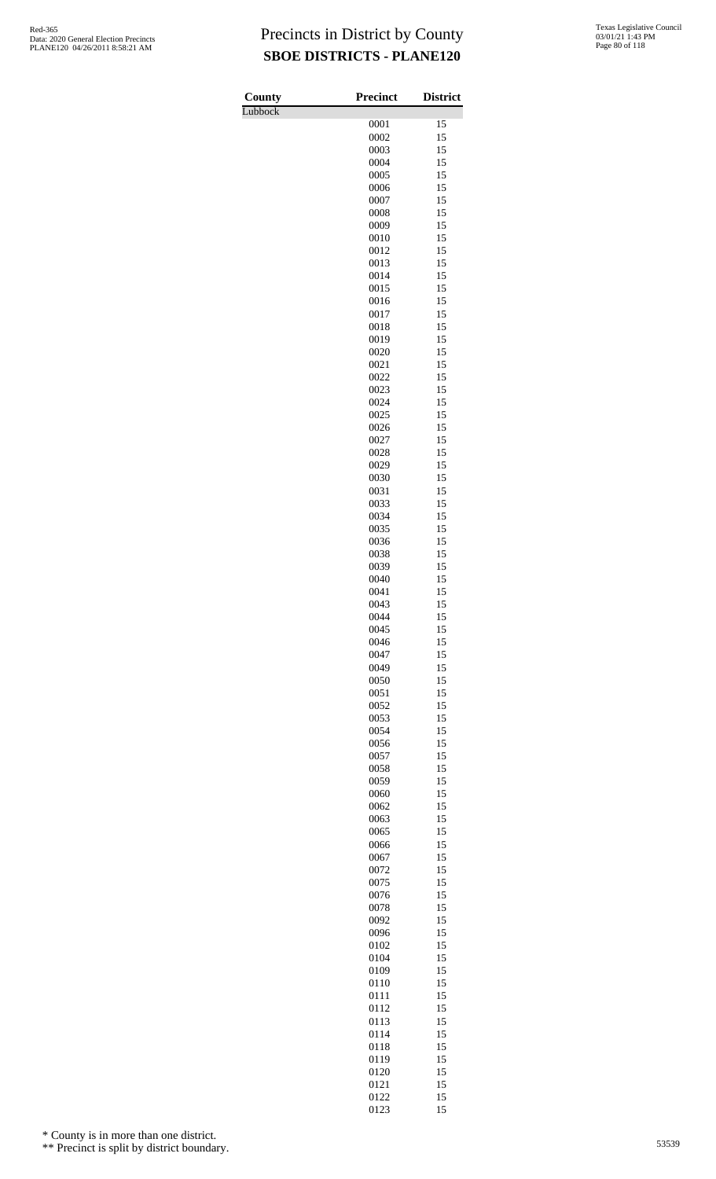Lubbock

| County  | <b>Precinct</b> | <b>District</b> |
|---------|-----------------|-----------------|
| Lubbock | 0001            | 15              |
|         | 0002            | 15              |
|         | 0003            | 15              |
|         | 0004            | 15              |
|         | 0005            | 15              |
|         | 0006            | 15              |
|         | 0007            | 15              |
|         | 0008            | 15              |
|         | 0009<br>0010    | 15<br>15        |
|         | 0012            | 15              |
|         | 0013            | 15              |
|         | 0014            | 15              |
|         | 0015            | 15              |
|         | 0016            | 15              |
|         | 0017            | 15              |
|         | 0018            | 15              |
|         | 0019<br>0020    | 15<br>15        |
|         | 0021            | 15              |
|         | 0022            | 15              |
|         | 0023            | 15              |
|         | 0024            | 15              |
|         | 0025            | 15              |
|         | 0026            | 15              |
|         | 0027            | 15              |
|         | 0028<br>0029    | 15<br>15        |
|         | 0030            | 15              |
|         | 0031            | 15              |
|         | 0033            | 15              |
|         | 0034            | 15              |
|         | 0035            | 15              |
|         | 0036            | 15              |
|         | 0038            | 15              |
|         | 0039            | 15<br>15        |
|         | 0040<br>0041    | 15              |
|         | 0043            | 15              |
|         | 0044            | 15              |
|         | 0045            | 15              |
|         | 0046            | 15              |
|         | 0047            | 15              |
|         | 0049            | 15              |
|         | 0050            | 15<br>15        |
|         | 0051<br>0052    | 15              |
|         | 0053            | 15              |
|         | 0054            | 15              |
|         | 0056            | 15              |
|         | 0057            | 15              |
|         | 0058            | 15              |
|         | 0059            | 15              |
|         | 0060            | 15              |
|         | 0062<br>0063    | 15<br>15        |
|         | 0065            | 15              |
|         | 0066            | 15              |
|         | 0067            | 15              |
|         | 0072            | 15              |
|         | 0075            | 15              |
|         | 0076            | 15              |
|         | 0078            | 15<br>15        |
|         | 0092<br>0096    | 15              |
|         | 0102            | 15              |
|         | 0104            | 15              |
|         | 0109            | 15              |
|         | 0110            | 15              |
|         | 0111            | 15              |
|         | 0112            | 15              |
|         | 0113            | 15              |
|         | 0114<br>0118    | 15<br>15        |
|         | 0119            | 15              |
|         | 0120            | 15              |
|         | 0121            | 15              |
|         | 0122            | 15              |
|         | 0123            | 15              |

\* County is in more than one district.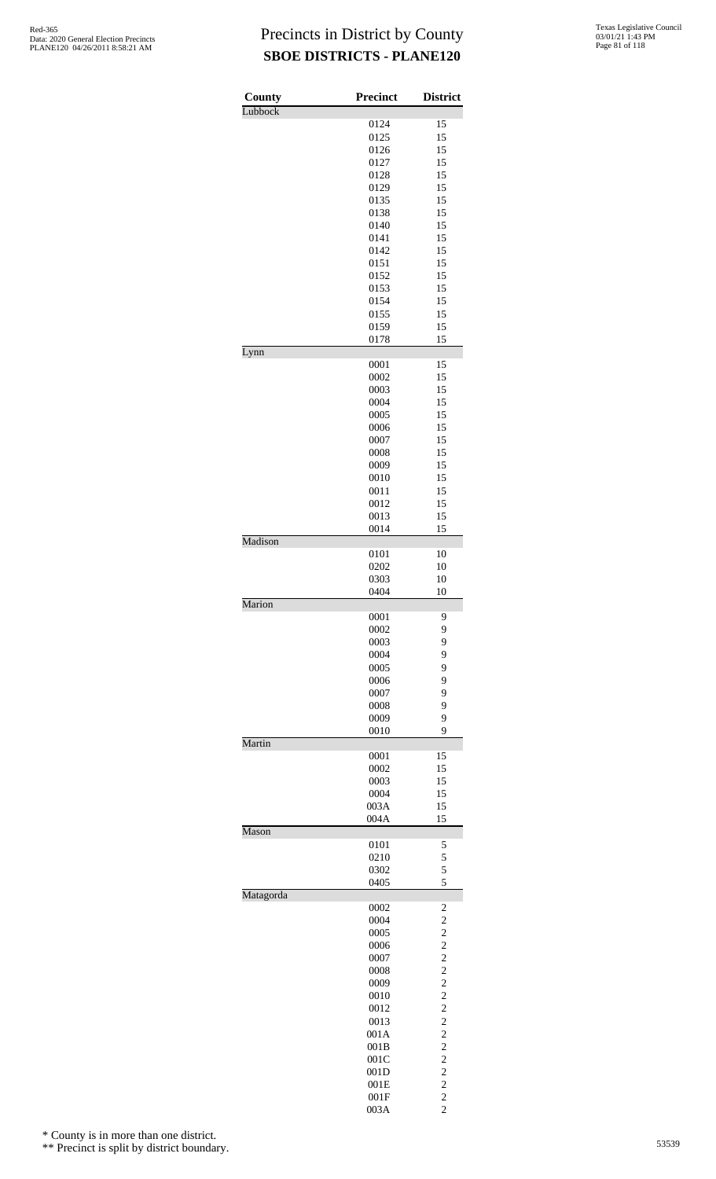| County    | Precinct     | <b>District</b>                                    |
|-----------|--------------|----------------------------------------------------|
| Lubbock   |              |                                                    |
|           | 0124         | 15                                                 |
|           | 0125         | 15                                                 |
|           | 0126         | 15<br>15                                           |
|           | 0127<br>0128 | 15                                                 |
|           | 0129         | 15                                                 |
|           | 0135         | 15                                                 |
|           | 0138         | 15                                                 |
|           | 0140         | 15                                                 |
|           | 0141         | 15                                                 |
|           | 0142<br>0151 | 15<br>15                                           |
|           | 0152         | 15                                                 |
|           | 0153         | 15                                                 |
|           | 0154         | 15                                                 |
|           | 0155         | 15                                                 |
|           | 0159         | 15                                                 |
| Lynn      | 0178         | 15                                                 |
|           | 0001         | 15                                                 |
|           | 0002         | 15                                                 |
|           | 0003         | 15                                                 |
|           | 0004         | 15                                                 |
|           | 0005         | 15                                                 |
|           | 0006         | 15                                                 |
|           | 0007<br>0008 | 15<br>15                                           |
|           | 0009         | 15                                                 |
|           | 0010         | 15                                                 |
|           | 0011         | 15                                                 |
|           | 0012         | 15                                                 |
|           | 0013         | 15                                                 |
| Madison   | 0014         | 15                                                 |
|           | 0101         | 10                                                 |
|           | 0202         | 10                                                 |
|           | 0303         | 10                                                 |
| Marion    | 0404         | 10                                                 |
|           | 0001         | 9                                                  |
|           | 0002         | 9                                                  |
|           | 0003         | 9                                                  |
|           | 0004         | 9                                                  |
|           | 0005         | 9                                                  |
|           | 0006<br>0007 | 9<br>9                                             |
|           | 0008         | 9                                                  |
|           | 0009         | 9                                                  |
|           | 0010         | 9                                                  |
| Martin    |              |                                                    |
|           | 0001         | 15                                                 |
|           | 0002<br>0003 | 15<br>15                                           |
|           | 0004         | 15                                                 |
|           | 003A         | 15                                                 |
|           | 004A         | 15                                                 |
| Mason     |              |                                                    |
|           | 0101<br>0210 | 5<br>5                                             |
|           | 0302         | 5                                                  |
|           | 0405         | 5                                                  |
| Matagorda |              |                                                    |
|           | 0002<br>0004 | $\overline{\mathbf{c}}$<br>$\overline{\mathbf{c}}$ |
|           | 0005         | $\overline{c}$                                     |
|           | 0006         | $\overline{\mathbf{c}}$                            |
|           | 0007         | $\overline{c}$                                     |
|           | 0008         | $\frac{2}{2}$                                      |
|           | 0009         |                                                    |
|           | 0010<br>0012 | $\overline{c}$<br>$\overline{c}$                   |
|           | 0013         | $\overline{\mathbf{c}}$                            |
|           | 001A         |                                                    |
|           | 001B         | $\frac{2}{2}$                                      |
|           | 001C         | $\overline{c}$                                     |
|           | 001D         | $\overline{c}$                                     |
|           | 001E         | $\overline{c}$<br>$\overline{c}$                   |
|           | 001F         |                                                    |

003A 2

\* County is in more than one district.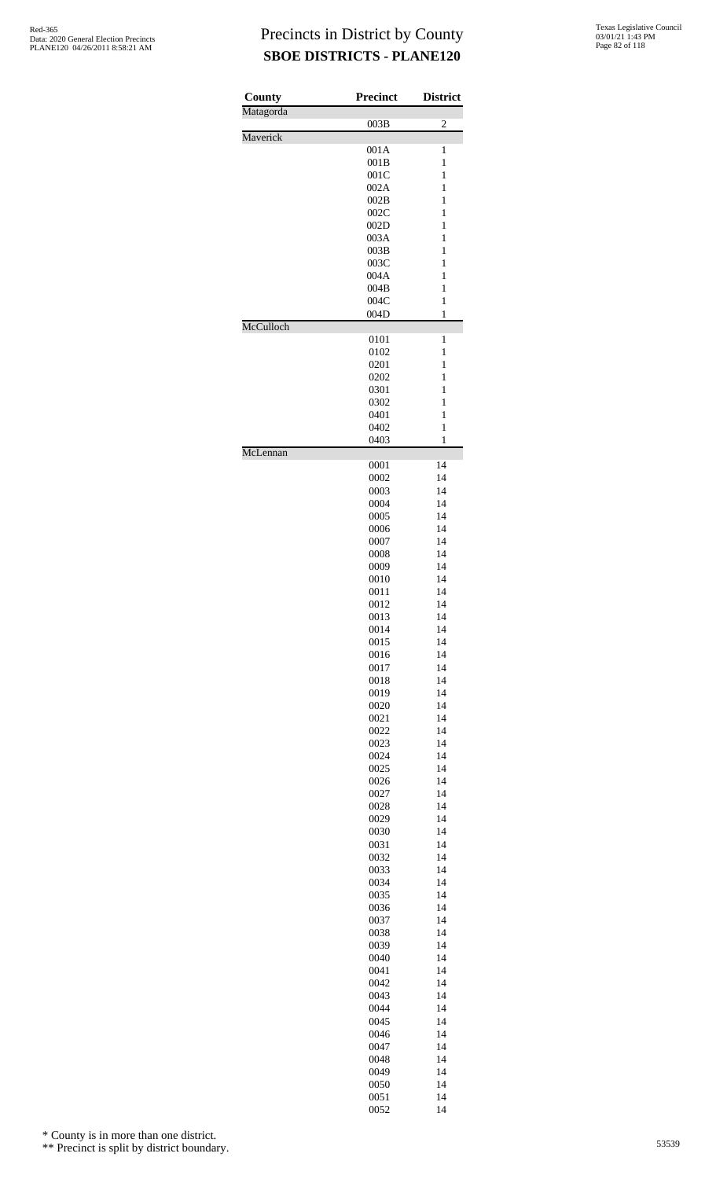| County    | <b>Precinct</b> | <b>District</b>   |
|-----------|-----------------|-------------------|
| Matagorda |                 | $\overline{c}$    |
| Maverick  | 003B            |                   |
|           | 001A            | 1                 |
|           | 001B            | 1                 |
|           | 001C            | $\mathbf{1}$      |
|           | 002A            | $\mathbf{1}$      |
|           | 002B<br>002C    | 1<br>1            |
|           | 002D            | 1                 |
|           | 003A            | $\mathbf{1}$      |
|           | 003B            | $\mathbf{1}$      |
|           | 003C            | 1                 |
|           | 004A            | 1                 |
|           | 004B            | 1                 |
|           | 004C            | $\mathbf{1}$      |
| McCulloch | 004D            | 1                 |
|           | 0101            | 1                 |
|           | 0102            | 1                 |
|           | 0201            | $\mathbf{1}$      |
|           | 0202            | 1                 |
|           | 0301            | 1                 |
|           | 0302            | 1                 |
|           | 0401            | 1                 |
|           | 0402<br>0403    | $\mathbf{1}$<br>1 |
| McLennan  |                 |                   |
|           | 0001            | 14                |
|           | 0002            | 14                |
|           | 0003            | 14                |
|           | 0004            | 14                |
|           | 0005            | 14                |
|           | 0006            | 14                |
|           | 0007            | 14                |
|           | 0008<br>0009    | 14<br>14          |
|           | 0010            | 14                |
|           | 0011            | 14                |
|           | 0012            | 14                |
|           | 0013            | 14                |
|           | 0014            | 14                |
|           | 0015            | 14                |
|           | 0016            | 14                |
|           | 0017            | 14<br>14          |
|           | 0018<br>0019    | 14                |
|           | 0020            | 14                |
|           | 0021            | 14                |
|           | 0022            | 14                |
|           | 0023            | 14                |
|           | 0024            | 14                |
|           | 0025            | 14                |
|           | 0026            | 14                |
|           | 0027<br>0028    | 14<br>14          |
|           | 0029            | 14                |
|           | 0030            | 14                |
|           | 0031            | 14                |
|           | 0032            | 14                |
|           | 0033            | 14                |
|           | 0034            | 14                |
|           | 0035            | 14                |
|           | 0036            | 14<br>14          |
|           | 0037<br>0038    | 14                |
|           | 0039            | 14                |
|           | 0040            | 14                |
|           | 0041            | 14                |
|           | 0042            | 14                |
|           | 0043            | 14                |
|           | 0044            | 14                |
|           | 0045            | 14                |
|           | 0046<br>0047    | 14<br>14          |
|           | 0048            | 14                |
|           | 0049            | 14                |
|           | 0050            | 14                |
|           | 0051            | 14                |
|           | 0052            | 14                |

\* County is in more than one district.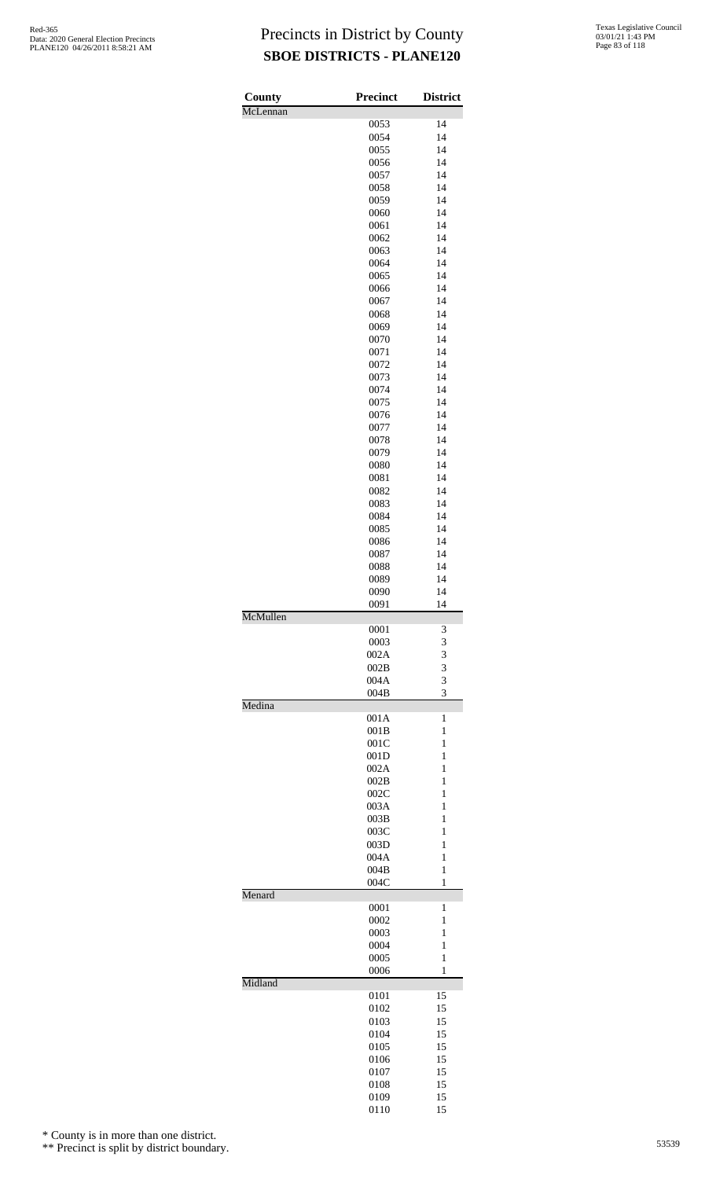| County   | <b>Precinct</b> | <b>District</b> |
|----------|-----------------|-----------------|
| McLennan |                 |                 |
|          | 0053            | 14              |
|          | 0054            | 14              |
|          | 0055            | 14              |
|          | 0056            | 14              |
|          | 0057            | 14              |
|          | 0058            | 14              |
|          | 0059            | 14              |
|          | 0060            | 14              |
|          | 0061            | 14              |
|          | 0062            | 14              |
|          | 0063            | 14              |
|          | 0064            | 14              |
|          | 0065            | 14              |
|          | 0066            | 14              |
|          | 0067            | 14              |
|          | 0068            | 14              |
|          | 0069            | 14              |
|          |                 | 14              |
|          | 0070            | 14              |
|          | 0071            |                 |
|          | 0072            | 14              |
|          | 0073            | 14              |
|          | 0074            | 14              |
|          | 0075            | 14              |
|          | 0076            | 14              |
|          | 0077            | 14              |
|          | 0078            | 14              |
|          | 0079            | 14              |
|          | 0080            | 14              |
|          | 0081            | 14              |
|          | 0082            | 14              |
|          | 0083            | 14              |
|          | 0084            | 14              |
|          | 0085            | 14              |
|          | 0086            | 14              |
|          | 0087            | 14              |
|          | 0088            | 14              |
|          | 0089            | 14              |
|          | 0090            | 14              |
|          | 0091            | 14              |
| McMullen |                 |                 |
|          | 0001            | 3               |
|          | 0003            | 3               |
|          | 002A            | 3               |
|          | 002B            | 3               |
|          | 004A            | 3               |
|          | 004B            | 3               |
| Medina   |                 |                 |
|          |                 | 1               |
|          | 001A<br>001B    | 1               |
|          | 001C            | 1               |
|          |                 | $\mathbf{1}$    |
|          | 001D            |                 |
|          | 002A            | 1               |
|          | 002B            | 1               |
|          | 002C            | 1               |
|          | 003A            | 1               |
|          | 003B            | $\mathbf{1}$    |
|          | 003C            | 1               |
|          | 003D            | 1               |
|          | 004A            | 1               |
|          | 004B            | 1               |
|          | 004C            | 1               |
| Menard   |                 |                 |
|          | 0001            | 1               |
|          | 0002            | 1               |
|          | 0003            | 1               |
|          | 0004            | $\mathbf{1}$    |
|          | 0005            | $\mathbf{1}$    |
|          | 0006            | 1               |
| Midland  |                 |                 |
|          | 0101            | 15              |
|          | 0102            | 15              |
|          | 0103            | 15              |
|          | 0104            | 15              |
|          | 0105            | 15              |
|          | 0106            | 15              |
|          | 0107            | 15              |
|          | 0108            | 15              |
|          | 0109            | 15              |
|          | 0110            | 15              |

\* County is in more than one district.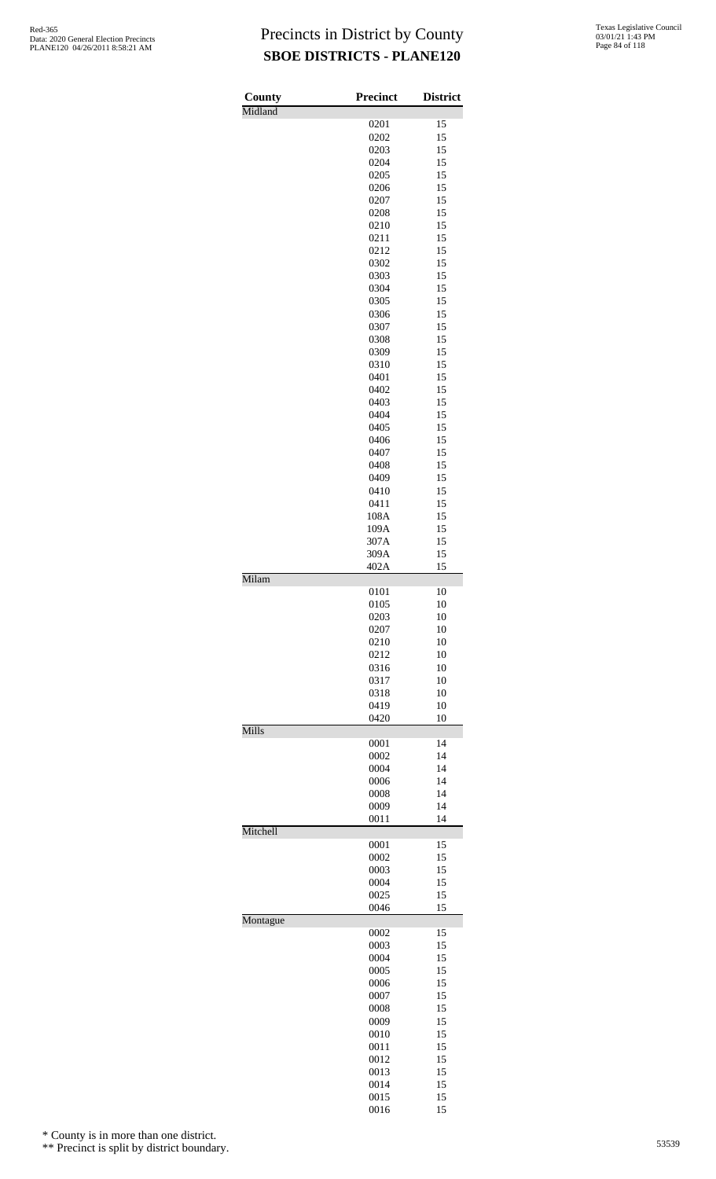| County   | Precinct     | <b>District</b> |
|----------|--------------|-----------------|
| Midland  |              |                 |
|          | 0201         | 15              |
|          | 0202         | 15<br>15        |
|          | 0203<br>0204 | 15              |
|          | 0205         | 15              |
|          | 0206         | 15              |
|          | 0207         | 15              |
|          | 0208         | 15              |
|          | 0210         | 15<br>15        |
|          | 0211<br>0212 | 15              |
|          | 0302         | 15              |
|          | 0303         | 15              |
|          | 0304         | 15              |
|          | 0305         | 15              |
|          | 0306         | 15              |
|          | 0307<br>0308 | 15<br>15        |
|          | 0309         | 15              |
|          | 0310         | 15              |
|          | 0401         | 15              |
|          | 0402         | 15              |
|          | 0403         | 15              |
|          | 0404         | 15              |
|          | 0405<br>0406 | 15<br>15        |
|          | 0407         | 15              |
|          | 0408         | 15              |
|          | 0409         | 15              |
|          | 0410         | 15              |
|          | 0411         | 15              |
|          | 108A<br>109A | 15<br>15        |
|          | 307A         | 15              |
|          | 309A         | 15              |
|          | 402A         | 15              |
| Milam    |              |                 |
|          | 0101<br>0105 | 10<br>10        |
|          | 0203         | 10              |
|          | 0207         | 10              |
|          | 0210         | 10              |
|          | 0212         | 10              |
|          | 0316<br>0317 | 10<br>10        |
|          | 0318         | 10              |
|          | 0419         | 10              |
|          | 0420         | 10              |
| Mills    |              |                 |
|          | 0001<br>0002 | 14<br>14        |
|          | 0004         | 14              |
|          | 0006         | 14              |
|          | 0008         | 14              |
|          | 0009         | 14              |
| Mitchell | 0011         | 14              |
|          | 0001         | 15              |
|          | 0002         | 15              |
|          | 0003         | 15              |
|          | 0004         | 15              |
|          | 0025<br>0046 | 15<br>15        |
| Montague |              |                 |
|          | 0002         | 15              |
|          | 0003         | 15              |
|          | 0004<br>0005 | 15<br>15        |
|          | 0006         | 15              |
|          | 0007         | 15              |
|          | 0008         | 15              |
|          | 0009         | 15              |
|          | 0010         | 15              |
|          | 0011<br>0012 | 15<br>15        |
|          | 0013         | 15              |
|          | 0014         | 15              |
|          | 0015         | 15              |

15

\* County is in more than one district.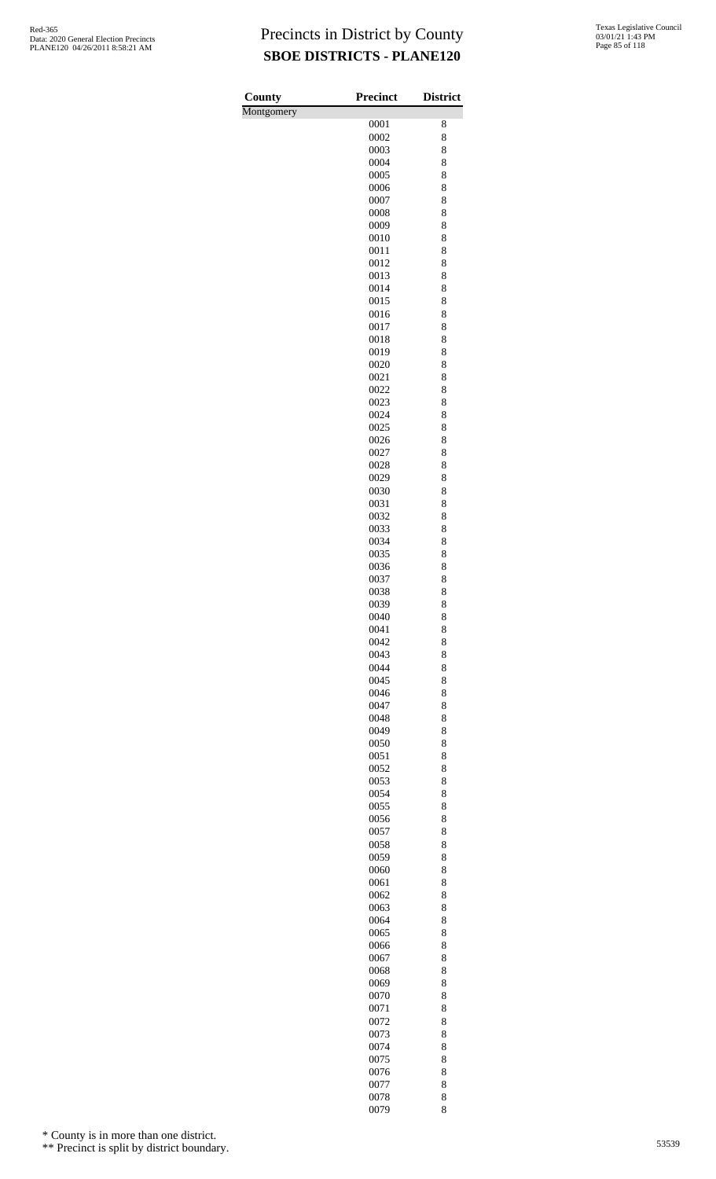| County     | <b>Precinct</b> | <b>District</b> |
|------------|-----------------|-----------------|
| Montgomery |                 |                 |
|            | 0001            | 8               |
|            | 0002            | 8               |
|            | 0003<br>0004    | 8<br>8          |
|            | 0005            | 8               |
|            | 0006            | 8               |
|            | 0007            | 8               |
|            | 0008            | 8               |
|            | 0009            | 8               |
|            | 0010<br>0011    | 8<br>8          |
|            | 0012            | 8               |
|            | 0013            | 8               |
|            | 0014            | 8               |
|            | 0015            | 8               |
|            | 0016            | 8               |
|            | 0017<br>0018    | 8<br>8          |
|            | 0019            | 8               |
|            | 0020            | 8               |
|            | 0021            | 8               |
|            | 0022            | 8               |
|            | 0023            | 8               |
|            | 0024<br>0025    | 8<br>8          |
|            | 0026            | 8               |
|            | 0027            | 8               |
|            | 0028            | 8               |
|            | 0029            | 8               |
|            | 0030            | 8               |
|            | 0031<br>0032    | 8<br>8          |
|            | 0033            | 8               |
|            | 0034            | 8               |
|            | 0035            | 8               |
|            | 0036            | 8               |
|            | 0037            | 8               |
|            | 0038<br>0039    | 8<br>8          |
|            | 0040            | 8               |
|            | 0041            | 8               |
|            | 0042            | 8               |
|            | 0043            | 8               |
|            | 0044<br>0045    | 8<br>8          |
|            | 0046            | 8               |
|            | 0047            | 8               |
|            | 0048            | 8               |
|            | 0049            | 8               |
|            | 0050<br>0051    | 8<br>8          |
|            | 0052            | 8               |
|            | 0053            | 8               |
|            | 0054            | 8               |
|            | 0055            | 8               |
|            | 0056            | 8               |
|            | 0057<br>0058    | 8<br>8          |
|            | 0059            | 8               |
|            | 0060            | 8               |
|            | 0061            | 8               |
|            | 0062            | 8               |
|            | 0063<br>0064    | 8<br>8          |
|            | 0065            | 8               |
|            | 0066            | 8               |
|            | 0067            | 8               |
|            | 0068            | 8               |
|            | 0069            | 8               |
|            | 0070<br>0071    | 8<br>8          |
|            | 0072            | 8               |
|            | 0073            | 8               |
|            | 0074            | 8               |
|            | 0075            | 8               |
|            | 0076<br>0077    | 8<br>8          |
|            | 0078            | 8               |
|            | 0079            | 8               |

\* County is in more than one district.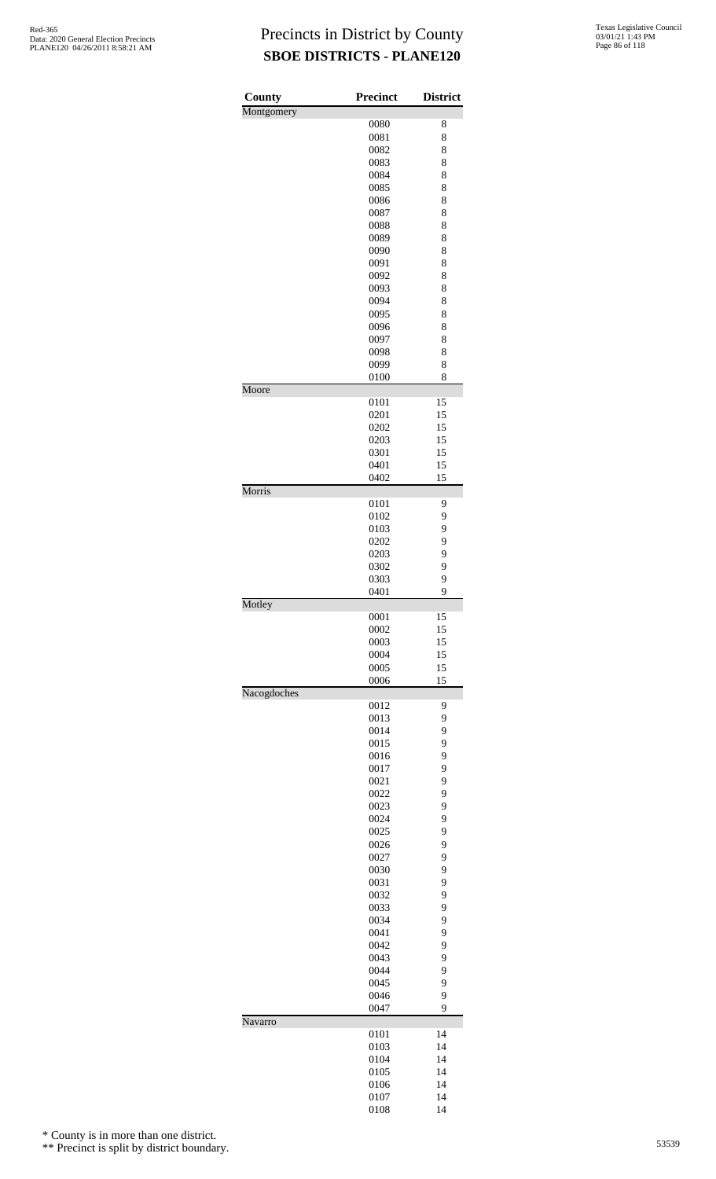| County      | <b>Precinct</b> | <b>District</b> |
|-------------|-----------------|-----------------|
| Montgomery  |                 |                 |
|             | 0080            | 8               |
|             | 0081            | 8               |
|             | 0082            | 8               |
|             | 0083<br>0084    | 8<br>8          |
|             | 0085            | 8               |
|             | 0086            | 8               |
|             | 0087            | 8               |
|             | 0088            | 8               |
|             | 0089            | 8               |
|             | 0090            | 8               |
|             | 0091            | 8               |
|             | 0092            | 8               |
|             | 0093<br>0094    | 8<br>8          |
|             | 0095            | 8               |
|             | 0096            | 8               |
|             | 0097            | 8               |
|             | 0098            | 8               |
|             | 0099            | 8               |
|             | 0100            | 8               |
| Moore       |                 |                 |
|             | 0101<br>0201    | 15<br>15        |
|             | 0202            | 15              |
|             | 0203            | 15              |
|             | 0301            | 15              |
|             | 0401            | 15              |
|             | 0402            | 15              |
| Morris      |                 |                 |
|             | 0101<br>0102    | 9<br>9          |
|             | 0103            | 9               |
|             | 0202            | 9               |
|             | 0203            | 9               |
|             | 0302            | 9               |
|             | 0303            | 9               |
|             | 0401            | 9               |
| Motley      |                 |                 |
|             | 0001<br>0002    | 15<br>15        |
|             | 0003            | 15              |
|             | 0004            | 15              |
|             | 0005            | 15              |
|             | 0006            | 15              |
| Nacogdoches |                 |                 |
|             | 0012<br>0013    | 9<br>9          |
|             | 0014            | 9               |
|             | 0015            | 9               |
|             | 0016            | 9               |
|             | 0017            | 9               |
|             | 0021            | 9               |
|             | 0022            | 9               |
|             | 0023            | 9               |
|             | 0024            | 9               |
|             | 0025<br>0026    | 9<br>9          |
|             | 0027            | 9               |
|             | 0030            | 9               |
|             | 0031            | 9               |
|             | 0032            | 9               |
|             | 0033            | 9               |
|             | 0034            | 9               |
|             | 0041            | 9               |
|             | 0042<br>0043    | 9<br>9          |
|             | 0044            | 9               |
|             | 0045            | 9               |
|             | 0046            | 9               |
|             | 0047            | 9               |
| Navarro     |                 |                 |
|             | 0101            | 14              |
|             | 0103<br>0104    | 14<br>14        |
|             | 0105            | 14              |
|             | 0106            | 14              |
|             | 0107            | 14              |
|             | 0108            | 14              |

\* County is in more than one district.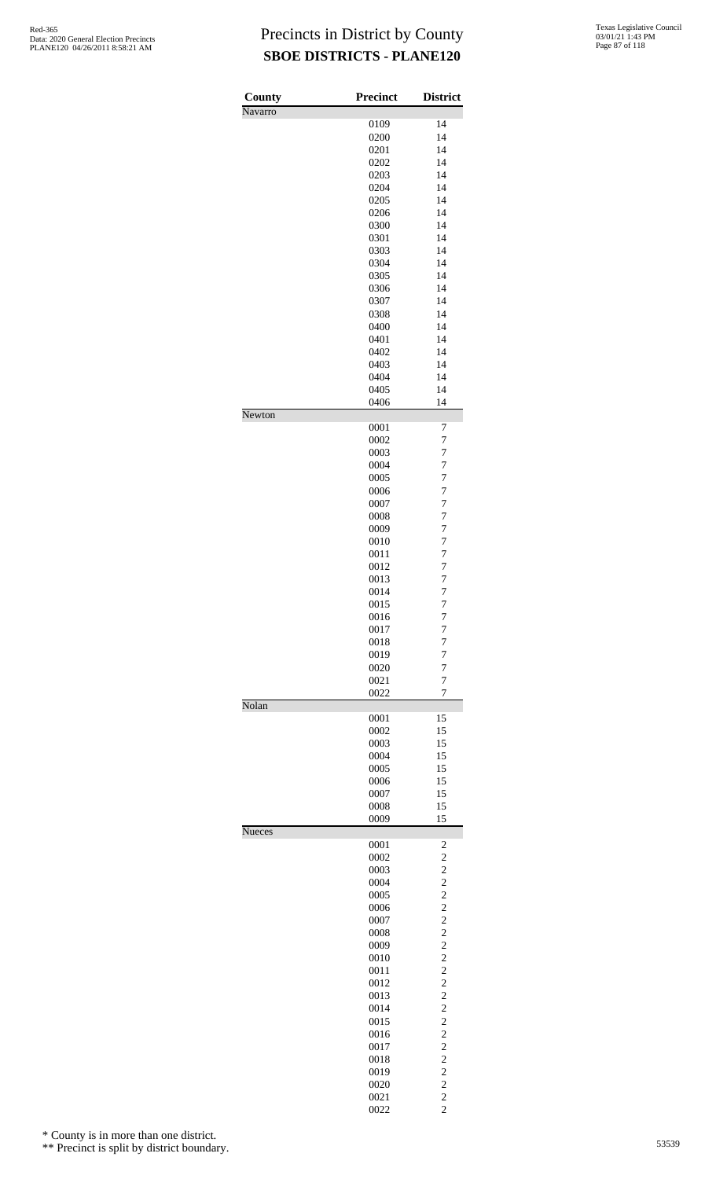| County<br>Navarro | <b>Precinct</b> | <b>District</b>                    |
|-------------------|-----------------|------------------------------------|
|                   | 0109            | 14                                 |
|                   | 0200            | 14                                 |
|                   | 0201            | 14                                 |
|                   | 0202            | 14                                 |
|                   | 0203            | 14                                 |
|                   | 0204            | 14                                 |
|                   | 0205            | 14                                 |
|                   | 0206            | 14                                 |
|                   | 0300            | 14                                 |
|                   | 0301            | 14                                 |
|                   | 0303            | 14                                 |
|                   | 0304            | 14                                 |
|                   | 0305            | 14                                 |
|                   | 0306            | 14                                 |
|                   | 0307            | 14                                 |
|                   | 0308            | 14                                 |
|                   | 0400            | 14                                 |
|                   | 0401            | 14                                 |
|                   | 0402            | 14                                 |
|                   | 0403            | 14                                 |
|                   | 0404            | 14                                 |
|                   | 0405            | 14                                 |
| Newton            | 0406            | 14                                 |
|                   | 0001            | 7                                  |
|                   | 0002            | 7                                  |
|                   | 0003            | 7                                  |
|                   | 0004            | $\overline{7}$                     |
|                   | 0005            | $\overline{7}$<br>$\boldsymbol{7}$ |
|                   | 0006<br>0007    | $\overline{7}$                     |
|                   | 0008            | $\overline{7}$                     |
|                   | 0009            | $\overline{7}$                     |
|                   | 0010            | $\overline{7}$                     |
|                   | 0011            | $\overline{7}$                     |
|                   | 0012            | $\overline{7}$                     |
|                   | 0013            | $\overline{7}$                     |
|                   | 0014            | $\overline{7}$                     |
|                   | 0015            | $\overline{7}$                     |
|                   | 0016            | 7                                  |
|                   | 0017            | 7                                  |
|                   | 0018            | 7                                  |
|                   | 0019            | 7                                  |
|                   | 0020            | $\overline{7}$                     |
|                   | 0021<br>0022    | $\overline{7}$<br>$\overline{7}$   |
| Nolan             |                 |                                    |
|                   | 0001            | 15                                 |
|                   | 0002            | 15                                 |
|                   | 0003            | 15                                 |
|                   | 0004            | 15                                 |
|                   | 0005            | 15                                 |
|                   | 0006            | 15                                 |
|                   | 0007<br>0008    | 15<br>15                           |
|                   | 0009            | 15                                 |
| <b>Nueces</b>     |                 |                                    |
|                   | 0001<br>0002    | 2<br>$\overline{c}$                |
|                   | 0003            | $\overline{c}$                     |
|                   | 0004            | $\overline{c}$                     |
|                   | 0005            | $\overline{c}$                     |
|                   | 0006            | $\overline{c}$                     |
|                   | 0007            | $\overline{c}$                     |
|                   | 0008            | $\overline{c}$                     |
|                   | 0009            | $\overline{c}$                     |
|                   | 0010            | $\overline{c}$                     |
|                   | 0011            | $\overline{c}$                     |
|                   | 0012            | $\overline{c}$                     |
|                   | 0013            | $\overline{c}$                     |
|                   | 0014            | $\overline{c}$                     |
|                   | 0015            | $\overline{c}$                     |
|                   | 0016            | $\overline{c}$                     |
|                   | 0017            | $\overline{c}$                     |
|                   | 0018            | $\overline{c}$                     |
|                   | 0019            | $\overline{c}$                     |
|                   | 0020            | $\overline{c}$                     |
|                   | 0021            | $\overline{c}$                     |
|                   | 0022            | $\overline{c}$                     |

\* County is in more than one district.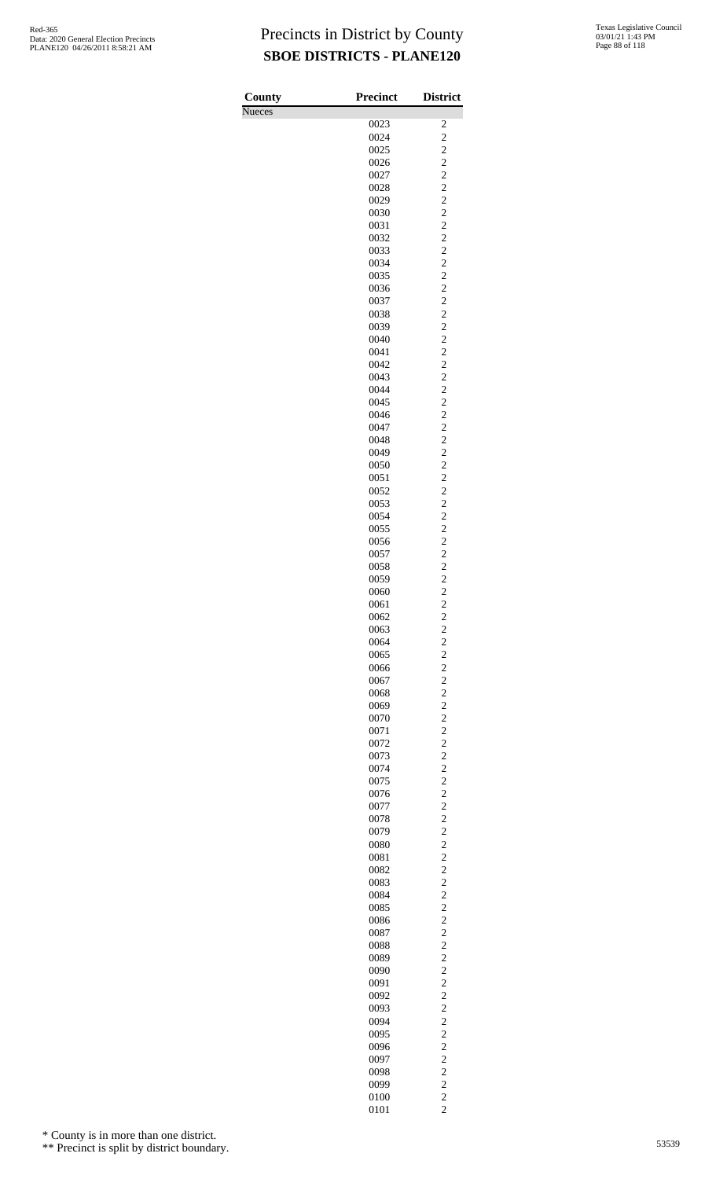| County | Precinct     | <b>District</b>                  |
|--------|--------------|----------------------------------|
| Nueces |              |                                  |
|        | 0023         | 2                                |
|        | 0024<br>0025 | $\overline{c}$<br>$\overline{c}$ |
|        | 0026         | $\overline{c}$                   |
|        | 0027         | $\overline{c}$                   |
|        | 0028         | $\overline{c}$                   |
|        | 0029         | $\overline{c}$                   |
|        | 0030         | $\overline{c}$                   |
|        | 0031         | $\overline{c}$<br>$\overline{c}$ |
|        | 0032<br>0033 | $\overline{c}$                   |
|        | 0034         | $\overline{c}$                   |
|        | 0035         | $\overline{c}$                   |
|        | 0036         | $\overline{c}$                   |
|        | 0037         | $\overline{c}$                   |
|        | 0038<br>0039 | $\overline{c}$<br>$\overline{c}$ |
|        | 0040         | $\overline{c}$                   |
|        | 0041         | $\overline{c}$                   |
|        | 0042         | $\overline{c}$                   |
|        | 0043         | $\overline{c}$                   |
|        | 0044         | $\overline{c}$                   |
|        | 0045<br>0046 | $\overline{c}$<br>$\overline{c}$ |
|        | 0047         | $\overline{c}$                   |
|        | 0048         | $\overline{c}$                   |
|        | 0049         | $\overline{c}$                   |
|        | 0050         | $\overline{c}$                   |
|        | 0051         | $\overline{c}$                   |
|        | 0052<br>0053 | $\overline{c}$<br>$\overline{c}$ |
|        | 0054         | $\overline{c}$                   |
|        | 0055         | $\overline{c}$                   |
|        | 0056         | $\overline{c}$                   |
|        | 0057         | $\overline{c}$                   |
|        | 0058         | $\overline{c}$                   |
|        | 0059<br>0060 | $\overline{c}$<br>$\overline{c}$ |
|        | 0061         | $\overline{c}$                   |
|        | 0062         | $\overline{\mathbf{c}}$          |
|        | 0063         | $\overline{c}$                   |
|        | 0064         | $\overline{c}$                   |
|        | 0065<br>0066 | $\overline{c}$<br>$\overline{c}$ |
|        | 0067         | $\overline{c}$                   |
|        | 0068         | $\overline{c}$                   |
|        | 0069         | $\overline{c}$                   |
|        | 0070         | $\overline{c}$                   |
|        | 0071<br>0072 | $\overline{c}$<br>$\overline{c}$ |
|        | 0073         | $\overline{c}$                   |
|        | 0074         | $\overline{c}$                   |
|        | 0075         | $\overline{c}$                   |
|        | 0076         | $\overline{c}$                   |
|        | 0077         | $\overline{c}$                   |
|        | 0078<br>0079 | $\overline{c}$<br>$\overline{c}$ |
|        | 0080         | $\overline{c}$                   |
|        | 0081         | $\overline{c}$                   |
|        | 0082         | $\overline{c}$                   |
|        | 0083         | $\overline{c}$                   |
|        | 0084         | $\overline{c}$                   |
|        | 0085<br>0086 | $\overline{c}$<br>$\overline{c}$ |
|        | 0087         | $\overline{c}$                   |
|        | 0088         | $\overline{c}$                   |
|        | 0089         | $\overline{c}$                   |
|        | 0090         | $\overline{c}$                   |
|        | 0091         | $\overline{c}$<br>$\overline{c}$ |
|        | 0092<br>0093 | $\overline{c}$                   |
|        | 0094         | $\overline{c}$                   |
|        | 0095         | $\overline{c}$                   |
|        | 0096         | $\overline{c}$                   |
|        | 0097         | $\overline{c}$                   |
|        | 0098<br>0099 | $\overline{c}$<br>$\overline{c}$ |
|        | 0100         | $\overline{c}$                   |
|        | 0101         | $\overline{c}$                   |

\* County is in more than one district.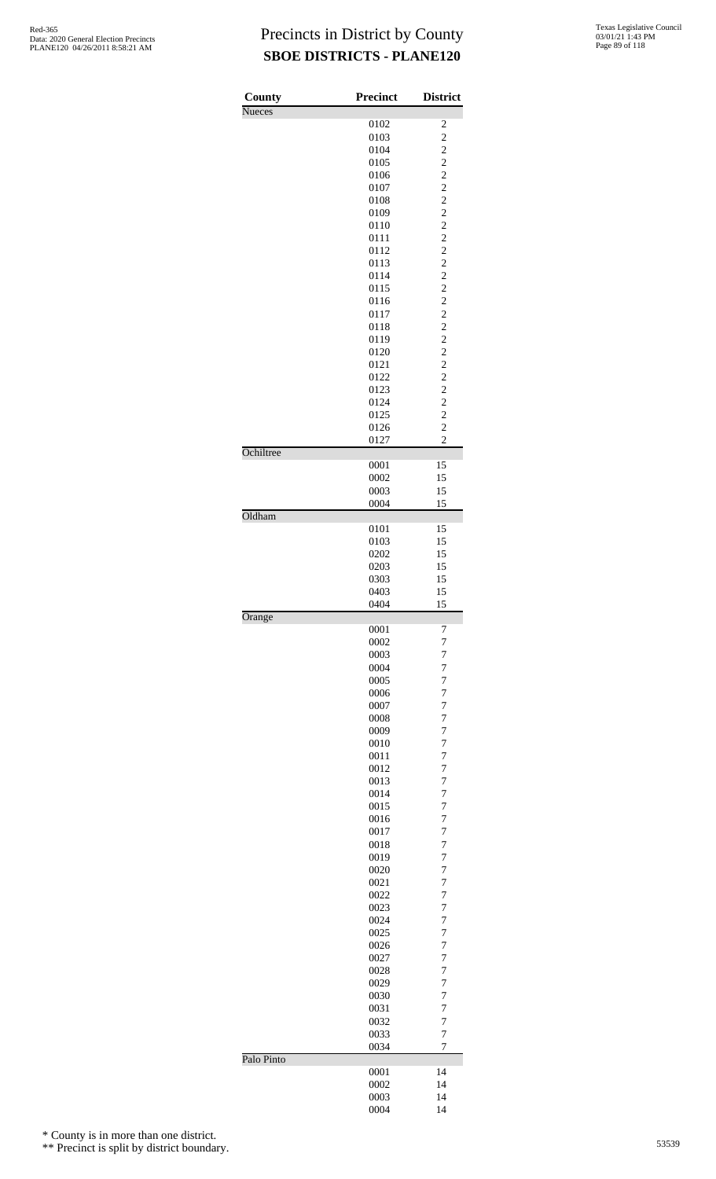| County        | Precinct     | <b>District</b>                  |
|---------------|--------------|----------------------------------|
| <b>Nueces</b> | 0102         | $\overline{\mathbf{c}}$          |
|               | 0103         | $\overline{c}$                   |
|               | 0104         |                                  |
|               | 0105         | $\frac{2}{2}$                    |
|               | 0106         | $\overline{\mathbf{c}}$          |
|               | 0107         | $\overline{c}$                   |
|               | 0108         | $\overline{c}$                   |
|               | 0109<br>0110 | $\frac{2}{2}$                    |
|               | 0111         | $\overline{\mathbf{c}}$          |
|               | 0112         | $\overline{c}$                   |
|               | 0113         | $\overline{c}$                   |
|               | 0114         |                                  |
|               | 0115         | $\frac{2}{2}$                    |
|               | 0116         | $\overline{c}$                   |
|               | 0117         | $\overline{c}$                   |
|               | 0118         | $\overline{c}$                   |
|               | 0119         | $\frac{2}{2}$                    |
|               | 0120<br>0121 | $\overline{c}$                   |
|               | 0122         | $\overline{\mathbf{c}}$          |
|               | 0123         | $\overline{c}$                   |
|               | 0124         |                                  |
|               | 0125         | $\frac{2}{2}$                    |
|               | 0126         | $\overline{c}$                   |
|               | 0127         | $\overline{c}$                   |
| Ochiltree     |              |                                  |
|               | 0001         | 15                               |
|               | 0002         | 15                               |
|               | 0003<br>0004 | 15<br>15                         |
| Oldham        |              |                                  |
|               | 0101         | 15                               |
|               | 0103         | 15                               |
|               | 0202         | 15                               |
|               | 0203         | 15                               |
|               | 0303         | 15                               |
|               | 0403         | 15                               |
|               | 0404         | 15                               |
| Orange        | 0001         | 7                                |
|               | 0002         | $\overline{7}$                   |
|               | 0003         | $\overline{7}$                   |
|               | 0004         | $\overline{7}$                   |
|               | 0005         | $\overline{7}$                   |
|               | 0006         | $\overline{7}$                   |
|               | 0007         | $\overline{7}$                   |
|               | 0008         | $\overline{7}$                   |
|               | 0009         | $\overline{7}$                   |
|               | 0010         | $\overline{7}$                   |
|               | 0011         | $\overline{7}$                   |
|               | 0012         | $\overline{7}$                   |
|               | 0013         | $\overline{7}$<br>$\overline{7}$ |
|               | 0014<br>0015 | $\overline{7}$                   |
|               | 0016         | $\overline{7}$                   |
|               | 0017         | $\overline{7}$                   |
|               | 0018         | $\overline{7}$                   |
|               | 0019         | $\overline{7}$                   |
|               | 0020         | $\overline{7}$                   |
|               | 0021         | $\overline{7}$                   |
|               | 0022         | $\overline{7}$                   |
|               | 0023         | $\overline{7}$                   |
|               | 0024         | $\overline{7}$                   |
|               | 0025         | $\overline{7}$                   |
|               | 0026         | $\overline{7}$                   |
|               | 0027         | $\overline{7}$<br>$\overline{7}$ |
|               | 0028<br>0029 | $\overline{7}$                   |
|               | 0030         | $\overline{7}$                   |
|               | 0031         | $\overline{7}$                   |
|               | 0032         | $\overline{7}$                   |
|               | 0033         | $\overline{7}$                   |
|               | 0034         | $\overline{7}$                   |
| Palo Pinto    |              |                                  |
|               | 0001         | 14                               |
|               | 0002         | 14                               |
|               | 0003         | 14                               |
|               | 0004         | 14                               |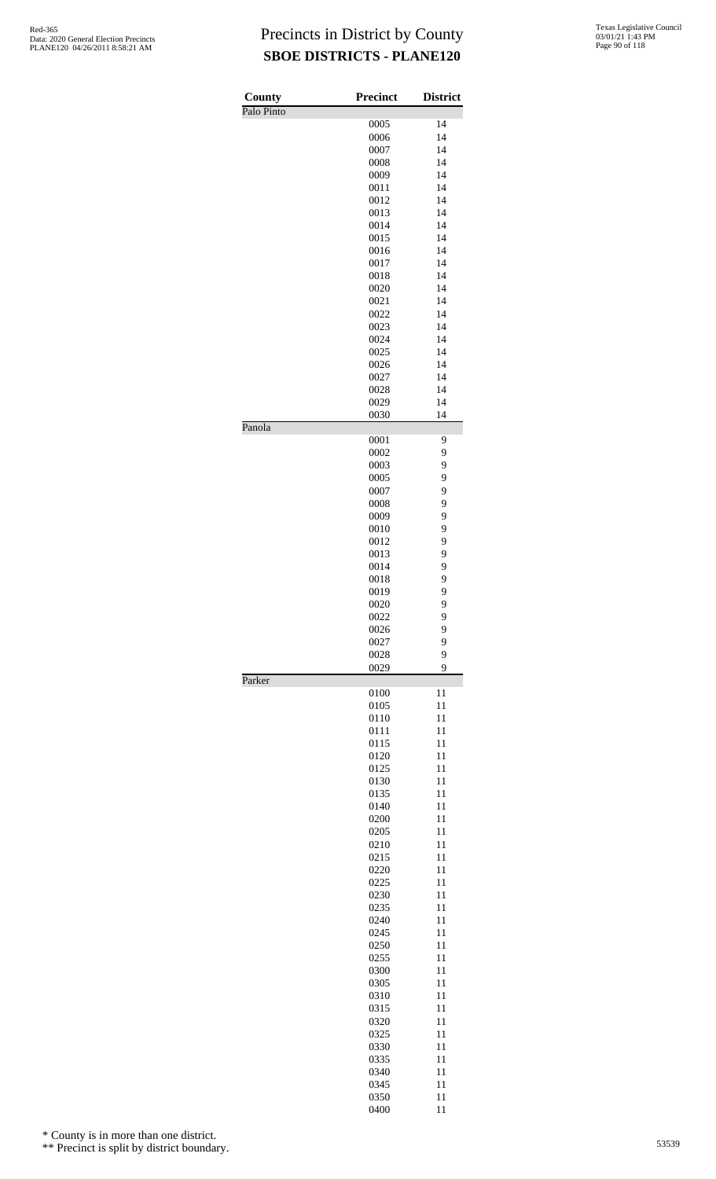| County     | <b>Precinct</b> | <b>District</b> |
|------------|-----------------|-----------------|
| Palo Pinto |                 |                 |
|            | 0005            | 14              |
|            | 0006            | 14              |
|            | 0007            | 14<br>14        |
|            | 0008<br>0009    | 14              |
|            | 0011            | 14              |
|            | 0012            | 14              |
|            | 0013            | 14              |
|            | 0014            | 14              |
|            | 0015            | 14              |
|            | 0016            | 14              |
|            | 0017            | 14              |
|            | 0018            | 14              |
|            | 0020            | 14              |
|            | 0021            | 14              |
|            | 0022            | 14              |
|            | 0023            | 14              |
|            | 0024            | 14              |
|            | 0025            | 14              |
|            | 0026            | 14              |
|            | 0027            | 14              |
|            | 0028            | 14              |
|            | 0029            | 14              |
| Panola     | 0030            | 14              |
|            | 0001            | 9               |
|            | 0002            | 9               |
|            | 0003            | 9               |
|            | 0005            | 9               |
|            | 0007            | 9               |
|            | 0008            | 9               |
|            | 0009            | 9               |
|            | 0010            | 9               |
|            | 0012            | 9               |
|            | 0013            | 9               |
|            | 0014            | 9               |
|            | 0018            | 9<br>9          |
|            | 0019<br>0020    | 9               |
|            | 0022            | 9               |
|            | 0026            | 9               |
|            | 0027            | 9               |
|            | 0028            | 9               |
|            | 0029            | 9               |
| Parker     |                 |                 |
|            | 0100<br>0105    | 11<br>11        |
|            | 0110            | 11              |
|            | 0111            | 11              |
|            | 0115            | 11              |
|            | 0120            | 11              |
|            | 0125            | 11              |
|            | 0130            | 11              |
|            | 0135            | 11              |
|            | 0140            | 11              |
|            | 0200            | 11              |
|            | 0205            | 11              |
|            | 0210            | 11              |
|            | 0215            | 11              |
|            | 0220            | 11              |
|            | 0225            | 11              |
|            | 0230            | 11              |
|            | 0235            | 11              |
|            | 0240            | 11              |
|            | 0245            | 11              |
|            | 0250            | 11              |
|            | 0255            | 11              |
|            | 0300            | 11<br>11        |
|            | 0305<br>0310    | 11              |
|            | 0315            | 11              |
|            | 0320            | 11              |
|            | 0325            | 11              |
|            | 0330            | 11              |
|            | 0335            | 11              |
|            | 0340            | 11              |
|            | 0345            | 11              |
|            | 0350            | 11              |
|            | 0400            | 11              |

\* County is in more than one district.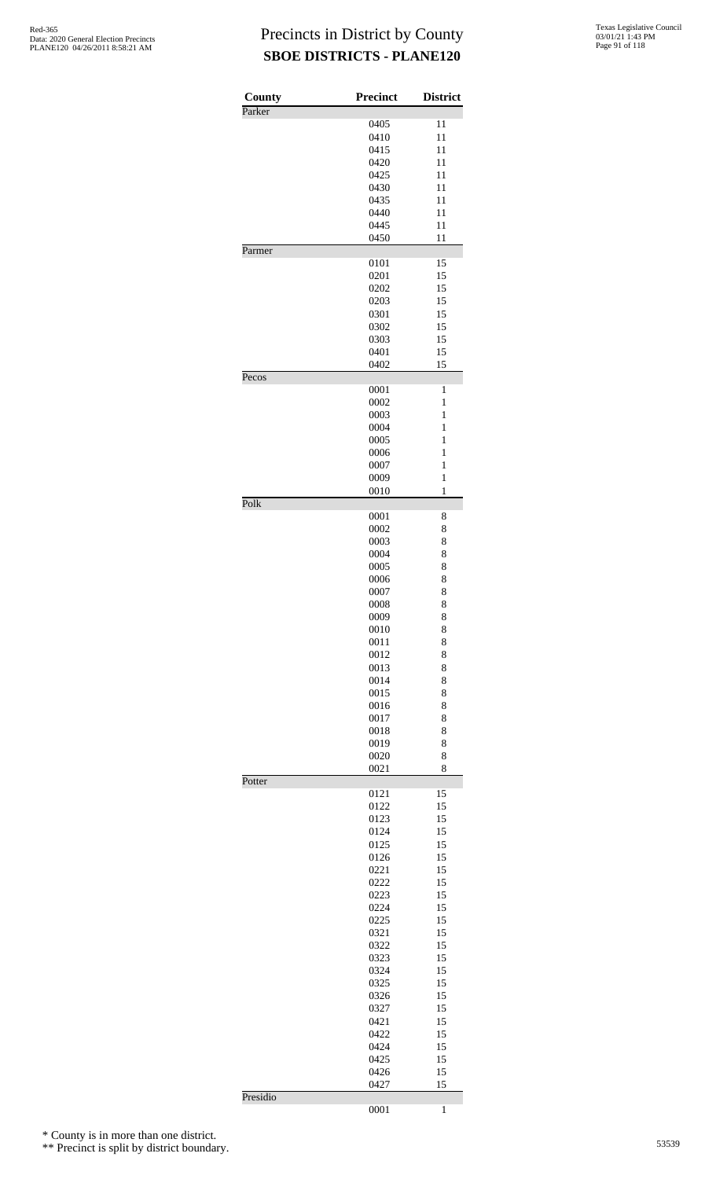| County | <b>Precinct</b> | <b>District</b> |
|--------|-----------------|-----------------|
| Parker |                 |                 |
|        | 0405            | 11              |
|        | 0410            | 11              |
|        | 0415            | 11              |
|        | 0420            | 11              |
|        | 0425            | 11              |
|        | 0430            | 11              |
|        | 0435            | 11              |
|        | 0440<br>0445    | 11<br>11        |
|        | 0450            | 11              |
| Parmer |                 |                 |
|        | 0101            | 15              |
|        | 0201            | 15              |
|        | 0202            | 15              |
|        | 0203            | 15              |
|        | 0301            | 15              |
|        | 0302            | 15              |
|        | 0303            | 15              |
|        | 0401            | 15              |
|        | 0402            | 15              |
| Pecos  | 0001            | 1               |
|        | 0002            | 1               |
|        | 0003            | 1               |
|        | 0004            | 1               |
|        | 0005            | 1               |
|        | 0006            | 1               |
|        | 0007            | 1               |
|        | 0009            | $\mathbf{1}$    |
|        | 0010            | $\mathbf{1}$    |
| Polk   |                 |                 |
|        | 0001            | 8               |
|        | 0002            | 8               |
|        | 0003<br>0004    | 8               |
|        |                 | 8<br>8          |
|        | 0005<br>0006    | 8               |
|        | 0007            | 8               |
|        | 0008            | 8               |
|        | 0009            | 8               |
|        | 0010            | 8               |
|        | 0011            | 8               |
|        | 0012            | 8               |
|        | 0013            | 8               |
|        | 0014            | 8               |
|        | 0015            | 8               |
|        | 0016            | 8               |
|        | 0017            | 8               |
|        | 0018            | 8               |
|        | 0019            | 8               |
|        | 0020            | 8               |
|        | 0021            | 8               |
| Potter | 0121            | 15              |
|        | 0122            | 15              |
|        | 0123            | 15              |
|        | 0124            | 15              |
|        | 0125            | 15              |
|        |                 | 15              |
|        | 0126            |                 |
|        | 0221            | 15              |
|        | 0222            | 15              |
|        | 0223            | 15              |
|        | 0224            | 15              |
|        | 0225            | 15              |
|        | 0321            | 15              |
|        | 0322            | 15              |
|        | 0323            | 15              |
|        | 0324            | 15              |
|        | 0325            | 15              |
|        | 0326            | 15              |
|        | 0327            | 15              |
|        | 0421            | 15              |
|        | 0422            | 15              |
|        | 0424            | 15              |
|        | 0425            | 15              |
|        | 0426<br>0427    | 15<br>15        |

1

\* County is in more than one district.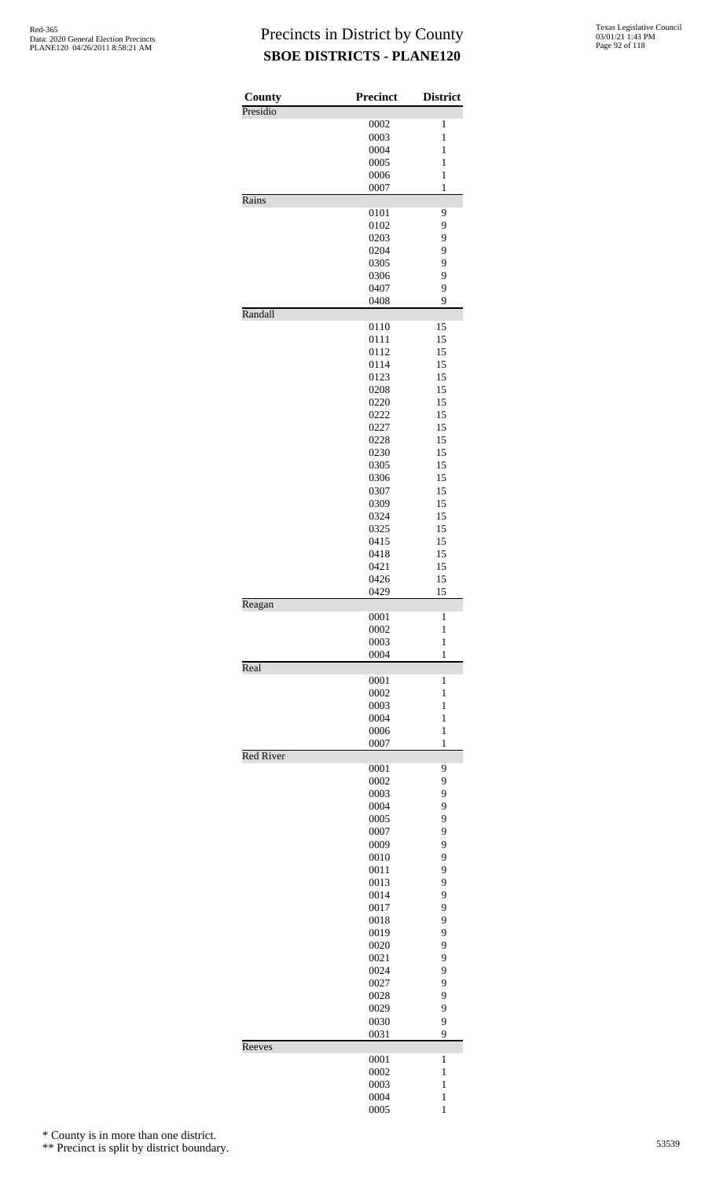| County<br>Presidio | <b>Precinct</b> | <b>District</b>              |
|--------------------|-----------------|------------------------------|
|                    | 0002            | 1                            |
|                    | 0003            | 1                            |
|                    | 0004            | 1                            |
|                    | 0005            | 1                            |
|                    | 0006            | $\mathbf{1}$                 |
|                    | 0007            | $\mathbf{1}$                 |
| Rains              |                 |                              |
|                    | 0101            | 9                            |
|                    | 0102            | 9                            |
|                    | 0203            | 9                            |
|                    | 0204            | 9                            |
|                    | 0305            | 9                            |
|                    | 0306            | 9                            |
|                    | 0407            | 9                            |
| Randall            | 0408            | 9                            |
|                    | 0110            | 15                           |
|                    | 0111            | 15                           |
|                    | 0112            | 15                           |
|                    | 0114            | 15                           |
|                    | 0123            | 15                           |
|                    | 0208            | 15                           |
|                    | 0220            | 15                           |
|                    | 0222            | 15                           |
|                    | 0227            | 15                           |
|                    | 0228            | 15                           |
|                    | 0230            | 15                           |
|                    | 0305            | 15                           |
|                    | 0306            | 15                           |
|                    | 0307            | 15                           |
|                    | 0309            | 15                           |
|                    | 0324            | 15                           |
|                    | 0325            | 15                           |
|                    | 0415            | 15                           |
|                    | 0418            | 15                           |
|                    | 0421            | 15                           |
|                    | 0426            | 15                           |
|                    | 0429            | 15                           |
| Reagan             |                 |                              |
|                    | 0001            | 1                            |
|                    | 0002            | 1                            |
|                    | 0003<br>0004    | $\mathbf{1}$<br>$\mathbf{1}$ |
| Real               |                 |                              |
|                    | 0001            | 1                            |
|                    | 0002            | 1                            |
|                    | 0003            | 1                            |
|                    | 0004            | 1                            |
|                    | 0006            | $\mathbf{1}$                 |
|                    | 0007            | $\mathbf{1}$                 |
| <b>Red River</b>   | 0001            | 9                            |
|                    | 0002            | 9                            |
|                    | 0003            | 9                            |
|                    | 0004            | 9                            |
|                    | 0005            | 9                            |
|                    | 0007            | 9                            |
|                    |                 |                              |
|                    | 0009<br>0010    | 9<br>9                       |
|                    | 0011            | 9                            |
|                    | 0013            | 9                            |
|                    |                 |                              |
|                    | 0014            | 9                            |
|                    | 0017            | 9<br>9                       |
|                    | 0018            |                              |
|                    | 0019            | 9<br>9                       |
|                    | 0020            |                              |
|                    | 0021            | 9                            |
|                    | 0024            | 9                            |
|                    | 0027            | 9                            |
|                    | 0028            | 9                            |
|                    | 0029            | 9                            |
|                    | 0030<br>0031    | 9<br>9                       |
| Reeves             |                 |                              |
|                    | 0001            | 1                            |
|                    | 0002            | 1                            |
|                    | 0003            | 1                            |
|                    | 0004            | $\mathbf{1}$                 |
|                    | 0005            | $\mathbf 1$                  |

\* County is in more than one district.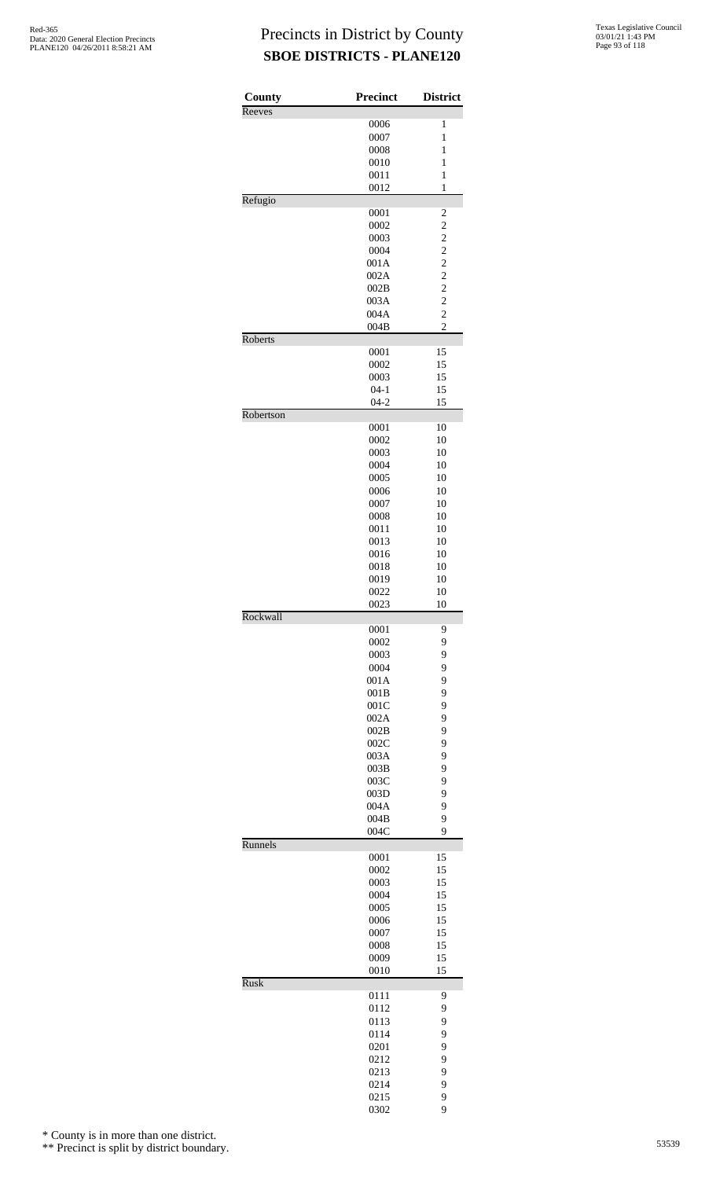| County      | <b>Precinct</b> | <b>District</b>         |
|-------------|-----------------|-------------------------|
| Reeves      | 0006            | 1                       |
|             | 0007            | $\mathbf{1}$            |
|             | 0008            | 1                       |
|             | 0010            | 1                       |
|             | 0011            | $\mathbf{1}$            |
|             | 0012            | $\mathbf{1}$            |
| Refugio     |                 |                         |
|             | 0001            | $\overline{\mathbf{c}}$ |
|             | 0002            | $\overline{c}$          |
|             | 0003            | $\overline{\mathbf{c}}$ |
|             | 0004            | $\overline{c}$          |
|             | 001A            | $\overline{c}$          |
|             | 002A            | $\overline{c}$          |
|             | 002B            | $\overline{\mathbf{c}}$ |
|             | 003A            | $\overline{c}$          |
|             | 004A            | $\overline{c}$          |
|             | 004B            | $\overline{c}$          |
| Roberts     | 0001            | 15                      |
|             | 0002            | 15                      |
|             | 0003            | 15                      |
|             | $04 - 1$        | 15                      |
|             | $04 - 2$        | 15                      |
| Robertson   |                 |                         |
|             | 0001            | 10                      |
|             | 0002            | 10                      |
|             | 0003            | 10                      |
|             | 0004            | 10                      |
|             | 0005            | 10                      |
|             | 0006            | 10                      |
|             | 0007            | 10                      |
|             | 0008            | 10                      |
|             | 0011            | 10                      |
|             | 0013            | 10                      |
|             | 0016            | 10                      |
|             | 0018            | 10                      |
|             | 0019            | 10                      |
|             | 0022            | 10                      |
|             | 0023            | 10                      |
| Rockwall    |                 |                         |
|             | 0001<br>0002    | 9<br>9                  |
|             | 0003            | 9                       |
|             | 0004            | 9                       |
|             | 001A            | 9                       |
|             | 001B            | 9                       |
|             | 001C            | 9                       |
|             | 002A            | 9                       |
|             | 002B            | 9                       |
|             | 002C            | 9                       |
|             | 003A            | 9                       |
|             | 003B            | 9                       |
|             | 003C            | 9                       |
|             | 003D            | 9                       |
|             | 004A            | 9                       |
|             | 004B            | 9                       |
|             | 004C            | 9                       |
| Runnels     |                 |                         |
|             | 0001            | 15                      |
|             | 0002            | 15                      |
|             | 0003<br>0004    | 15<br>15                |
|             | 0005            | 15                      |
|             | 0006            | 15                      |
|             | 0007            | 15                      |
|             | 0008            | 15                      |
|             | 0009            | 15                      |
|             | 0010            | 15                      |
| <b>Rusk</b> |                 |                         |
|             | 0111            | 9                       |
|             | 0112            | 9                       |
|             | 0113            | 9                       |
|             | 0114            | 9                       |
|             | 0201            | 9                       |
|             | 0212            | 9                       |
|             | 0213            | 9                       |
|             | 0214            | 9                       |
|             | 0215            | 9                       |
|             | 0302            | 9                       |

\* County is in more than one district.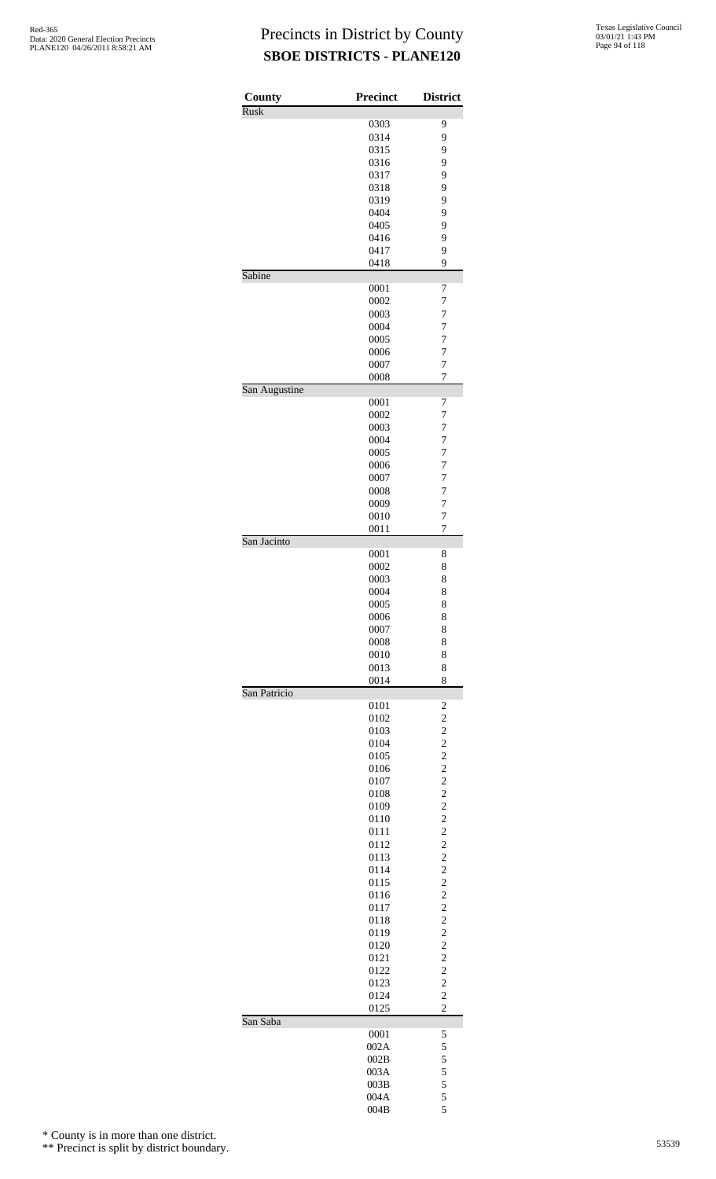| County        | <b>Precinct</b> | <b>District</b>                |
|---------------|-----------------|--------------------------------|
| <b>Rusk</b>   |                 |                                |
|               | 0303            | 9                              |
|               | 0314            | 9                              |
|               | 0315            | 9                              |
|               | 0316            | 9                              |
|               | 0317<br>0318    | 9<br>9                         |
|               | 0319            | 9                              |
|               | 0404            | 9                              |
|               | 0405            | 9                              |
|               | 0416            | 9                              |
|               | 0417            | 9                              |
|               | 0418            | 9                              |
| Sabine        |                 |                                |
|               | 0001            | 7                              |
|               | 0002            | 7                              |
|               | 0003            | $\overline{7}$                 |
|               | 0004<br>0005    | 7<br>7                         |
|               | 0006            | 7                              |
|               | 0007            | $\overline{7}$                 |
|               | 0008            | 7                              |
| San Augustine |                 |                                |
|               | 0001            | 7                              |
|               | 0002            | 7                              |
|               | 0003            | 7                              |
|               | 0004            | $\overline{7}$                 |
|               | 0005            | 7                              |
|               | 0006            | 7                              |
|               | 0007            | 7                              |
|               | 0008            | 7                              |
|               | 0009            | $\overline{7}$                 |
|               | 0010<br>0011    | 7<br>7                         |
| San Jacinto   |                 |                                |
|               | 0001            | 8                              |
|               | 0002            | 8                              |
|               | 0003            | 8                              |
|               | 0004            | 8                              |
|               | 0005            | 8                              |
|               | 0006            | 8                              |
|               | 0007            | 8                              |
|               | 0008            | 8                              |
|               | 0010            | 8                              |
|               | 0013<br>0014    | 8<br>8                         |
| San Patricio  |                 |                                |
|               | 0101            | $\overline{\mathbf{c}}$        |
|               | 0102            | $\overline{c}$                 |
|               | 0103            | $\overline{c}$                 |
|               | 0104            | $\overline{c}$                 |
|               | 0105            | $\overline{c}$                 |
|               | 0106            | $\overline{\mathbf{c}}$        |
|               | 0107            | $\overline{c}$                 |
|               | 0108            | $\overline{c}$                 |
|               | 0109            | $\overline{c}$                 |
|               | 0110<br>0111    | $\overline{c}$                 |
|               | 0112            | $\frac{2}{2}$                  |
|               | 0113            | $\overline{c}$                 |
|               | 0114            | $\overline{c}$                 |
|               | 0115            | $\overline{c}$                 |
|               | 0116            | $\overline{\mathbf{c}}$        |
|               | 0117            | $\overline{c}$                 |
|               | 0118            | $\overline{c}$                 |
|               | 0119            | $\overline{c}$                 |
|               | 0120            | $\overline{c}$                 |
|               | 0121            | $\frac{2}{2}$                  |
|               | 0122            | $\overline{c}$                 |
|               | 0123<br>0124    | $\overline{c}$                 |
|               | 0125            | $\overline{c}$                 |
| San Saba      |                 |                                |
|               | 0001            | 5                              |
|               | 002A            | 5                              |
|               | 002B            |                                |
|               | 003A            |                                |
|               | 003B            | $\frac{5}{5}$<br>$\frac{5}{5}$ |
|               | 004A            |                                |
|               | 004B            | 5                              |

\* County is in more than one district.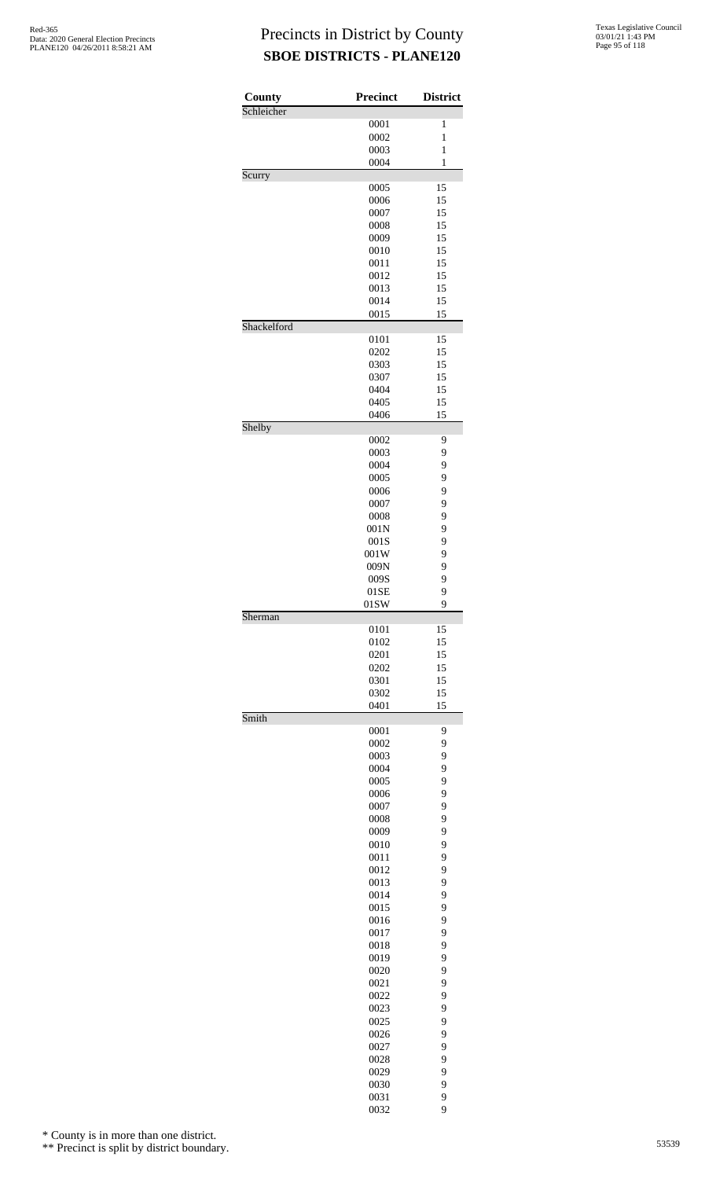| County      | <b>Precinct</b> | <b>District</b> |
|-------------|-----------------|-----------------|
| Schleicher  | 0001            | 1               |
|             | 0002            | $\mathbf{1}$    |
|             | 0003            | $\mathbf{1}$    |
|             | 0004            | 1               |
| Scurry      |                 |                 |
|             | 0005            | 15              |
|             | 0006            | 15              |
|             | 0007            | 15              |
|             | 0008            | 15              |
|             | 0009            | 15              |
|             | 0010            | 15              |
|             | 0011            | 15              |
|             | 0012<br>0013    | 15<br>15        |
|             | 0014            | 15              |
|             | 0015            | 15              |
| Shackelford |                 |                 |
|             | 0101            | 15              |
|             | 0202            | 15              |
|             | 0303            | 15              |
|             | 0307            | 15              |
|             | 0404            | 15              |
|             | 0405            | 15              |
|             | 0406            | 15              |
| Shelby      |                 |                 |
|             | 0002            | 9               |
|             | 0003            | 9               |
|             | 0004<br>0005    | 9<br>9          |
|             | 0006            | 9               |
|             | 0007            | 9               |
|             | 0008            | 9               |
|             | 001N            | 9               |
|             | 001S            | 9               |
|             | 001W            | 9               |
|             | 009N            | 9               |
|             | 009S            | 9               |
|             | 01SE            | 9               |
|             | 01SW            | 9               |
| Sherman     |                 |                 |
|             | 0101            | 15              |
|             | 0102            | 15              |
|             | 0201            | 15              |
|             | 0202            | 15<br>15        |
|             | 0301<br>0302    | 15              |
|             | 0401            | 15              |
| Smith       |                 |                 |
|             | 0001            | 9               |
|             | 0002            | 9               |
|             | 0003            | 9               |
|             | 0004            | 9               |
|             | 0005            | 9               |
|             | 0006            | 9               |
|             | 0007            | 9               |
|             | 0008            | 9               |
|             | 0009            | 9               |
|             | 0010            | 9               |
|             | 0011            | 9               |
|             | 0012            | 9               |
|             | 0013            | 9               |
|             | 0014            | 9               |
|             | 0015<br>0016    | 9<br>9          |
|             | 0017            | 9               |
|             | 0018            | 9               |
|             | 0019            | 9               |
|             | 0020            | 9               |
|             | 0021            | 9               |
|             | 0022            | 9               |
|             | 0023            | 9               |
|             | 0025            | 9               |
|             | 0026            | 9               |
|             | 0027            | 9               |
|             | 0028            | 9               |
|             | 0029            | 9               |
|             | 0030            | 9               |
|             | 0031            | 9               |
|             | 0032            | 9               |

\* County is in more than one district.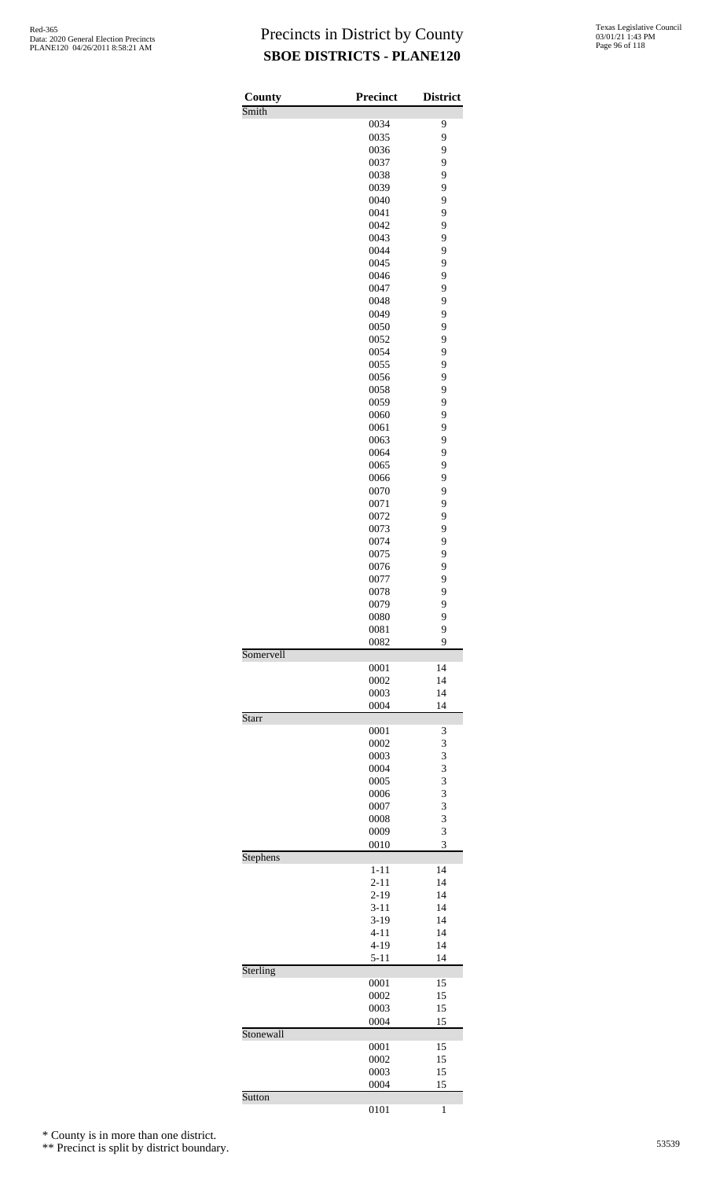| County    | <b>Precinct</b>      | <b>District</b> |
|-----------|----------------------|-----------------|
| Smith     |                      | 9               |
|           | 0034<br>0035         | 9               |
|           | 0036                 | 9               |
|           | 0037                 | 9               |
|           | 0038                 | 9               |
|           | 0039                 | 9               |
|           | 0040                 | 9               |
|           | 0041                 | 9               |
|           | 0042                 | 9               |
|           | 0043                 | 9               |
|           | 0044                 | 9               |
|           | 0045                 | 9               |
|           | 0046                 | 9               |
|           | 0047                 | 9               |
|           | 0048                 | 9               |
|           | 0049                 | 9               |
|           | 0050                 | 9               |
|           | 0052                 | 9               |
|           | 0054                 | 9               |
|           | 0055                 | 9               |
|           | 0056                 | 9               |
|           | 0058<br>0059         | 9<br>9          |
|           | 0060                 | 9               |
|           | 0061                 | 9               |
|           | 0063                 | 9               |
|           | 0064                 | 9               |
|           | 0065                 | 9               |
|           | 0066                 | 9               |
|           | 0070                 | 9               |
|           | 0071                 | 9               |
|           | 0072                 | 9               |
|           | 0073                 | 9               |
|           | 0074                 | 9               |
|           | 0075                 | 9               |
|           | 0076                 | 9               |
|           | 0077                 | 9               |
|           | 0078                 | 9               |
|           | 0079                 | 9               |
|           | 0080                 | 9               |
|           | 0081                 | 9               |
| Somervell | 0082                 | 9               |
|           | 0001                 | 14              |
|           | 0002                 | 14              |
|           | 0003                 | 14              |
|           | 0004                 | 14              |
| Starr     |                      |                 |
|           | 0001                 | 3               |
|           | 0002                 | 3               |
|           | 0003                 | 3               |
|           | 0004                 | 3               |
|           | 0005                 | 3               |
|           | 0006                 | 3               |
|           | 0007                 | 3               |
|           | 0008                 | 3               |
|           | 0009                 | 3               |
|           | 0010                 | 3               |
| Stephens  |                      |                 |
|           | $1 - 11$             | 14<br>14        |
|           | $2 - 11$<br>$2 - 19$ | 14              |
|           | $3 - 11$             | 14              |
|           | $3-19$               | 14              |
|           | $4 - 11$             | 14              |
|           | $4 - 19$             | 14              |
|           | $5-11$               | 14              |
| Sterling  |                      |                 |
|           | 0001                 | 15              |
|           | 0002                 | 15              |
|           | 0003                 | 15              |
|           | 0004                 | 15              |
| Stonewall |                      |                 |
|           | 0001                 | 15              |
|           | 0002                 | 15              |
|           | 0003                 | 15              |
|           | 0004                 | 15              |
| Sutton    |                      |                 |
|           | 0101                 | 1               |

\* County is in more than one district.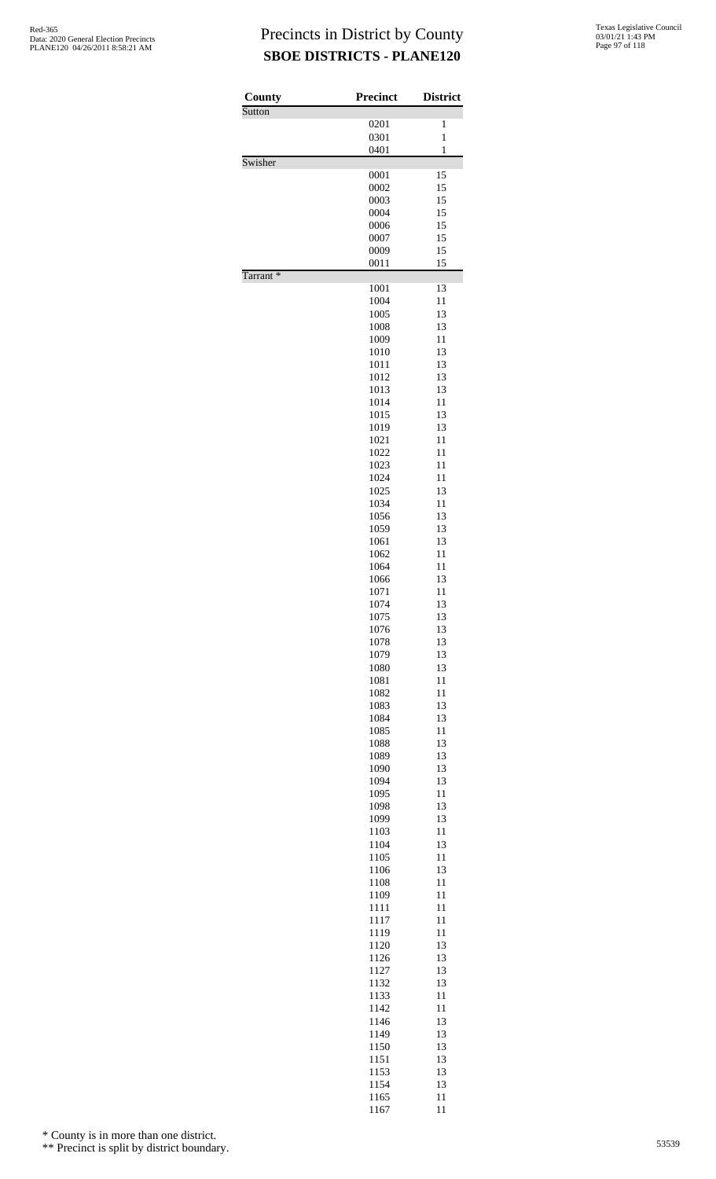| County   | <b>Precinct</b> | <b>District</b> |
|----------|-----------------|-----------------|
| Sutton   | 0201            | 1               |
|          | 0301            | $\mathbf{1}$    |
|          | 0401            | $\mathbf{1}$    |
| Swisher  |                 |                 |
|          | 0001<br>0002    | 15<br>15        |
|          | 0003            | 15              |
|          | 0004            | 15              |
|          | 0006            | 15              |
|          | 0007<br>0009    | 15<br>15        |
|          | 0011            | 15              |
| Tarrant* |                 |                 |
|          | 1001<br>1004    | 13<br>11        |
|          | 1005            | 13              |
|          | 1008            | 13              |
|          | 1009            | 11              |
|          | 1010            | 13              |
|          | 1011<br>1012    | 13<br>13        |
|          | 1013            | 13              |
|          | 1014            | 11              |
|          | 1015            | 13              |
|          | 1019<br>1021    | 13<br>11        |
|          | 1022            | 11              |
|          | 1023            | 11              |
|          | 1024            | 11              |
|          | 1025<br>1034    | 13<br>11        |
|          | 1056            | 13              |
|          | 1059            | 13              |
|          | 1061            | 13              |
|          | 1062<br>1064    | 11<br>11        |
|          | 1066            | 13              |
|          | 1071            | 11              |
|          | 1074            | 13              |
|          | 1075            | 13<br>13        |
|          | 1076<br>1078    | 13              |
|          | 1079            | 13              |
|          | 1080            | 13              |
|          | 1081<br>1082    | 11<br>11        |
|          | 1083            | 13              |
|          | 1084            | 13              |
|          | 1085            | 11              |
|          | 1088            | 13              |
|          | 1089<br>1090    | 13<br>13        |
|          | 1094            | 13              |
|          | 1095            | 11              |
|          | 1098            | 13              |
|          | 1099<br>1103    | 13<br>11        |
|          | 1104            | 13              |
|          | 1105            | 11              |
|          | 1106            | 13              |
|          | 1108            | 11<br>11        |
|          | 1109<br>1111    | 11              |
|          | 1117            | 11              |
|          | 1119            | 11              |
|          | 1120            | 13              |
|          | 1126<br>1127    | 13<br>13        |
|          | 1132            | 13              |
|          | 1133            | 11              |
|          | 1142            | 11              |
|          | 1146<br>1149    | 13<br>13        |
|          | 1150            | 13              |
|          | 1151            | 13              |
|          | 1153            | 13              |
|          | 1154<br>1165    | 13              |
|          |                 | 11              |

1165 11<br>1167 11

\* County is in more than one district.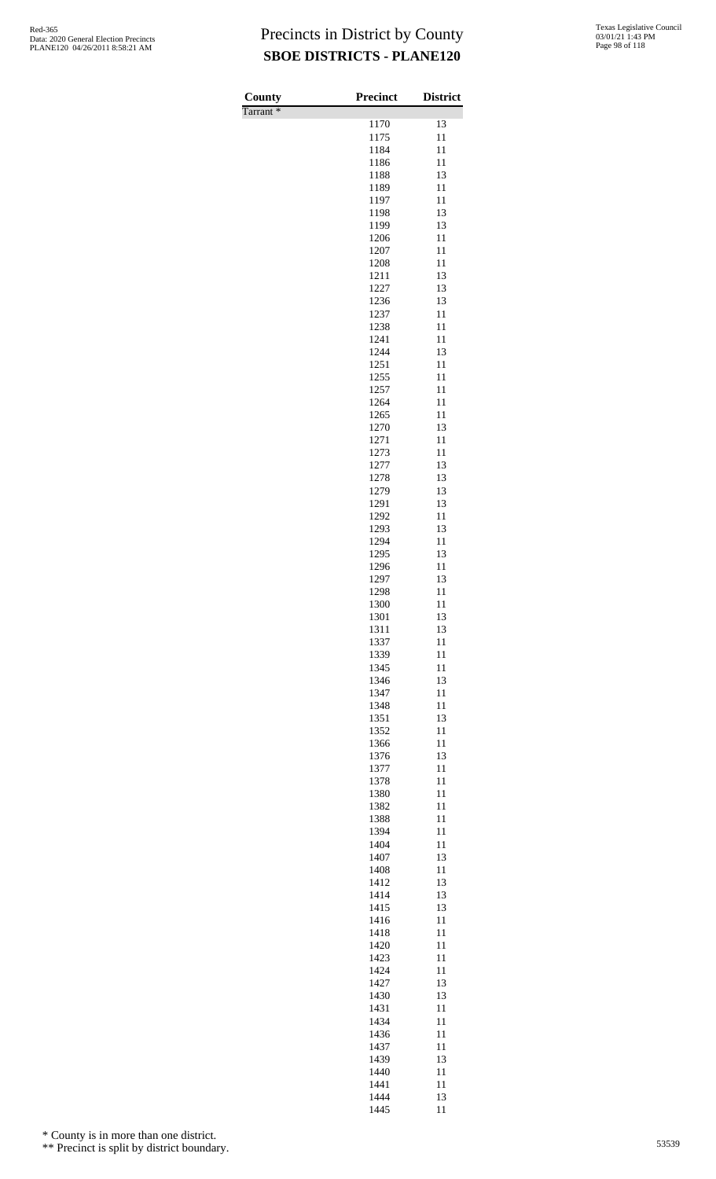| Texas Legislative Council |
|---------------------------|
| 03/01/21 1:43 PM          |
| Page 98 of 118            |

| County<br>Tarrant <sup>*</sup> | Precinct     | <b>District</b> |
|--------------------------------|--------------|-----------------|
|                                | 1170         | 13              |
|                                | 1175         | 11              |
|                                | 1184         | 11              |
|                                | 1186         | 11              |
|                                | 1188         | 13              |
|                                | 1189         | 11              |
|                                | 1197<br>1198 | 11<br>13        |
|                                | 1199         | 13              |
|                                | 1206         | 11              |
|                                | 1207         | 11              |
|                                | 1208         | 11              |
|                                | 1211         | 13              |
|                                | 1227         | 13              |
|                                | 1236<br>1237 | 13<br>11        |
|                                | 1238         | 11              |
|                                | 1241         | 11              |
|                                | 1244         | 13              |
|                                | 1251         | 11              |
|                                | 1255         | 11              |
|                                | 1257         | 11              |
|                                | 1264<br>1265 | 11<br>11        |
|                                | 1270         | 13              |
|                                | 1271         | 11              |
|                                | 1273         | 11              |
|                                | 1277         | 13              |
|                                | 1278         | 13              |
|                                | 1279         | 13              |
|                                | 1291<br>1292 | 13<br>11        |
|                                | 1293         | 13              |
|                                | 1294         | 11              |
|                                | 1295         | 13              |
|                                | 1296         | 11              |
|                                | 1297         | 13              |
|                                | 1298         | 11              |
|                                | 1300<br>1301 | 11<br>13        |
|                                | 1311         | 13              |
|                                | 1337         | 11              |
|                                | 1339         | 11              |
|                                | 1345         | 11              |
|                                | 1346         | 13              |
|                                | 1347         | 11<br>11        |
|                                | 1348<br>1351 | 13              |
|                                | 1352         | 11              |
|                                | 1366         | 11              |
|                                | 1376         | 13              |
|                                | 1377         | 11              |
|                                | 1378         | 11              |
|                                | 1380         | 11              |
|                                | 1382<br>1388 | 11<br>11        |
|                                | 1394         | 11              |
|                                | 1404         | 11              |
|                                | 1407         | 13              |
|                                | 1408         | 11              |
|                                | 1412         | 13              |
|                                | 1414         | 13              |
|                                | 1415<br>1416 | 13<br>11        |
|                                | 1418         | 11              |
|                                | 1420         | 11              |
|                                | 1423         | 11              |
|                                | 1424         | 11              |
|                                | 1427         | 13              |
|                                | 1430<br>1431 | 13<br>11        |
|                                | 1434         | 11              |
|                                | 1436         | 11              |
|                                | 1437         | 11              |
|                                | 1439         | 13              |
|                                | 1440         | 11              |
|                                | 1441         | 11              |
|                                | 1444<br>1445 | 13<br>11        |
|                                |              |                 |

\* County is in more than one district.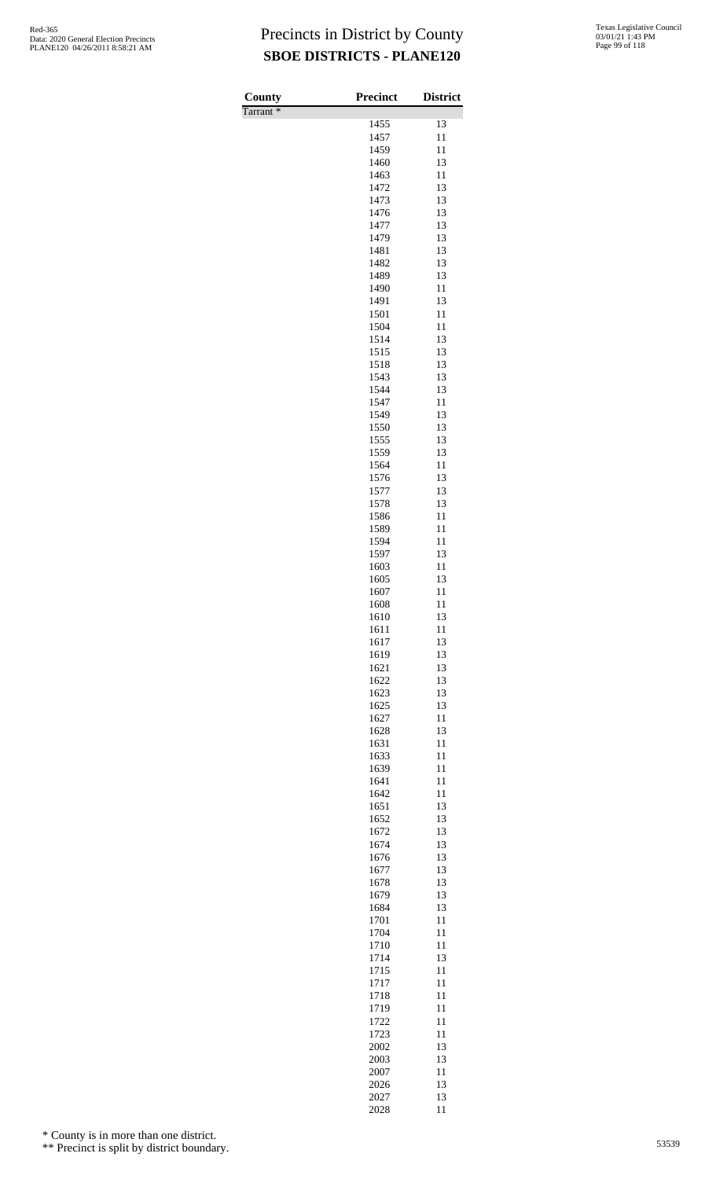| County               | <b>Precinct</b> | <b>District</b> |
|----------------------|-----------------|-----------------|
| Tarrant <sup>*</sup> | 1455            | 13              |
|                      | 1457            | 11              |
|                      | 1459            | 11              |
|                      | 1460            | 13              |
|                      | 1463            | 11              |
|                      | 1472<br>1473    | 13<br>13        |
|                      | 1476            | 13              |
|                      | 1477            | 13              |
|                      | 1479            | 13              |
|                      | 1481<br>1482    | 13<br>13        |
|                      | 1489            | 13              |
|                      | 1490            | 11              |
|                      | 1491            | 13              |
|                      | 1501            | 11              |
|                      | 1504<br>1514    | 11<br>13        |
|                      | 1515            | 13              |
|                      | 1518            | 13              |
|                      | 1543            | 13              |
|                      | 1544<br>1547    | 13<br>11        |
|                      | 1549            | 13              |
|                      | 1550            | 13              |
|                      | 1555            | 13              |
|                      | 1559            | 13              |
|                      | 1564<br>1576    | 11<br>13        |
|                      | 1577            | 13              |
|                      | 1578            | 13              |
|                      | 1586            | 11              |
|                      | 1589<br>1594    | 11<br>11        |
|                      | 1597            | 13              |
|                      | 1603            | 11              |
|                      | 1605            | 13              |
|                      | 1607<br>1608    | 11<br>11        |
|                      | 1610            | 13              |
|                      | 1611            | 11              |
|                      | 1617            | 13              |
|                      | 1619            | 13              |
|                      | 1621<br>1622    | 13<br>13        |
|                      | 1623            | 13              |
|                      | 1625            | 13              |
|                      | 1627            | 11              |
|                      | 1628            | 13              |
|                      | 1631<br>1633    | 11<br>11        |
|                      | 1639            | 11              |
|                      | 1641            | 11              |
|                      | 1642            | 11              |
|                      | 1651<br>1652    | 13<br>13        |
|                      | 1672            | 13              |
|                      | 1674            | 13              |
|                      | 1676            | 13              |
|                      | 1677            | 13              |
|                      | 1678<br>1679    | 13<br>13        |
|                      | 1684            | 13              |
|                      | 1701            | 11              |
|                      | 1704            | 11              |
|                      | 1710<br>1714    | 11<br>13        |
|                      | 1715            | 11              |
|                      | 1717            | 11              |
|                      | 1718            | 11              |
|                      | 1719            | 11              |
|                      | 1722<br>1723    | 11<br>11        |
|                      | 2002            | 13              |
|                      | 2003            | 13              |
|                      | 2007            | 11              |
|                      | 2026            | 13              |
|                      | 2027<br>2028    | 13<br>11        |

\* County is in more than one district.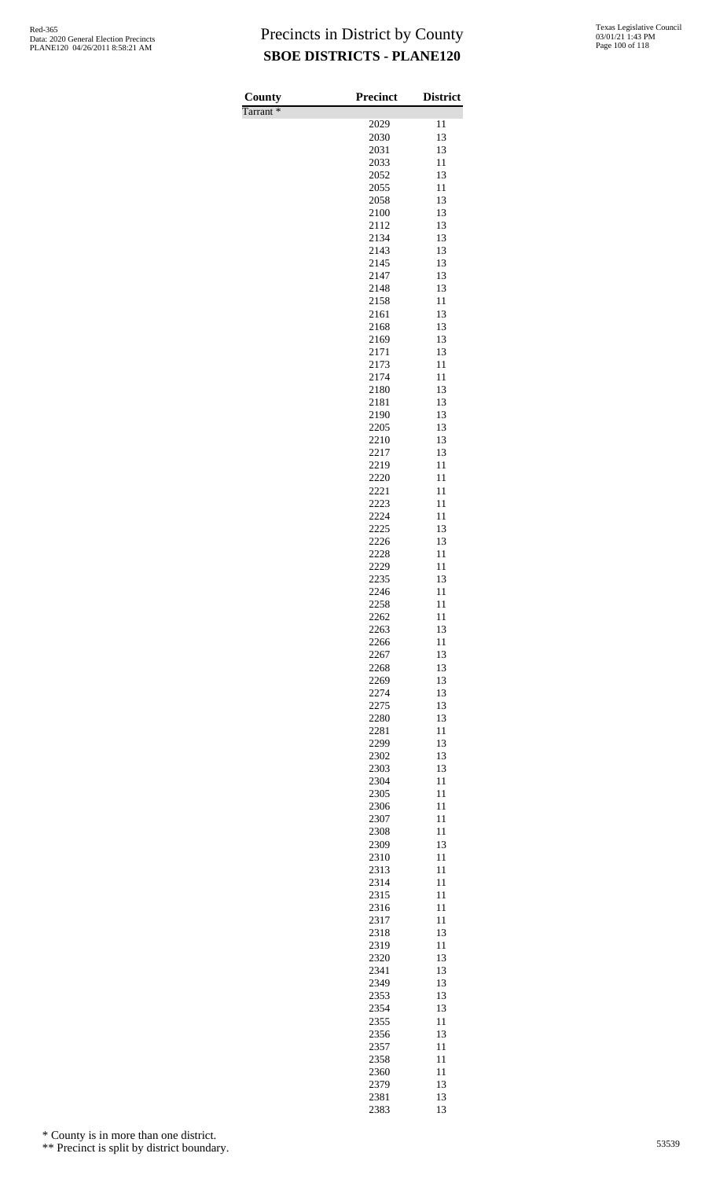| County               | Precinct     | <b>District</b> |
|----------------------|--------------|-----------------|
| Tarrant <sup>*</sup> |              |                 |
|                      | 2029         | 11              |
|                      | 2030         | 13              |
|                      | 2031<br>2033 | 13<br>11        |
|                      | 2052         | 13              |
|                      | 2055         | 11              |
|                      | 2058         | 13              |
|                      | 2100         | 13              |
|                      | 2112         | 13              |
|                      | 2134<br>2143 | 13<br>13        |
|                      | 2145         | 13              |
|                      | 2147         | 13              |
|                      | 2148         | 13              |
|                      | 2158         | 11              |
|                      | 2161         | 13              |
|                      | 2168         | 13              |
|                      | 2169<br>2171 | 13<br>13        |
|                      | 2173         | 11              |
|                      | 2174         | 11              |
|                      | 2180         | 13              |
|                      | 2181         | 13              |
|                      | 2190         | 13              |
|                      | 2205<br>2210 | 13<br>13        |
|                      | 2217         | 13              |
|                      | 2219         | 11              |
|                      | 2220         | 11              |
|                      | 2221         | 11              |
|                      | 2223         | 11              |
|                      | 2224<br>2225 | 11<br>13        |
|                      | 2226         | 13              |
|                      | 2228         | 11              |
|                      | 2229         | 11              |
|                      | 2235         | 13              |
|                      | 2246<br>2258 | 11<br>11        |
|                      | 2262         | 11              |
|                      | 2263         | 13              |
|                      | 2266         | 11              |
|                      | 2267         | 13              |
|                      | 2268         | 13              |
|                      | 2269<br>2274 | 13<br>13        |
|                      | 2275         | 13              |
|                      | 2280         | 13              |
|                      | 2281         | 11              |
|                      | 2299         | 13              |
|                      | 2302         | 13              |
|                      | 2303<br>2304 | 13<br>11        |
|                      | 2305         | 11              |
|                      | 2306         | 11              |
|                      | 2307         | 11              |
|                      | 2308         | 11              |
|                      | 2309         | 13              |
|                      | 2310<br>2313 | 11<br>11        |
|                      | 2314         | 11              |
|                      | 2315         | 11              |
|                      | 2316         | 11              |
|                      | 2317         | 11              |
|                      | 2318<br>2319 | 13<br>11        |
|                      | 2320         | 13              |
|                      | 2341         | 13              |
|                      | 2349         | 13              |
|                      | 2353         | 13              |
|                      | 2354         | 13              |
|                      | 2355<br>2356 | 11              |
|                      | 2357         | 13<br>11        |
|                      | 2358         | 11              |
|                      | 2360         | 11              |
|                      | 2379         | 13              |
|                      | 2381         | 13              |

13

\* County is in more than one district.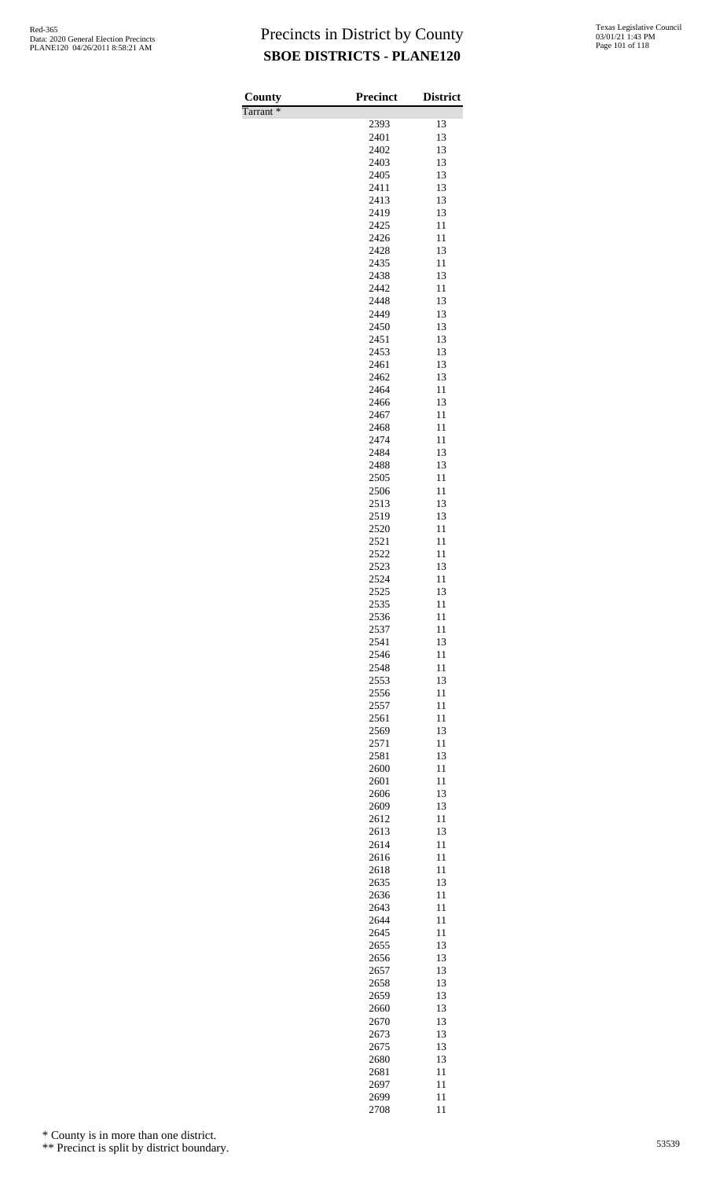| County               | <b>Precinct</b> | <b>District</b> |
|----------------------|-----------------|-----------------|
| Tarrant <sup>*</sup> |                 |                 |
|                      | 2393            | 13              |
|                      | 2401<br>2402    | 13<br>13        |
|                      | 2403            | 13              |
|                      | 2405            | 13              |
|                      | 2411            | 13              |
|                      | 2413            | 13              |
|                      | 2419            | 13              |
|                      | 2425            | 11<br>11        |
|                      | 2426<br>2428    | 13              |
|                      | 2435            | 11              |
|                      | 2438            | 13              |
|                      | 2442            | 11              |
|                      | 2448            | 13              |
|                      | 2449<br>2450    | 13<br>13        |
|                      | 2451            | 13              |
|                      | 2453            | 13              |
|                      | 2461            | 13              |
|                      | 2462            | 13              |
|                      | 2464            | 11              |
|                      | 2466<br>2467    | 13<br>11        |
|                      | 2468            | 11              |
|                      | 2474            | 11              |
|                      | 2484            | 13              |
|                      | 2488            | 13              |
|                      | 2505            | 11              |
|                      | 2506<br>2513    | 11<br>13        |
|                      | 2519            | 13              |
|                      | 2520            | 11              |
|                      | 2521            | 11              |
|                      | 2522            | 11              |
|                      | 2523            | 13              |
|                      | 2524<br>2525    | 11<br>13        |
|                      | 2535            | 11              |
|                      | 2536            | 11              |
|                      | 2537            | 11              |
|                      | 2541            | 13              |
|                      | 2546            | 11              |
|                      | 2548<br>2553    | 11<br>13        |
|                      | 2556            | 11              |
|                      | 2557            | 11              |
|                      | 2561            | 11              |
|                      | 2569            | 13              |
|                      | 2571            | 11              |
|                      | 2581<br>2600    | 13<br>11        |
|                      | 2601            | 11              |
|                      | 2606            | 13              |
|                      | 2609            | 13              |
|                      | 2612            | 11              |
|                      | 2613            | 13              |
|                      | 2614<br>2616    | 11<br>11        |
|                      | 2618            | 11              |
|                      | 2635            | 13              |
|                      | 2636            | 11              |
|                      | 2643            | 11              |
|                      | 2644<br>2645    | 11<br>11        |
|                      | 2655            | 13              |
|                      | 2656            | 13              |
|                      | 2657            | 13              |
|                      | 2658            | 13              |
|                      | 2659            | 13              |
|                      | 2660<br>2670    | 13<br>13        |
|                      | 2673            | 13              |
|                      | 2675            | 13              |
|                      | 2680            | 13              |
|                      | 2681            | 11              |
|                      | 2697            | 11              |
|                      | 2699<br>2708    | 11<br>11        |

\* County is in more than one district.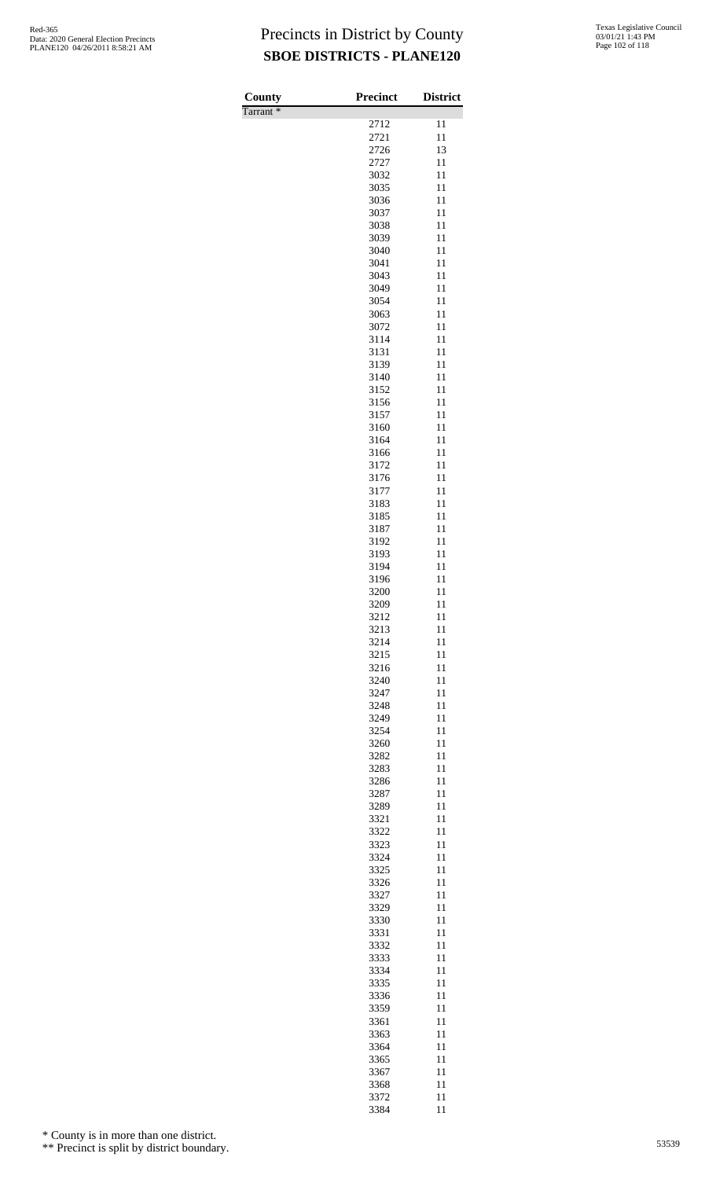| County               | <b>Precinct</b> | <b>District</b> |
|----------------------|-----------------|-----------------|
| Tarrant <sup>*</sup> |                 |                 |
|                      | 2712            | 11              |
|                      | 2721            | 11              |
|                      | 2726<br>2727    | 13<br>11        |
|                      | 3032            | 11              |
|                      | 3035            | 11              |
|                      | 3036            | 11              |
|                      | 3037            | 11              |
|                      | 3038            | 11              |
|                      | 3039<br>3040    | 11<br>11        |
|                      | 3041            | 11              |
|                      | 3043            | 11              |
|                      | 3049            | 11              |
|                      | 3054            | 11              |
|                      | 3063<br>3072    | 11<br>11        |
|                      | 3114            | 11              |
|                      | 3131            | 11              |
|                      | 3139            | 11              |
|                      | 3140            | 11              |
|                      | 3152            | 11              |
|                      | 3156            | 11              |
|                      | 3157            | 11              |
|                      | 3160<br>3164    | 11<br>11        |
|                      | 3166            | 11              |
|                      | 3172            | 11              |
|                      | 3176            | 11              |
|                      | 3177            | 11              |
|                      | 3183            | 11              |
|                      | 3185<br>3187    | 11<br>11        |
|                      | 3192            | 11              |
|                      | 3193            | 11              |
|                      | 3194            | 11              |
|                      | 3196            | 11              |
|                      | 3200            | 11              |
|                      | 3209<br>3212    | 11<br>11        |
|                      | 3213            | 11              |
|                      | 3214            | 11              |
|                      | 3215            | 11              |
|                      | 3216            | 11              |
|                      | 3240<br>3247    | 11<br>11        |
|                      | 3248            | 11              |
|                      | 3249            | 11              |
|                      | 3254            | 11              |
|                      | 3260            | 11              |
|                      | 3282            | 11              |
|                      | 3283<br>3286    | 11<br>11        |
|                      | 3287            | 11              |
|                      | 3289            | 11              |
|                      | 3321            | 11              |
|                      | 3322            | 11              |
|                      | 3323            | 11              |
|                      | 3324<br>3325    | 11<br>11        |
|                      | 3326            | 11              |
|                      | 3327            | 11              |
|                      | 3329            | 11              |
|                      | 3330            | 11              |
|                      | 3331            | 11              |
|                      | 3332<br>3333    | 11<br>11        |
|                      | 3334            | 11              |
|                      | 3335            | 11              |
|                      | 3336            | 11              |
|                      | 3359            | 11              |
|                      | 3361            | 11              |
|                      | 3363            | 11              |
|                      | 3364<br>3365    | 11<br>11        |
|                      | 3367            | 11              |
|                      | 3368            | 11              |
|                      | 3372            | 11              |

11

\* County is in more than one district.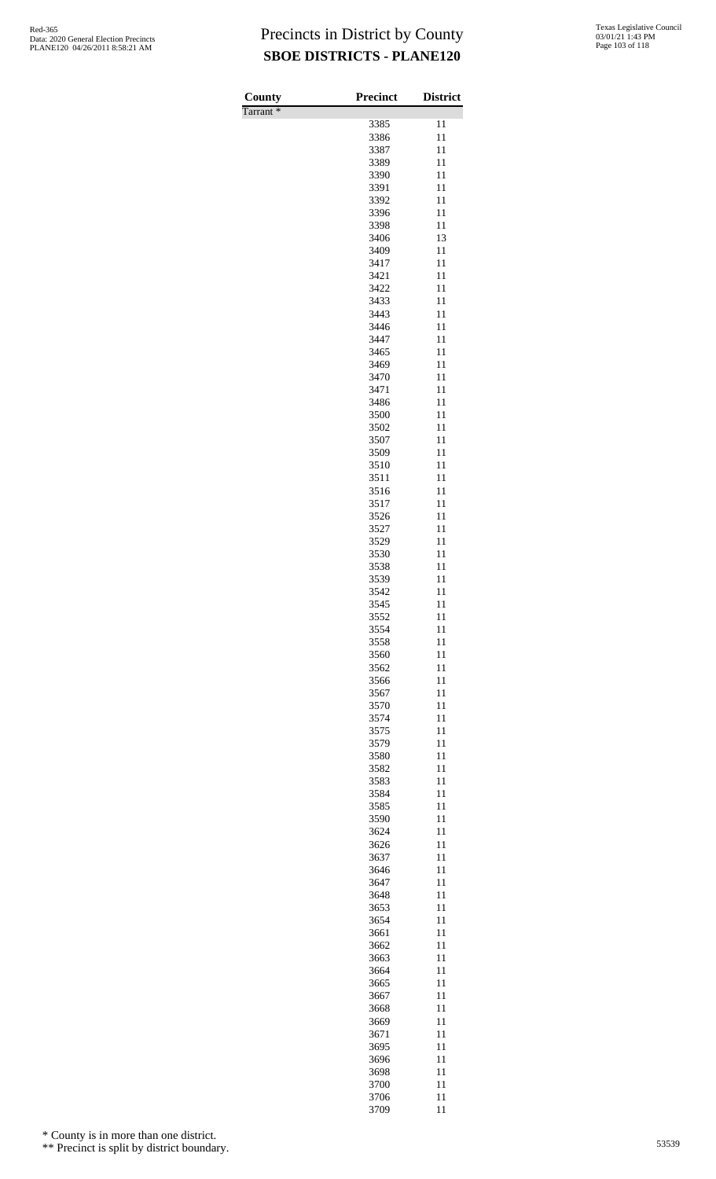| County               | <b>Precinct</b> | <b>District</b> |
|----------------------|-----------------|-----------------|
| Tarrant <sup>*</sup> |                 |                 |
|                      | 3385            | 11              |
|                      | 3386            | 11              |
|                      | 3387            | 11              |
|                      | 3389            | 11              |
|                      | 3390            | 11              |
|                      | 3391<br>3392    | 11<br>11        |
|                      | 3396            | 11              |
|                      | 3398            | 11              |
|                      | 3406            | 13              |
|                      | 3409            | 11              |
|                      | 3417            | 11              |
|                      | 3421            | 11              |
|                      | 3422            | 11              |
|                      | 3433<br>3443    | 11              |
|                      | 3446            | 11<br>11        |
|                      | 3447            | 11              |
|                      | 3465            | 11              |
|                      | 3469            | 11              |
|                      | 3470            | 11              |
|                      | 3471            | 11              |
|                      | 3486            | 11              |
|                      | 3500            | 11              |
|                      | 3502            | 11              |
|                      | 3507<br>3509    | 11<br>11        |
|                      | 3510            | 11              |
|                      | 3511            | 11              |
|                      | 3516            | 11              |
|                      | 3517            | 11              |
|                      | 3526            | 11              |
|                      | 3527            | 11              |
|                      | 3529            | 11              |
|                      | 3530            | 11              |
|                      | 3538            | 11              |
|                      | 3539<br>3542    | 11<br>11        |
|                      | 3545            | 11              |
|                      | 3552            | 11              |
|                      | 3554            | 11              |
|                      | 3558            | 11              |
|                      | 3560            | 11              |
|                      | 3562            | 11              |
|                      | 3566            | 11              |
|                      | 3567            | 11              |
|                      | 3570<br>3574    | 11<br>11        |
|                      | 3575            | 11              |
|                      | 3579            | 11              |
|                      | 3580            | 11              |
|                      | 3582            | 11              |
|                      | 3583            | 11              |
|                      | 3584            | 11              |
|                      | 3585            | 11              |
|                      | 3590            | 11              |
|                      | 3624            | 11              |
|                      | 3626<br>3637    | 11<br>11        |
|                      | 3646            | 11              |
|                      | 3647            | 11              |
|                      | 3648            | 11              |
|                      | 3653            | 11              |
|                      | 3654            | 11              |
|                      | 3661            | 11              |
|                      | 3662            | 11              |
|                      | 3663            | 11              |
|                      | 3664            | 11<br>11        |
|                      | 3665<br>3667    | 11              |
|                      | 3668            | 11              |
|                      | 3669            | 11              |
|                      | 3671            | 11              |
|                      | 3695            | 11              |
|                      | 3696            | 11              |
|                      | 3698            | 11              |
|                      | 3700            | 11              |
|                      | 3706            | 11              |

11

\* County is in more than one district.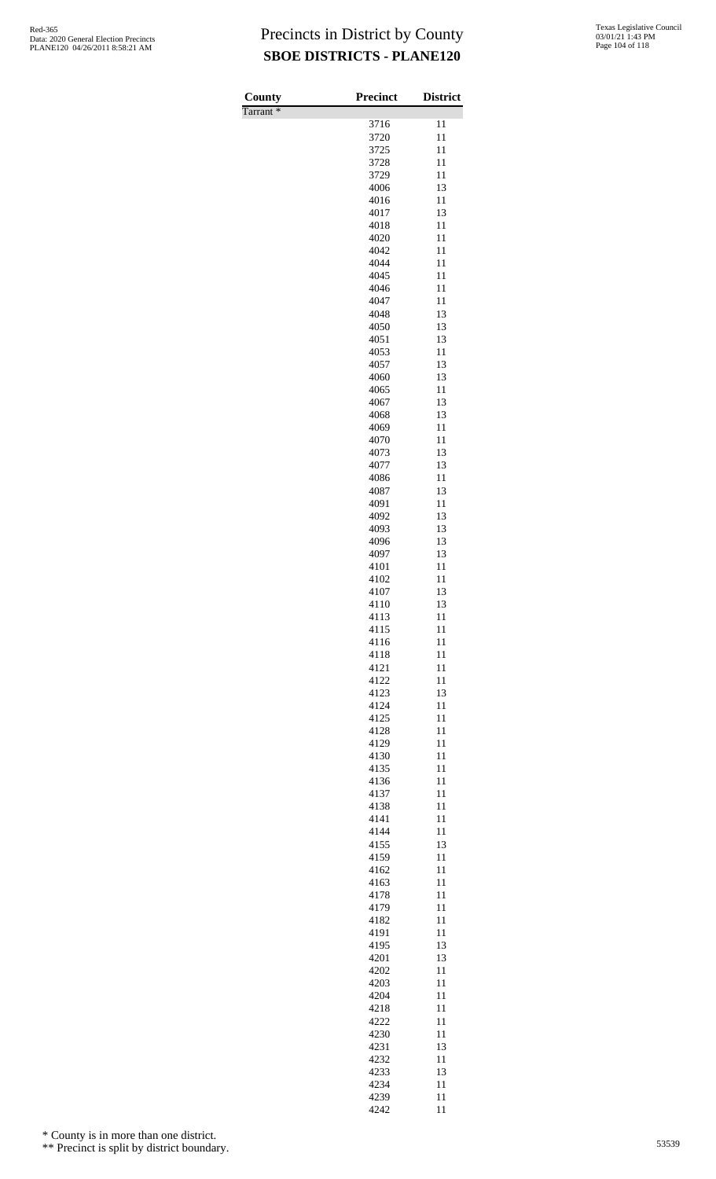| County               | <b>Precinct</b> | <b>District</b> |
|----------------------|-----------------|-----------------|
| Tarrant <sup>*</sup> | 3716            | 11              |
|                      | 3720            | 11              |
|                      | 3725            | 11              |
|                      | 3728            | 11              |
|                      | 3729<br>4006    | 11<br>13        |
|                      | 4016            | 11              |
|                      | 4017            | 13              |
|                      | 4018            | 11<br>11        |
|                      | 4020<br>4042    | 11              |
|                      | 4044            | 11              |
|                      | 4045            | 11              |
|                      | 4046<br>4047    | 11<br>11        |
|                      | 4048            | 13              |
|                      | 4050            | 13              |
|                      | 4051            | 13              |
|                      | 4053<br>4057    | 11<br>13        |
|                      | 4060            | 13              |
|                      | 4065            | 11              |
|                      | 4067            | 13              |
|                      | 4068<br>4069    | 13<br>11        |
|                      | 4070            | 11              |
|                      | 4073            | 13              |
|                      | 4077            | 13              |
|                      | 4086<br>4087    | 11<br>13        |
|                      | 4091            | 11              |
|                      | 4092            | 13              |
|                      | 4093            | 13              |
|                      | 4096<br>4097    | 13<br>13        |
|                      | 4101            | 11              |
|                      | 4102            | 11              |
|                      | 4107            | 13              |
|                      | 4110<br>4113    | 13<br>11        |
|                      | 4115            | 11              |
|                      | 4116            | 11              |
|                      | 4118<br>4121    | 11<br>11        |
|                      | 4122            | 11              |
|                      | 4123            | 13              |
|                      | 4124            | 11              |
|                      | 4125<br>4128    | 11<br>11        |
|                      | 4129            | 11              |
|                      | 4130            | 11              |
|                      | 4135            | 11              |
|                      | 4136<br>4137    | 11<br>11        |
|                      | 4138            | 11              |
|                      | 4141            | 11              |
|                      | 4144            | 11              |
|                      | 4155<br>4159    | 13<br>11        |
|                      | 4162            | 11              |
|                      | 4163            | 11              |
|                      | 4178            | 11<br>11        |
|                      | 4179<br>4182    | 11              |
|                      | 4191            | 11              |
|                      | 4195            | 13              |
|                      | 4201<br>4202    | 13<br>11        |
|                      | 4203            | 11              |
|                      | 4204            | 11              |
|                      | 4218            | 11              |
|                      | 4222<br>4230    | 11<br>11        |
|                      | 4231            | 13              |
|                      | 4232            | 11              |
|                      | 4233            | 13              |
|                      | 4234<br>4239    | 11<br>11        |

11

\* County is in more than one district.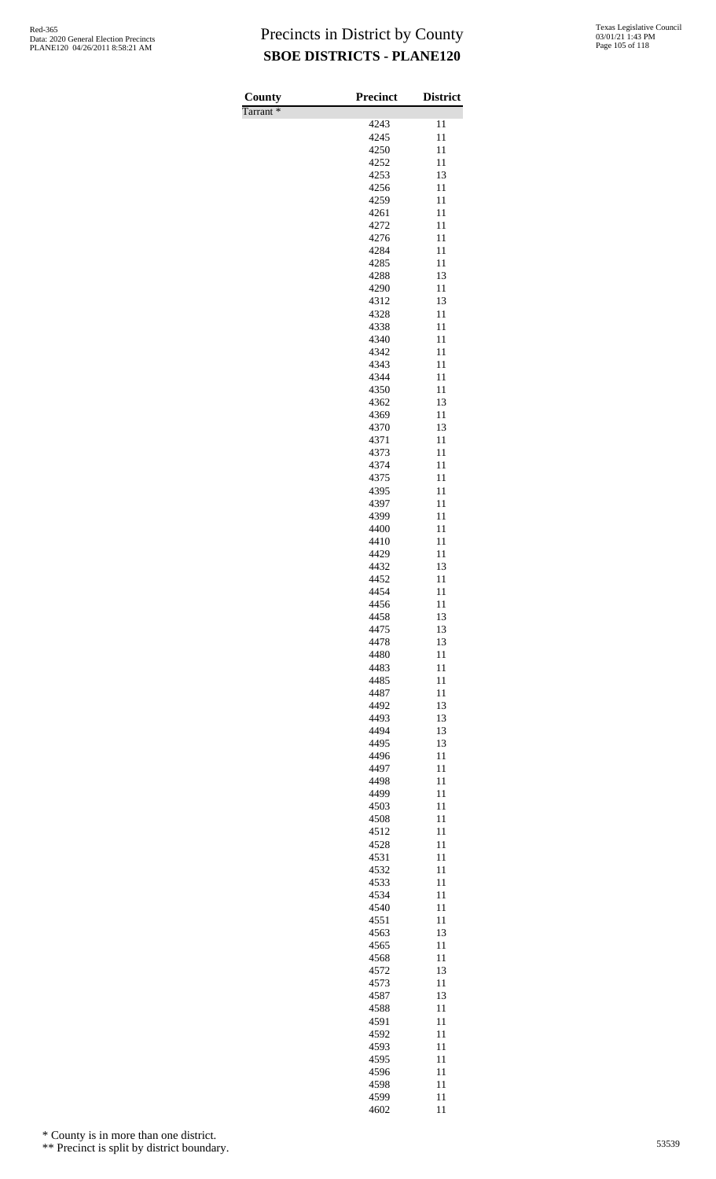| County               | <b>Precinct</b> | <b>District</b> |
|----------------------|-----------------|-----------------|
| Tarrant <sup>*</sup> |                 |                 |
|                      | 4243<br>4245    | 11<br>11        |
|                      | 4250            | 11              |
|                      | 4252            | 11              |
|                      | 4253            | 13              |
|                      | 4256<br>4259    | 11<br>11        |
|                      | 4261            | 11              |
|                      | 4272            | 11              |
|                      | 4276            | 11              |
|                      | 4284            | 11              |
|                      | 4285<br>4288    | 11<br>13        |
|                      | 4290            | 11              |
|                      | 4312            | 13              |
|                      | 4328            | 11              |
|                      | 4338<br>4340    | 11<br>11        |
|                      | 4342            | 11              |
|                      | 4343            | 11              |
|                      | 4344            | 11              |
|                      | 4350<br>4362    | 11<br>13        |
|                      | 4369            | 11              |
|                      | 4370            | 13              |
|                      | 4371            | 11              |
|                      | 4373<br>4374    | 11<br>11        |
|                      | 4375            | 11              |
|                      | 4395            | 11              |
|                      | 4397            | 11              |
|                      | 4399            | 11<br>11        |
|                      | 4400<br>4410    | 11              |
|                      | 4429            | 11              |
|                      | 4432            | 13              |
|                      | 4452<br>4454    | 11              |
|                      | 4456            | 11<br>11        |
|                      | 4458            | 13              |
|                      | 4475            | 13              |
|                      | 4478<br>4480    | 13<br>11        |
|                      | 4483            | 11              |
|                      | 4485            | 11              |
|                      | 4487            | 11              |
|                      | 4492<br>4493    | 13<br>13        |
|                      | 4494            | 13              |
|                      | 4495            | 13              |
|                      | 4496            | 11              |
|                      | 4497<br>4498    | 11<br>11        |
|                      | 4499            | 11              |
|                      | 4503            | 11              |
|                      | 4508            | 11              |
|                      | 4512<br>4528    | 11<br>11        |
|                      | 4531            | 11              |
|                      | 4532            | 11              |
|                      | 4533            | 11              |
|                      | 4534<br>4540    | 11<br>11        |
|                      | 4551            | 11              |
|                      | 4563            | 13              |
|                      | 4565            | 11              |
|                      | 4568<br>4572    | 11<br>13        |
|                      | 4573            | 11              |
|                      | 4587            | 13              |
|                      | 4588            | 11              |
|                      | 4591            | 11              |
|                      | 4592<br>4593    | 11<br>11        |
|                      | 4595            | 11              |
|                      | 4596            | 11              |
|                      | 4598<br>4599    | 11              |
|                      |                 | 11              |

11

\* County is in more than one district.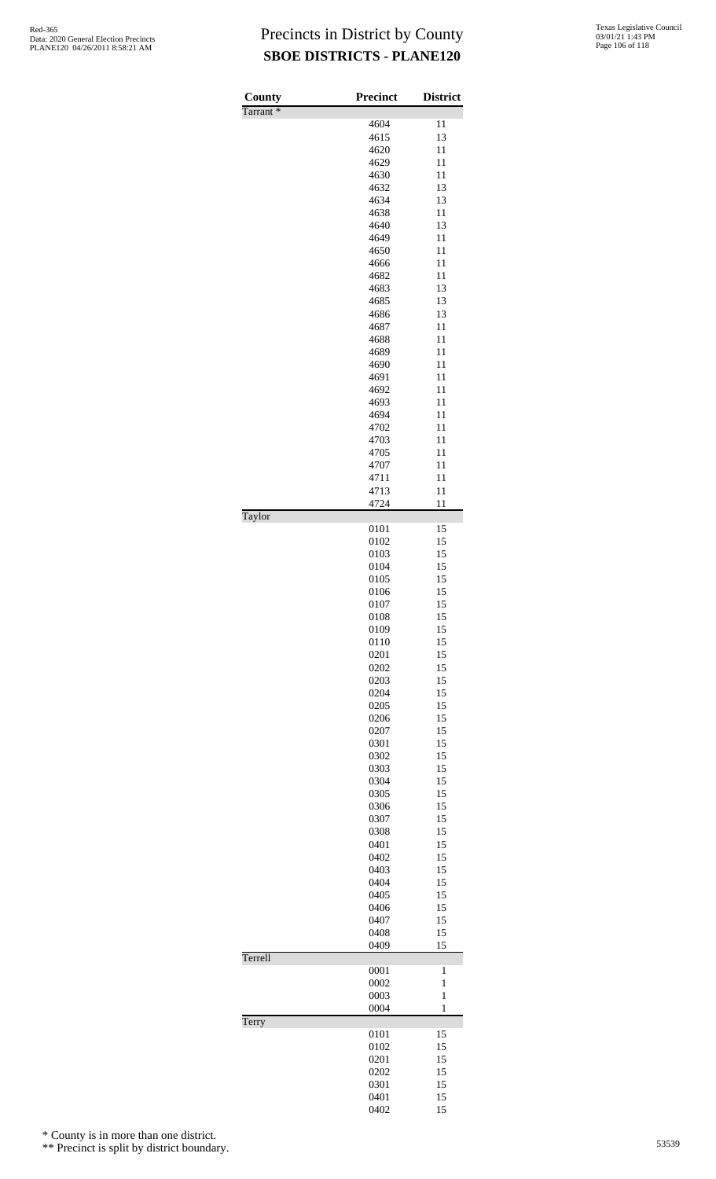| County<br>Tarrant <sup>*</sup> | Precinct     | <b>District</b>   |
|--------------------------------|--------------|-------------------|
|                                | 4604         | 11                |
|                                | 4615         | 13                |
|                                | 4620         | 11                |
|                                | 4629         | 11                |
|                                | 4630         | 11                |
|                                | 4632         | 13                |
|                                | 4634         | 13                |
|                                | 4638         | 11                |
|                                | 4640         | 13                |
|                                | 4649         | 11                |
|                                | 4650         | 11                |
|                                | 4666         | 11                |
|                                | 4682         | 11                |
|                                | 4683         | 13                |
|                                | 4685         | 13                |
|                                | 4686         | 13                |
|                                | 4687         | 11                |
|                                | 4688         | 11<br>11          |
|                                | 4689<br>4690 | 11                |
|                                | 4691         | 11                |
|                                | 4692         | 11                |
|                                | 4693         | 11                |
|                                | 4694         | 11                |
|                                | 4702         | 11                |
|                                | 4703         | 11                |
|                                | 4705         | 11                |
|                                | 4707         | 11                |
|                                | 4711         | 11                |
|                                | 4713         | 11                |
|                                | 4724         | 11                |
| Taylor                         |              |                   |
|                                | 0101         | 15                |
|                                | 0102         | 15                |
|                                | 0103         | 15                |
|                                | 0104         | 15                |
|                                | 0105         | 15                |
|                                | 0106         | 15                |
|                                | 0107         | 15                |
|                                | 0108         | 15                |
|                                | 0109         | 15                |
|                                | 0110<br>0201 | 15<br>15          |
|                                | 0202         | 15                |
|                                | 0203         | 15                |
|                                | 0204         | 15                |
|                                | 0205         | 15                |
|                                | 0206         | 15                |
|                                | 0207         | 15                |
|                                | 0301         | 15                |
|                                | 0302         | 15                |
|                                | 0303         | 15                |
|                                | 0304         | 15                |
|                                | 0305         | 15                |
|                                | 0306         | 15                |
|                                | 0307         | 15                |
|                                | 0308         | 15                |
|                                | 0401         | 15                |
|                                | 0402         | 15                |
|                                | 0403         | 15                |
|                                | 0404         | 15                |
|                                | 0405         | 15                |
|                                | 0406         | 15                |
|                                | 0407         | 15                |
|                                | 0408         | 15                |
|                                | 0409         | 15                |
| Terrell                        |              |                   |
|                                | 0001         | 1<br>$\mathbf{1}$ |
|                                | 0002<br>0003 | $\mathbf{1}$      |
|                                | 0004         | $\mathbf{1}$      |
| Terry                          |              |                   |
|                                | 0101         | 15                |
|                                | 0102         | 15                |
|                                | 0201         | 15                |
|                                | 0202         | 15                |
|                                | 0301         | 15                |
|                                | 0401         | 15                |
|                                | 0402         | 15                |

\* County is in more than one district.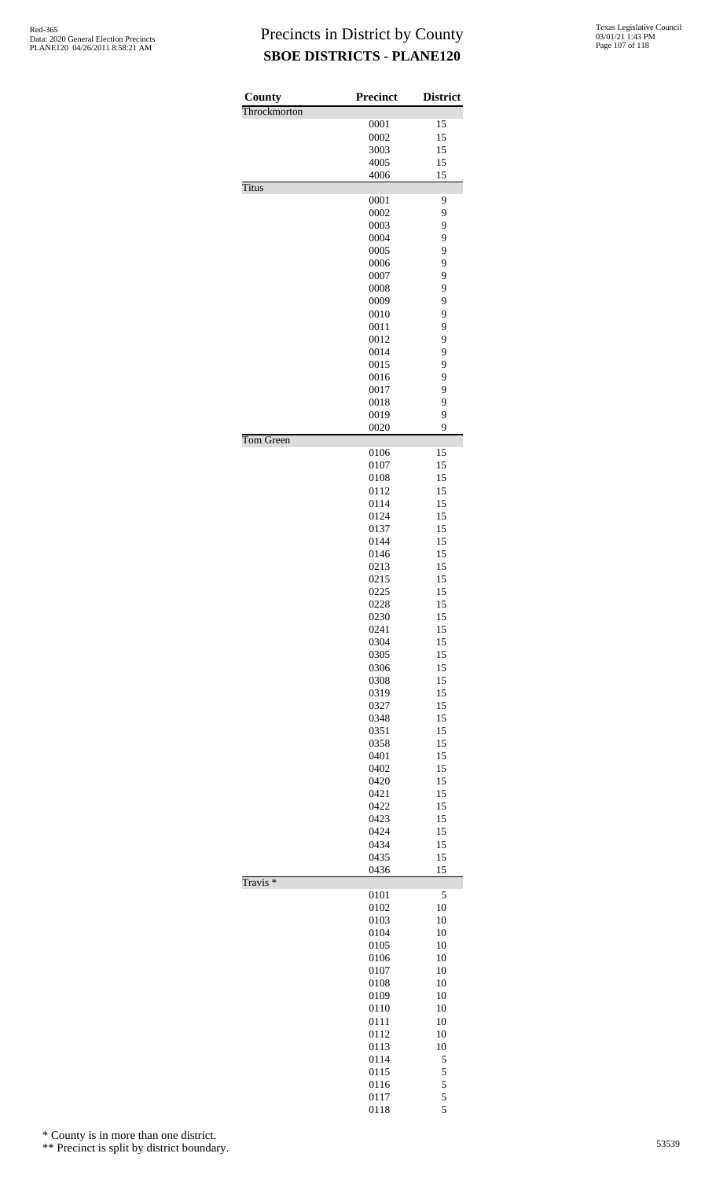| County              | <b>Precinct</b> | <b>District</b> |
|---------------------|-----------------|-----------------|
| Throckmorton        | 0001            | 15              |
|                     | 0002            | 15              |
|                     | 3003            | 15              |
|                     | 4005            | 15              |
|                     | 4006            | 15              |
| <b>Titus</b>        |                 |                 |
|                     | 0001            | 9               |
|                     | 0002            | 9               |
|                     | 0003            | 9               |
|                     | 0004<br>0005    | 9<br>9          |
|                     | 0006            | 9               |
|                     | 0007            | 9               |
|                     | 0008            | 9               |
|                     | 0009            | 9               |
|                     | 0010            | 9               |
|                     | 0011            | 9               |
|                     | 0012            | 9               |
|                     | 0014            | 9               |
|                     | 0015            | 9               |
|                     | 0016            | 9               |
|                     | 0017            | 9               |
|                     | 0018<br>0019    | 9<br>9          |
|                     | 0020            | 9               |
| Tom Green           |                 |                 |
|                     | 0106            | 15              |
|                     | 0107            | 15              |
|                     | 0108            | 15              |
|                     | 0112            | 15              |
|                     | 0114            | 15              |
|                     | 0124            | 15<br>15        |
|                     | 0137<br>0144    | 15              |
|                     | 0146            | 15              |
|                     | 0213            | 15              |
|                     | 0215            | 15              |
|                     | 0225            | 15              |
|                     | 0228            | 15              |
|                     | 0230            | 15              |
|                     | 0241            | 15              |
|                     | 0304            | 15              |
|                     | 0305            | 15              |
|                     | 0306<br>0308    | 15<br>15        |
|                     | 0319            | 15              |
|                     | 0327            | 15              |
|                     | 0348            | 15              |
|                     | 0351            | 15              |
|                     | 0358            | 15              |
|                     | 0401            | 15              |
|                     | 0402            | 15              |
|                     | 0420            | 15              |
|                     | 0421            | 15              |
|                     | 0422            | 15              |
|                     | 0423<br>0424    | 15<br>15        |
|                     | 0434            | 15              |
|                     | 0435            | 15              |
|                     | 0436            | 15              |
| Travis <sup>*</sup> |                 |                 |
|                     | 0101<br>0102    | 5<br>10         |
|                     | 0103            | 10              |
|                     | 0104            | 10              |
|                     | 0105            | 10              |
|                     | 0106            | 10              |
|                     | 0107            | 10              |
|                     | 0108            | 10              |
|                     | 0109            | 10              |
|                     | 0110            | 10              |
|                     | 0111            | 10              |
|                     | 0112            | 10              |
|                     | 0113            | 10              |
|                     | 0114            | 5               |
|                     | 0115            | 5<br>5          |
|                     | 0116<br>0117    | 5               |
|                     | 0118            | 5               |
|                     |                 |                 |

\* County is in more than one district.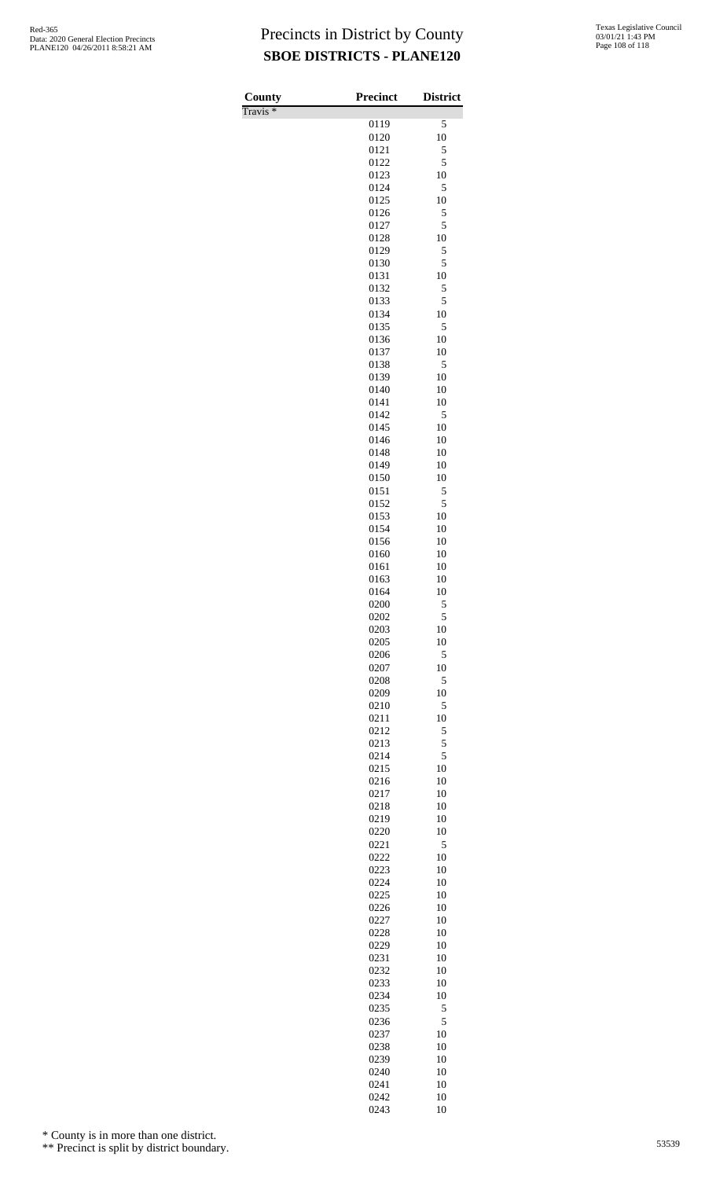Travis \*

| County<br>$\overline{\text{Travis}}$ * | <b>Precinct</b> | <b>District</b> |
|----------------------------------------|-----------------|-----------------|
|                                        | 0119            | 5               |
|                                        | 0120            | 10              |
|                                        | 0121            | 5               |
|                                        | 0122            | 5               |
|                                        | 0123<br>0124    | 10<br>5         |
|                                        | 0125            | 10              |
|                                        | 0126            | 5               |
|                                        | 0127            | 5               |
|                                        | 0128<br>0129    | 10<br>5         |
|                                        | 0130            | 5               |
|                                        | 0131            | 10              |
|                                        | 0132            | 5               |
|                                        | 0133            | 5               |
|                                        | 0134<br>0135    | 10<br>5         |
|                                        | 0136            | 10              |
|                                        | 0137            | 10              |
|                                        | 0138            | 5               |
|                                        | 0139            | 10              |
|                                        | 0140<br>0141    | 10<br>10        |
|                                        | 0142            | 5               |
|                                        | 0145            | 10              |
|                                        | 0146            | 10              |
|                                        | 0148<br>0149    | 10<br>10        |
|                                        | 0150            | 10              |
|                                        | 0151            | 5               |
|                                        | 0152            | 5               |
|                                        | 0153            | 10              |
|                                        | 0154<br>0156    | 10<br>10        |
|                                        | 0160            | 10              |
|                                        | 0161            | 10              |
|                                        | 0163            | 10              |
|                                        | 0164<br>0200    | 10<br>5         |
|                                        | 0202            | 5               |
|                                        | 0203            | 10              |
|                                        | 0205            | 10              |
|                                        | 0206<br>0207    | 5<br>10         |
|                                        | 0208            | 5               |
|                                        | 0209            | 10              |
|                                        | 0210            | 5               |
|                                        | 0211            | 10              |
|                                        | 0212<br>0213    | 5<br>5          |
|                                        | 0214            | 5               |
|                                        | 0215            | 10              |
|                                        | 0216            | 10              |
|                                        | 0217<br>0218    | 10<br>10        |
|                                        | 0219            | 10              |
|                                        | 0220            | 10              |
|                                        | 0221            | 5               |
|                                        | 0222<br>0223    | 10<br>10        |
|                                        | 0224            | 10              |
|                                        | 0225            | 10              |
|                                        | 0226            | 10              |
|                                        | 0227            | 10              |
|                                        | 0228<br>0229    | 10<br>10        |
|                                        | 0231            | 10              |
|                                        | 0232            | 10              |
|                                        | 0233            | 10              |
|                                        | 0234            | 10              |
|                                        | 0235<br>0236    | 5<br>5          |
|                                        | 0237            | 10              |
|                                        | 0238            | 10              |
|                                        | 0239            | 10              |
|                                        | 0240            | 10              |
|                                        | 0241<br>0242    | 10<br>10        |
|                                        | 0243            | 10              |

\* County is in more than one district.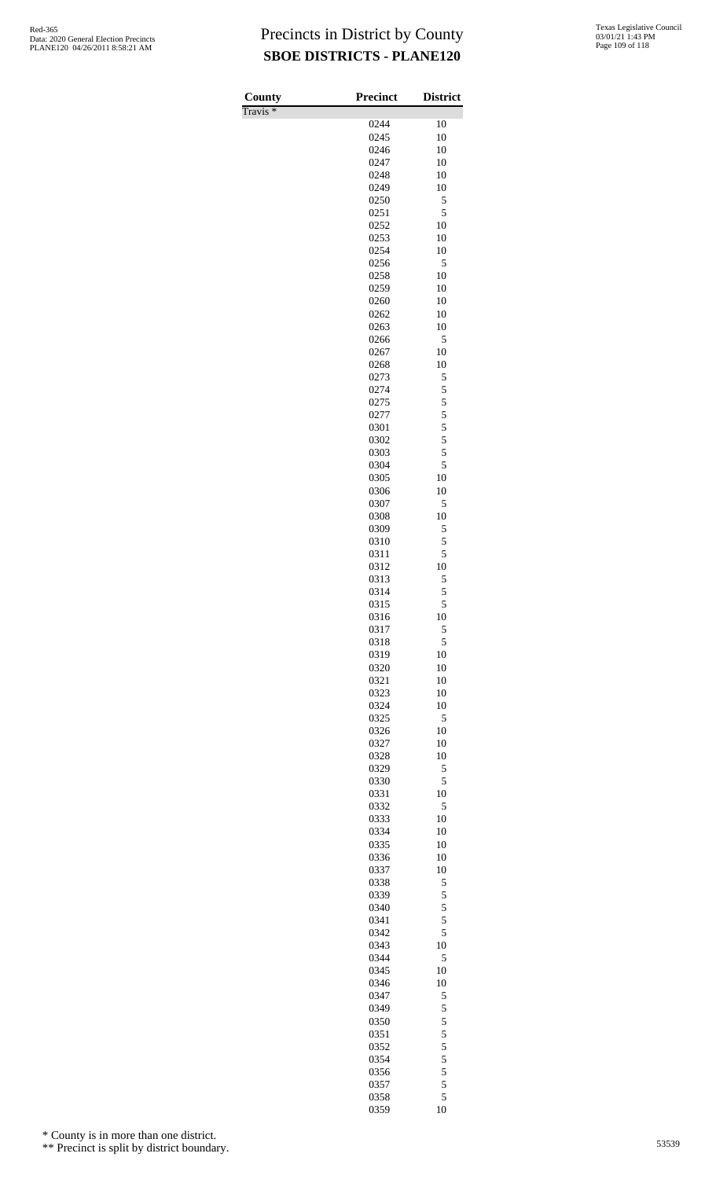Travis \*

| County<br>$\overline{\Gamma}$ ravis * | <b>Precinct</b> | <b>District</b> |
|---------------------------------------|-----------------|-----------------|
|                                       | 0244            | 10              |
|                                       | 0245            | 10              |
|                                       | 0246            | 10              |
|                                       | 0247            | 10              |
|                                       | 0248            | 10              |
|                                       | 0249            | 10              |
|                                       | 0250            | 5               |
|                                       | 0251            | 5<br>10         |
|                                       | 0252<br>0253    | 10              |
|                                       | 0254            | 10              |
|                                       | 0256            | 5               |
|                                       | 0258            | 10              |
|                                       | 0259            | 10              |
|                                       | 0260            | 10              |
|                                       | 0262            | 10              |
|                                       | 0263            | 10              |
|                                       | 0266<br>0267    | 5<br>10         |
|                                       | 0268            | 10              |
|                                       | 0273            | 5               |
|                                       | 0274            | 5               |
|                                       | 0275            | 5               |
|                                       | 0277            | 5               |
|                                       | 0301            | 5               |
|                                       | 0302            | 5               |
|                                       | 0303<br>0304    | 5<br>5          |
|                                       | 0305            | 10              |
|                                       | 0306            | 10              |
|                                       | 0307            | 5               |
|                                       | 0308            | 10              |
|                                       | 0309            | 5               |
|                                       | 0310            | 5               |
|                                       | 0311            | 5               |
|                                       | 0312            | 10              |
|                                       | 0313<br>0314    | 5<br>5          |
|                                       | 0315            | 5               |
|                                       | 0316            | 10              |
|                                       | 0317            | 5               |
|                                       | 0318            | 5               |
|                                       | 0319            | 10              |
|                                       | 0320            | 10              |
|                                       | 0321            | 10              |
|                                       | 0323            | 10              |
|                                       | 0324<br>0325    | 10<br>5         |
|                                       | 0326            | 10              |
|                                       | 0327            | 10              |
|                                       | 0328            | 10              |
|                                       | 0329            | 5               |
|                                       | 0330            | 5               |
|                                       | 0331            | 10              |
|                                       | 0332            | 5               |
|                                       | 0333            | 10<br>10        |
|                                       | 0334<br>0335    | 10              |
|                                       | 0336            | 10              |
|                                       | 0337            | 10              |
|                                       | 0338            | 5               |
|                                       | 0339            | 5               |
|                                       | 0340            | 5               |
|                                       | 0341            | 5               |
|                                       | 0342            | 5<br>10         |
|                                       | 0343<br>0344    | 5               |
|                                       | 0345            | 10              |
|                                       | 0346            | 10              |
|                                       | 0347            | 5               |
|                                       | 0349            | 5               |
|                                       | 0350            | 5               |
|                                       | 0351            | 5               |
|                                       | 0352            | 5               |
|                                       | 0354<br>0356    | 5<br>5          |
|                                       | 0357            | 5               |
|                                       | 0358            | 5               |
|                                       | 0359            | 10              |

\* County is in more than one district.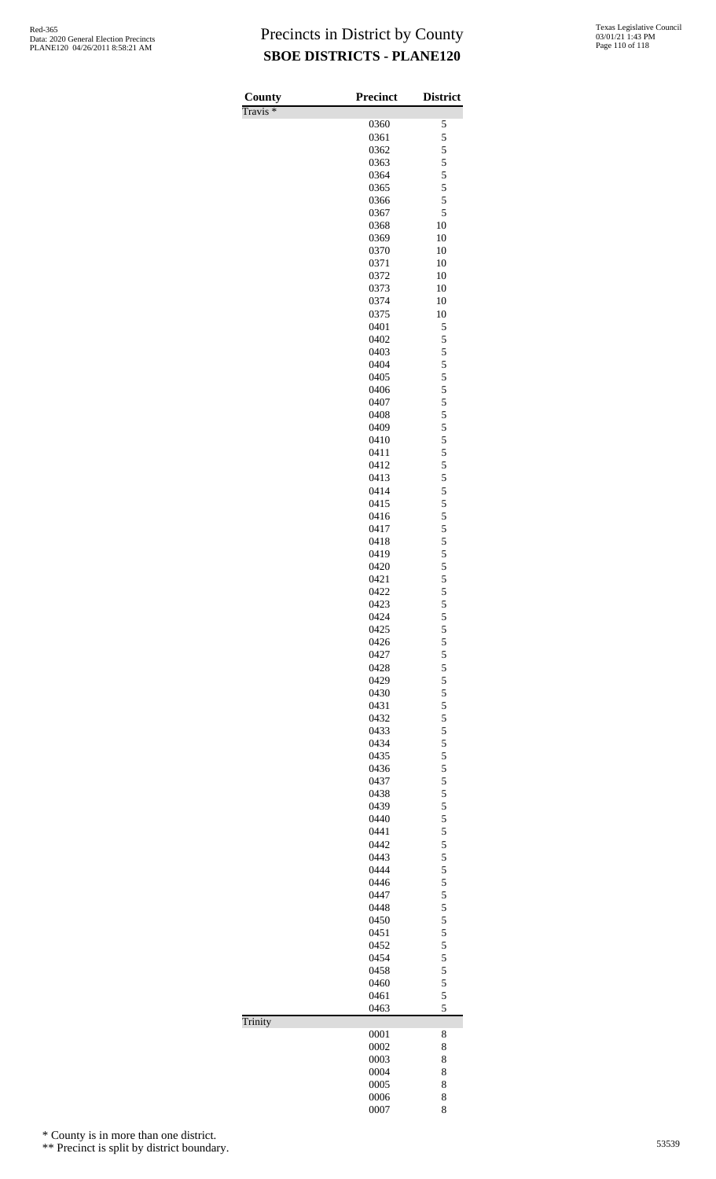| County              | <b>Precinct</b> | <b>District</b>         |
|---------------------|-----------------|-------------------------|
| Travis <sup>*</sup> |                 |                         |
|                     | 0360<br>0361    | 5<br>5                  |
|                     | 0362            | 5                       |
|                     | 0363            | 5                       |
|                     | 0364            | $\overline{\mathbf{5}}$ |
|                     | 0365            | 5                       |
|                     | 0366            | 5                       |
|                     | 0367            | 5                       |
|                     | 0368<br>0369    | 10<br>10                |
|                     | 0370            | 10                      |
|                     | 0371            | 10                      |
|                     | 0372            | 10                      |
|                     | 0373            | 10                      |
|                     | 0374            | 10                      |
|                     | 0375<br>0401    | 10<br>5                 |
|                     | 0402            | 5                       |
|                     | 0403            | 5                       |
|                     | 0404            | 5                       |
|                     | 0405            | 5                       |
|                     | 0406            | 5                       |
|                     | 0407<br>0408    | $\frac{5}{5}$           |
|                     | 0409            | 5                       |
|                     | 0410            | 5                       |
|                     | 0411            | $\overline{5}$          |
|                     | 0412            | 5                       |
|                     | 0413            | 5                       |
|                     | 0414<br>0415    | 5<br>5                  |
|                     | 0416            | 5                       |
|                     | 0417            |                         |
|                     | 0418            | $\frac{5}{5}$           |
|                     | 0419            | 5                       |
|                     | 0420            | $\frac{5}{5}$           |
|                     | 0421            |                         |
|                     | 0422<br>0423    | 5<br>5                  |
|                     | 0424            | 5                       |
|                     | 0425            |                         |
|                     | 0426            | $\frac{5}{5}$           |
|                     | 0427            | $\frac{5}{5}$           |
|                     | 0428<br>0429    |                         |
|                     | 0430            |                         |
|                     | 0431            |                         |
|                     | 0432            |                         |
|                     | 0433            |                         |
|                     | 0434            |                         |
|                     | 0435            | 55555555                |
|                     | 0436<br>0437    |                         |
|                     | 0438            | $\frac{5}{5}$           |
|                     | 0439            |                         |
|                     | 0440            | 55555555                |
|                     | 0441            |                         |
|                     | 0442<br>0443    |                         |
|                     | 0444            |                         |
|                     | 0446            |                         |
|                     | 0447            |                         |
|                     | 0448            | $\frac{5}{5}$           |
|                     | 0450            |                         |
|                     | 0451<br>0452    | 5 5 5 5 5 5             |
|                     | 0454            |                         |
|                     | 0458            |                         |
|                     | 0460            |                         |
|                     | 0461            | 5                       |
|                     | 0463            | 5                       |
| Trinity             | 0001            | 8                       |
|                     | 0002            | 8                       |
|                     | 0003            | 8                       |
|                     | 0004            | 8                       |
|                     | 0005            | 8                       |
|                     | 0006<br>0007    | 8<br>8                  |
|                     |                 |                         |

\* County is in more than one district.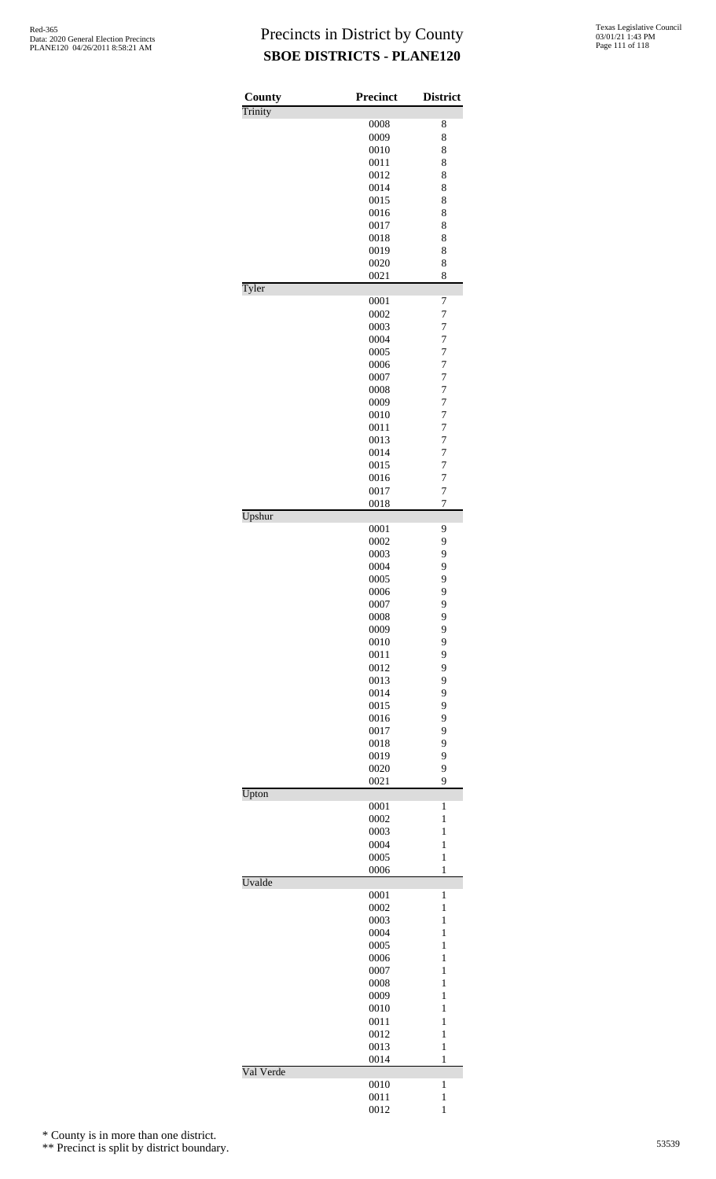| County    | <b>Precinct</b> | <b>District</b>              |
|-----------|-----------------|------------------------------|
| Trinity   | 0008            | 8                            |
|           | 0009            | 8                            |
|           | 0010            | 8                            |
|           | 0011            | 8<br>8                       |
|           | 0012<br>0014    | 8                            |
|           | 0015            | 8                            |
|           | 0016            | 8                            |
|           | 0017            | 8                            |
|           | 0018            | 8<br>8                       |
|           | 0019<br>0020    | 8                            |
|           | 0021            | 8                            |
| Tyler     |                 |                              |
|           | 0001<br>0002    | 7<br>7                       |
|           | 0003            | 7                            |
|           | 0004            | $\overline{7}$               |
|           | 0005            | 7                            |
|           | 0006            | $\overline{7}$               |
|           | 0007<br>0008    | 7<br>7                       |
|           | 0009            | $\overline{7}$               |
|           | 0010            | $\overline{7}$               |
|           | 0011            | $\overline{7}$               |
|           | 0013            | 7                            |
|           | 0014<br>0015    | 7<br>$\overline{7}$          |
|           | 0016            | 7                            |
|           | 0017            | $\overline{7}$               |
|           | 0018            | 7                            |
| Upshur    | 0001            | 9                            |
|           | 0002            | 9                            |
|           | 0003            | 9                            |
|           | 0004            | 9                            |
|           | 0005<br>0006    | 9                            |
|           | 0007            | 9<br>9                       |
|           | 0008            | 9                            |
|           | 0009            | 9                            |
|           | 0010            | 9                            |
|           | 0011            | 9<br>9                       |
|           | 0012<br>0013    | 9                            |
|           | 0014            | 9                            |
|           | 0015            | 9                            |
|           | 0016            | 9                            |
|           | 0017<br>0018    | 9<br>9                       |
|           | 0019            | 9                            |
|           | 0020            | 9                            |
|           | 0021            | 9                            |
| Upton     | 0001            | $\mathbf{1}$                 |
|           | 0002            | 1                            |
|           | 0003            | 1                            |
|           | 0004            | 1                            |
|           | 0005            | $\mathbf{1}$<br>$\mathbf{1}$ |
| Uvalde    | 0006            |                              |
|           | 0001            | 1                            |
|           | 0002            | 1                            |
|           | 0003            | $\mathbf{1}$<br>$\mathbf{1}$ |
|           | 0004<br>0005    | 1                            |
|           | 0006            | 1                            |
|           | 0007            | 1                            |
|           | 0008            | $\mathbf{1}$                 |
|           | 0009            | $\mathbf{1}$                 |
|           | 0010<br>0011    | 1<br>1                       |
|           | 0012            | 1                            |
|           | 0013            | $\mathbf{1}$                 |
|           | 0014            | 1                            |
| Val Verde | 0010            | 1                            |
|           | 0011            | $\mathbf{1}$                 |
|           | 0012            | $\mathbf{1}$                 |

\* County is in more than one district.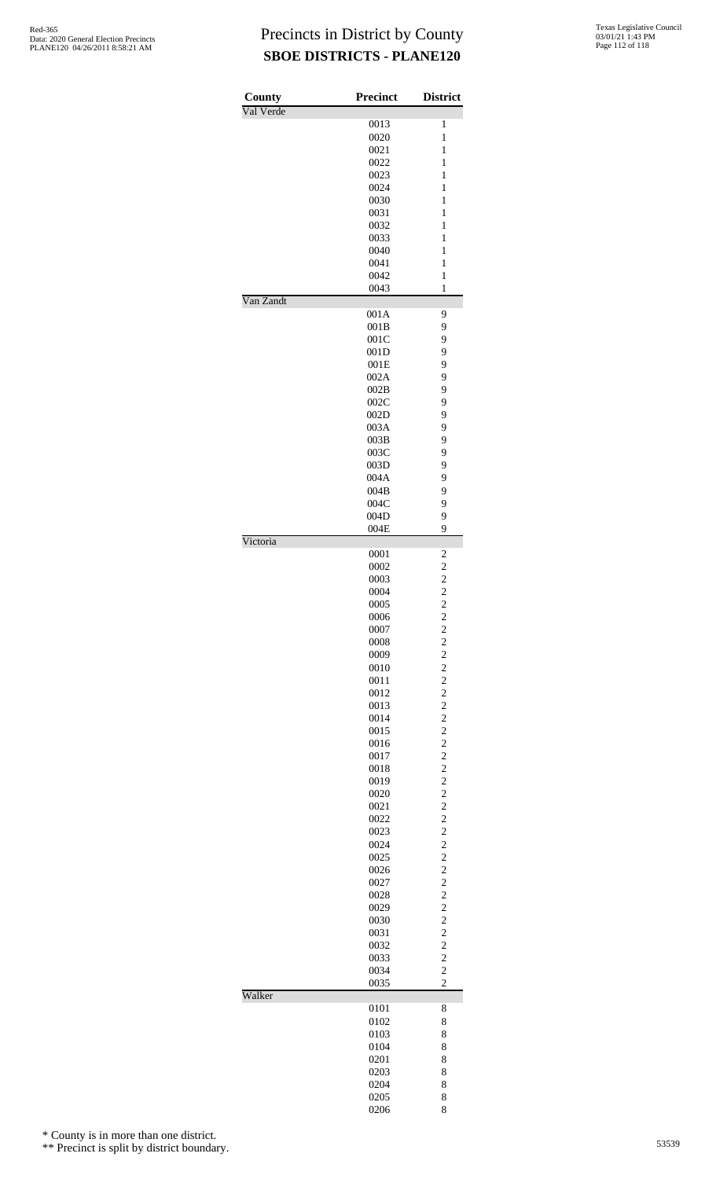| County<br>Val Verde | <b>Precinct</b> | <b>District</b>                  |
|---------------------|-----------------|----------------------------------|
|                     | 0013            | 1                                |
|                     | 0020            | $\mathbf{1}$                     |
|                     | 0021            | $\mathbf{1}$                     |
|                     | 0022            | 1                                |
|                     | 0023<br>0024    | $\mathbf{1}$<br>$\mathbf{1}$     |
|                     | 0030            | $\mathbf{1}$                     |
|                     | 0031            | $\mathbf{1}$                     |
|                     | 0032            | 1                                |
|                     | 0033            | $\mathbf{1}$                     |
|                     | 0040            | $\mathbf{1}$                     |
|                     | 0041            | $\,1$                            |
|                     | 0042            | $\,1$<br>$\mathbf{1}$            |
| Van Zandt           | 0043            |                                  |
|                     | 001A            | 9                                |
|                     | 001B            | 9                                |
|                     | 001C            | 9                                |
|                     | 001D            | 9                                |
|                     | 001E            | 9                                |
|                     | 002A            | 9                                |
|                     | 002B<br>002C    | 9<br>9                           |
|                     | 002D            | 9                                |
|                     | 003A            | 9                                |
|                     | 003B            | 9                                |
|                     | 003C            | 9                                |
|                     | 003D            | 9                                |
|                     | 004A            | 9                                |
|                     | 004B            | 9                                |
|                     | 004C<br>004D    | 9<br>9                           |
|                     | 004E            | 9                                |
| Victoria            |                 |                                  |
|                     | 0001            | 2                                |
|                     | 0002            |                                  |
|                     | 0003            | $\frac{2}{2}$                    |
|                     | 0004<br>0005    | $\overline{c}$                   |
|                     | 0006            | $\overline{\mathbf{c}}$          |
|                     | 0007            | $\overline{c}$                   |
|                     | 0008            | $\overline{c}$                   |
|                     | 0009            | $\frac{2}{2}$                    |
|                     | 0010            |                                  |
|                     | 0011<br>0012    | $\overline{c}$<br>$\overline{c}$ |
|                     | 0013            | $\overline{c}$                   |
|                     | 0014            | $\overline{c}$                   |
|                     | 0015            | $\overline{c}$                   |
|                     | 0016            | $\overline{c}$                   |
|                     | 0017            | $\overline{c}$                   |
|                     | 0018            | $\overline{c}$                   |
|                     | 0019            | $\overline{c}$<br>$\overline{c}$ |
|                     | 0020<br>0021    | $\overline{c}$                   |
|                     | 0022            | $\overline{c}$                   |
|                     | 0023            | $\overline{c}$                   |
|                     | 0024            | $\overline{c}$                   |
|                     | 0025            | $\overline{c}$                   |
|                     | 0026            | $\overline{c}$                   |
|                     | 0027            | $\overline{c}$                   |
|                     | 0028            | $\overline{c}$                   |
|                     | 0029<br>0030    | $\overline{c}$<br>$\overline{c}$ |
|                     | 0031            | $\overline{c}$                   |
|                     | 0032            | $\overline{c}$                   |
|                     | 0033            | $\overline{c}$                   |
|                     | 0034            | $\overline{c}$                   |
|                     | 0035            | $\overline{c}$                   |
| Walker              | 0101            | 8                                |
|                     | 0102            | 8                                |
|                     | 0103            | 8                                |
|                     | 0104            | 8                                |
|                     | 0201            | 8                                |
|                     | 0203            | 8                                |
|                     | 0204            | 8                                |
|                     | 0205            | 8                                |
|                     | 0206            | 8                                |

\* County is in more than one district.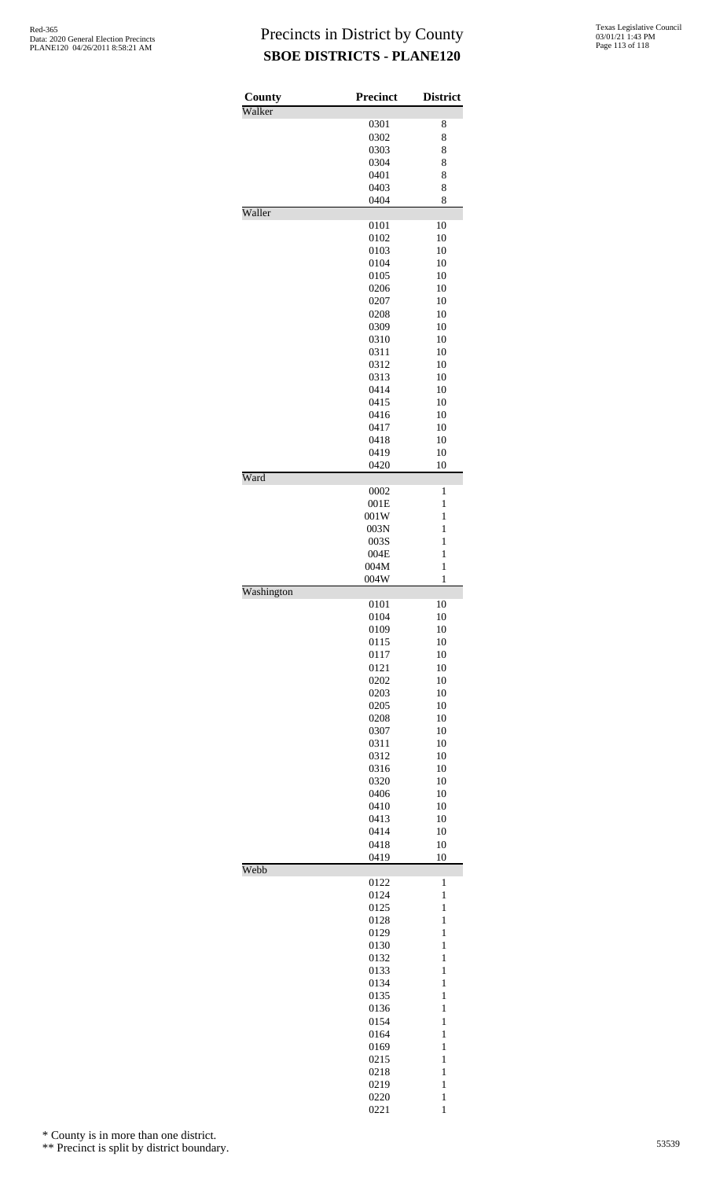| County     | <b>Precinct</b> | <b>District</b>              |
|------------|-----------------|------------------------------|
| Walker     |                 |                              |
|            | 0301<br>0302    | 8<br>8                       |
|            | 0303            | 8                            |
|            | 0304            | 8                            |
|            | 0401            | 8                            |
|            | 0403            | 8                            |
|            | 0404            | 8                            |
| Waller     |                 |                              |
|            | 0101            | 10                           |
|            | 0102            | 10                           |
|            | 0103            | 10                           |
|            | 0104            | 10                           |
|            | 0105<br>0206    | 10<br>10                     |
|            | 0207            | 10                           |
|            | 0208            | 10                           |
|            | 0309            | 10                           |
|            | 0310            | 10                           |
|            | 0311            | 10                           |
|            | 0312            | 10                           |
|            | 0313            | 10                           |
|            | 0414            | 10                           |
|            | 0415            | 10                           |
|            | 0416            | 10                           |
|            | 0417            | 10                           |
|            | 0418<br>0419    | 10                           |
|            | 0420            | 10<br>10                     |
| Ward       |                 |                              |
|            | 0002            | 1                            |
|            | 001E            | 1                            |
|            | 001W            | 1                            |
|            | 003N            | 1                            |
|            | 003S            | 1                            |
|            | 004E            | $\mathbf{1}$                 |
|            | 004M            | 1                            |
|            | 004W            | $\mathbf{1}$                 |
| Washington | 0101            | 10                           |
|            | 0104            | 10                           |
|            | 0109            | 10                           |
|            | 0115            | 10                           |
|            | 0117            | 10                           |
|            | 0121            | 10                           |
|            | 0202            | 10                           |
|            | 0203            | 10                           |
|            | 0205            | 10                           |
|            | 0208            | 10                           |
|            | 0307            | 10<br>10                     |
|            | 0311            | 10                           |
|            | 0312<br>0316    | 10                           |
|            | 0320            | 10                           |
|            | 0406            | 10                           |
|            | 0410            | 10                           |
|            | 0413            | 10                           |
|            | 0414            | 10                           |
|            | 0418            | 10                           |
|            | 0419            | 10                           |
| Webb       | 0122            | $\mathbf{1}$                 |
|            | 0124            | $\mathbf{1}$                 |
|            | 0125            | $\mathbf{1}$                 |
|            | 0128            | $\mathbf{1}$                 |
|            |                 | $\mathbf{1}$                 |
|            | 0129            |                              |
|            | 0130            | $\mathbf{1}$                 |
|            | 0132            | $\mathbf{1}$                 |
|            | 0133            | $\mathbf{1}$                 |
|            | 0134            | $\mathbf{1}$                 |
|            | 0135            | $\mathbf{1}$                 |
|            | 0136            | $\mathbf{1}$                 |
|            | 0154            | $\mathbf{1}$                 |
|            | 0164            | $\mathbf{1}$                 |
|            | 0169            | $\mathbf{1}$                 |
|            | 0215            | $\mathbf{1}$                 |
|            | 0218            | $\mathbf{1}$                 |
|            | 0219<br>0220    | $\mathbf{1}$<br>$\mathbf{1}$ |
|            |                 |                              |

\* County is in more than one district.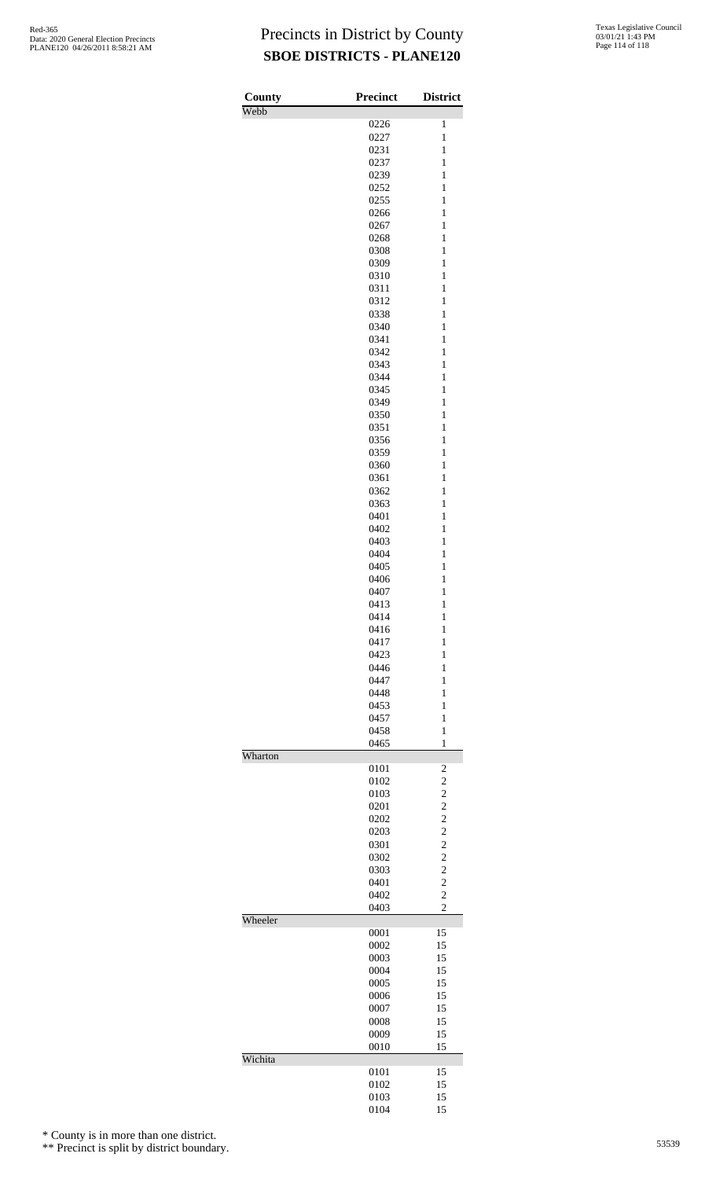| County<br>Webb | <b>Precinct</b> | <b>District</b>                  |
|----------------|-----------------|----------------------------------|
|                | 0226            | $\mathbf{1}$                     |
|                | 0227            | $\mathbf{1}$                     |
|                | 0231            | $\mathbf{1}$                     |
|                | 0237<br>0239    | $\mathbf{1}$<br>$\mathbf{1}$     |
|                | 0252            | $\mathbf{1}$                     |
|                | 0255            | $\mathbf{1}$                     |
|                | 0266            | $\mathbf{1}$                     |
|                | 0267            | $\mathbf{1}$                     |
|                | 0268            | $\mathbf{1}$                     |
|                | 0308<br>0309    | $\mathbf{1}$<br>$\mathbf{1}$     |
|                | 0310            | $\mathbf{1}$                     |
|                | 0311            | $\mathbf{1}$                     |
|                | 0312            | $\mathbf{1}$                     |
|                | 0338            | $\mathbf{1}$                     |
|                | 0340            | $\mathbf{1}$                     |
|                | 0341<br>0342    | $\mathbf{1}$<br>$\mathbf{1}$     |
|                | 0343            | $\mathbf{1}$                     |
|                | 0344            | $\mathbf{1}$                     |
|                | 0345            | $\mathbf{1}$                     |
|                | 0349            | $\mathbf{1}$                     |
|                | 0350            | $\mathbf{1}$                     |
|                | 0351<br>0356    | $\mathbf{1}$<br>$\mathbf{1}$     |
|                | 0359            | $\mathbf{1}$                     |
|                | 0360            | $\mathbf{1}$                     |
|                | 0361            | $\mathbf{1}$                     |
|                | 0362            | $\mathbf{1}$                     |
|                | 0363            | $\mathbf{1}$                     |
|                | 0401<br>0402    | $\mathbf{1}$<br>$\mathbf{1}$     |
|                | 0403            | $\mathbf{1}$                     |
|                | 0404            | $\mathbf{1}$                     |
|                | 0405            | $\mathbf{1}$                     |
|                | 0406            | $\mathbf{1}$                     |
|                | 0407<br>0413    | $\mathbf{1}$                     |
|                | 0414            | $\mathbf{1}$<br>$\mathbf{1}$     |
|                | 0416            | $\mathbf{1}$                     |
|                | 0417            | $\mathbf{1}$                     |
|                | 0423            | $\mathbf{1}$                     |
|                | 0446            | 1                                |
|                | 0447<br>0448    | $\mathbf{1}$<br>$\mathbf{1}$     |
|                | 0453            | $\mathbf{1}$                     |
|                | 0457            | $\mathbf{1}$                     |
|                | 0458            | 1                                |
|                | 0465            | $\mathbf{1}$                     |
| Wharton        | 0101            | $\overline{\mathbf{c}}$          |
|                | 0102            | $\overline{c}$                   |
|                | 0103            | $\overline{c}$                   |
|                | 0201            | $\overline{c}$                   |
|                | 0202            | $\overline{c}$                   |
|                | 0203<br>0301    | $\overline{c}$<br>$\overline{c}$ |
|                | 0302            | $\overline{c}$                   |
|                | 0303            | $\overline{c}$                   |
|                | 0401            | $\overline{c}$                   |
|                | 0402            | $\overline{c}$                   |
|                | 0403            | $\overline{c}$                   |
| Wheeler        | 0001            | 15                               |
|                | 0002            | 15                               |
|                | 0003            | 15                               |
|                | 0004            | 15                               |
|                | 0005<br>0006    | 15<br>15                         |
|                | 0007            | 15                               |
|                | 0008            | 15                               |
|                | 0009            | 15                               |
|                | 0010            | 15                               |
| Wichita        | 0101            | 15                               |
|                | 0102            | 15                               |
|                | 0103            | 15                               |
|                | 0104            | 15                               |

\* County is in more than one district.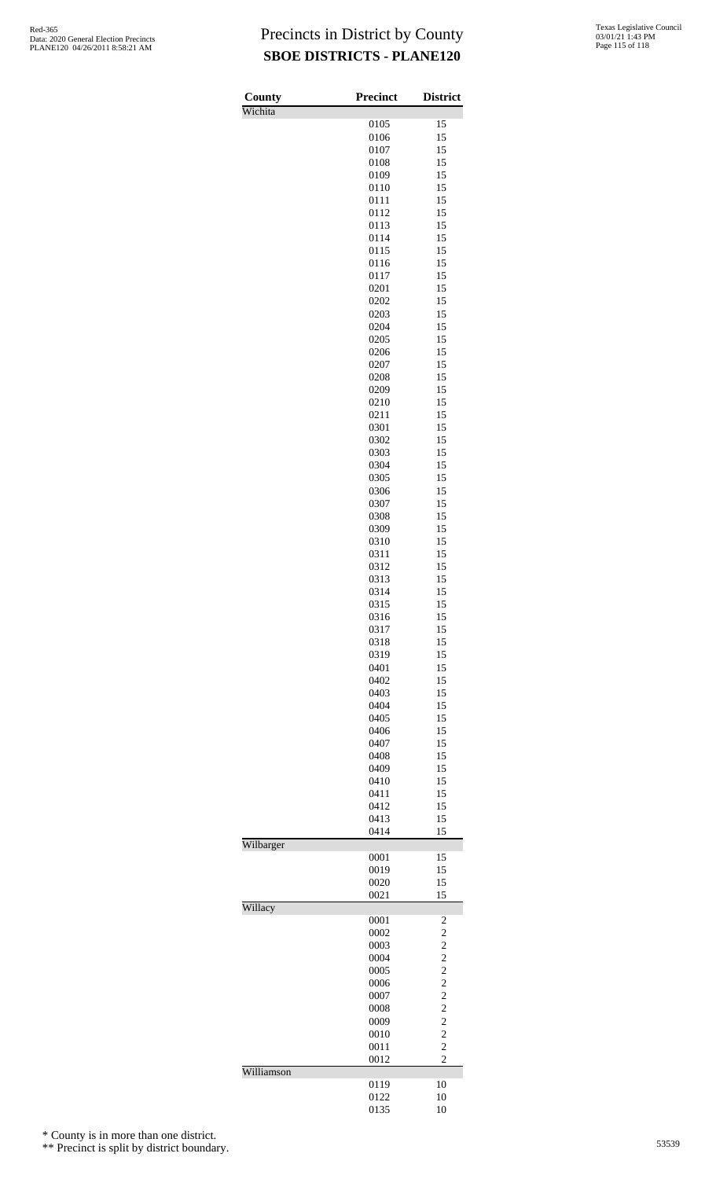| County<br>Wichita | Precinct     | <b>District</b>                            |
|-------------------|--------------|--------------------------------------------|
|                   | 0105         | 15                                         |
|                   | 0106         | 15                                         |
|                   | 0107         | 15                                         |
|                   | 0108         | 15                                         |
|                   | 0109         | 15                                         |
|                   | 0110<br>0111 | 15<br>15                                   |
|                   | 0112         | 15                                         |
|                   | 0113         | 15                                         |
|                   | 0114         | 15                                         |
|                   | 0115         | 15                                         |
|                   | 0116         | 15                                         |
|                   | 0117         | 15                                         |
|                   | 0201<br>0202 | 15<br>15                                   |
|                   | 0203         | 15                                         |
|                   | 0204         | 15                                         |
|                   | 0205         | 15                                         |
|                   | 0206         | 15                                         |
|                   | 0207         | 15                                         |
|                   | 0208         | 15                                         |
|                   | 0209         | 15<br>15                                   |
|                   | 0210<br>0211 | 15                                         |
|                   | 0301         | 15                                         |
|                   | 0302         | 15                                         |
|                   | 0303         | 15                                         |
|                   | 0304         | 15                                         |
|                   | 0305         | 15                                         |
|                   | 0306         | 15                                         |
|                   | 0307<br>0308 | 15<br>15                                   |
|                   | 0309         | 15                                         |
|                   | 0310         | 15                                         |
|                   | 0311         | 15                                         |
|                   | 0312         | 15                                         |
|                   | 0313         | 15                                         |
|                   | 0314         | 15                                         |
|                   | 0315<br>0316 | 15<br>15                                   |
|                   | 0317         | 15                                         |
|                   | 0318         | 15                                         |
|                   | 0319         | 15                                         |
|                   | 0401         | 15                                         |
|                   | 0402         | 15                                         |
|                   | 0403<br>0404 | 15<br>15                                   |
|                   | 0405         | 15                                         |
|                   | 0406         | 15                                         |
|                   | 0407         | 15                                         |
|                   | 0408         | 15                                         |
|                   | 0409         | 15                                         |
|                   | 0410         | 15                                         |
|                   | 0411<br>0412 | 15<br>15                                   |
|                   | 0413         | 15                                         |
|                   | 0414         | 15                                         |
| Wilbarger         |              |                                            |
|                   | 0001         | 15                                         |
|                   | 0019         | 15                                         |
|                   | 0020<br>0021 | 15<br>15                                   |
| Willacy           |              |                                            |
|                   | 0001         | 2                                          |
|                   | 0002         | $\overline{c}$                             |
|                   | 0003         | $\overline{\mathbf{c}}$                    |
|                   | 0004<br>0005 | $\begin{array}{c} 2 \\ 2 \\ 2 \end{array}$ |
|                   | 0006         |                                            |
|                   | 0007         | $\overline{\mathbf{c}}$                    |
|                   | 0008         |                                            |
|                   | 0009         |                                            |
|                   | 0010         | $\begin{array}{c} 2 \\ 2 \\ 2 \end{array}$ |
|                   | 0011<br>0012 | $\overline{c}$                             |
| Williamson        |              |                                            |
|                   | 0119         | 10                                         |
|                   | 0122         | 10                                         |
|                   | 0135         | 10                                         |

\* County is in more than one district.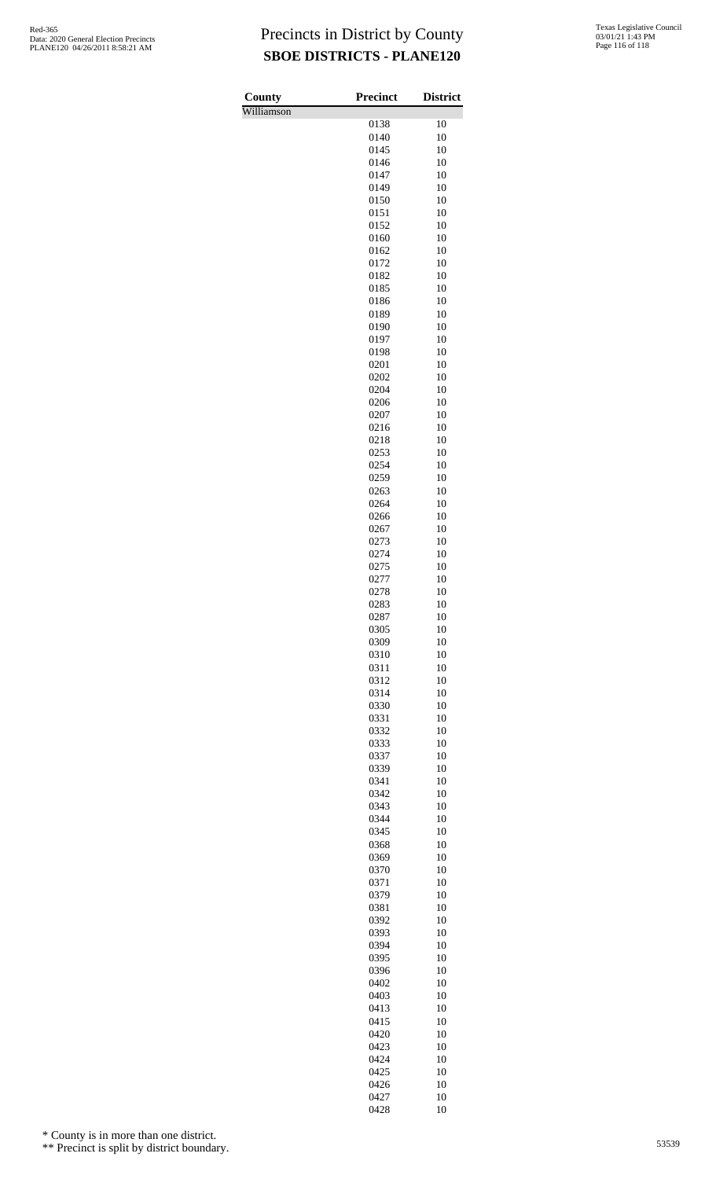| Texas Legislative Council |
|---------------------------|
| 03/01/21 1:43 PM          |
| Page 116 of 118           |

| County     | Precinct     | <b>District</b> |
|------------|--------------|-----------------|
| Williamson | 0138         | 10              |
|            | 0140         | 10              |
|            | 0145         | 10              |
|            | 0146         | 10              |
|            | 0147         | 10              |
|            | 0149         | 10              |
|            | 0150         | 10              |
|            | 0151<br>0152 | 10<br>10        |
|            | 0160         | 10              |
|            | 0162         | 10              |
|            | 0172         | 10              |
|            | 0182         | 10              |
|            | 0185         | 10              |
|            | 0186<br>0189 | 10<br>10        |
|            | 0190         | 10              |
|            | 0197         | 10              |
|            | 0198         | 10              |
|            | 0201         | 10              |
|            | 0202         | 10              |
|            | 0204         | 10              |
|            | 0206<br>0207 | 10<br>10        |
|            | 0216         | 10              |
|            | 0218         | 10              |
|            | 0253         | 10              |
|            | 0254         | 10              |
|            | 0259         | 10              |
|            | 0263         | 10              |
|            | 0264<br>0266 | 10<br>10        |
|            | 0267         | 10              |
|            | 0273         | 10              |
|            | 0274         | 10              |
|            | 0275         | 10              |
|            | 0277         | 10              |
|            | 0278         | 10              |
|            | 0283<br>0287 | 10<br>10        |
|            | 0305         | 10              |
|            | 0309         | 10              |
|            | 0310         | 10              |
|            | 0311         | 10              |
|            | 0312         | 10              |
|            | 0314<br>0330 | 10<br>10        |
|            | 0331         | 10              |
|            | 0332         | 10              |
|            | 0333         | 10              |
|            | 0337         | 10              |
|            | 0339         | 10              |
|            | 0341         | 10              |
|            | 0342         | 10              |
|            | 0343<br>0344 | 10<br>10        |
|            | 0345         | 10              |
|            | 0368         | 10              |
|            | 0369         | 10              |
|            | 0370         | 10              |
|            | 0371         | 10              |
|            | 0379<br>0381 | 10<br>10        |
|            | 0392         | 10              |
|            | 0393         | 10              |
|            | 0394         | 10              |
|            | 0395         | 10              |
|            | 0396         | 10              |
|            | 0402         | 10              |
|            | 0403<br>0413 | 10<br>10        |
|            | 0415         | 10              |
|            | 0420         | 10              |
|            | 0423         | 10              |
|            | 0424         | 10              |
|            | 0425         | 10              |
|            | 0426         | 10              |
|            | 0427<br>0428 | 10<br>10        |
|            |              |                 |

\* County is in more than one district.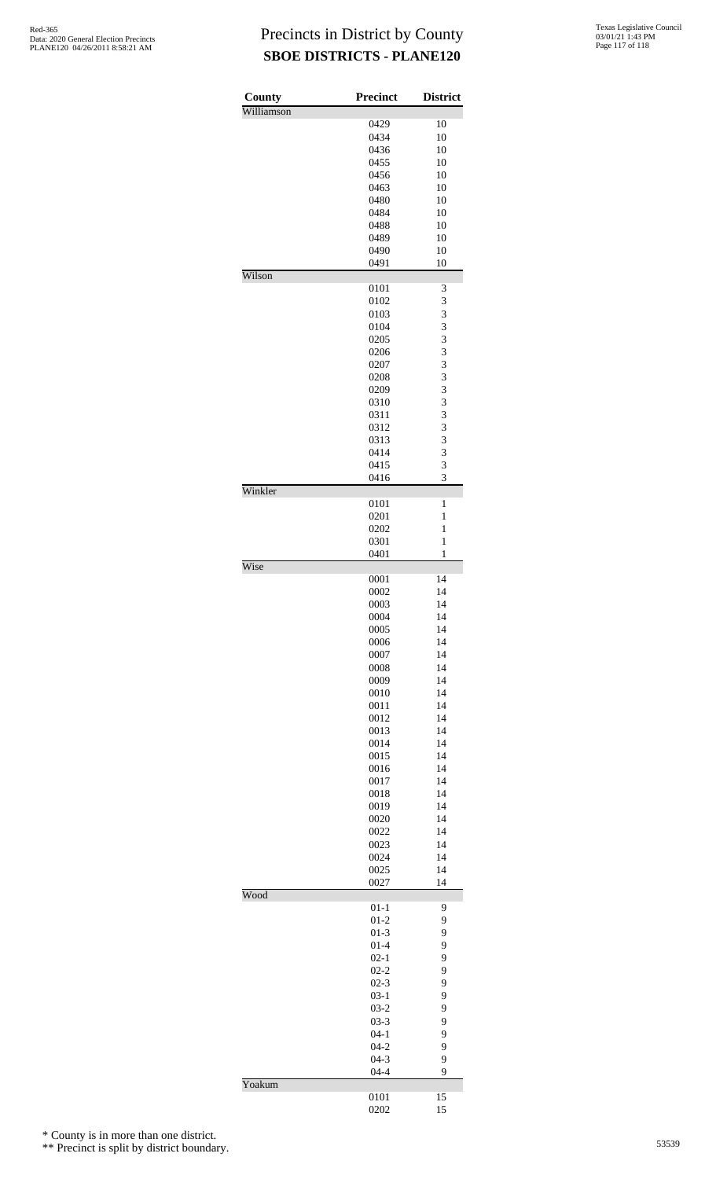| County     | <b>Precinct</b>    | <b>District</b> |
|------------|--------------------|-----------------|
| Williamson |                    |                 |
|            | 0429               | 10              |
|            | 0434               | 10              |
|            | 0436<br>0455       | 10<br>10        |
|            | 0456               | 10              |
|            | 0463               | 10              |
|            | 0480               | 10              |
|            | 0484               | 10              |
|            | 0488               | 10              |
|            | 0489               | 10              |
|            | 0490               | 10              |
|            | 0491               | 10              |
| Wilson     |                    |                 |
|            | 0101               | 3               |
|            | 0102               | 3               |
|            | 0103<br>0104       | 3<br>3          |
|            |                    | 3               |
|            | 0205<br>0206       | $\overline{3}$  |
|            | 0207               | 3               |
|            | 0208               | $\overline{3}$  |
|            | 0209               | 3               |
|            | 0310               | $\overline{3}$  |
|            | 0311               | $\overline{3}$  |
|            | 0312               | 3               |
|            | 0313               | 3               |
|            | 0414               | 3               |
|            | 0415               | 3               |
|            | 0416               | 3               |
| Winkler    |                    |                 |
|            | 0101               | 1               |
|            | 0201               | 1               |
|            | 0202               | 1               |
|            | 0301               | 1<br>1          |
| Wise       | 0401               |                 |
|            | 0001               | 14              |
|            | 0002               | 14              |
|            | 0003               | 14              |
|            | 0004               | 14              |
|            | 0005               | 14              |
|            | 0006               | 14              |
|            | 0007               | 14              |
|            | 0008               | 14              |
|            | 0009               | 14              |
|            | 0010               | 14              |
|            | 0011               | 14              |
|            | 0012               | 14              |
|            | 0013               | 14              |
|            | 0014               | 14              |
|            | 0015               | 14              |
|            | 0016               | 14              |
|            | 0017               | 14              |
|            | 0018               | 14              |
|            | 0019               | 14              |
|            | 0020<br>0022       | 14<br>14        |
|            | 0023               | 14              |
|            | 0024               | 14              |
|            | 0025               | 14              |
|            | 0027               | 14              |
| Wood       |                    |                 |
|            | $01 - 1$           | 9               |
|            | $01 - 2$           | 9               |
|            | $01-3$             | 9               |
|            | $01 - 4$           | 9               |
|            | $02 - 1$           | 9               |
|            | $02 - 2$           | 9               |
|            | $02 - 3$<br>$03-1$ | 9<br>9          |
|            | $03-2$             | 9               |
|            | $03 - 3$           | 9               |
|            | $04 - 1$           | 9               |
|            | $04 - 2$           | 9               |
|            | $04 - 3$           | 9               |
|            | $04 - 4$           | 9               |
| Yoakum     |                    |                 |
|            | 0101               | 15              |
|            | 0202               | 15              |

\* County is in more than one district.